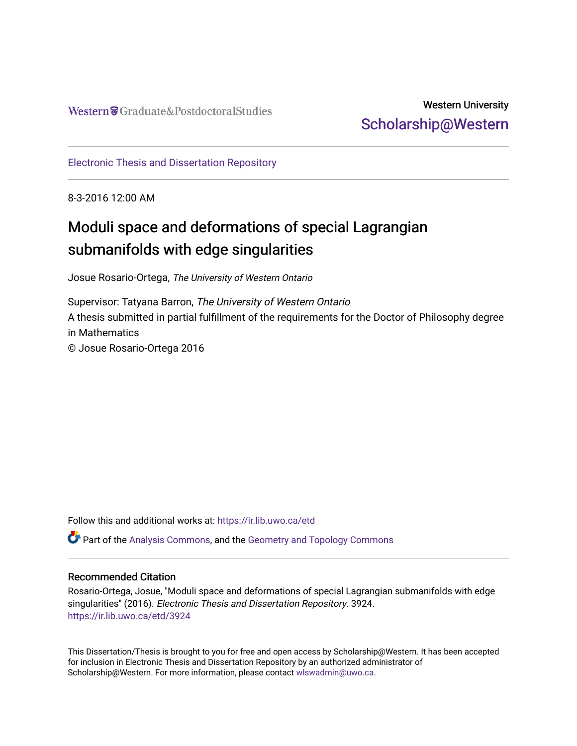## Western University [Scholarship@Western](https://ir.lib.uwo.ca/)

[Electronic Thesis and Dissertation Repository](https://ir.lib.uwo.ca/etd)

8-3-2016 12:00 AM

## Moduli space and deformations of special Lagrangian submanifolds with edge singularities

Josue Rosario-Ortega, The University of Western Ontario

Supervisor: Tatyana Barron, The University of Western Ontario A thesis submitted in partial fulfillment of the requirements for the Doctor of Philosophy degree in Mathematics © Josue Rosario-Ortega 2016

Follow this and additional works at: [https://ir.lib.uwo.ca/etd](https://ir.lib.uwo.ca/etd?utm_source=ir.lib.uwo.ca%2Fetd%2F3924&utm_medium=PDF&utm_campaign=PDFCoverPages) 

 $\bullet$  Part of the [Analysis Commons](http://network.bepress.com/hgg/discipline/177?utm_source=ir.lib.uwo.ca%2Fetd%2F3924&utm_medium=PDF&utm_campaign=PDFCoverPages), and the Geometry and Topology Commons

#### Recommended Citation

Rosario-Ortega, Josue, "Moduli space and deformations of special Lagrangian submanifolds with edge singularities" (2016). Electronic Thesis and Dissertation Repository. 3924. [https://ir.lib.uwo.ca/etd/3924](https://ir.lib.uwo.ca/etd/3924?utm_source=ir.lib.uwo.ca%2Fetd%2F3924&utm_medium=PDF&utm_campaign=PDFCoverPages)

This Dissertation/Thesis is brought to you for free and open access by Scholarship@Western. It has been accepted for inclusion in Electronic Thesis and Dissertation Repository by an authorized administrator of Scholarship@Western. For more information, please contact [wlswadmin@uwo.ca.](mailto:wlswadmin@uwo.ca)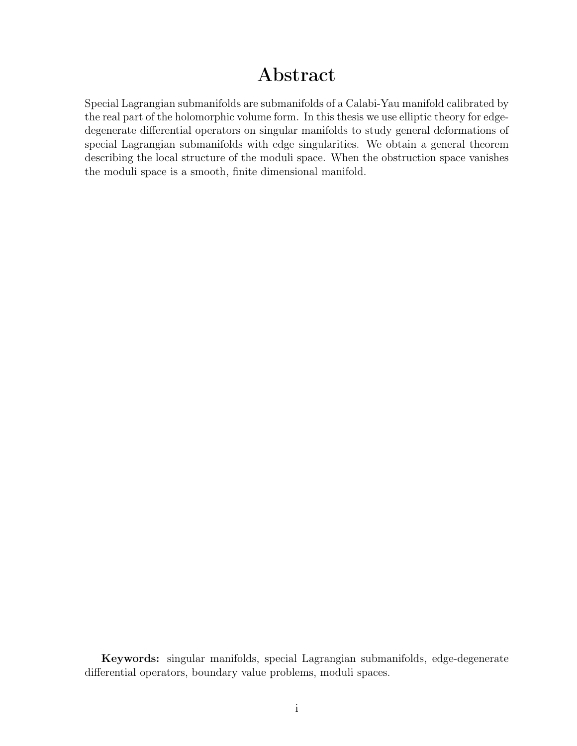## Abstract

<span id="page-1-0"></span>Special Lagrangian submanifolds are submanifolds of a Calabi-Yau manifold calibrated by the real part of the holomorphic volume form. In this thesis we use elliptic theory for edgedegenerate differential operators on singular manifolds to study general deformations of special Lagrangian submanifolds with edge singularities. We obtain a general theorem describing the local structure of the moduli space. When the obstruction space vanishes the moduli space is a smooth, finite dimensional manifold.

Keywords: singular manifolds, special Lagrangian submanifolds, edge-degenerate differential operators, boundary value problems, moduli spaces.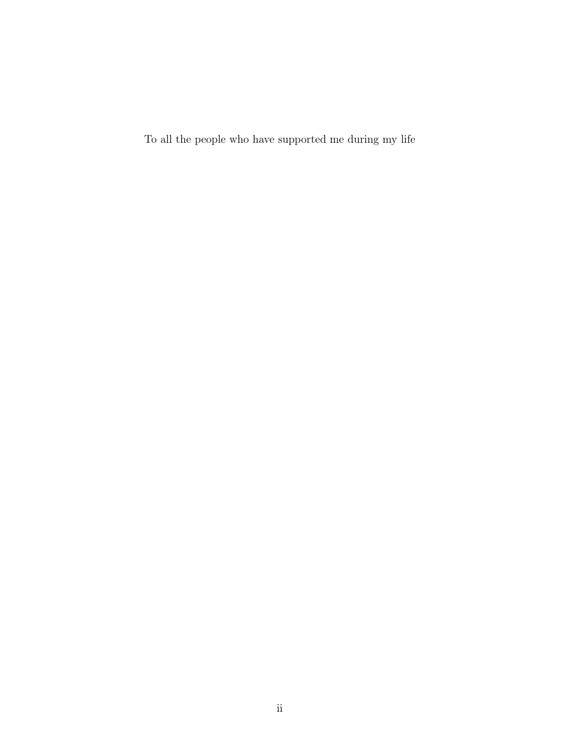To all the people who have supported me during my life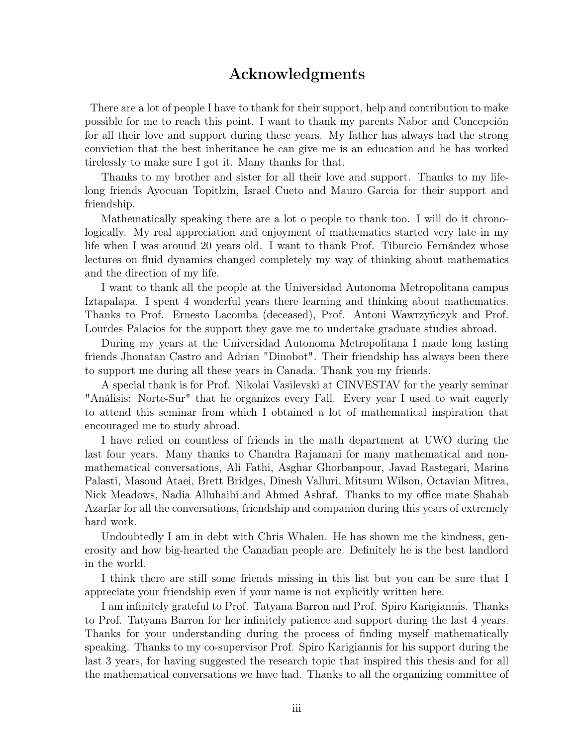### Acknowledgments

There are a lot of people I have to thank for their support, help and contribution to make possible for me to reach this point. I want to thank my parents Nabor and Concepción for all their love and support during these years. My father has always had the strong conviction that the best inheritance he can give me is an education and he has worked tirelessly to make sure I got it. Many thanks for that.

Thanks to my brother and sister for all their love and support. Thanks to my lifelong friends Ayocuan Topitlzin, Israel Cueto and Mauro Garcia for their support and friendship.

Mathematically speaking there are a lot o people to thank too. I will do it chronologically. My real appreciation and enjoyment of mathematics started very late in my life when I was around 20 years old. I want to thank Prof. Tiburcio Fernández whose lectures on fluid dynamics changed completely my way of thinking about mathematics and the direction of my life.

I want to thank all the people at the Universidad Autonoma Metropolitana campus Iztapalapa. I spent 4 wonderful years there learning and thinking about mathematics. Thanks to Prof. Ernesto Lacomba (deceased), Prof. Antoni Wawrzyñczyk and Prof. Lourdes Palacios for the support they gave me to undertake graduate studies abroad.

During my years at the Universidad Autonoma Metropolitana I made long lasting friends Jhonatan Castro and Adrian "Dinobot". Their friendship has always been there to support me during all these years in Canada. Thank you my friends.

A special thank is for Prof. Nikolai Vasilevski at CINVESTAV for the yearly seminar "Análisis: Norte-Sur" that he organizes every Fall. Every year I used to wait eagerly to attend this seminar from which I obtained a lot of mathematical inspiration that encouraged me to study abroad.

I have relied on countless of friends in the math department at UWO during the last four years. Many thanks to Chandra Rajamani for many mathematical and nonmathematical conversations, Ali Fathi, Asghar Ghorbanpour, Javad Rastegari, Marina Palasti, Masoud Ataei, Brett Bridges, Dinesh Valluri, Mitsuru Wilson, Octavian Mitrea, Nick Meadows, Nadia Alluhaibi and Ahmed Ashraf. Thanks to my office mate Shahab Azarfar for all the conversations, friendship and companion during this years of extremely hard work.

Undoubtedly I am in debt with Chris Whalen. He has shown me the kindness, generosity and how big-hearted the Canadian people are. Definitely he is the best landlord in the world.

I think there are still some friends missing in this list but you can be sure that I appreciate your friendship even if your name is not explicitly written here.

I am infinitely grateful to Prof. Tatyana Barron and Prof. Spiro Karigiannis. Thanks to Prof. Tatyana Barron for her infinitely patience and support during the last 4 years. Thanks for your understanding during the process of finding myself mathematically speaking. Thanks to my co-supervisor Prof. Spiro Karigiannis for his support during the last 3 years, for having suggested the research topic that inspired this thesis and for all the mathematical conversations we have had. Thanks to all the organizing committee of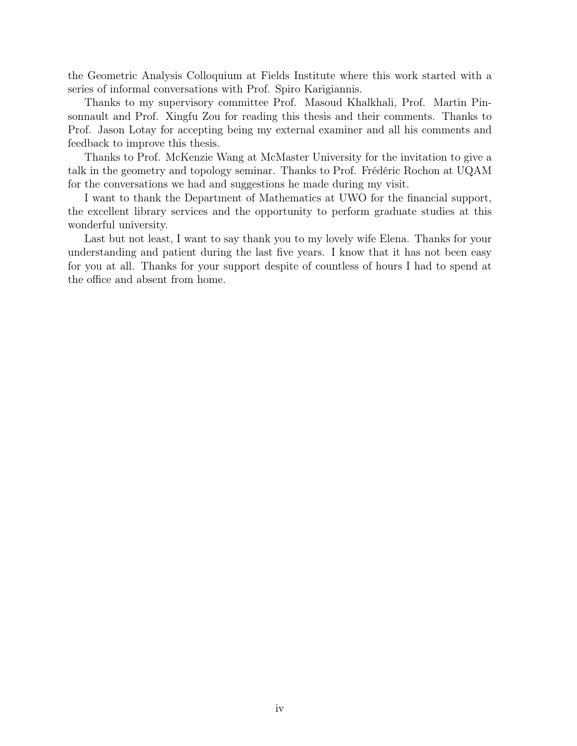the Geometric Analysis Colloquium at Fields Institute where this work started with a series of informal conversations with Prof. Spiro Karigiannis.

Thanks to my supervisory committee Prof. Masoud Khalkhali, Prof. Martin Pinsonnault and Prof. Xingfu Zou for reading this thesis and their comments. Thanks to Prof. Jason Lotay for accepting being my external examiner and all his comments and feedback to improve this thesis.

Thanks to Prof. McKenzie Wang at McMaster University for the invitation to give a talk in the geometry and topology seminar. Thanks to Prof. Frédéric Rochon at UQAM for the conversations we had and suggestions he made during my visit.

I want to thank the Department of Mathematics at UWO for the financial support, the excellent library services and the opportunity to perform graduate studies at this wonderful university.

Last but not least, I want to say thank you to my lovely wife Elena. Thanks for your understanding and patient during the last five years. I know that it has not been easy for you at all. Thanks for your support despite of countless of hours I had to spend at the office and absent from home.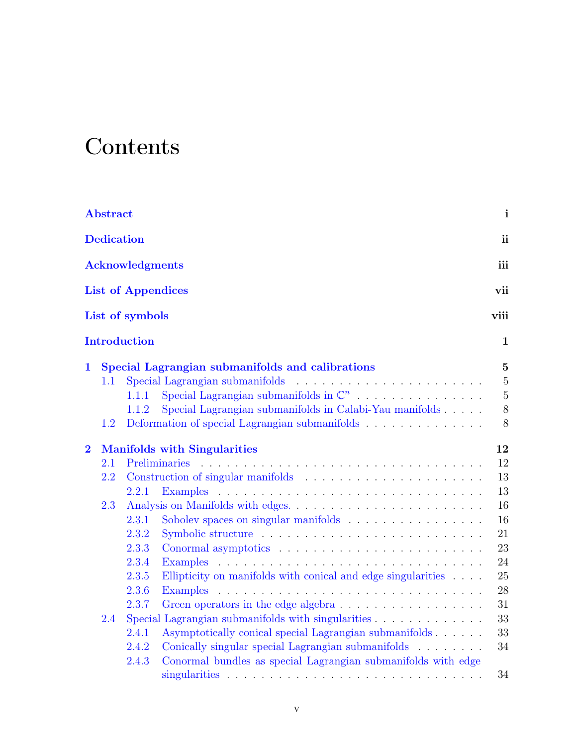# <span id="page-5-0"></span>**Contents**

|                | <b>Abstract</b>                     |                                                                        | $\mathbf{i}$   |  |  |  |  |  |  |
|----------------|-------------------------------------|------------------------------------------------------------------------|----------------|--|--|--|--|--|--|
|                | <b>Dedication</b><br>ii             |                                                                        |                |  |  |  |  |  |  |
|                | <b>Acknowledgments</b><br>iii       |                                                                        |                |  |  |  |  |  |  |
|                |                                     | <b>List of Appendices</b>                                              | vii            |  |  |  |  |  |  |
|                |                                     | List of symbols                                                        | viii           |  |  |  |  |  |  |
|                |                                     | <b>Introduction</b>                                                    | 1              |  |  |  |  |  |  |
| $\mathbf{1}$   |                                     | Special Lagrangian submanifolds and calibrations                       | $\mathbf{5}$   |  |  |  |  |  |  |
|                | 1.1                                 |                                                                        | $\overline{5}$ |  |  |  |  |  |  |
|                |                                     | Special Lagrangian submanifolds in $\mathbb{C}^n$<br>1.1.1             | $\overline{5}$ |  |  |  |  |  |  |
|                |                                     | Special Lagrangian submanifolds in Calabi-Yau manifolds<br>1.1.2       | 8              |  |  |  |  |  |  |
|                | 1.2                                 | Deformation of special Lagrangian submanifolds                         | 8              |  |  |  |  |  |  |
| $\overline{2}$ | <b>Manifolds with Singularities</b> |                                                                        |                |  |  |  |  |  |  |
|                | 2.1                                 | Preliminaries                                                          | 12             |  |  |  |  |  |  |
|                | 2.2                                 |                                                                        | 13             |  |  |  |  |  |  |
|                |                                     | 2.2.1                                                                  | 13             |  |  |  |  |  |  |
|                | 2.3                                 |                                                                        | 16             |  |  |  |  |  |  |
|                |                                     | 2.3.1                                                                  | 16             |  |  |  |  |  |  |
|                |                                     | 2.3.2                                                                  | 21             |  |  |  |  |  |  |
|                |                                     | 2.3.3                                                                  | 23             |  |  |  |  |  |  |
|                |                                     | 2.3.4                                                                  | 24             |  |  |  |  |  |  |
|                |                                     | Ellipticity on manifolds with conical and edge singularities<br>2.3.5  | 25             |  |  |  |  |  |  |
|                |                                     | 2.3.6                                                                  | $28\,$         |  |  |  |  |  |  |
|                |                                     | 2.3.7<br>Green operators in the edge algebra                           | 31             |  |  |  |  |  |  |
|                | 2.4                                 | Special Lagrangian submanifolds with singularities                     | 33             |  |  |  |  |  |  |
|                |                                     | Asymptotically conical special Lagrangian submanifolds<br>2.4.1        | 33             |  |  |  |  |  |  |
|                |                                     | Conically singular special Lagrangian submanifolds<br>2.4.2            | 34             |  |  |  |  |  |  |
|                |                                     | Conormal bundles as special Lagrangian submanifolds with edge<br>2.4.3 |                |  |  |  |  |  |  |
|                |                                     |                                                                        | 34             |  |  |  |  |  |  |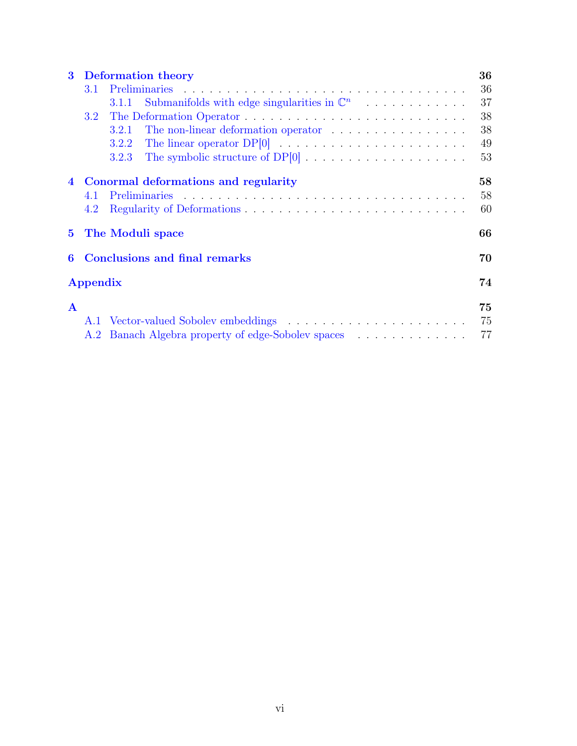| $\bf{3}$     | <b>Deformation theory</b><br>36            |                                                                 |    |  |  |  |  |  |
|--------------|--------------------------------------------|-----------------------------------------------------------------|----|--|--|--|--|--|
|              | 3.1                                        |                                                                 | 36 |  |  |  |  |  |
|              |                                            | Submanifolds with edge singularities in $\mathbb{C}^n$<br>3.1.1 | 37 |  |  |  |  |  |
|              | 3.2 <sub>1</sub>                           |                                                                 | 38 |  |  |  |  |  |
|              |                                            | The non-linear deformation operator<br>3.2.1                    | 38 |  |  |  |  |  |
|              |                                            | 3.2.2                                                           | 49 |  |  |  |  |  |
|              |                                            | 3.2.3                                                           | 53 |  |  |  |  |  |
|              | Conormal deformations and regularity       | 58                                                              |    |  |  |  |  |  |
|              | 4.1                                        |                                                                 | 58 |  |  |  |  |  |
|              | 4.2                                        |                                                                 | 60 |  |  |  |  |  |
|              |                                            | 5 The Moduli space                                              | 66 |  |  |  |  |  |
| 6            | <b>Conclusions and final remarks</b><br>70 |                                                                 |    |  |  |  |  |  |
| Appendix     |                                            |                                                                 |    |  |  |  |  |  |
| $\mathbf{A}$ |                                            |                                                                 | 75 |  |  |  |  |  |
|              |                                            | A.1 Vector-valued Sobolev embeddings                            | 75 |  |  |  |  |  |
|              |                                            | A.2 Banach Algebra property of edge-Sobolev spaces              | 77 |  |  |  |  |  |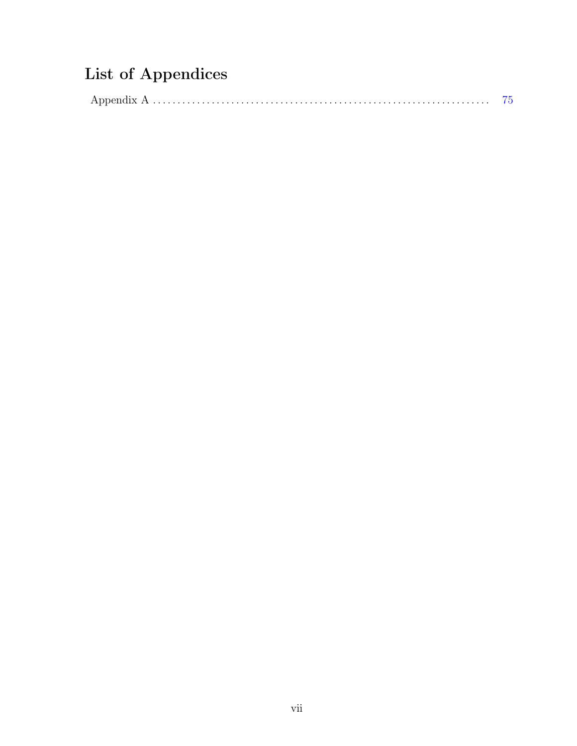## <span id="page-7-0"></span>List of Appendices

|--|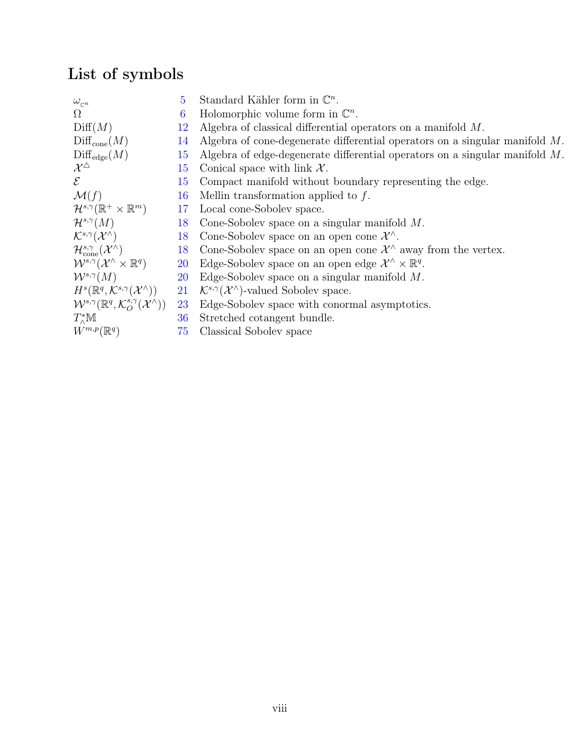## <span id="page-8-0"></span>List of symbols

| $\omega_{\mathbb{C}^n}$                                                             | 5.        | Standard Kähler form in $\mathbb{C}^n$ .                                        |
|-------------------------------------------------------------------------------------|-----------|---------------------------------------------------------------------------------|
| $\Omega$                                                                            | 6         | Holomorphic volume form in $\mathbb{C}^n$ .                                     |
| Diff(M)                                                                             | 12        | Algebra of classical differential operators on a manifold $M$ .                 |
| $Diff_{cone}(M)$                                                                    | 14        | Algebra of cone-degenerate differential operators on a singular manifold $M$ .  |
| $\mathrm{Diff}_{\mathrm{edge}}(M)$                                                  | 15        | Algebra of edge-degenerate differential operators on a singular manifold $M$ .  |
| $\mathcal{X}^\triangle$                                                             | 15        | Conical space with link $\mathcal{X}$ .                                         |
| $\mathcal{E}$                                                                       | 15        | Compact manifold without boundary representing the edge.                        |
| $\mathcal{M}(f)$                                                                    | 16        | Mellin transformation applied to $f$ .                                          |
| $\mathcal{H}^{s,\gamma}(\mathbb{R}^+\times\mathbb{R}^m)$                            | 17        | Local cone-Sobolev space.                                                       |
| $\mathcal{H}^{s,\gamma}(M)$                                                         | 18        | Cone-Sobolev space on a singular manifold $M$ .                                 |
| $\mathcal{K}^{s,\gamma}(\mathcal{X}^{\wedge})$                                      | 18        | Cone-Sobolev space on an open cone $\mathcal{X}^{\wedge}$ .                     |
| $\mathcal{H}_{cone}^{s,\gamma}(\mathcal{X}^{\wedge})$                               | 18        | Cone-Sobolev space on an open cone $\mathcal{X}^{\wedge}$ away from the vertex. |
| $\mathcal{W}^{s,\gamma}(\mathcal{X}^{\wedge}\times\mathbb{R}^q)$                    | <b>20</b> | Edge-Sobolev space on an open edge $\mathcal{X}^{\wedge} \times \mathbb{R}^q$ . |
| $\mathcal{W}^{s,\gamma}(M)$                                                         | <b>20</b> | Edge-Sobolev space on a singular manifold $M$ .                                 |
| $H^s(\mathbb{R}^q,\mathcal{K}^{s,\gamma}(\mathcal{X}^\wedge))$                      | 21        | $\mathcal{K}^{s,\gamma}(\mathcal{X}^{\wedge})$ -valued Sobolev space.           |
| $\mathcal{W}^{s,\gamma}(\mathbb{R}^q,\mathcal{K}_O^{s,\gamma}(\mathcal{X}^\wedge))$ | <b>23</b> | Edge-Sobolev space with conormal asymptotics.                                   |
| $T^*_{\wedge} \mathbb{M}$                                                           | 36        | Stretched cotangent bundle.                                                     |
| $W^{m,p}(\mathbb{R}^q)$                                                             | 75        | Classical Sobolev space                                                         |
|                                                                                     |           |                                                                                 |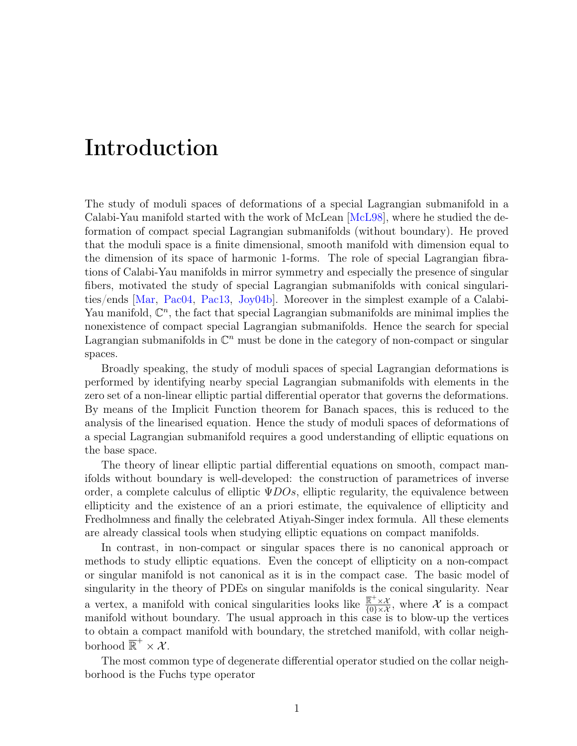## Introduction

The study of moduli spaces of deformations of a special Lagrangian submanifold in a Calabi-Yau manifold started with the work of McLean [[McL98](#page-81-0)], where he studied the deformation of compact special Lagrangian submanifolds (without boundary). He proved that the moduli space is a finite dimensional, smooth manifold with dimension equal to the dimension of its space of harmonic 1-forms. The role of special Lagrangian fibrations of Calabi-Yau manifolds in mirror symmetry and especially the presence of singular fibers, motivated the study of special Lagrangian submanifolds with conical singularities/ends [[Mar](#page-81-1), [Pac04](#page-82-0), [Pac13](#page-82-1), [Joy04b](#page-80-0)]. Moreover in the simplest example of a Calabi-Yau manifold,  $\mathbb{C}^n$ , the fact that special Lagrangian submanifolds are minimal implies the nonexistence of compact special Lagrangian submanifolds. Hence the search for special Lagrangian submanifolds in  $\mathbb{C}^n$  must be done in the category of non-compact or singular spaces.

Broadly speaking, the study of moduli spaces of special Lagrangian deformations is performed by identifying nearby special Lagrangian submanifolds with elements in the zero set of a non-linear elliptic partial differential operator that governs the deformations. By means of the Implicit Function theorem for Banach spaces, this is reduced to the analysis of the linearised equation. Hence the study of moduli spaces of deformations of a special Lagrangian submanifold requires a good understanding of elliptic equations on the base space.

The theory of linear elliptic partial differential equations on smooth, compact manifolds without boundary is well-developed: the construction of parametrices of inverse order, a complete calculus of elliptic  $\Psi DOS$ , elliptic regularity, the equivalence between ellipticity and the existence of an a priori estimate, the equivalence of ellipticity and Fredholmness and finally the celebrated Atiyah-Singer index formula. All these elements are already classical tools when studying elliptic equations on compact manifolds.

In contrast, in non-compact or singular spaces there is no canonical approach or methods to study elliptic equations. Even the concept of ellipticity on a non-compact or singular manifold is not canonical as it is in the compact case. The basic model of singularity in the theory of PDEs on singular manifolds is the conical singularity. Near a vertex, a manifold with conical singularities looks like  $\frac{\overline{\mathbb{R}}^+ \times \mathcal{X}}{\{0\} \times \mathcal{X}}$ , where X is a compact manifold without boundary. The usual approach in this case is to blow-up the vertices to obtain a compact manifold with boundary, the stretched manifold, with collar neighborhood  $\overline{\mathbb{R}}^+ \times \overline{\mathcal{X}}$ .

The most common type of degenerate differential operator studied on the collar neighborhood is the Fuchs type operator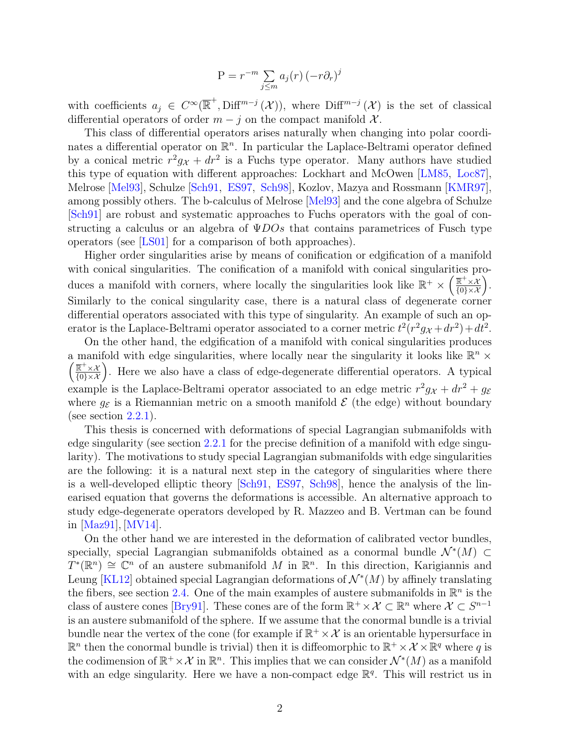$$
P = r^{-m} \sum_{j \le m} a_j(r) (-r \partial_r)^j
$$

with coefficients  $a_j \in C^{\infty}(\overline{\mathbb{R}}^+, \text{Diff}^{m-j}(\mathcal{X}))$ , where  $\text{Diff}^{m-j}(\mathcal{X})$  is the set of classical differential operators of order  $m - j$  on the compact manifold  $\mathcal{X}$ .

This class of differential operators arises naturally when changing into polar coordinates a differential operator on  $\mathbb{R}^n$ . In particular the Laplace-Beltrami operator defined by a conical metric  $r^2g_X + dr^2$  is a Fuchs type operator. Many authors have studied this type of equation with different approaches: Lockhart and McOwen [[LM85](#page-81-2), [Loc87](#page-81-3)], Melrose [[Mel93](#page-81-4)], Schulze [[Sch91](#page-82-2), [ES97](#page-80-1), [Sch98](#page-82-3)], Kozlov, Mazya and Rossmann [[KMR97](#page-80-2)], among possibly others. The b-calculus of Melrose [[Mel93](#page-81-4)] and the cone algebra of Schulze [[Sch91](#page-82-2)] are robust and systematic approaches to Fuchs operators with the goal of constructing a calculus or an algebra of  $\Psi DOs$  that contains parametrices of Fusch type operators (see [[LS01](#page-81-5)] for a comparison of both approaches).

Higher order singularities arise by means of conification or edgification of a manifold with conical singularities. The conification of a manifold with conical singularities produces a manifold with corners, where locally the singularities look like  $\mathbb{R}^+ \times \left( \frac{\mathbb{R}^+ \times \mathcal{X}}{\{0\} \times \mathcal{X}} \right)$ . Similarly to the conical singularity case, there is a natural class of degenerate corner differential operators associated with this type of singularity. An example of such an operator is the Laplace-Beltrami operator associated to a corner metric  $t^2(r^2g_X + dr^2) + dt^2$ .

On the other hand, the edgification of a manifold with conical singularities produces a manifold with edge singularities, where locally near the singularity it looks like  $\mathbb{R}^n$  ×  $\left(\frac{\overline{\mathbb{R}}^+\times\mathcal{X}}{\{0\}\times\mathcal{X}}\right)$ . Here we also have a class of edge-degenerate differential operators. A typical example is the Laplace-Beltrami operator associated to an edge metric  $r^2 g_X + dr^2 + g_{\mathcal{E}}$ where  $g_{\mathcal{E}}$  is a Riemannian metric on a smooth manifold  $\mathcal{E}$  (the edge) without boundary (see section  $2.2.1$ ).

This thesis is concerned with deformations of special Lagrangian submanifolds with edge singularity (see section [2.2.1](#page-21-1) for the precise definition of a manifold with edge singularity). The motivations to study special Lagrangian submanifolds with edge singularities are the following: it is a natural next step in the category of singularities where there is a well-developed elliptic theory [[Sch91](#page-82-2), [ES97](#page-80-1), [Sch98](#page-82-3)], hence the analysis of the linearised equation that governs the deformations is accessible. An alternative approach to study edge-degenerate operators developed by R. Mazzeo and B. Vertman can be found in [[Maz91](#page-81-6)], [[MV14](#page-81-7)].

On the other hand we are interested in the deformation of calibrated vector bundles, specially, special Lagrangian submanifolds obtained as a conormal bundle  $\mathcal{N}^*(M) \subset$  $T^*(\mathbb{R}^n) \cong \mathbb{C}^n$  of an austere submanifold M in  $\mathbb{R}^n$ . In this direction, Karigiannis and Leung [[KL12](#page-80-3)] obtained special Lagrangian deformations of  $\mathcal{N}^*(M)$  by affinely translating the fibers, see section [2.4.](#page-41-0) One of the main examples of austere submanifolds in  $\mathbb{R}^n$  is the class of austere cones [[Bry91](#page-79-1)]. These cones are of the form  $\mathbb{R}^+ \times \mathcal{X} \subset \mathbb{R}^n$  where  $\mathcal{X} \subset S^{n-1}$ is an austere submanifold of the sphere. If we assume that the conormal bundle is a trivial bundle near the vertex of the cone (for example if  $\mathbb{R}^+ \times \mathcal{X}$  is an orientable hypersurface in  $\mathbb{R}^n$  then the conormal bundle is trivial) then it is diffeomorphic to  $\mathbb{R}^+ \times \mathcal{X} \times \mathbb{R}^q$  where q is the codimension of  $\mathbb{R}^+ \times \mathcal{X}$  in  $\mathbb{R}^n$ . This implies that we can consider  $\mathcal{N}^*(M)$  as a manifold with an edge singularity. Here we have a non-compact edge  $\mathbb{R}^q$ . This will restrict us in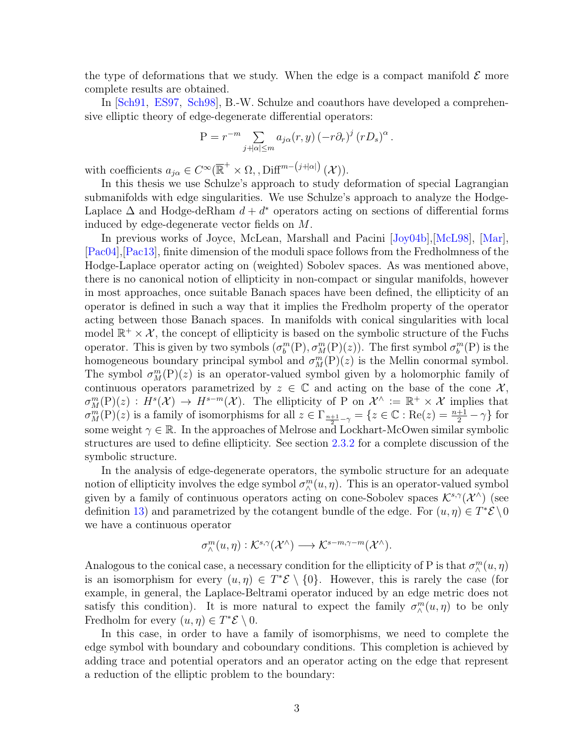the type of deformations that we study. When the edge is a compact manifold  $\mathcal E$  more complete results are obtained.

In [[Sch91](#page-82-2), [ES97](#page-80-1), [Sch98](#page-82-3)], B.-W. Schulze and coauthors have developed a comprehensive elliptic theory of edge-degenerate differential operators:

$$
P = r^{-m} \sum_{j+|\alpha| \le m} a_{j\alpha}(r, y) (-r \partial_r)^j (r D_s)^{\alpha}.
$$

with coefficients  $a_{j\alpha} \in C^{\infty}(\overline{\mathbb{R}}^{+} \times \Omega, \text{ and } \text{Diff}^{m-(j+|\alpha|)}(\mathcal{X})).$ 

In this thesis we use Schulze's approach to study deformation of special Lagrangian submanifolds with edge singularities. We use Schulze's approach to analyze the Hodge-Laplace  $\Delta$  and Hodge-deRham  $d + d^*$  operators acting on sections of differential forms induced by edge-degenerate vector fields on M.

In previous works of Joyce, McLean, Marshall and Pacini [[Joy04b](#page-80-0)],[[McL98](#page-81-0)], [[Mar](#page-81-1)], [[Pac04](#page-82-0)],[[Pac13](#page-82-1)], finite dimension of the moduli space follows from the Fredholmness of the Hodge-Laplace operator acting on (weighted) Sobolev spaces. As was mentioned above, there is no canonical notion of ellipticity in non-compact or singular manifolds, however in most approaches, once suitable Banach spaces have been defined, the ellipticity of an operator is defined in such a way that it implies the Fredholm property of the operator acting between those Banach spaces. In manifolds with conical singularities with local model  $\mathbb{R}^+ \times \mathcal{X}$ , the concept of ellipticity is based on the symbolic structure of the Fuchs operator. This is given by two symbols  $(\sigma_b^m(P), \sigma_M^m(P)(z))$ . The first symbol  $\sigma_b^m(P)$  is the homogeneous boundary principal symbol and  $\sigma_M^m(P)(z)$  is the Mellin conormal symbol. The symbol  $\sigma_M^m(P)(z)$  is an operator-valued symbol given by a holomorphic family of continuous operators parametrized by  $z \in \mathbb{C}$  and acting on the base of the cone X,  $\sigma_M^m(P)(z) : H^s(\mathcal{X}) \to H^{s-m}(\mathcal{X})$ . The ellipticity of P on  $\mathcal{X}^{\wedge} := \mathbb{R}^+ \times \mathcal{X}$  implies that  $\sigma_M^m(P)(z)$  is a family of isomorphisms for all  $z \in \Gamma_{\frac{n+1}{2}-\gamma} = \{z \in \mathbb{C} : \text{Re}(z) = \frac{n+1}{2} - \gamma \}$  for some weight  $\gamma \in \mathbb{R}$ . In the approaches of Melrose and Lockhart-McOwen similar symbolic structures are used to define ellipticity. See section [2.3.2](#page-29-0) for a complete discussion of the symbolic structure.

In the analysis of edge-degenerate operators, the symbolic structure for an adequate notion of ellipticity involves the edge symbol  $\sigma_{\wedge}^{m}(u, \eta)$ . This is an operator-valued symbol given by a family of continuous operators acting on cone-Sobolev spaces  $\mathcal{K}^{s,\gamma}(\mathcal{X}^{\wedge})$  (see definition [13\)](#page-26-0) and parametrized by the cotangent bundle of the edge. For  $(u, \eta) \in T^* \mathcal{E} \setminus 0$ we have a continuous operator

$$
\sigma^m_{\wedge}(u,\eta): \mathcal{K}^{s,\gamma}(\mathcal{X}^\wedge)\longrightarrow \mathcal{K}^{s-m,\gamma-m}(\mathcal{X}^\wedge).
$$

Analogous to the conical case, a necessary condition for the ellipticity of P is that  $\sigma_\wedge^m(u, \eta)$ is an isomorphism for every  $(u, \eta) \in T^* \mathcal{E} \setminus \{0\}$ . However, this is rarely the case (for example, in general, the Laplace-Beltrami operator induced by an edge metric does not satisfy this condition). It is more natural to expect the family  $\sigma_{\wedge}^m(u, \eta)$  to be only Fredholm for every  $(u, \eta) \in T^* \mathcal{E} \setminus 0$ .

In this case, in order to have a family of isomorphisms, we need to complete the edge symbol with boundary and coboundary conditions. This completion is achieved by adding trace and potential operators and an operator acting on the edge that represent a reduction of the elliptic problem to the boundary: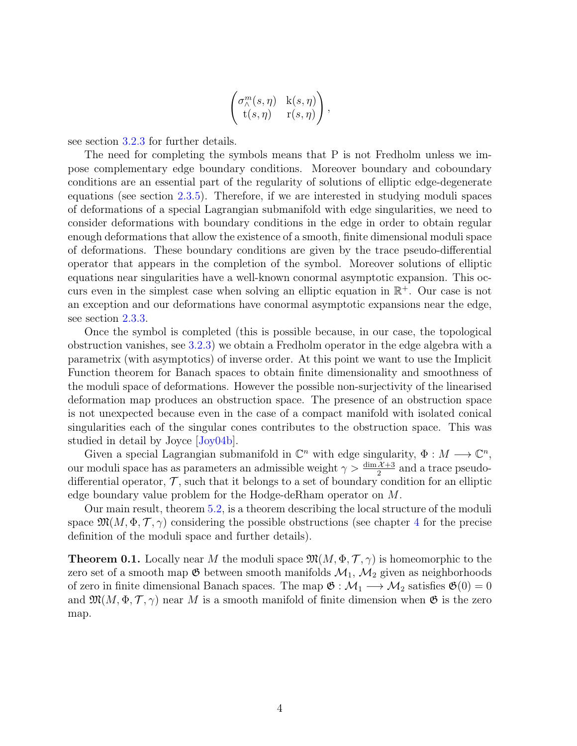$$
\begin{pmatrix} \sigma_\wedge^m(s,\eta) & \mathbf{k}(s,\eta) \\ \mathbf{t}(s,\eta) & \mathbf{r}(s,\eta) \end{pmatrix},
$$

see section [3.2.3](#page-61-0) for further details.

The need for completing the symbols means that P is not Fredholm unless we impose complementary edge boundary conditions. Moreover boundary and coboundary conditions are an essential part of the regularity of solutions of elliptic edge-degenerate equations (see section [2.3.5\)](#page-33-0). Therefore, if we are interested in studying moduli spaces of deformations of a special Lagrangian submanifold with edge singularities, we need to consider deformations with boundary conditions in the edge in order to obtain regular enough deformations that allow the existence of a smooth, finite dimensional moduli space of deformations. These boundary conditions are given by the trace pseudo-differential operator that appears in the completion of the symbol. Moreover solutions of elliptic equations near singularities have a well-known conormal asymptotic expansion. This occurs even in the simplest case when solving an elliptic equation in  $\mathbb{R}^+$ . Our case is not an exception and our deformations have conormal asymptotic expansions near the edge, see section [2.3.3.](#page-31-0)

Once the symbol is completed (this is possible because, in our case, the topological obstruction vanishes, see [3.2.3\)](#page-61-0) we obtain a Fredholm operator in the edge algebra with a parametrix (with asymptotics) of inverse order. At this point we want to use the Implicit Function theorem for Banach spaces to obtain finite dimensionality and smoothness of the moduli space of deformations. However the possible non-surjectivity of the linearised deformation map produces an obstruction space. The presence of an obstruction space is not unexpected because even in the case of a compact manifold with isolated conical singularities each of the singular cones contributes to the obstruction space. This was studied in detail by Joyce [[Joy04b](#page-80-0)].

Given a special Lagrangian submanifold in  $\mathbb{C}^n$  with edge singularity,  $\Phi: M \longrightarrow \mathbb{C}^n$ , our moduli space has as parameters an admissible weight  $\gamma > \frac{\dim \mathcal{X} + 3}{2}$  and a trace pseudodifferential operator,  $\mathcal{T}$ , such that it belongs to a set of boundary condition for an elliptic edge boundary value problem for the Hodge-deRham operator on M.

Our main result, theorem [5.2,](#page-75-0) is a theorem describing the local structure of the moduli space  $\mathfrak{M}(M, \Phi, \mathcal{T}, \gamma)$  considering the possible obstructions (see chapter [4](#page-66-0) for the precise definition of the moduli space and further details).

**Theorem 0.1.** Locally near M the moduli space  $\mathfrak{M}(M, \Phi, \mathcal{T}, \gamma)$  is homeomorphic to the zero set of a smooth map  $\mathfrak G$  between smooth manifolds  $\mathcal M_1$ ,  $\mathcal M_2$  given as neighborhoods of zero in finite dimensional Banach spaces. The map  $\mathfrak{G} : \mathcal{M}_1 \longrightarrow \mathcal{M}_2$  satisfies  $\mathfrak{G}(0) = 0$ and  $\mathfrak{M}(M, \Phi, \mathcal{T}, \gamma)$  near M is a smooth manifold of finite dimension when  $\mathfrak{G}$  is the zero map.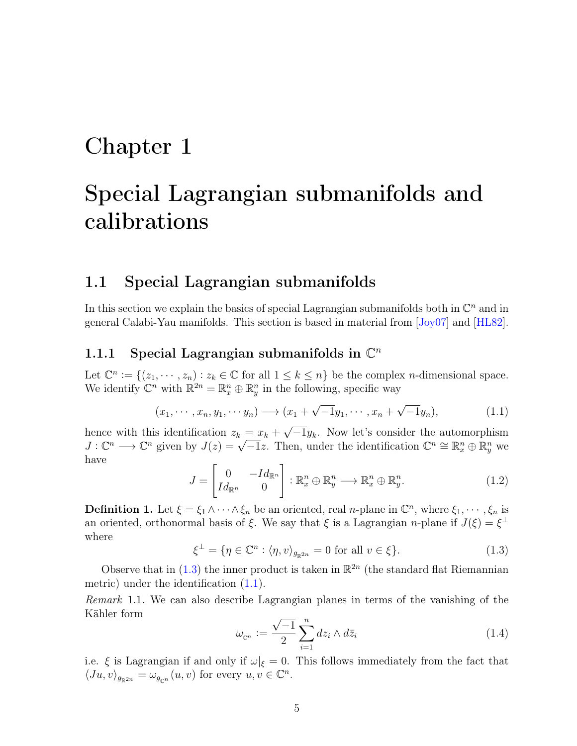## <span id="page-13-0"></span>Chapter 1

# Special Lagrangian submanifolds and calibrations

### <span id="page-13-1"></span>1.1 Special Lagrangian submanifolds

In this section we explain the basics of special Lagrangian submanifolds both in  $\mathbb{C}^n$  and in general Calabi-Yau manifolds. This section is based in material from  $Jov07$  and  $[HL82]$  $[HL82]$  $[HL82]$ .

### <span id="page-13-2"></span>1.1.1 Special Lagrangian submanifolds in  $\mathbb{C}^n$

Let  $\mathbb{C}^n := \{(z_1, \dots, z_n) : z_k \in \mathbb{C} \text{ for all } 1 \leq k \leq n\}$  be the complex *n*-dimensional space. We identify  $\mathbb{C}^n$  with  $\mathbb{R}^{2n} = \mathbb{R}^n_x \oplus \mathbb{R}^n_y$  in the following, specific way

<span id="page-13-5"></span>
$$
(x_1, \cdots, x_n, y_1, \cdots, y_n) \longrightarrow (x_1 + \sqrt{-1}y_1, \cdots, x_n + \sqrt{-1}y_n), \tag{1.1}
$$

hence with this identification  $z_k = x_k +$  $-\overline{1}y_k$ . Now let's consider the automorphism hence with this identification  $z_k = x_k + \sqrt{-1}y_k$ . Now let s consider the automorphism  $J: \mathbb{C}^n \longrightarrow \mathbb{C}^n$  given by  $J(z) = \sqrt{-1}z$ . Then, under the identification  $\mathbb{C}^n \cong \mathbb{R}^n_x \oplus \mathbb{R}^n_y$  we have

$$
J = \begin{bmatrix} 0 & -Id_{\mathbb{R}^n} \\ Id_{\mathbb{R}^n} & 0 \end{bmatrix} : \mathbb{R}_x^n \oplus \mathbb{R}_y^n \longrightarrow \mathbb{R}_x^n \oplus \mathbb{R}_y^n. \tag{1.2}
$$

**Definition 1.** Let  $\xi = \xi_1 \wedge \cdots \wedge \xi_n$  be an oriented, real *n*-plane in  $\mathbb{C}^n$ , where  $\xi_1, \dots, \xi_n$  is an oriented, orthonormal basis of  $\xi$ . We say that  $\xi$  is a Lagrangian *n*-plane if  $J(\xi) = \xi^{\perp}$ where

<span id="page-13-4"></span>
$$
\xi^{\perp} = \{ \eta \in \mathbb{C}^n : \langle \eta, v \rangle_{g_{\mathbb{R}^{2n}}} = 0 \text{ for all } v \in \xi \}. \tag{1.3}
$$

Observe that in  $(1.3)$  the inner product is taken in  $\mathbb{R}^{2n}$  (the standard flat Riemannian metric) under the identification [\(1.1\)](#page-13-5).

Remark 1.1. We can also describe Lagrangian planes in terms of the vanishing of the Kähler form √

<span id="page-13-3"></span>
$$
\omega_{\mathbb{C}^n} := \frac{\sqrt{-1}}{2} \sum_{i=1}^n dz_i \wedge d\bar{z}_i \tag{1.4}
$$

i.e.  $\xi$  is Lagrangian if and only if  $\omega|_{\xi} = 0$ . This follows immediately from the fact that  $\langle Ju, v \rangle_{g_{\mathbb{R}^{2n}}} = \omega_{g_{\mathbb{C}^n}}(u, v)$  for every  $u, v \in \mathbb{C}^n$ .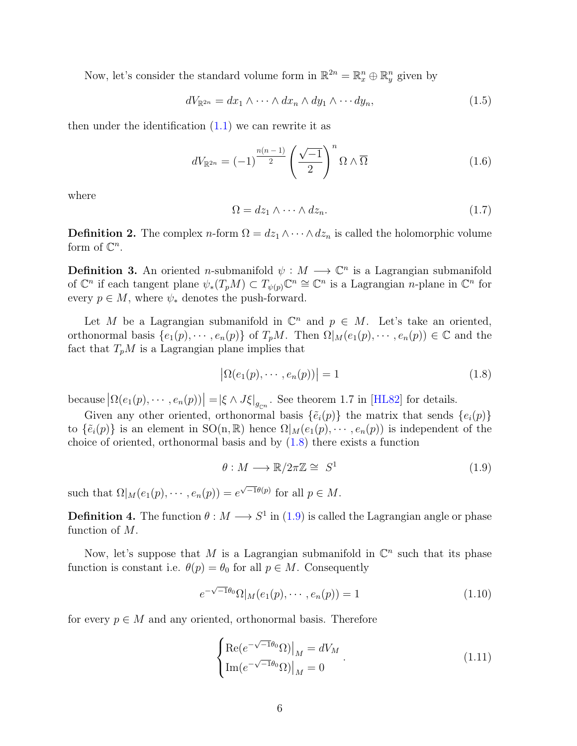Now, let's consider the standard volume form in  $\mathbb{R}^{2n} = \mathbb{R}^n_x \oplus \mathbb{R}^n_y$  given by

$$
dV_{\mathbb{R}^{2n}} = dx_1 \wedge \cdots \wedge dx_n \wedge dy_1 \wedge \cdots dy_n, \qquad (1.5)
$$

then under the identification  $(1.1)$  we can rewrite it as

$$
dV_{\mathbb{R}^{2n}} = (-1)^{\frac{n(n-1)}{2}} \left(\frac{\sqrt{-1}}{2}\right)^n \Omega \wedge \overline{\Omega}
$$
 (1.6)

where

$$
\Omega = dz_1 \wedge \dots \wedge dz_n. \tag{1.7}
$$

<span id="page-14-0"></span>**Definition 2.** The complex *n*-form  $\Omega = dz_1 \wedge \cdots \wedge dz_n$  is called the holomorphic volume form of  $\mathbb{C}^n$ .

**Definition 3.** An oriented *n*-submanifold  $\psi : M \longrightarrow \mathbb{C}^n$  is a Lagrangian submanifold of  $\mathbb{C}^n$  if each tangent plane  $\psi_*(T_pM) \subset T_{\psi(p)}\mathbb{C}^n \cong \mathbb{C}^n$  is a Lagrangian n-plane in  $\mathbb{C}^n$  for every  $p \in M$ , where  $\psi_*$  denotes the push-forward.

Let M be a Lagrangian submanifold in  $\mathbb{C}^n$  and  $p \in M$ . Let's take an oriented, orthonormal basis  $\{e_1(p), \dots, e_n(p)\}$  of  $T_pM$ . Then  $\Omega|_M(e_1(p), \dots, e_n(p)) \in \mathbb{C}$  and the fact that  $T_pM$  is a Lagrangian plane implies that

<span id="page-14-1"></span>
$$
\left| \Omega(e_1(p), \cdots, e_n(p)) \right| = 1 \tag{1.8}
$$

because  $\left|\Omega(e_1(p), \dots, e_n(p))\right| = \left|\xi \wedge J\xi\right|_{g_{\mathbb{C}^n}}$ . See theorem 1.7 in [[HL82](#page-80-5)] for details.

Given any other oriented, orthonormal basis  $\{\tilde{e}_i(p)\}\$  the matrix that sends  $\{e_i(p)\}\$ to  $\{\tilde{e}_i(p)\}\$ is an element in SO(n, R) hence  $\Omega|_M(e_1(p), \dots, e_n(p))$  is independent of the choice of oriented, orthonormal basis and by  $(1.8)$  there exists a function

<span id="page-14-2"></span>
$$
\theta: M \longrightarrow \mathbb{R}/2\pi\mathbb{Z} \cong S^1 \tag{1.9}
$$

such that  $\Omega|_M(e_1(p), \dots, e_n(p)) = e^{\sqrt{-1}\theta(p)}$  for all  $p \in M$ .

**Definition 4.** The function  $\theta: M \longrightarrow S^1$  in [\(1.9\)](#page-14-2) is called the Lagrangian angle or phase function of M.

Now, let's suppose that M is a Lagrangian submanifold in  $\mathbb{C}^n$  such that its phase function is constant i.e.  $\theta(p) = \theta_0$  for all  $p \in M$ . Consequently

$$
e^{-\sqrt{-1}\theta_0} \Omega|_M(e_1(p), \cdots, e_n(p)) = 1
$$
\n(1.10)

for every  $p \in M$  and any oriented, orthonormal basis. Therefore

<span id="page-14-3"></span>
$$
\begin{cases} \text{Re}(e^{-\sqrt{-1}\theta_0}\Omega)|_M = dV_M\\ \text{Im}(e^{-\sqrt{-1}\theta_0}\Omega)|_M = 0 \end{cases}.
$$
 (1.11)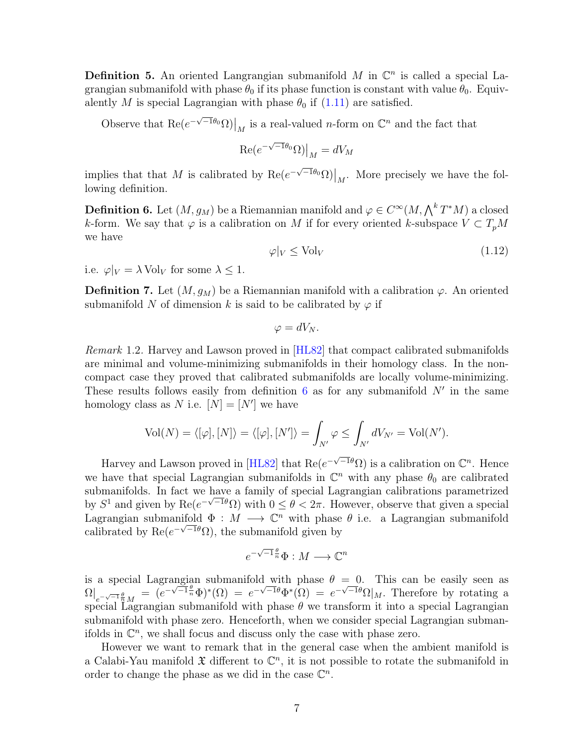**Definition 5.** An oriented Langrangian submanifold M in  $\mathbb{C}^n$  is called a special Lagrangian submanifold with phase  $\theta_0$  if its phase function is constant with value  $\theta_0$ . Equivalently M is special Lagrangian with phase  $\theta_0$  if [\(1.11\)](#page-14-3) are satisfied.

Observe that  $\text{Re}(e^{-\sqrt{-1}\theta_0}\Omega)|_M$  is a real-valued *n*-form on  $\mathbb{C}^n$  and the fact that

$$
\left. \text{Re}(e^{-\sqrt{-1}\theta_0}\Omega) \right|_M = dV_M
$$

implies that that M is calibrated by  $\text{Re}(e^{-\sqrt{-1}\theta_0}\Omega)|_M$ . More precisely we have the following definition.

<span id="page-15-0"></span>**Definition 6.** Let  $(M, g_M)$  be a Riemannian manifold and  $\varphi \in C^\infty(M, \bigwedge^k T^*M)$  a closed k-form. We say that  $\varphi$  is a calibration on M if for every oriented k-subspace  $V \subset T_pM$ we have

$$
\varphi|_V \le \text{Vol}_V \tag{1.12}
$$

i.e.  $\varphi|_V = \lambda \text{ Vol}_V$  for some  $\lambda \leq 1$ .

**Definition 7.** Let  $(M, g_M)$  be a Riemannian manifold with a calibration  $\varphi$ . An oriented submanifold N of dimension k is said to be calibrated by  $\varphi$  if

$$
\varphi = dV_N.
$$

<span id="page-15-1"></span>Remark 1.2. Harvey and Lawson proved in [[HL82](#page-80-5)] that compact calibrated submanifolds are minimal and volume-minimizing submanifolds in their homology class. In the noncompact case they proved that calibrated submanifolds are locally volume-minimizing. These results follows easily from definition  $6$  as for any submanifold  $N'$  in the same homology class as N i.e.  $[N] = [N']$  we have

$$
\text{Vol}(N) = \langle [\varphi], [N] \rangle = \langle [\varphi], [N'] \rangle = \int_{N'} \varphi \le \int_{N'} dV_{N'} = \text{Vol}(N').
$$

Harvey and Lawson proved in [[HL82](#page-80-5)] that  $\text{Re}(e^{-\sqrt{-1}\theta}\Omega)$  is a calibration on  $\mathbb{C}^n$ . Hence we have that special Lagrangian submanifolds in  $\mathbb{C}^n$  with any phase  $\theta_0$  are calibrated submanifolds. In fact we have a family of special Lagrangian calibrations parametrized by  $S^1$  and given by  $\text{Re}(e^{-\sqrt{-1}\theta}\Omega)$  with  $0 \le \theta < 2\pi$ . However, observe that given a special Lagrangian submanifold  $\Phi : M \longrightarrow \mathbb{C}^n$  with phase  $\theta$  i.e. a Lagrangian submanifold calibrated by  $\text{Re}(e^{-\sqrt{-1}\theta}\Omega)$ , the submanifold given by

$$
e^{-\sqrt{-1}\frac{\theta}{n}}\Phi: M \longrightarrow \mathbb{C}^n
$$

is a special Lagrangian submanifold with phase  $\theta = 0$ . This can be easily seen as  $\Omega|_{e^{-\sqrt{-1}\frac{\theta}{n}}M} = (e^{-\sqrt{-1}\frac{\theta}{n}}\Phi)^*(\Omega) = e^{-\sqrt{-1}\theta}\Phi^*(\Omega) = e^{-\sqrt{-1}\theta}\Omega|_M$ . Therefore by rotating a special Lagrangian submanifold with phase  $\theta$  we transform it into a special Lagrangian submanifold with phase zero. Henceforth, when we consider special Lagrangian submanifolds in  $\mathbb{C}^n$ , we shall focus and discuss only the case with phase zero.

However we want to remark that in the general case when the ambient manifold is a Calabi-Yau manifold  $\mathfrak X$  different to  $\mathbb C^n$ , it is not possible to rotate the submanifold in order to change the phase as we did in the case  $\mathbb{C}^n$ .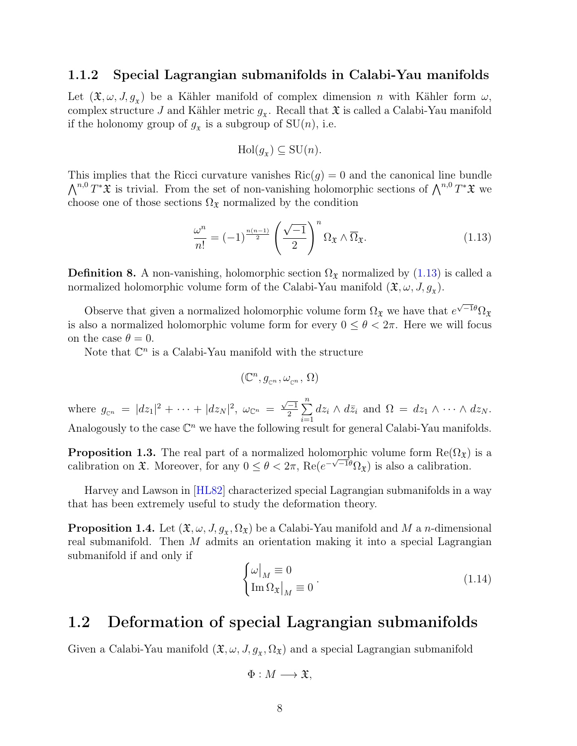#### <span id="page-16-0"></span>1.1.2 Special Lagrangian submanifolds in Calabi-Yau manifolds

Let  $(\mathfrak{X}, \omega, J, g_x)$  be a Kähler manifold of complex dimension n with Kähler form  $\omega$ , complex structure J and Kähler metric  $g_x$ . Recall that  $\mathfrak X$  is called a Calabi-Yau manifold if the holonomy group of  $g_x$  is a subgroup of  $SU(n)$ , i.e.

$$
Hol(g_{\mathfrak{X}}) \subseteq SU(n).
$$

This implies that the Ricci curvature vanishes  $\text{Ric}(g) = 0$  and the canonical line bundle  $\bigwedge^{n,0} T^*\mathfrak{X}$  is trivial. From the set of non-vanishing holomorphic sections of  $\bigwedge^{n,0} T^*\mathfrak{X}$  we choose one of those sections  $\Omega_{\mathfrak{X}}$  normalized by the condition

<span id="page-16-2"></span>
$$
\frac{\omega^n}{n!} = (-1)^{\frac{n(n-1)}{2}} \left(\frac{\sqrt{-1}}{2}\right)^n \Omega_{\mathfrak{X}} \wedge \overline{\Omega}_{\mathfrak{X}}.\tag{1.13}
$$

**Definition 8.** A non-vanishing, holomorphic section  $\Omega_{\mathfrak{X}}$  normalized by [\(1.13\)](#page-16-2) is called a normalized holomorphic volume form of the Calabi-Yau manifold  $(\mathfrak{X}, \omega, J, g_{\mathfrak{X}})$ .

Observe that given a normalized holomorphic volume form  $\Omega_{\mathfrak{X}}$  we have that  $e^{\sqrt{-1}\theta}\Omega_{\mathfrak{X}}$ is also a normalized holomorphic volume form for every  $0 \le \theta < 2\pi$ . Here we will focus on the case  $\theta = 0$ .

Note that  $\mathbb{C}^n$  is a Calabi-Yau manifold with the structure

$$
(\mathbb{C}^n,g_{\scriptscriptstyle \mathbb{C}^n},\omega_{\scriptscriptstyle \mathbb{C}^n},\,\Omega)
$$

where  $g_{\mathbb{C}^n} = |dz_1|^2 + \cdots + |dz_N|^2$ ,  $\omega_{\mathbb{C}^n} =$  $\sqrt{-1}$  $\frac{-1}{2}$  $\sum_{n=1}^{n}$  $i=1$  $dz_i \wedge d\bar{z}_i$  and  $\Omega = dz_1 \wedge \cdots \wedge dz_N$ . Analogously to the case  $\mathbb{C}^n$  we have the following result for general Calabi-Yau manifolds.

**Proposition 1.3.** The real part of a normalized holomorphic volume form  $\text{Re}(\Omega_{\mathfrak{X}})$  is a calibration on  $\mathfrak{X}$ . Moreover, for any  $0 \leq \theta < 2\pi$ , Re $(e^{-\sqrt{-1}\theta}\Omega_{\mathfrak{X}})$  is also a calibration.

Harvey and Lawson in [[HL82](#page-80-5)] characterized special Lagrangian submanifolds in a way that has been extremely useful to study the deformation theory.

**Proposition 1.4.** Let  $(\mathfrak{X}, \omega, J, g_x, \Omega_{\mathfrak{X}})$  be a Calabi-Yau manifold and M a n-dimensional real submanifold. Then M admits an orientation making it into a special Lagrangian submanifold if and only if

<span id="page-16-3"></span>
$$
\begin{cases} \omega|_M \equiv 0\\ \text{Im}\,\Omega_{\mathfrak{X}}|_M \equiv 0 \end{cases} \tag{1.14}
$$

### <span id="page-16-1"></span>1.2 Deformation of special Lagrangian submanifolds

Given a Calabi-Yau manifold  $(\mathfrak{X}, \omega, J, g_x, \Omega_x)$  and a special Lagrangian submanifold

$$
\Phi: M \longrightarrow \mathfrak{X},
$$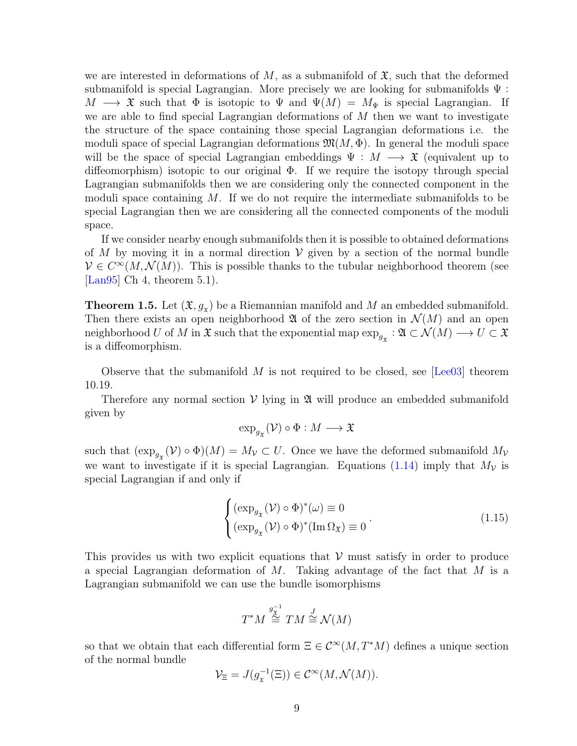we are interested in deformations of M, as a submanifold of  $\mathfrak{X}$ , such that the deformed submanifold is special Lagrangian. More precisely we are looking for submanifolds  $\Psi$ :  $M \longrightarrow \mathfrak{X}$  such that  $\Phi$  is isotopic to  $\Psi$  and  $\Psi(M) = M_{\Psi}$  is special Lagrangian. If we are able to find special Lagrangian deformations of  $M$  then we want to investigate the structure of the space containing those special Lagrangian deformations i.e. the moduli space of special Lagrangian deformations  $\mathfrak{M}(M, \Phi)$ . In general the moduli space will be the space of special Lagrangian embeddings  $\Psi : M \longrightarrow \mathfrak{X}$  (equivalent up to diffeomorphism) isotopic to our original Φ. If we require the isotopy through special Lagrangian submanifolds then we are considering only the connected component in the moduli space containing  $M$ . If we do not require the intermediate submanifolds to be special Lagrangian then we are considering all the connected components of the moduli space.

If we consider nearby enough submanifolds then it is possible to obtained deformations of M by moving it in a normal direction  $V$  given by a section of the normal bundle  $V \in C^{\infty}(M, \mathcal{N}(M))$ . This is possible thanks to the tubular neighborhood theorem (see [[Lan95](#page-81-8)] Ch 4, theorem  $5.1$ ].

<span id="page-17-0"></span>**Theorem 1.5.** Let  $(\mathfrak{X}, g_x)$  be a Riemannian manifold and M an embedded submanifold. Then there exists an open neighborhood  $\mathfrak A$  of the zero section in  $\mathcal N(M)$  and an open neighborhood U of M in  $\mathfrak{X}$  such that the exponential map  $\exp_{g_{\mathfrak{X}}} : \mathfrak{A} \subset \mathcal{N}(M) \longrightarrow U \subset \mathfrak{X}$ is a diffeomorphism.

Observe that the submanifold M is not required to be closed, see  $\lceil \text{Lee} 03 \rceil$  theorem 10.19.

Therefore any normal section  $V$  lying in  $\mathfrak A$  will produce an embedded submanifold given by

$$
\exp_{g_{\mathfrak{X}}}(\mathcal{V}) \circ \Phi : M \longrightarrow \mathfrak{X}
$$

such that  $(\exp_{g_{\mathfrak{X}}}(\mathcal{V}) \circ \Phi)(M) = M_{\mathcal{V}} \subset U$ . Once we have the deformed submanifold  $M_{\mathcal{V}}$ we want to investigate if it is special Lagrangian. Equations [\(1.14\)](#page-16-3) imply that  $M_{\mathcal{V}}$  is special Lagrangian if and only if

$$
\begin{cases}\n(\exp_{g_{\mathfrak{X}}}(\mathcal{V}) \circ \Phi)^{*}(\omega) \equiv 0 \\
(\exp_{g_{\mathfrak{X}}}(\mathcal{V}) \circ \Phi)^{*}(\operatorname{Im} \Omega_{\mathfrak{X}}) \equiv 0\n\end{cases} (1.15)
$$

This provides us with two explicit equations that  $V$  must satisfy in order to produce a special Lagrangian deformation of  $M$ . Taking advantage of the fact that  $M$  is a Lagrangian submanifold we can use the bundle isomorphisms

$$
T^*M \stackrel{g_X^{-1}}{\cong} TM \stackrel{J}{\cong} \mathcal{N}(M)
$$

so that we obtain that each differential form  $\Xi \in \mathcal{C}^{\infty}(M, T^*M)$  defines a unique section of the normal bundle

$$
\mathcal{V}_{\Xi} = J(g_{\mathfrak{X}}^{-1}(\Xi)) \in \mathcal{C}^{\infty}(M, \mathcal{N}(M)).
$$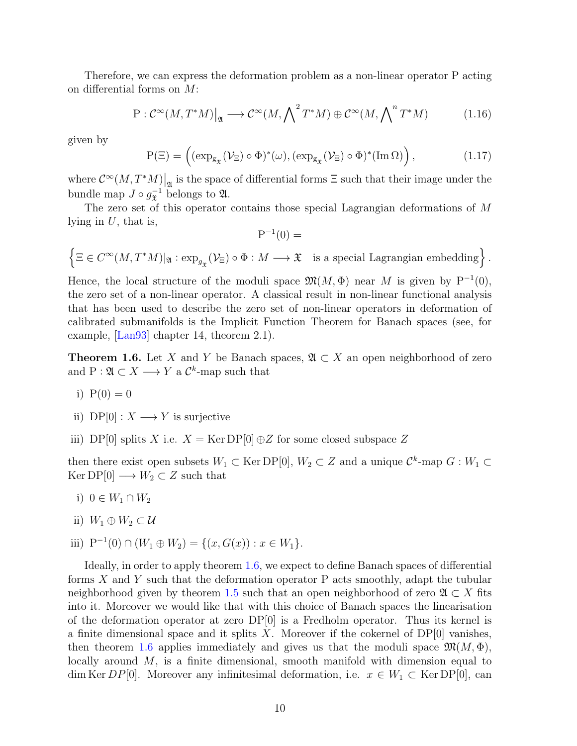Therefore, we can express the deformation problem as a non-linear operator P acting on differential forms on M:

$$
P: \mathcal{C}^{\infty}(M, T^*M)|_{\mathfrak{A}} \longrightarrow \mathcal{C}^{\infty}(M, \bigwedge \n^2 T^*M) \oplus \mathcal{C}^{\infty}(M, \bigwedge \n^2 T^*M) \tag{1.16}
$$

given by

$$
P(\Xi) = \left( (\exp_{g_{\mathfrak{X}}}(\mathcal{V}_{\Xi}) \circ \Phi)^{*}(\omega), (\exp_{g_{\mathfrak{X}}}(\mathcal{V}_{\Xi}) \circ \Phi)^{*}(\operatorname{Im} \Omega) \right), \tag{1.17}
$$

where  $\mathcal{C}^{\infty}(M, T^*M)$  is the space of differential forms  $\Xi$  such that their image under the bundle map  $J \circ g_{\mathfrak{X}}^{-1}$  $\overline{x}^1$  belongs to  $\mathfrak{A}$ .

The zero set of this operator contains those special Lagrangian deformations of M lying in  $U$ , that is,

$$
\mathbf{P}^{-1}(0) =
$$

 $\Big\{\Xi\in C^\infty(M,T^*M)|_{\mathfrak{A}}:\exp_{g_{\mathfrak{X}}}(\mathcal{V}_\Xi)\circ \Phi:M\longrightarrow \mathfrak{X}\quad\text{is a special Lagrangian embedding}\Big\}\,.$ 

Hence, the local structure of the moduli space  $\mathfrak{M}(M, \Phi)$  near M is given by P<sup>-1</sup>(0), the zero set of a non-linear operator. A classical result in non-linear functional analysis that has been used to describe the zero set of non-linear operators in deformation of calibrated submanifolds is the Implicit Function Theorem for Banach spaces (see, for example, [[Lan93](#page-81-10)] chapter 14, theorem 2.1).

<span id="page-18-0"></span>**Theorem 1.6.** Let X and Y be Banach spaces,  $\mathfrak{A} \subset X$  an open neighborhood of zero and  $P: \mathfrak{A} \subset X \longrightarrow Y$  a  $\mathcal{C}^k$ -map such that

- i)  $P(0) = 0$
- ii)  $DP[0]: X \longrightarrow Y$  is surjective
- iii) DP[0] splits X i.e.  $X = \text{Ker DP}[0] \oplus Z$  for some closed subspace Z

then there exist open subsets  $W_1 \subset \text{Ker DP}[0], W_2 \subset Z$  and a unique  $\mathcal{C}^k$ -map  $G: W_1 \subset Z$  $\text{Ker DP}[0] \longrightarrow W_2 \subset Z$  such that

- i)  $0 \in W_1 \cap W_2$
- ii)  $W_1 \oplus W_2 \subset \mathcal{U}$
- iii)  $P^{-1}(0) \cap (W_1 \oplus W_2) = \{(x, G(x)) : x \in W_1\}.$

Ideally, in order to apply theorem [1.6,](#page-18-0) we expect to define Banach spaces of differential forms  $X$  and  $Y$  such that the deformation operator  $P$  acts smoothly, adapt the tubular neighborhood given by theorem [1.5](#page-17-0) such that an open neighborhood of zero  $\mathfrak{A} \subset X$  fits into it. Moreover we would like that with this choice of Banach spaces the linearisation of the deformation operator at zero  $DP[0]$  is a Fredholm operator. Thus its kernel is a finite dimensional space and it splits  $X$ . Moreover if the cokernel of  $DP[0]$  vanishes, then theorem [1.6](#page-18-0) applies immediately and gives us that the moduli space  $\mathfrak{M}(M, \Phi)$ , locally around M, is a finite dimensional, smooth manifold with dimension equal to dim Ker  $DP[0]$ . Moreover any infinitesimal deformation, i.e.  $x \in W_1 \subset \text{Ker DP}[0]$ , can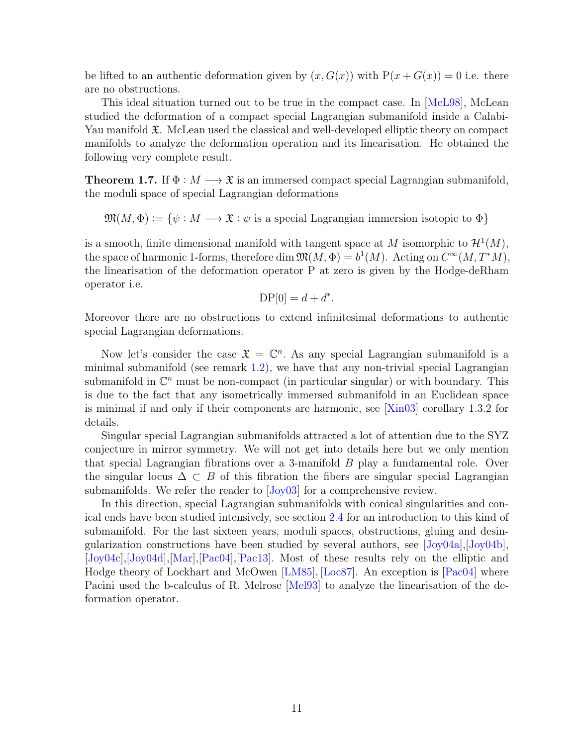be lifted to an authentic deformation given by  $(x, G(x))$  with  $P(x+G(x)) = 0$  i.e. there are no obstructions.

This ideal situation turned out to be true in the compact case. In [[McL98](#page-81-0)], McLean studied the deformation of a compact special Lagrangian submanifold inside a Calabi-Yau manifold  $\mathfrak{X}$ . McLean used the classical and well-developed elliptic theory on compact manifolds to analyze the deformation operation and its linearisation. He obtained the following very complete result.

**Theorem 1.7.** If  $\Phi : M \longrightarrow \mathfrak{X}$  is an immersed compact special Lagrangian submanifold, the moduli space of special Lagrangian deformations

 $\mathfrak{M}(M, \Phi) := \{ \psi : M \longrightarrow \mathfrak{X} : \psi \text{ is a special Lagrangian immersion isotopic to } \Phi \}$ 

is a smooth, finite dimensional manifold with tangent space at M isomorphic to  $\mathcal{H}^1(M)$ , the space of harmonic 1-forms, therefore dim  $\mathfrak{M}(M, \Phi) = b^1(M)$ . Acting on  $C^{\infty}(M, T^*M)$ , the linearisation of the deformation operator P at zero is given by the Hodge-deRham operator i.e.

$$
\mathcal{DP}[0] = d + d^*.
$$

Moreover there are no obstructions to extend infinitesimal deformations to authentic special Lagrangian deformations.

Now let's consider the case  $\mathfrak{X} = \mathbb{C}^n$ . As any special Lagrangian submanifold is a minimal submanifold (see remark [1.2\)](#page-15-1), we have that any non-trivial special Lagrangian submanifold in  $\mathbb{C}^n$  must be non-compact (in particular singular) or with boundary. This is due to the fact that any isometrically immersed submanifold in an Euclidean space is minimal if and only if their components are harmonic, see [[Xin03](#page-82-4)] corollary 1.3.2 for details.

Singular special Lagrangian submanifolds attracted a lot of attention due to the SYZ conjecture in mirror symmetry. We will not get into details here but we only mention that special Lagrangian fibrations over a 3-manifold B play a fundamental role. Over the singular locus  $\Delta \subset B$  of this fibration the fibers are singular special Lagrangian submanifolds. We refer the reader to  $J_{\text{Oy}}(0.3)$  for a comprehensive review.

In this direction, special Lagrangian submanifolds with conical singularities and conical ends have been studied intensively, see section [2.4](#page-41-0) for an introduction to this kind of submanifold. For the last sixteen years, moduli spaces, obstructions, gluing and desingularization constructions have been studied by several authors, see [[Joy04a](#page-80-7)],[[Joy04b](#page-80-0)], [[Joy04c](#page-80-8)],[[Joy04d](#page-80-9)],[[Mar](#page-81-1)],[[Pac04](#page-82-0)],[[Pac13](#page-82-1)]. Most of these results rely on the elliptic and Hodge theory of Lockhart and McOwen [[LM85](#page-81-2)], [[Loc87](#page-81-3)]. An exception is [[Pac04](#page-82-0)] where Pacini used the b-calculus of R. Melrose [[Mel93](#page-81-4)] to analyze the linearisation of the deformation operator.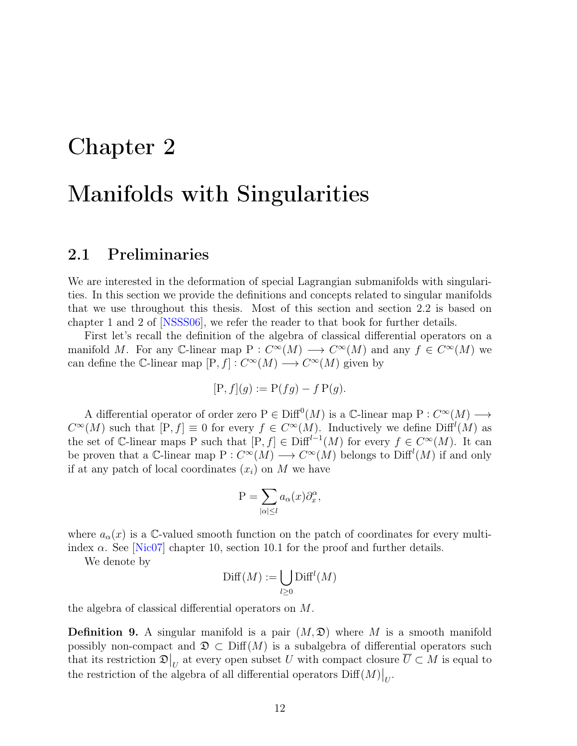## <span id="page-20-0"></span>Chapter 2

## Manifolds with Singularities

### <span id="page-20-1"></span>2.1 Preliminaries

We are interested in the deformation of special Lagrangian submanifolds with singularities. In this section we provide the definitions and concepts related to singular manifolds that we use throughout this thesis. Most of this section and section 2.2 is based on chapter 1 and 2 of [[NSSS06](#page-82-5)], we refer the reader to that book for further details.

First let's recall the definition of the algebra of classical differential operators on a manifold M. For any C-linear map  $P: C^{\infty}(M) \longrightarrow C^{\infty}(M)$  and any  $f \in C^{\infty}(M)$  we can define the C-linear map  $[P, f] : C^{\infty}(M) \longrightarrow C^{\infty}(M)$  given by

$$
[P, f](g) := P(fg) - f P(g).
$$

A differential operator of order zero  $P \in \text{Diff}^0(M)$  is a C-linear map  $P: C^{\infty}(M) \longrightarrow$  $C^{\infty}(M)$  such that  $[P, f] \equiv 0$  for every  $f \in C^{\infty}(M)$ . Inductively we define  $\text{Diff}^{l}(M)$  as the set of C-linear maps P such that  $[P, f] \in \text{Diff}^{l-1}(M)$  for every  $f \in C^{\infty}(M)$ . It can be proven that a C-linear map  $P: C^{\infty}(M) \longrightarrow C^{\infty}(M)$  belongs to  $\text{Diff}^{l}(M)$  if and only if at any patch of local coordinates  $(x_i)$  on M we have

$$
\mathcal{P} = \sum_{|\alpha| \le l} a_{\alpha}(x) \partial_x^{\alpha},
$$

where  $a_{\alpha}(x)$  is a C-valued smooth function on the patch of coordinates for every multiindex  $\alpha$ . See [[Nic07](#page-81-11)] chapter 10, section 10.1 for the proof and further details.

We denote by

$$
\mathrm{Diff}(M):=\bigcup_{l\geq 0}\mathrm{Diff}^l(M)
$$

the algebra of classical differential operators on M.

<span id="page-20-2"></span>**Definition 9.** A singular manifold is a pair  $(M, \mathcal{D})$  where M is a smooth manifold possibly non-compact and  $\mathfrak{D} \subset \mathrm{Diff}(M)$  is a subalgebra of differential operators such that its restriction  $\mathfrak{D}|_U$  at every open subset U with compact closure  $\overline{U} \subset M$  is equal to the restriction of the algebra of all differential operators  $\mathrm{Diff}(M)\big|_U$ .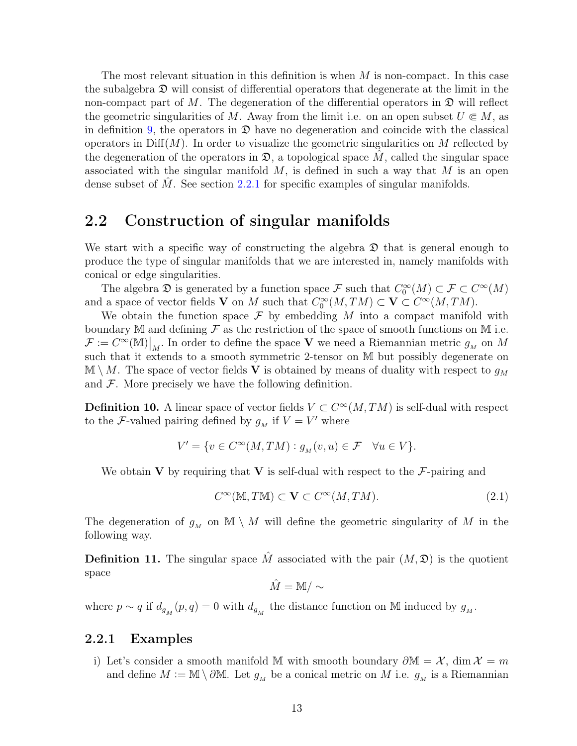The most relevant situation in this definition is when  $M$  is non-compact. In this case the subalgebra  $\mathfrak D$  will consist of differential operators that degenerate at the limit in the non-compact part of M. The degeneration of the differential operators in  $\mathfrak D$  will reflect the geometric singularities of M. Away from the limit i.e. on an open subset  $U \in M$ , as in definition [9,](#page-20-2) the operators in  $\mathfrak D$  have no degeneration and coincide with the classical operators in  $\text{Diff}(M)$ . In order to visualize the geometric singularities on M reflected by the degeneration of the operators in  $\mathfrak{D}$ , a topological space M, called the singular space associated with the singular manifold  $M$ , is defined in such a way that  $M$  is an open dense subset of  $M$ . See section [2.2.1](#page-21-1) for specific examples of singular manifolds.

### <span id="page-21-0"></span>2.2 Construction of singular manifolds

We start with a specific way of constructing the algebra  $\mathfrak D$  that is general enough to produce the type of singular manifolds that we are interested in, namely manifolds with conical or edge singularities.

The algebra  $\mathfrak{D}$  is generated by a function space  $\mathcal{F}$  such that  $C_0^{\infty}(M) \subset \mathcal{F} \subset C^{\infty}(M)$ and a space of vector fields **V** on M such that  $C_0^{\infty}(M, TM) \subset \mathbf{V} \subset C^{\infty}(M, TM)$ .

We obtain the function space  $\mathcal F$  by embedding M into a compact manifold with boundary M and defining  $\mathcal F$  as the restriction of the space of smooth functions on M i.e.  $\mathcal{F} := C^{\infty}(\mathbb{M})\big|_M$ . In order to define the space V we need a Riemannian metric  $g_M$  on M such that it extends to a smooth symmetric 2-tensor on M but possibly degenerate on  $\mathbb{M} \setminus M$ . The space of vector fields V is obtained by means of duality with respect to  $g_M$ and  $\mathcal F$ . More precisely we have the following definition.

**Definition 10.** A linear space of vector fields  $V \subset C^{\infty}(M, TM)$  is self-dual with respect to the *F*-valued pairing defined by  $g_M$  if  $V = V'$  where

$$
V'=\{v\in C^\infty(M,TM): g_{_M}(v,u)\in \mathcal{F}\quad \forall u\in V\}.
$$

We obtain V by requiring that V is self-dual with respect to the  $\mathcal{F}\text{-pairing}$  and

<span id="page-21-2"></span>
$$
C^{\infty}(\mathbb{M}, T\mathbb{M}) \subset \mathbf{V} \subset C^{\infty}(M, TM). \tag{2.1}
$$

The degeneration of  $g_M$  on  $\mathbb{M} \setminus M$  will define the geometric singularity of M in the following way.

**Definition 11.** The singular space  $\hat{M}$  associated with the pair  $(M, \mathcal{D})$  is the quotient space

 $\hat{M} = M / \sim$ 

where  $p \sim q$  if  $d_{g_M}(p,q) = 0$  with  $d_{g_M}$  the distance function on M induced by  $g_M$ .

#### <span id="page-21-1"></span>2.2.1 Examples

i) Let's consider a smooth manifold M with smooth boundary  $\partial M = X$ , dim  $\mathcal{X} = m$ and define  $M := \mathbb{M} \setminus \partial \mathbb{M}$ . Let  $g_M$  be a conical metric on M i.e.  $g_M$  is a Riemannian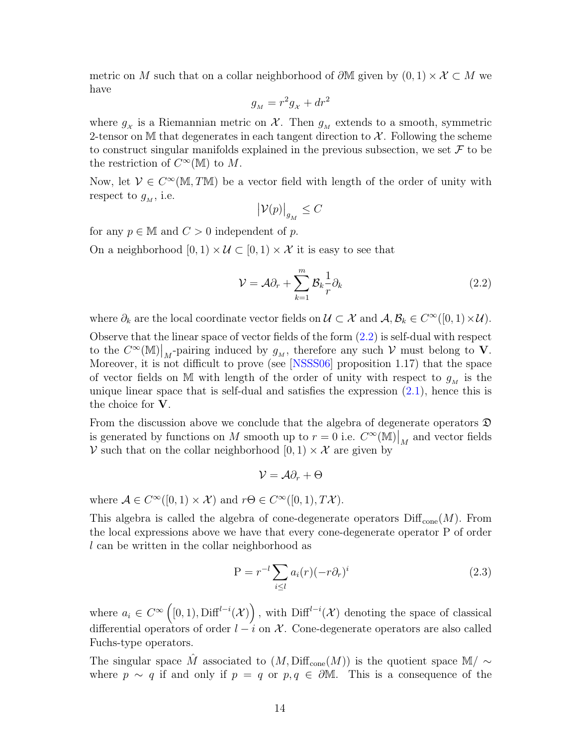metric on M such that on a collar neighborhood of  $\partial M$  given by  $(0,1) \times \mathcal{X} \subset M$  we have

$$
g_{\scriptscriptstyle M} = r^2 g_{\scriptscriptstyle \mathcal X} + dr^2
$$

where  $g_{\chi}$  is a Riemannian metric on  $\mathcal{X}$ . Then  $g_{\overline{M}}$  extends to a smooth, symmetric 2-tensor on M that degenerates in each tangent direction to  $\mathcal{X}$ . Following the scheme to construct singular manifolds explained in the previous subsection, we set  $\mathcal F$  to be the restriction of  $C^{\infty}(\mathbb{M})$  to M.

Now, let  $V \in C^{\infty}(\mathbb{M}, T\mathbb{M})$  be a vector field with length of the order of unity with respect to  $g_M$ , i.e.

$$
\big|\mathcal{V}(p)\big|_{g_M}\leq C
$$

for any  $p \in \mathbb{M}$  and  $C > 0$  independent of p.

On a neighborhood  $[0, 1) \times U \subset [0, 1] \times \mathcal{X}$  it is easy to see that

<span id="page-22-1"></span>
$$
\mathcal{V} = \mathcal{A}\partial_r + \sum_{k=1}^m \mathcal{B}_k \frac{1}{r} \partial_k \tag{2.2}
$$

where  $\partial_k$  are the local coordinate vector fields on  $\mathcal{U} \subset \mathcal{X}$  and  $\mathcal{A}, \mathcal{B}_k \in C^{\infty}([0,1) \times \mathcal{U})$ .

Observe that the linear space of vector fields of the form [\(2.2\)](#page-22-1) is self-dual with respect to the  $C^{\infty}(\mathbb{M})|_{M}$ -pairing induced by  $g_M$ , therefore any such  $V$  must belong to  $V$ . Moreover, it is not difficult to prove (see [[NSSS06](#page-82-5)] proposition 1.17) that the space of vector fields on M with length of the order of unity with respect to  $g_M$  is the unique linear space that is self-dual and satisfies the expression [\(2.1\)](#page-21-2), hence this is the choice for V.

From the discussion above we conclude that the algebra of degenerate operators  $\mathfrak D$ is generated by functions on M smooth up to  $r = 0$  i.e.  $C^{\infty}(\mathbb{M})|_{M}$  and vector fields V such that on the collar neighborhood  $[0, 1) \times \mathcal{X}$  are given by

$$
\mathcal{V}=\mathcal{A}\partial_r+\Theta
$$

where  $\mathcal{A} \in C^{\infty}([0,1) \times \mathcal{X})$  and  $r\Theta \in C^{\infty}([0,1), T\mathcal{X})$ .

This algebra is called the algebra of cone-degenerate operators  $\text{Diff}_{cone}(M)$ . From the local expressions above we have that every cone-degenerate operator P of order l can be written in the collar neighborhood as

<span id="page-22-0"></span>
$$
P = r^{-l} \sum_{i \le l} a_i(r) (-r \partial_r)^i
$$
\n(2.3)

where  $a_i \in C^{\infty}([0,1), \text{Diff}^{l-i}(\mathcal{X})\)$ , with  $\text{Diff}^{l-i}(\mathcal{X})$  denoting the space of classical differential operators of order  $l - i$  on X. Cone-degenerate operators are also called Fuchs-type operators.

The singular space  $\hat{M}$  associated to  $(M, \text{Diff}_{\text{cone}}(M))$  is the quotient space M/  $\sim$ where  $p \sim q$  if and only if  $p = q$  or  $p, q \in \partial M$ . This is a consequence of the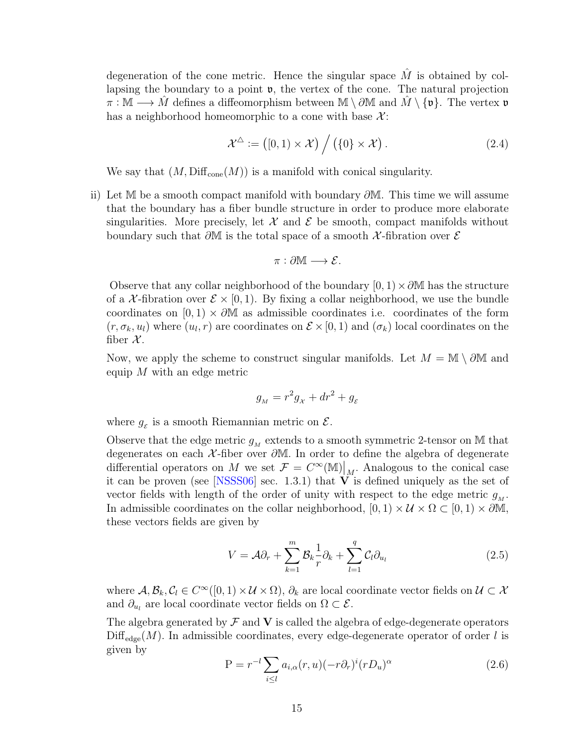degeneration of the cone metric. Hence the singular space  $\hat{M}$  is obtained by collapsing the boundary to a point  $\mathfrak{v}$ , the vertex of the cone. The natural projection  $\pi : \mathbb{M} \longrightarrow M$  defines a diffeomorphism between  $\mathbb{M} \setminus \partial \mathbb{M}$  and  $M \setminus \{\mathfrak{v}\}.$  The vertex  $\mathfrak{v}$ has a neighborhood homeomorphic to a cone with base  $\mathcal{X}$ :

<span id="page-23-1"></span>
$$
\mathcal{X}^{\Delta} := ([0,1) \times \mathcal{X}) / ((0 \times \mathcal{X}) . \tag{2.4}
$$

We say that  $(M, \text{Diff}_{cone}(M))$  is a manifold with conical singularity.

<span id="page-23-2"></span>ii) Let M be a smooth compact manifold with boundary  $\partial M$ . This time we will assume that the boundary has a fiber bundle structure in order to produce more elaborate singularities. More precisely, let  $\mathcal X$  and  $\mathcal E$  be smooth, compact manifolds without boundary such that  $\partial M$  is the total space of a smooth X-fibration over  $\mathcal E$ 

$$
\pi:\partial\mathbb{M}\longrightarrow\mathcal{E}.
$$

Observe that any collar neighborhood of the boundary  $[0, 1) \times \partial M$  has the structure of a X-fibration over  $\mathcal{E} \times [0, 1)$ . By fixing a collar neighborhood, we use the bundle coordinates on  $[0, 1) \times \partial M$  as admissible coordinates i.e. coordinates of the form  $(r, \sigma_k, u_l)$  where  $(u_l, r)$  are coordinates on  $\mathcal{E} \times [0, 1)$  and  $(\sigma_k)$  local coordinates on the fiber  $\mathcal{X}$ .

Now, we apply the scheme to construct singular manifolds. Let  $M = \mathbb{M} \setminus \partial \mathbb{M}$  and equip  $M$  with an edge metric

$$
g_M = r^2 g_\chi + dr^2 + g_\varepsilon
$$

where  $g_{\varepsilon}$  is a smooth Riemannian metric on  $\mathcal{E}$ .

Observe that the edge metric  $g_M$  extends to a smooth symmetric 2-tensor on M that degenerates on each X -fiber over ∂M. In order to define the algebra of degenerate differential operators on M we set  $\mathcal{F} = C^{\infty}(\mathbb{M})|_{\mathcal{M}}$ . Analogous to the conical case it can be proven (see [[NSSS06](#page-82-5)] sec. 1.3.1) that  $V$  is defined uniquely as the set of vector fields with length of the order of unity with respect to the edge metric  $g_M$ . In admissible coordinates on the collar neighborhood,  $[0, 1) \times U \times \Omega \subset [0, 1) \times \partial M$ , these vectors fields are given by

<span id="page-23-0"></span>
$$
V = \mathcal{A}\partial_r + \sum_{k=1}^m \mathcal{B}_k \frac{1}{r} \partial_k + \sum_{l=1}^q \mathcal{C}_l \partial_{u_l}
$$
 (2.5)

where  $A, B_k, C_l \in C^{\infty}([0,1) \times \mathcal{U} \times \Omega)$ ,  $\partial_k$  are local coordinate vector fields on  $\mathcal{U} \subset \mathcal{X}$ and  $\partial_{u_l}$  are local coordinate vector fields on  $\Omega \subset \mathcal{E}$ .

The algebra generated by  $\mathcal F$  and  $V$  is called the algebra of edge-degenerate operators  $\text{Diff}_{\text{edge}}(M)$ . In admissible coordinates, every edge-degenerate operator of order l is given by

<span id="page-23-3"></span>
$$
P = r^{-l} \sum_{i \leq l} a_{i,\alpha}(r, u) (-r \partial_r)^i (r D_u)^{\alpha}
$$
\n(2.6)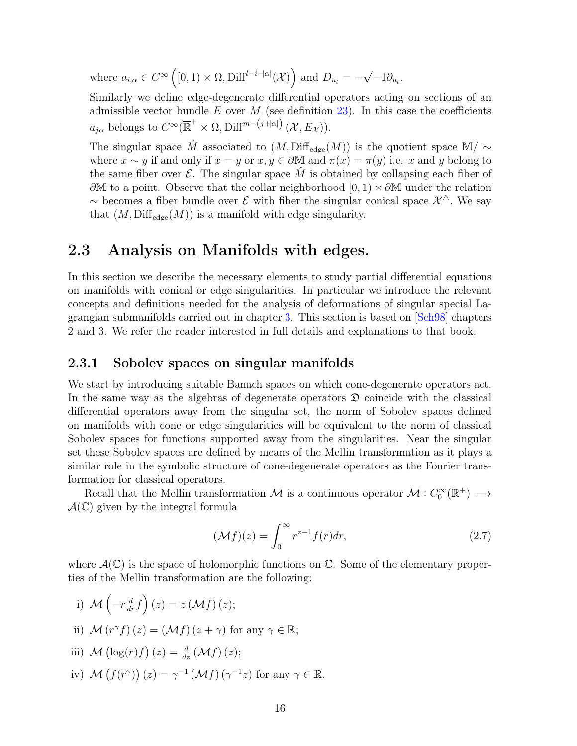where  $a_{i,\alpha} \in C^{\infty}([0,1) \times \Omega, \text{Diff}^{l-i-|\alpha|}(\mathcal{X})$  and  $D_{u_l} = -$ √  $-1\partial_{u_l}.$ 

Similarly we define edge-degenerate differential operators acting on sections of an admissible vector bundle  $E$  over  $M$  (see definition [23\)](#page-44-2). In this case the coefficients  $a_{j\alpha}$  belongs to  $C^{\infty}(\overline{\mathbb{R}}^+\times\Omega,\mathrm{Diff}^{m-(j+|\alpha|)}(\mathcal{X},E_{\mathcal{X}})).$ 

The singular space  $\hat{M}$  associated to  $(M, \text{Diff}_{\text{edge}}(M))$  is the quotient space M/  $\sim$ where  $x \sim y$  if and only if  $x = y$  or  $x, y \in \partial M$  and  $\pi(x) = \pi(y)$  i.e. x and y belong to the same fiber over  $\mathcal E$ . The singular space M is obtained by collapsing each fiber of  $\partial M$  to a point. Observe that the collar neighborhood  $[0, 1) \times \partial M$  under the relation ~ becomes a fiber bundle over  $\mathcal E$  with fiber the singular conical space  $\mathcal X^{\Delta}$ . We say that  $(M, \text{Diff}_{\text{edge}}(M))$  is a manifold with edge singularity.

### <span id="page-24-0"></span>2.3 Analysis on Manifolds with edges.

In this section we describe the necessary elements to study partial differential equations on manifolds with conical or edge singularities. In particular we introduce the relevant concepts and definitions needed for the analysis of deformations of singular special Lagrangian submanifolds carried out in chapter [3.](#page-44-0) This section is based on [[Sch98](#page-82-3)] chapters 2 and 3. We refer the reader interested in full details and explanations to that book.

#### <span id="page-24-1"></span>2.3.1 Sobolev spaces on singular manifolds

We start by introducing suitable Banach spaces on which cone-degenerate operators act. In the same way as the algebras of degenerate operators  $\mathfrak D$  coincide with the classical differential operators away from the singular set, the norm of Sobolev spaces defined on manifolds with cone or edge singularities will be equivalent to the norm of classical Sobolev spaces for functions supported away from the singularities. Near the singular set these Sobolev spaces are defined by means of the Mellin transformation as it plays a similar role in the symbolic structure of cone-degenerate operators as the Fourier transformation for classical operators.

Recall that the Mellin transformation M is a continuous operator  $M: C_0^{\infty}(\mathbb{R}^+) \longrightarrow$  $\mathcal{A}(\mathbb{C})$  given by the integral formula

<span id="page-24-2"></span>
$$
(\mathcal{M}f)(z) = \int_0^\infty r^{z-1} f(r) dr,\tag{2.7}
$$

where  $\mathcal{A}(\mathbb{C})$  is the space of holomorphic functions on  $\mathbb{C}$ . Some of the elementary properties of the Mellin transformation are the following:

- i)  $\mathcal{M}\left(-r\frac{d}{dr}f\right)(z) = z \left(\mathcal{M}f\right)(z);$ ii)  $\mathcal{M}(r^{\gamma} f)(z) = (\mathcal{M} f)(z + \gamma)$  for any  $\gamma \in \mathbb{R}$ ; iii)  $\mathcal{M}\left(\log(r)f\right)(z) = \frac{d}{dz}\left(\mathcal{M}f\right)(z);$
- iv)  $\mathcal{M}(f(r^{\gamma})) (z) = \gamma^{-1} (\mathcal{M}f)(\gamma^{-1}z)$  for any  $\gamma \in \mathbb{R}$ .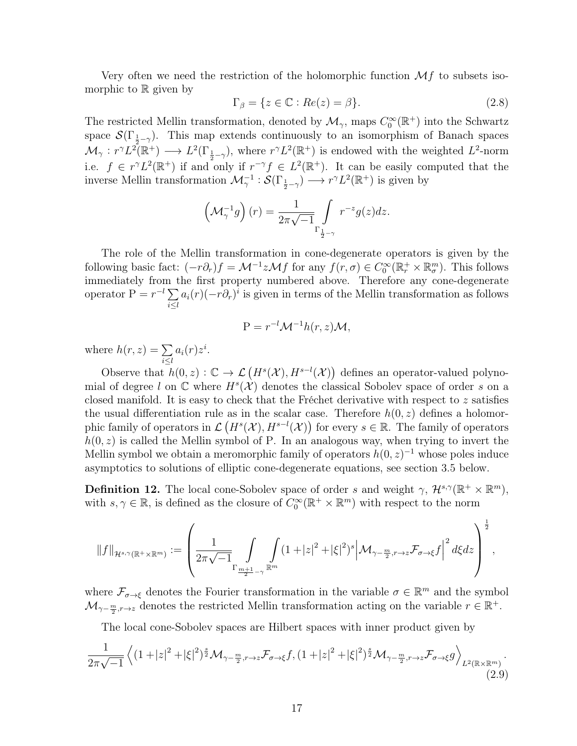Very often we need the restriction of the holomorphic function  $\mathcal{M}f$  to subsets isomorphic to  $\mathbb R$  given by

<span id="page-25-1"></span>
$$
\Gamma_{\beta} = \{ z \in \mathbb{C} : Re(z) = \beta \}. \tag{2.8}
$$

The restricted Mellin transformation, denoted by  $\mathcal{M}_{\gamma}$ , maps  $C_0^{\infty}(\mathbb{R}^+)$  into the Schwartz space  $\mathcal{S}(\Gamma_{\frac{1}{2}-\gamma})$ . This map extends continuously to an isomorphism of Banach spaces  $\mathcal{M}_{\gamma}: r^{\gamma}L^{2}(\mathbb{R}^{+}) \longrightarrow L^{2}(\Gamma_{\frac{1}{2}-\gamma}),$  where  $r^{\gamma}L^{2}(\mathbb{R}^{+})$  is endowed with the weighted  $L^{2}$ -norm i.e.  $f \in r^{\gamma}L^2(\mathbb{R}^+)$  if and only if  $r^{-\gamma} f \in L^2(\mathbb{R}^+)$ . It can be easily computed that the inverse Mellin transformation  $\mathcal{M}_\gamma^{-1} : \mathcal{S}(\Gamma_{\frac{1}{2}-\gamma}) \longrightarrow r^{\gamma}L^2(\mathbb{R}^+)$  is given by

$$
\left(\mathcal{M}_\gamma^{-1}g\right)(r)=\frac{1}{2\pi\sqrt{-1}}\intop_{\Gamma_{\frac{1}{2}-\gamma}}r^{-z}g(z)dz.
$$

The role of the Mellin transformation in cone-degenerate operators is given by the following basic fact:  $(-r\partial_r)f = \mathcal{M}^{-1}z\mathcal{M}f$  for any  $f(r,\sigma) \in C_0^{\infty}(\mathbb{R}_r^+ \times \mathbb{R}_{\sigma}^m)$ . This follows immediately from the first property numbered above. Therefore any cone-degenerate operator  $P = r^{-l} \sum$  $i \leq l$  $a_i(r)(-r\partial_r)^i$  is given in terms of the Mellin transformation as follows

$$
P = r^{-l} \mathcal{M}^{-1} h(r, z) \mathcal{M},
$$

where  $h(r, z) = \sum$ i≤l  $a_i(r)z^i$ .

Observe that  $h(0, z): \mathbb{C} \to \mathcal{L}(H^s(\mathcal{X}), H^{s-l}(\mathcal{X}))$  defines an operator-valued polynomial of degree l on  $\mathbb C$  where  $H^s(\mathcal X)$  denotes the classical Sobolev space of order s on a closed manifold. It is easy to check that the Fréchet derivative with respect to  $z$  satisfies the usual differentiation rule as in the scalar case. Therefore  $h(0, z)$  defines a holomorphic family of operators in  $\mathcal{L}(H^s(\mathcal{X}), H^{s-l}(\mathcal{X}))$  for every  $s \in \mathbb{R}$ . The family of operators  $h(0, z)$  is called the Mellin symbol of P. In an analogous way, when trying to invert the Mellin symbol we obtain a meromorphic family of operators  $h(0, z)^{-1}$  whose poles induce asymptotics to solutions of elliptic cone-degenerate equations, see section 3.5 below.

<span id="page-25-0"></span>**Definition 12.** The local cone-Sobolev space of order s and weight  $\gamma$ ,  $\mathcal{H}^{s,\gamma}(\mathbb{R}^+ \times \mathbb{R}^m)$ , with  $s, \gamma \in \mathbb{R}$ , is defined as the closure of  $C_0^{\infty}(\mathbb{R}^+ \times \mathbb{R}^m)$  with respect to the norm

$$
\|f\|_{\mathcal{H}^{s,\gamma}(\mathbb{R}^+\times\mathbb{R}^m)}:=\left(\frac{1}{2\pi\sqrt{-1}}\int\limits_{\Gamma_{\frac{m+1}{2}-\gamma}}\int\limits_{\mathbb{R}^m}\left(1+|z|^2+|\xi|^2\right)^s\Big|\mathcal{M}_{\gamma-\frac{m}{2},r\to z}\mathcal{F}_{\sigma\to \xi}f\Big|^2\,d\xi dz\right)^{\frac{1}{2}},
$$

where  $\mathcal{F}_{\sigma \to \xi}$  denotes the Fourier transformation in the variable  $\sigma \in \mathbb{R}^m$  and the symbol  $\mathcal{M}_{\gamma-\frac{m}{2},r\to z}$  denotes the restricted Mellin transformation acting on the variable  $r \in \mathbb{R}^+$ .

The local cone-Sobolev spaces are Hilbert spaces with inner product given by

$$
\frac{1}{2\pi\sqrt{-1}}\left\langle \left(1+|z|^2+|\xi|^2\right)^{\frac{s}{2}}\mathcal{M}_{\gamma-\frac{m}{2},r\to z}\mathcal{F}_{\sigma\to\xi}f,\left(1+|z|^2+|\xi|^2\right)^{\frac{s}{2}}\mathcal{M}_{\gamma-\frac{m}{2},r\to z}\mathcal{F}_{\sigma\to\xi}g \right\rangle_{L^2(\mathbb{R}\times\mathbb{R}^m)}.\tag{2.9}
$$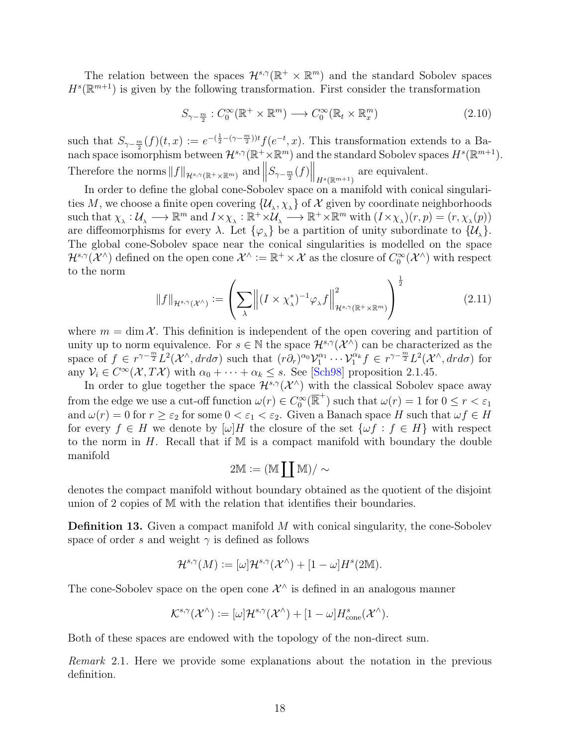The relation between the spaces  $\mathcal{H}^{s,\gamma}(\mathbb{R}^+\times\mathbb{R}^m)$  and the standard Sobolev spaces  $H<sup>s</sup>(\mathbb{R}^{m+1})$  is given by the following transformation. First consider the transformation

<span id="page-26-1"></span>
$$
S_{\gamma - \frac{m}{2}} : C_0^{\infty}(\mathbb{R}^+ \times \mathbb{R}^m) \longrightarrow C_0^{\infty}(\mathbb{R}_t \times \mathbb{R}_x^m)
$$
\n(2.10)

such that  $S_{\gamma-\frac{m}{2}}(f)(t,x) := e^{-(\frac{1}{2}-(\gamma-\frac{m}{2}))t} f(e^{-t},x)$ . This transformation extends to a Banach space isomorphism between  $\mathcal{H}^{s,\gamma}(\mathbb{R}^+\times\mathbb{R}^m)$  and the standard Sobolev spaces  $H^s(\mathbb{R}^{m+1})$ . Therefore the norms  $||f||_{\mathcal{H}^{s,\gamma}(\mathbb{R}^+\times\mathbb{R}^m)}$  and  $||$  $S_{\gamma-\frac{m}{2}}(f)$   $\Big\|_{H^s(\mathbb{R}^{m+1})}$  are equivalent.

In order to define the global cone-Sobolev space on a manifold with conical singularities  $M$ , we choose a finite open covering  $\{\mathcal{U}_\lambda,\chi_\lambda\}$  of  $\mathcal X$  given by coordinate neighborhoods such that  $\chi_{\lambda}: \mathcal{U}_{\lambda} \longrightarrow \mathbb{R}^m$  and  $I \times \chi_{\lambda} : \mathbb{R}^+ \times \mathcal{U}_{\lambda} \longrightarrow \mathbb{R}^+ \times \mathbb{R}^m$  with  $(I \times \chi_{\lambda})(r, p) = (r, \chi_{\lambda}(p))$ are diffeomorphisms for every  $\lambda$ . Let  $\{\varphi_{\lambda}\}\$ be a partition of unity subordinate to  $\{\mathcal{U}_{\lambda}\}\$ . The global cone-Sobolev space near the conical singularities is modelled on the space  $\mathcal{H}^{s,\gamma}(\mathcal{X}^{\wedge})$  defined on the open cone  $\mathcal{X}^{\wedge}:=\mathbb{R}^+\times\mathcal{X}$  as the closure of  $C_0^{\infty}(\mathcal{X}^{\wedge})$  with respect to the norm

$$
||f||_{\mathcal{H}^{s,\gamma}(\mathcal{X}^{\wedge})} := \left(\sum_{\lambda} \left\| (I \times \chi_{\lambda}^{*})^{-1} \varphi_{\lambda} f \right\|_{\mathcal{H}^{s,\gamma}(\mathbb{R}^{+} \times \mathbb{R}^{m})}^{2}\right)^{\frac{1}{2}}
$$
(2.11)

where  $m = \dim \mathcal{X}$ . This definition is independent of the open covering and partition of unity up to norm equivalence. For  $s \in \mathbb{N}$  the space  $\mathcal{H}^{s,\gamma}(\mathcal{X}^{\wedge})$  can be characterized as the space of  $f \in r^{\gamma - \frac{m}{2}} L^2(\mathcal{X}^{\wedge}, dr d\sigma)$  such that  $(r\partial_r)^{\alpha_0} \mathcal{V}_1^{\alpha_1} \cdots \mathcal{V}_1^{\alpha_k} f \in r^{\gamma - \frac{m}{2}} L^2(\mathcal{X}^{\wedge}, dr d\sigma)$  for any  $V_i \in C^{\infty}(\mathcal{X}, T\mathcal{X})$  with  $\alpha_0 + \cdots + \alpha_k \leq s$ . See [[Sch98](#page-82-3)] proposition 2.1.45.

In order to glue together the space  $\mathcal{H}^{s,\gamma}(\mathcal{X}^{\wedge})$  with the classical Sobolev space away from the edge we use a cut-off function  $\omega(r) \in C_0^{\infty}(\overline{\mathbb{R}}^+)$  such that  $\omega(r) = 1$  for  $0 \le r < \varepsilon_1$ and  $\omega(r) = 0$  for  $r \geq \varepsilon_2$  for some  $0 < \varepsilon_1 < \varepsilon_2$ . Given a Banach space H such that  $\omega f \in H$ for every  $f \in H$  we denote by  $[\omega]H$  the closure of the set  $\{\omega f : f \in H\}$  with respect to the norm in  $H$ . Recall that if M is a compact manifold with boundary the double manifold

$$
2\mathbb{M}:= (\mathbb{M} \coprod \mathbb{M})/\sim
$$

denotes the compact manifold without boundary obtained as the quotient of the disjoint union of 2 copies of M with the relation that identifies their boundaries.

<span id="page-26-0"></span>**Definition 13.** Given a compact manifold M with conical singularity, the cone-Sobolev space of order s and weight  $\gamma$  is defined as follows

$$
\mathcal{H}^{s,\gamma}(M):=[\omega]\mathcal{H}^{s,\gamma}(\mathcal{X}^\wedge)+[1-\omega]H^s(2\mathbb{M}).
$$

The cone-Sobolev space on the open cone  $\mathcal{X}^{\wedge}$  is defined in an analogous manner

$$
\mathcal{K}^{s,\gamma}(\mathcal{X}^{\wedge}) \mathrel{\mathop:}= [\omega]\mathcal{H}^{s,\gamma}(\mathcal{X}^{\wedge}) + [1-\omega]H^s_{\mathrm{cone}}(\mathcal{X}^{\wedge}).
$$

Both of these spaces are endowed with the topology of the non-direct sum.

Remark 2.1. Here we provide some explanations about the notation in the previous definition.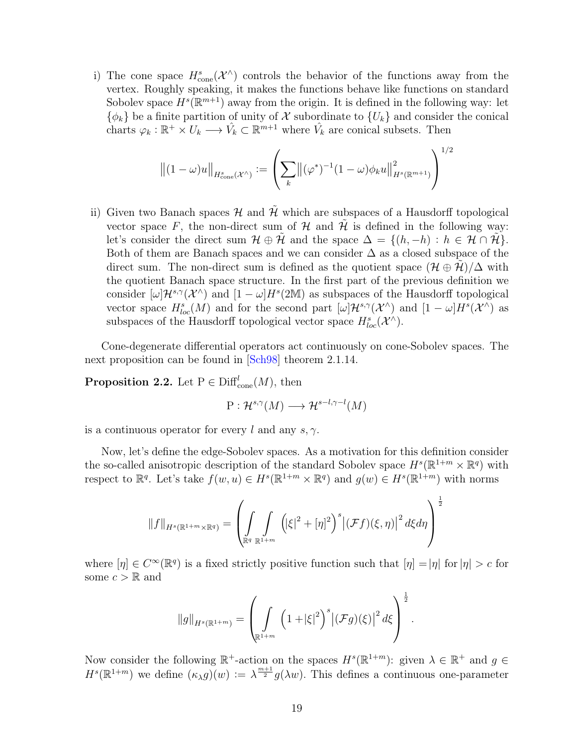i) The cone space  $H^s_{\text{cone}}(\mathcal{X}^{\wedge})$  controls the behavior of the functions away from the vertex. Roughly speaking, it makes the functions behave like functions on standard Sobolev space  $H^s(\mathbb{R}^{m+1})$  away from the origin. It is defined in the following way: let  $\{\phi_k\}$  be a finite partition of unity of X subordinate to  $\{U_k\}$  and consider the conical charts  $\varphi_k : \mathbb{R}^+ \times U_k \longrightarrow \hat{V}_k \subset \mathbb{R}^{m+1}$  where  $\hat{V}_k$  are conical subsets. Then

$$
\left\| (1 - \omega)u \right\|_{H^s_{\text{cone}}(\mathcal{X}^\wedge)} := \left( \sum_k \left\| (\varphi^*)^{-1} (1 - \omega) \phi_k u \right\|_{H^s(\mathbb{R}^{m+1})}^2 \right)^{1/2}
$$

ii) Given two Banach spaces  $\mathcal H$  and  $\tilde{\mathcal H}$  which are subspaces of a Hausdorff topological vector space F, the non-direct sum of  $H$  and  $H$  is defined in the following way: let's consider the direct sum  $\mathcal{H} \oplus \mathcal{H}$  and the space  $\Delta = \{(h, -h) : h \in \mathcal{H} \cap \mathcal{H}\}.$ Both of them are Banach spaces and we can consider  $\Delta$  as a closed subspace of the direct sum. The non-direct sum is defined as the quotient space  $(\mathcal{H} \oplus \mathcal{H})/\Delta$  with the quotient Banach space structure. In the first part of the previous definition we consider  $[\omega] \mathcal{H}^{s,\gamma}(\mathcal{X}^{\wedge})$  and  $[1-\omega]H^s(2\mathbb{M})$  as subspaces of the Hausdorff topological vector space  $H^{s}_{loc}(M)$  and for the second part  $[\omega]H^{s,\gamma}(\mathcal{X}^{\wedge})$  and  $[1-\omega]H^{s}(\mathcal{X}^{\wedge})$  as subspaces of the Hausdorff topological vector space  $H^{s}_{loc}(\mathcal{X}^{\wedge})$ .

Cone-degenerate differential operators act continuously on cone-Sobolev spaces. The next proposition can be found in [[Sch98](#page-82-3)] theorem 2.1.14.

**Proposition 2.2.** Let  $P \in \text{Diff}_{\text{cone}}^l(M)$ , then

$$
P: \mathcal{H}^{s,\gamma}(M) \longrightarrow \mathcal{H}^{s-l,\gamma-l}(M)
$$

is a continuous operator for every l and any  $s, \gamma$ .

Now, let's define the edge-Sobolev spaces. As a motivation for this definition consider the so-called anisotropic description of the standard Sobolev space  $H^s(\mathbb{R}^{1+m} \times \mathbb{R}^q)$  with respect to  $\mathbb{R}^q$ . Let's take  $f(w, u) \in H^s(\mathbb{R}^{1+m} \times \mathbb{R}^q)$  and  $g(w) \in H^s(\mathbb{R}^{1+m})$  with norms

$$
||f||_{H^{s}(\mathbb{R}^{1+m}\times\mathbb{R}^{q})} = \left(\int_{\mathbb{R}^{q}} \int_{\mathbb{R}^{1+m}} (|\xi|^{2} + [\eta]^{2})^{s} |(\mathcal{F}f)(\xi,\eta)|^{2} d\xi d\eta\right)^{\frac{1}{2}}
$$

where  $[\eta] \in C^{\infty}(\mathbb{R}^{q})$  is a fixed strictly positive function such that  $[\eta] = |\eta|$  for  $|\eta| > c$  for some  $c > \mathbb{R}$  and

$$
\|g\|_{H^{s}(\mathbb{R}^{1+m})} = \left(\int_{\mathbb{R}^{1+m}} \left(1 + |\xi|^2\right)^s \left| \left(\mathcal{F}g\right)(\xi)\right|^2 d\xi\right)^{\frac{1}{2}}.
$$

Now consider the following  $\mathbb{R}^+$ -action on the spaces  $H^s(\mathbb{R}^{1+m})$ : given  $\lambda \in \mathbb{R}^+$  and  $g \in$  $H^s(\mathbb{R}^{1+m})$  we define  $(\kappa_\lambda g)(w) := \lambda^{\frac{m+1}{2}} g(\lambda w)$ . This defines a continuous one-parameter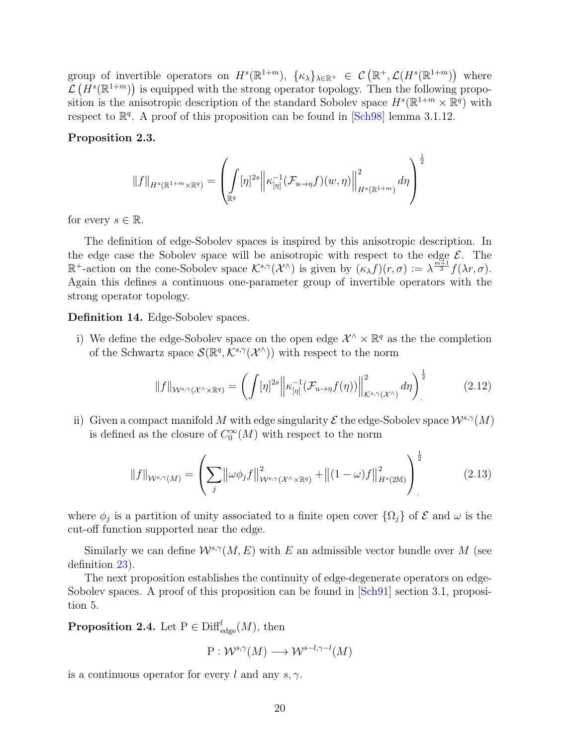group of invertible operators on  $H^s(\mathbb{R}^{1+m})$ ,  $\{\kappa_\lambda\}_{\lambda\in\mathbb{R}^+} \in \mathcal{C}(\mathbb{R}^+, \mathcal{L}(H^s(\mathbb{R}^{1+m}))$  where  $\mathcal{L}(H^s(\mathbb{R}^{1+m}))$  is equipped with the strong operator topology. Then the following proposition is the anisotropic description of the standard Sobolev space  $H^s(\mathbb{R}^{1+m} \times \mathbb{R}^q)$  with respect to  $\mathbb{R}^q$ . A proof of this proposition can be found in [[Sch98](#page-82-3)] lemma 3.1.12.

#### Proposition 2.3.

$$
||f||_{H^s(\mathbb{R}^{1+m}\times\mathbb{R}^q)} = \left(\int_{\mathbb{R}^q} [\eta]^{2s} \left\| \kappa_{[\eta]}^{-1} (\mathcal{F}_{u\to\eta}f)(w,\eta) \right\|_{H^s(\mathbb{R}^{1+m})}^2 d\eta \right)^{\frac{1}{2}}
$$

for every  $s \in \mathbb{R}$ .

The definition of edge-Sobolev spaces is inspired by this anisotropic description. In the edge case the Sobolev space will be anisotropic with respect to the edge  $\mathcal{E}$ . The  $\mathbb{R}^+$ -action on the cone-Sobolev space  $\mathcal{K}^{s,\gamma}(\mathcal{X}^{\wedge})$  is given by  $(\kappa_{\lambda} f)(r,\sigma) := \lambda^{\frac{m+1}{2}} f(\lambda r,\sigma)$ . Again this defines a continuous one-parameter group of invertible operators with the strong operator topology.

Definition 14. Edge-Sobolev spaces.

i) We define the edge-Sobolev space on the open edge  $\mathcal{X}^{\wedge} \times \mathbb{R}^q$  as the the completion of the Schwartz space  $\mathcal{S}(\mathbb{R}^q, \mathcal{K}^{s,\gamma}(\mathcal{X}^{\wedge}))$  with respect to the norm

<span id="page-28-0"></span>
$$
||f||_{\mathcal{W}^{s,\gamma}(\mathcal{X}^{\wedge}\times\mathbb{R}^q)} = \left(\int [\eta]^{2s} \left\| \kappa_{[\eta]}^{-1}(\mathcal{F}_{u\to\eta}f(\eta)) \right\|_{\mathcal{K}^{s,\gamma}(\mathcal{X}^{\wedge})}^{2} d\eta \right)^{\frac{1}{2}} \tag{2.12}
$$

ii) Given a compact manifold M with edge singularity  $\mathcal E$  the edge-Sobolev space  $\mathcal W^{s,\gamma}(M)$ is defined as the closure of  $C_0^{\infty}(M)$  with respect to the norm

$$
||f||_{W^{s,\gamma}(M)} = \left(\sum_{j} ||\omega \phi_j f||_{W^{s,\gamma}(\mathcal{X}^{\wedge} \times \mathbb{R}^q)}^2 + ||(1-\omega)f||_{H^s(2M)}^2\right)^{\frac{1}{2}}
$$
(2.13)

where  $\phi_j$  is a partition of unity associated to a finite open cover  $\{\Omega_j\}$  of  $\mathcal E$  and  $\omega$  is the cut-off function supported near the edge.

Similarly we can define  $W^{s,\gamma}(M, E)$  with E an admissible vector bundle over M (see definition [23\)](#page-44-2).

The next proposition establishes the continuity of edge-degenerate operators on edge-Sobolev spaces. A proof of this proposition can be found in  $|\text{Sch91}|$  $|\text{Sch91}|$  $|\text{Sch91}|$  section 3.1, proposition 5.

**Proposition 2.4.** Let  $P \in \text{Diff}_{\text{edge}}^l(M)$ , then

$$
P: \mathcal{W}^{s,\gamma}(M) \longrightarrow \mathcal{W}^{s-l,\gamma-l}(M)
$$

is a continuous operator for every l and any  $s, \gamma$ .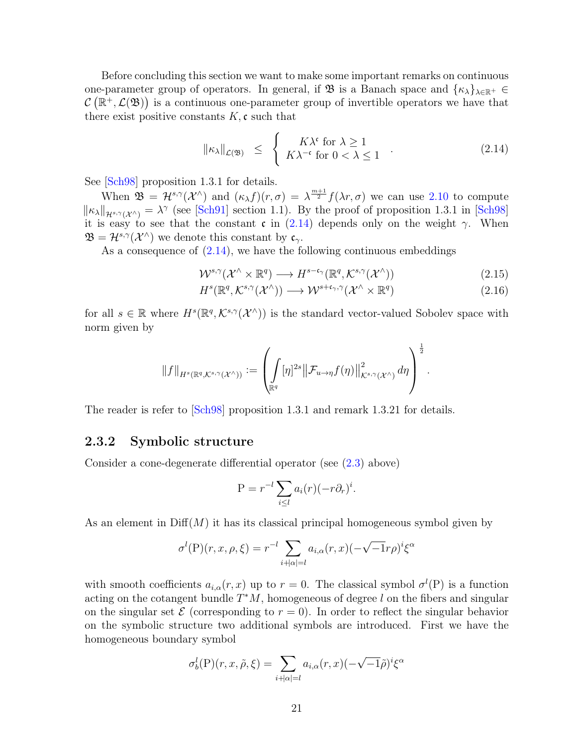Before concluding this section we want to make some important remarks on continuous one-parameter group of operators. In general, if  $\mathfrak{B}$  is a Banach space and  $\{\kappa_{\lambda}\}_{\lambda\in\mathbb{R}^+}\in$  $\mathcal{C}(\mathbb{R}^+,\mathcal{L}(\mathfrak{B}))$  is a continuous one-parameter group of invertible operators we have that there exist positive constants  $K$ , c such that

<span id="page-29-2"></span>
$$
\|\kappa_{\lambda}\|_{\mathcal{L}(\mathfrak{B})} \ \leq \ \left\{ \begin{array}{l} K\lambda^{\mathfrak{c}} \text{ for } \lambda \geq 1 \\ K\lambda^{-\mathfrak{c}} \text{ for } 0 < \lambda \leq 1 \end{array} \right. \tag{2.14}
$$

See [[Sch98](#page-82-3)] proposition 1.3.1 for details.

When  $\mathfrak{B} = \mathcal{H}^{s,\gamma}(\mathcal{X}^{\wedge})$  and  $(\kappa_{\lambda} f)(r,\sigma) = \lambda^{\frac{m+1}{2}} f(\lambda r,\sigma)$  we can use [2.10](#page-26-1) to compute  $\|\kappa_{\lambda}\|_{\mathcal{H}^{s,\gamma}(\mathcal{X}^{\wedge})} = \lambda^{\gamma}$  (see [[Sch91](#page-82-2)] section 1.1). By the proof of proposition 1.3.1 in [[Sch98](#page-82-3)] it is easy to see that the constant c in  $(2.14)$  depends only on the weight  $\gamma$ . When  $\mathfrak{B} = \mathcal{H}^{s,\gamma}(\mathcal{X}^{\wedge})$  we denote this constant by  $\mathfrak{c}_{\gamma}$ .

As a consequence of  $(2.14)$ , we have the following continuous embeddings

<span id="page-29-1"></span>
$$
\mathcal{W}^{s,\gamma}(\mathcal{X}^{\wedge} \times \mathbb{R}^q) \longrightarrow H^{s-\mathfrak{c}_{\gamma}}(\mathbb{R}^q, \mathcal{K}^{s,\gamma}(\mathcal{X}^{\wedge}))
$$
\n(2.15)

$$
H^s(\mathbb{R}^q, \mathcal{K}^{s,\gamma}(\mathcal{X}^\wedge)) \longrightarrow \mathcal{W}^{s+\mathfrak{c}_\gamma,\gamma}(\mathcal{X}^\wedge \times \mathbb{R}^q) \tag{2.16}
$$

for all  $s \in \mathbb{R}$  where  $H^s(\mathbb{R}^q, \mathcal{K}^{s,\gamma}(\mathcal{X}^{\wedge}))$  is the standard vector-valued Sobolev space with norm given by

$$
||f||_{H^s(\mathbb{R}^q,\mathcal{K}^{s,\gamma}(\mathcal{X}^{\wedge}))} := \left(\int_{\mathbb{R}^q} [\eta]^{2s} ||\mathcal{F}_{u \to \eta}f(\eta)||_{\mathcal{K}^{s,\gamma}(\mathcal{X}^{\wedge})}^2 d\eta\right)^{\frac{1}{2}}.
$$

The reader is refer to  $\text{Sch98}$  $\text{Sch98}$  $\text{Sch98}$  proposition 1.3.1 and remark 1.3.21 for details.

#### <span id="page-29-0"></span>2.3.2 Symbolic structure

Consider a cone-degenerate differential operator (see [\(2.3\)](#page-22-0) above)

$$
P = r^{-l} \sum_{i \leq l} a_i(r) (-r \partial_r)^i.
$$

As an element in  $\text{Diff}(M)$  it has its classical principal homogeneous symbol given by

$$
\sigma^{l}(P)(r, x, \rho, \xi) = r^{-l} \sum_{i+|\alpha|=l} a_{i,\alpha}(r, x) (-\sqrt{-1}r\rho)^{i} \xi^{\alpha}
$$

with smooth coefficients  $a_{i,\alpha}(r,x)$  up to  $r=0$ . The classical symbol  $\sigma^{l}(P)$  is a function acting on the cotangent bundle  $T^*M$ , homogeneous of degree l on the fibers and singular on the singular set  $\mathcal E$  (corresponding to  $r=0$ ). In order to reflect the singular behavior on the symbolic structure two additional symbols are introduced. First we have the homogeneous boundary symbol

$$
\sigma_b^l(P)(r, x, \tilde{\rho}, \xi) = \sum_{i+|\alpha|=l} a_{i,\alpha}(r, x) (-\sqrt{-1}\tilde{\rho})^i \xi^{\alpha}
$$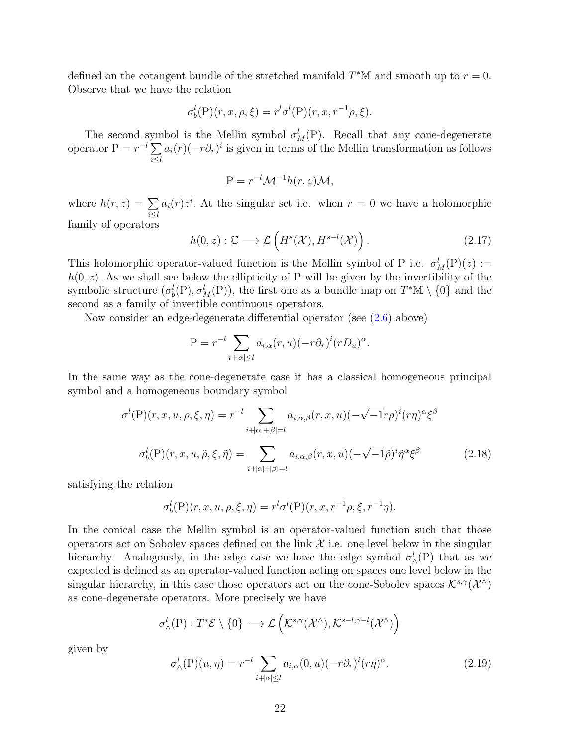defined on the cotangent bundle of the stretched manifold  $T^*M$  and smooth up to  $r = 0$ . Observe that we have the relation

$$
\sigma_b^l(\mathcal{P})(r, x, \rho, \xi) = r^l \sigma^l(\mathcal{P})(r, x, r^{-1} \rho, \xi).
$$

The second symbol is the Mellin symbol  $\sigma_M^l(P)$ . Recall that any cone-degenerate operator  $P = r^{-l} \sum$ i≤l  $a_i(r)(-r\partial_r)^i$  is given in terms of the Mellin transformation as follows

$$
P = r^{-l} \mathcal{M}^{-1} h(r, z) \mathcal{M},
$$

where  $h(r, z) = \sum$  $i \leq l$  $a_i(r)z^i$ . At the singular set i.e. when  $r=0$  we have a holomorphic family of operators

<span id="page-30-0"></span>
$$
h(0, z) : \mathbb{C} \longrightarrow \mathcal{L}\left(H^s(\mathcal{X}), H^{s-l}(\mathcal{X})\right). \tag{2.17}
$$

This holomorphic operator-valued function is the Mellin symbol of P i.e.  $\sigma_M^l(P)(z) :=$  $h(0, z)$ . As we shall see below the ellipticity of P will be given by the invertibility of the symbolic structure  $(\sigma_b^l(P), \sigma_M^l(P))$ , the first one as a bundle map on  $T^*\mathbb{M} \setminus \{0\}$  and the second as a family of invertible continuous operators.

Now consider an edge-degenerate differential operator (see [\(2.6\)](#page-23-3) above)

$$
P = r^{-l} \sum_{i+|\alpha| \le l} a_{i,\alpha}(r,u) (-r \partial_r)^i (r D_u)^{\alpha}.
$$

In the same way as the cone-degenerate case it has a classical homogeneous principal symbol and a homogeneous boundary symbol

$$
\sigma^{l}(\mathcal{P})(r, x, u, \rho, \xi, \eta) = r^{-l} \sum_{i+|\alpha|+|\beta|=l} a_{i,\alpha,\beta}(r, x, u) (-\sqrt{-1}r\rho)^{i}(r\eta)^{\alpha} \xi^{\beta}
$$

$$
\sigma^{l}_{b}(\mathcal{P})(r, x, u, \tilde{\rho}, \xi, \tilde{\eta}) = \sum_{i+|\alpha|+|\beta|=l} a_{i,\alpha,\beta}(r, x, u) (-\sqrt{-1}\tilde{\rho})^{i} \tilde{\eta}^{\alpha} \xi^{\beta} \tag{2.18}
$$

satisfying the relation

$$
\sigma_b^l(P)(r, x, u, \rho, \xi, \eta) = r^l \sigma^l(P)(r, x, r^{-1} \rho, \xi, r^{-1} \eta).
$$

In the conical case the Mellin symbol is an operator-valued function such that those operators act on Sobolev spaces defined on the link  $\mathcal X$  i.e. one level below in the singular hierarchy. Analogously, in the edge case we have the edge symbol  $\sigma_{\wedge}^l(P)$  that as we expected is defined as an operator-valued function acting on spaces one level below in the singular hierarchy, in this case those operators act on the cone-Sobolev spaces  $\mathcal{K}^{s,\gamma}(\mathcal{X}^{\wedge})$ as cone-degenerate operators. More precisely we have

$$
\sigma^l_\wedge(\mathrm{P}):T^*\mathcal{E}\setminus\{0\}\longrightarrow\mathcal{L}\left(\mathcal{K}^{s,\gamma}(\mathcal{X}^\wedge),\mathcal{K}^{s-l,\gamma-l}(\mathcal{X}^\wedge)\right)
$$

given by

$$
\sigma_{\wedge}^{l}(\mathcal{P})(u,\eta) = r^{-l} \sum_{i+|\alpha| \le l} a_{i,\alpha}(0,u) (-r \partial_r)^i (r\eta)^{\alpha}.
$$
 (2.19)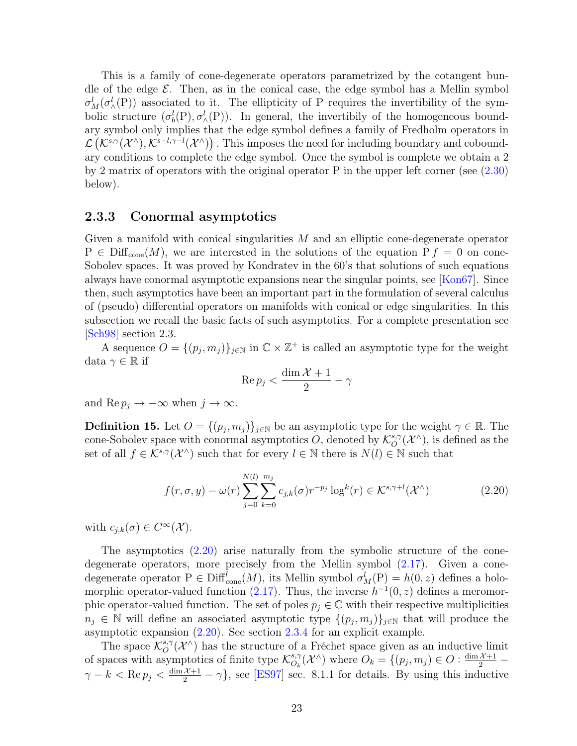This is a family of cone-degenerate operators parametrized by the cotangent bundle of the edge  $\mathcal{E}$ . Then, as in the conical case, the edge symbol has a Mellin symbol  $\sigma_M^l(\sigma_\wedge^l(P))$  associated to it. The ellipticity of P requires the invertibility of the symbolic structure  $(\sigma_b^l(P), \sigma_\wedge^l(P))$ . In general, the invertibily of the homogeneous boundary symbol only implies that the edge symbol defines a family of Fredholm operators in  $\mathcal{L}(\mathcal{K}^{s,\gamma}(\mathcal{X}^{\wedge}),\mathcal{K}^{s-l,\gamma-l}(\mathcal{X}^{\wedge}))$ . This imposes the need for including boundary and coboundary conditions to complete the edge symbol. Once the symbol is complete we obtain a 2 by 2 matrix of operators with the original operator P in the upper left corner (see [\(2.30\)](#page-35-0) below).

#### <span id="page-31-0"></span>2.3.3 Conormal asymptotics

Given a manifold with conical singularities  $M$  and an elliptic cone-degenerate operator  $P \in \text{Diff}_{cone}(M)$ , we are interested in the solutions of the equation  $P f = 0$  on cone-Sobolev spaces. It was proved by Kondratev in the 60's that solutions of such equations always have conormal asymptotic expansions near the singular points, see [[Kon67](#page-80-10)]. Since then, such asymptotics have been an important part in the formulation of several calculus of (pseudo) differential operators on manifolds with conical or edge singularities. In this subsection we recall the basic facts of such asymptotics. For a complete presentation see [[Sch98](#page-82-3)] section 2.3.

A sequence  $O = \{(p_j, m_j)\}_{j \in \mathbb{N}}$  in  $\mathbb{C} \times \mathbb{Z}^+$  is called an asymptotic type for the weight data  $\gamma \in \mathbb{R}$  if

$$
\operatorname{Re} p_j < \frac{\dim \mathcal{X} + 1}{2} - \gamma
$$

and Re  $p_j \to -\infty$  when  $j \to \infty$ .

**Definition 15.** Let  $O = \{(p_j, m_j)\}_{j \in \mathbb{N}}$  be an asymptotic type for the weight  $\gamma \in \mathbb{R}$ . The cone-Sobolev space with conormal asymptotics O, denoted by  $\mathcal{K}^{s,\gamma}_{\mathcal{O}}$  $_o^{\mathfrak{s},\gamma}(\mathcal{X}^\wedge)$ , is defined as the set of all  $f \in \mathcal{K}^{s,\gamma}(\mathcal{X}^{\wedge})$  such that for every  $l \in \mathbb{N}$  there is  $N(l) \in \mathbb{N}$  such that

<span id="page-31-1"></span>
$$
f(r, \sigma, y) - \omega(r) \sum_{j=0}^{N(l)} \sum_{k=0}^{m_j} c_{j,k}(\sigma) r^{-p_j} \log^k(r) \in \mathcal{K}^{s, \gamma + l}(\mathcal{X}^\wedge)
$$
 (2.20)

with  $c_{j,k}(\sigma) \in C^{\infty}(\mathcal{X})$ .

The asymptotics [\(2.20\)](#page-31-1) arise naturally from the symbolic structure of the conedegenerate operators, more precisely from the Mellin symbol [\(2.17\)](#page-30-0). Given a conedegenerate operator  $P \in \text{Diff}_{\text{cone}}^l(M)$ , its Mellin symbol  $\sigma_M^l(P) = h(0, z)$  defines a holo-morphic operator-valued function [\(2.17\)](#page-30-0). Thus, the inverse  $h^{-1}(0, z)$  defines a meromorphic operator-valued function. The set of poles  $p_j \in \mathbb{C}$  with their respective multiplicities  $n_j \in \mathbb{N}$  will define an associated asymptotic type  $\{(p_j, m_j)\}_{j\in\mathbb{N}}$  that will produce the asymptotic expansion [\(2.20\)](#page-31-1). See section [2.3.4](#page-32-0) for an explicit example.

The space  $\mathcal{K}_{\mathcal{O}}^{s,\gamma}$  $\mathcal{O}^{s,\gamma}(\mathcal{X}^{\wedge})$  has the structure of a Fréchet space given as an inductive limit of spaces with asymptotics of finite type  $\mathcal{K}_{Q}^{s,\gamma}$  $S_{O_k}^{s,\gamma}(\mathcal{X}^{\wedge})$  where  $O_k = \{(p_j, m_j) \in O : \frac{\dim \mathcal{X} + 1}{2} - \}$  $\gamma - k < \text{Re } p_j < \frac{\dim \mathcal{X} + 1}{2} - \gamma$ , see [[ES97](#page-80-1)] sec. 8.1.1 for details. By using this inductive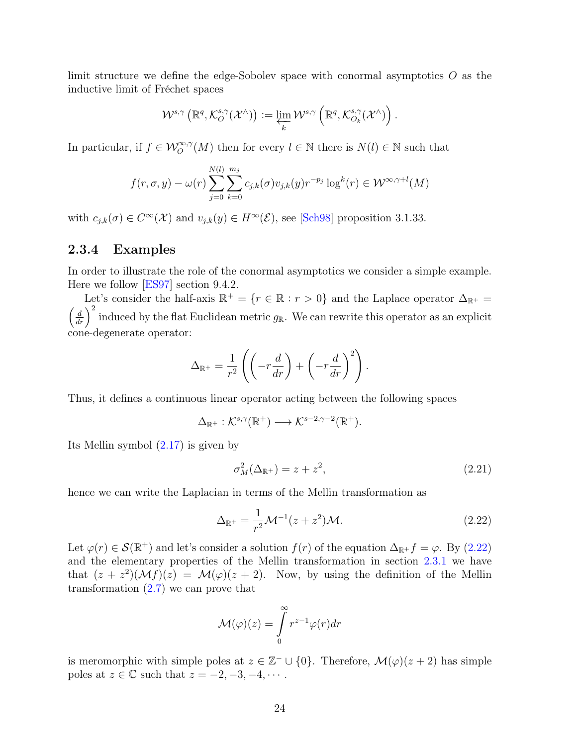limit structure we define the edge-Sobolev space with conormal asymptotics O as the inductive limit of Fréchet spaces

$$
\mathcal{W}^{s,\gamma}\left(\mathbb{R}^q,\mathcal{K}^{s,\gamma}_O(\mathcal{X}^\wedge)\right):=\varprojlim_k \mathcal{W}^{s,\gamma}\left(\mathbb{R}^q,\mathcal{K}^{s,\gamma}_{O_k}(\mathcal{X}^\wedge)\right).
$$

In particular, if  $f \in \mathcal{W}_O^{\infty, \gamma}(M)$  then for every  $l \in \mathbb{N}$  there is  $N(l) \in \mathbb{N}$  such that

$$
f(r, \sigma, y) - \omega(r) \sum_{j=0}^{N(l)} \sum_{k=0}^{m_j} c_{j,k}(\sigma) v_{j,k}(y) r^{-p_j} \log^k(r) \in \mathcal{W}^{\infty, \gamma+l}(M)
$$

with  $c_{j,k}(\sigma) \in C^{\infty}(\mathcal{X})$  and  $v_{j,k}(y) \in H^{\infty}(\mathcal{E})$ , see [[Sch98](#page-82-3)] proposition 3.1.33.

### <span id="page-32-0"></span>2.3.4 Examples

In order to illustrate the role of the conormal asymptotics we consider a simple example. Here we follow [[ES97](#page-80-1)] section 9.4.2.

Let's consider the half-axis  $\mathbb{R}^+ = \{r \in \mathbb{R} : r > 0\}$  and the Laplace operator  $\Delta_{\mathbb{R}^+} =$  $\left(\frac{d}{dr}\right)^2$  induced by the flat Euclidean metric  $g_{\mathbb{R}}$ . We can rewrite this operator as an explicit cone-degenerate operator:

$$
\Delta_{\mathbb{R}^+} = \frac{1}{r^2} \left( \left( -r \frac{d}{dr} \right) + \left( -r \frac{d}{dr} \right)^2 \right).
$$

Thus, it defines a continuous linear operator acting between the following spaces

$$
\Delta_{\mathbb{R}^+}: \mathcal{K}^{s,\gamma}(\mathbb{R}^+) \longrightarrow \mathcal{K}^{s-2,\gamma-2}(\mathbb{R}^+).
$$

Its Mellin symbol [\(2.17\)](#page-30-0) is given by

$$
\sigma_M^2(\Delta_{\mathbb{R}^+}) = z + z^2,\tag{2.21}
$$

hence we can write the Laplacian in terms of the Mellin transformation as

<span id="page-32-1"></span>
$$
\Delta_{\mathbb{R}^+} = \frac{1}{r^2} \mathcal{M}^{-1} (z + z^2) \mathcal{M}.
$$
 (2.22)

Let  $\varphi(r) \in \mathcal{S}(\mathbb{R}^+)$  and let's consider a solution  $f(r)$  of the equation  $\Delta_{\mathbb{R}^+} f = \varphi$ . By [\(2.22\)](#page-32-1) and the elementary properties of the Mellin transformation in section [2.3.1](#page-24-1) we have that  $(z + z^2)(\mathcal{M}f)(z) = \mathcal{M}(\varphi)(z + 2)$ . Now, by using the definition of the Mellin transformation  $(2.7)$  we can prove that

$$
\mathcal{M}(\varphi)(z) = \int_{0}^{\infty} r^{z-1} \varphi(r) dr
$$

is meromorphic with simple poles at  $z \in \mathbb{Z}^- \cup \{0\}$ . Therefore,  $\mathcal{M}(\varphi)(z+2)$  has simple poles at  $z \in \mathbb{C}$  such that  $z = -2, -3, -4, \cdots$ .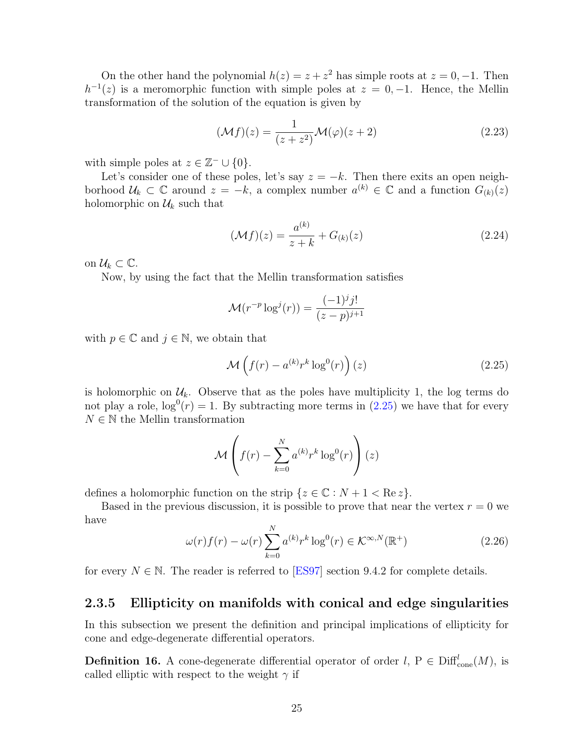On the other hand the polynomial  $h(z) = z + z^2$  has simple roots at  $z = 0, -1$ . Then  $h^{-1}(z)$  is a meromorphic function with simple poles at  $z = 0, -1$ . Hence, the Mellin transformation of the solution of the equation is given by

$$
(\mathcal{M}f)(z) = \frac{1}{(z+z^2)} \mathcal{M}(\varphi)(z+2)
$$
\n(2.23)

with simple poles at  $z \in \mathbb{Z}^- \cup \{0\}.$ 

Let's consider one of these poles, let's say  $z = -k$ . Then there exits an open neighborhood  $\mathcal{U}_k \subset \mathbb{C}$  around  $z = -k$ , a complex number  $a^{(k)} \in \mathbb{C}$  and a function  $G_{(k)}(z)$ holomorphic on  $\mathcal{U}_k$  such that

$$
(\mathcal{M}f)(z) = \frac{a^{(k)}}{z+k} + G_{(k)}(z)
$$
\n(2.24)

on  $\mathcal{U}_k \subset \mathbb{C}$ .

Now, by using the fact that the Mellin transformation satisfies

$$
\mathcal{M}(r^{-p} \log^{j}(r)) = \frac{(-1)^{j} j!}{(z-p)^{j+1}}
$$

with  $p \in \mathbb{C}$  and  $j \in \mathbb{N}$ , we obtain that

<span id="page-33-1"></span>
$$
\mathcal{M}\left(f(r) - a^{(k)}r^k \log^0(r)\right)(z)
$$
\n(2.25)

is holomorphic on  $\mathcal{U}_k$ . Observe that as the poles have multiplicity 1, the log terms do not play a role,  $\log^{0}(r) = 1$ . By subtracting more terms in  $(2.25)$  we have that for every  $N \in \mathbb{N}$  the Mellin transformation

$$
\mathcal{M}\left(f(r) - \sum_{k=0}^{N} a^{(k)} r^k \log^0(r)\right)(z)
$$

defines a holomorphic function on the strip  $\{z \in \mathbb{C} : N + 1 < \text{Re } z\}.$ 

Based in the previous discussion, it is possible to prove that near the vertex  $r = 0$  we have

$$
\omega(r)f(r) - \omega(r)\sum_{k=0}^{N} a^{(k)}r^k \log^0(r) \in \mathcal{K}^{\infty, N}(\mathbb{R}^+)
$$
\n(2.26)

for every  $N \in \mathbb{N}$ . The reader is referred to [[ES97](#page-80-1)] section 9.4.2 for complete details.

#### <span id="page-33-0"></span>2.3.5 Ellipticity on manifolds with conical and edge singularities

In this subsection we present the definition and principal implications of ellipticity for cone and edge-degenerate differential operators.

**Definition 16.** A cone-degenerate differential operator of order  $l, P \in \text{Diff}_{\text{cone}}^l(M)$ , is called elliptic with respect to the weight  $\gamma$  if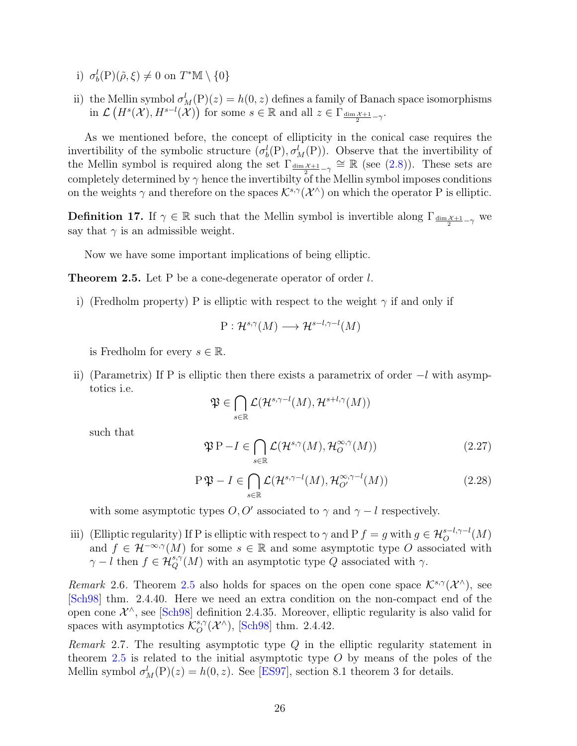- i)  $\sigma_b^l(P)(\tilde{\rho}, \xi) \neq 0$  on  $T^*M \setminus \{0\}$
- ii) the Mellin symbol  $\sigma_M^l(P)(z) = h(0, z)$  defines a family of Banach space isomorphisms  $\text{in } \mathcal{L}(H^s(\mathcal{X}), H^{s-l}(\mathcal{X})) \text{ for some } s \in \mathbb{R} \text{ and all } z \in \Gamma_{\frac{\dim \mathcal{X}+1}{2}-\gamma}.$

As we mentioned before, the concept of ellipticity in the conical case requires the invertibility of the symbolic structure  $(\sigma_b^l(P), \sigma_M^l(P))$ . Observe that the invertibility of the Mellin symbol is required along the set  $\Gamma_{\frac{\dim \mathcal{X}+1}{2}-\gamma} \cong \mathbb{R}$  (see [\(2.8\)](#page-25-1)). These sets are completely determined by  $\gamma$  hence the invertibilty of the Mellin symbol imposes conditions on the weights  $\gamma$  and therefore on the spaces  $\mathcal{K}^{s,\gamma}(\mathcal{X}^{\wedge})$  on which the operator P is elliptic.

**Definition 17.** If  $\gamma \in \mathbb{R}$  such that the Mellin symbol is invertible along  $\Gamma_{\frac{\dim \chi+1}{2}-\gamma}$  we say that  $\gamma$  is an admissible weight.

Now we have some important implications of being elliptic.

<span id="page-34-0"></span>**Theorem 2.5.** Let P be a cone-degenerate operator of order l.

i) (Fredholm property) P is elliptic with respect to the weight  $\gamma$  if and only if

$$
P: \mathcal{H}^{s,\gamma}(M) \longrightarrow \mathcal{H}^{s-l,\gamma-l}(M)
$$

is Fredholm for every  $s \in \mathbb{R}$ .

ii) (Parametrix) If P is elliptic then there exists a parametrix of order  $-l$  with asymptotics i.e.

$$
\mathfrak{P} \in \bigcap_{s \in \mathbb{R}} \mathcal{L}(\mathcal{H}^{s,\gamma-l}(M),\mathcal{H}^{s+l,\gamma}(M))
$$

such that

<span id="page-34-1"></span>
$$
\mathfrak{P} \mathbf{P} - I \in \bigcap_{s \in \mathbb{R}} \mathcal{L}(\mathcal{H}^{s,\gamma}(M), \mathcal{H}_O^{\infty,\gamma}(M))
$$
\n(2.27)

$$
\mathcal{P}\mathfrak{P} - I \in \bigcap_{s \in \mathbb{R}} \mathcal{L}(\mathcal{H}^{s,\gamma-l}(M), \mathcal{H}_{O'}^{\infty,\gamma-l}(M))
$$
\n(2.28)

with some asymptotic types  $O, O'$  associated to  $\gamma$  and  $\gamma - l$  respectively.

iii) (Elliptic regularity) If P is elliptic with respect to  $\gamma$  and P  $f = g$  with  $g \in \mathcal{H}_O^{s-l, \gamma-l}(M)$ and  $f \in \mathcal{H}^{-\infty,\gamma}(M)$  for some  $s \in \mathbb{R}$  and some asymptotic type O associated with  $\gamma - l$  then  $f \in \mathcal{H}_Q^{s,\gamma}(M)$  with an asymptotic type Q associated with  $\gamma$ .

Remark 2.6. Theorem [2.5](#page-34-0) also holds for spaces on the open cone space  $\mathcal{K}^{s,\gamma}(\mathcal{X}^{\wedge})$ , see [[Sch98](#page-82-3)] thm. 2.4.40. Here we need an extra condition on the non-compact end of the open cone  $\mathcal{X}^{\wedge}$ , see [[Sch98](#page-82-3)] definition 2.4.35. Moreover, elliptic regularity is also valid for spaces with asymptotics  $\mathcal{K}^{s,\gamma}_{\mathcal{O}}$  $_{O}^{s,\gamma}(\mathcal{X}^{\wedge}),$  [[Sch98](#page-82-3)] thm. 2.4.42.

*Remark* 2.7. The resulting asymptotic type  $Q$  in the elliptic regularity statement in theorem [2.5](#page-34-0) is related to the initial asymptotic type  $O$  by means of the poles of the Mellin symbol  $\sigma_M^l(P)(z) = h(0, z)$ . See [[ES97](#page-80-1)], section 8.1 theorem 3 for details.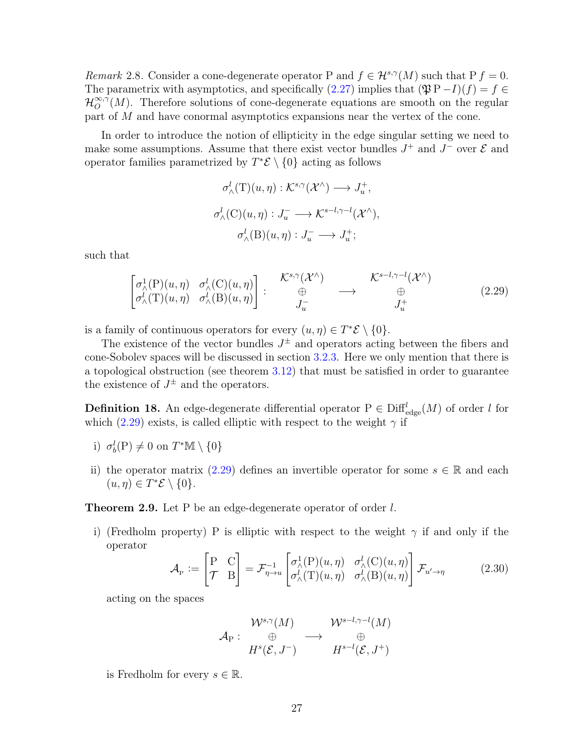Remark 2.8. Consider a cone-degenerate operator P and  $f \in \mathcal{H}^{s,\gamma}(M)$  such that  $P f = 0$ . The parametrix with asymptotics, and specifically  $(2.27)$  implies that  $(\mathfrak{P} P - I)(f) = f \in$  $\mathcal{H}_{O}^{\infty,\gamma}$  $\mathcal{O}^{*,\gamma}(M)$ . Therefore solutions of cone-degenerate equations are smooth on the regular part of M and have conormal asymptotics expansions near the vertex of the cone.

In order to introduce the notion of ellipticity in the edge singular setting we need to make some assumptions. Assume that there exist vector bundles  $J^+$  and  $J^-$  over  $\mathcal E$  and operator families parametrized by  $T^*\mathcal{E} \setminus \{0\}$  acting as follows

$$
\sigma^l_{\wedge}(T)(u,\eta) : \mathcal{K}^{s,\gamma}(\mathcal{X}^{\wedge}) \longrightarrow J_u^+,
$$
  

$$
\sigma^l_{\wedge}(C)(u,\eta) : J_u^- \longrightarrow \mathcal{K}^{s-l,\gamma-l}(\mathcal{X}^{\wedge}),
$$
  

$$
\sigma^l_{\wedge}(B)(u,\eta) : J_u^- \longrightarrow J_u^+;
$$

such that

<span id="page-35-1"></span>
$$
\begin{bmatrix}\n\sigma_{\wedge}^{1}(P)(u,\eta) & \sigma_{\wedge}^{l}(C)(u,\eta) \\
\sigma_{\wedge}^{l}(T)(u,\eta) & \sigma_{\wedge}^{l}(B)(u,\eta)\n\end{bmatrix} : \n\begin{matrix}\n\mathcal{K}^{s,\gamma}(\mathcal{X}^{\wedge}) \\
\oplus \\
J_{u}^{-}\n\end{matrix} \longrightarrow \n\begin{matrix}\n\mathcal{K}^{s-l,\gamma-l}(\mathcal{X}^{\wedge}) \\
\oplus \\
J_{u}^{+}\n\end{matrix} \tag{2.29}
$$

is a family of continuous operators for every  $(u, \eta) \in T^* \mathcal{E} \setminus \{0\}.$ 

The existence of the vector bundles  $J^{\pm}$  and operators acting between the fibers and cone-Sobolev spaces will be discussed in section [3.2.3.](#page-61-0) Here we only mention that there is a topological obstruction (see theorem [3.12\)](#page-64-0) that must be satisfied in order to guarantee the existence of  $J^{\pm}$  and the operators.

**Definition 18.** An edge-degenerate differential operator  $P \in \text{Diff}_{\text{edge}}^l(M)$  of order l for which [\(2.29\)](#page-35-1) exists, is called elliptic with respect to the weight  $\gamma$  if

- i)  $\sigma_b^l(P) \neq 0$  on  $T^*\mathbb{M} \setminus \{0\}$
- ii) the operator matrix [\(2.29\)](#page-35-1) defines an invertible operator for some  $s \in \mathbb{R}$  and each  $(u, \eta) \in T^* \mathcal{E} \setminus \{0\}.$

Theorem 2.9. Let P be an edge-degenerate operator of order l.

i) (Fredholm property) P is elliptic with respect to the weight  $\gamma$  if and only if the operator

<span id="page-35-0"></span>
$$
\mathcal{A}_{P} := \begin{bmatrix} P & C \\ \mathcal{T} & B \end{bmatrix} = \mathcal{F}_{\eta \to u}^{-1} \begin{bmatrix} \sigma_{\wedge}^{1}(P)(u, \eta) & \sigma_{\wedge}^{l}(C)(u, \eta) \\ \sigma_{\wedge}^{l}(T)(u, \eta) & \sigma_{\wedge}^{l}(B)(u, \eta) \end{bmatrix} \mathcal{F}_{u' \to \eta}
$$
(2.30)

acting on the spaces

$$
\mathcal{A}_{\mathrm{P}}:\begin{array}{ccc}\mathcal{W}^{s,\gamma}(M) & \mathcal{W}^{s-l,\gamma-l}(M) \\ \oplus \\ H^s(\mathcal{E},J^-) & H^{s-l}(\mathcal{E},J^+) \end{array}
$$

is Fredholm for every  $s \in \mathbb{R}$ .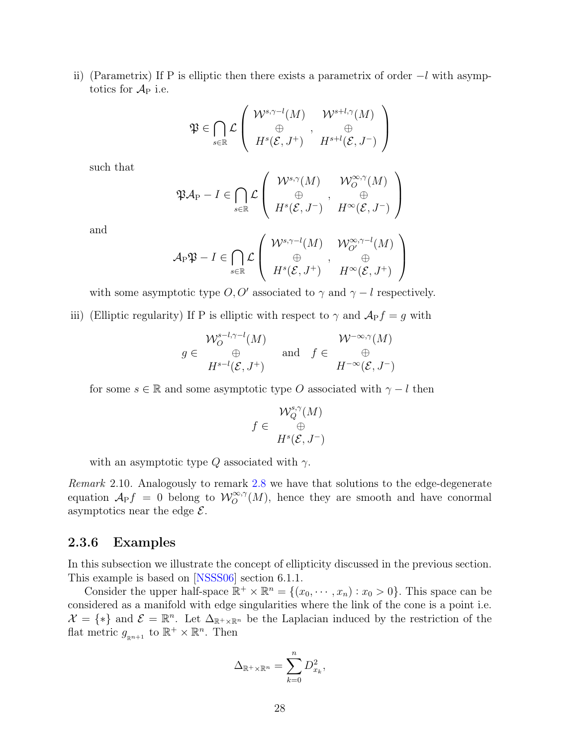ii) (Parametrix) If P is elliptic then there exists a parametrix of order  $-l$  with asymptotics for  $A_P$  i.e.

$$
\mathfrak{P} \in \bigcap_{s \in \mathbb{R}} \mathcal{L}\left(\begin{array}{c} \mathcal{W}^{s,\gamma-l}(M) & \mathcal{W}^{s+l,\gamma}(M) \\ \oplus \\ H^s(\mathcal{E},J^+) & H^{s+l}(\mathcal{E},J^-) \end{array}\right)
$$

such that

$$
\mathfrak{P} \mathcal{A}_{P} - I \in \bigcap_{s \in \mathbb{R}} \mathcal{L} \left( \begin{array}{cc} \mathcal{W}^{s,\gamma}(M) & \mathcal{W}_{O}^{\infty,\gamma}(M) \\ \oplus & , & \oplus \\ H^{s}(\mathcal{E},J^{-}) & H^{\infty}(\mathcal{E},J^{-}) \end{array} \right)
$$

and

$$
\mathcal{A}_{P}\mathfrak{P} - I \in \bigcap_{s \in \mathbb{R}} \mathcal{L} \left( \begin{array}{cc} \mathcal{W}^{s,\gamma-l}(M) & \mathcal{W}_{O'}^{\infty,\gamma-l}(M) \\ \oplus & , \quad \oplus \\ H^s(\mathcal{E},J^+) & H^\infty(\mathcal{E},J^+) \end{array} \right)
$$

with some asymptotic type  $O, O'$  associated to  $\gamma$  and  $\gamma - l$  respectively.

iii) (Elliptic regularity) If P is elliptic with respect to  $\gamma$  and  $\mathcal{A}_P f = g$  with

$$
g \in \bigvee_{H^{s-l}, \gamma-l}(M) \text{ and } f \in \bigvee_{H^{-\infty}(\mathcal{E}, J^{+})}^{\mathcal{W}^{-\infty}, \gamma}(M) \text{ and } f \in \bigvee_{H^{-\infty}(\mathcal{E}, J^{-})}^{\mathcal{W}^{-\infty}, \gamma}(M)
$$

for some  $s \in \mathbb{R}$  and some asymptotic type O associated with  $\gamma - l$  then

$$
f \in \begin{array}{c} \mathcal{W}^{s,\gamma}_Q(M) \\ \oplus \\ H^s(\mathcal{E},J^-) \end{array}
$$

with an asymptotic type  $Q$  associated with  $\gamma$ .

<span id="page-36-0"></span>Remark 2.10. Analogously to remark [2.8](#page-35-0) we have that solutions to the edge-degenerate equation  $\mathcal{A}_{P}f = 0$  belong to  $\mathcal{W}^{\infty,\gamma}(M)$ , hence they are smooth and have conormal asymptotics near the edge  $\mathcal{E}$ .

#### 2.3.6 Examples

In this subsection we illustrate the concept of ellipticity discussed in the previous section. This example is based on [[NSSS06](#page-82-0)] section 6.1.1.

Consider the upper half-space  $\mathbb{R}^+ \times \mathbb{R}^n = \{(x_0, \dots, x_n) : x_0 > 0\}$ . This space can be considered as a manifold with edge singularities where the link of the cone is a point i.e.  $\mathcal{X} = \{ * \}$  and  $\mathcal{E} = \mathbb{R}^n$ . Let  $\Delta_{\mathbb{R}^+ \times \mathbb{R}^n}$  be the Laplacian induced by the restriction of the flat metric  $g_{\mathbb{R}^{n+1}}$  to  $\mathbb{R}^+ \times \mathbb{R}^n$ . Then

$$
\Delta_{\mathbb{R}^+\times\mathbb{R}^n} = \sum_{k=0}^n D_{x_k}^2,
$$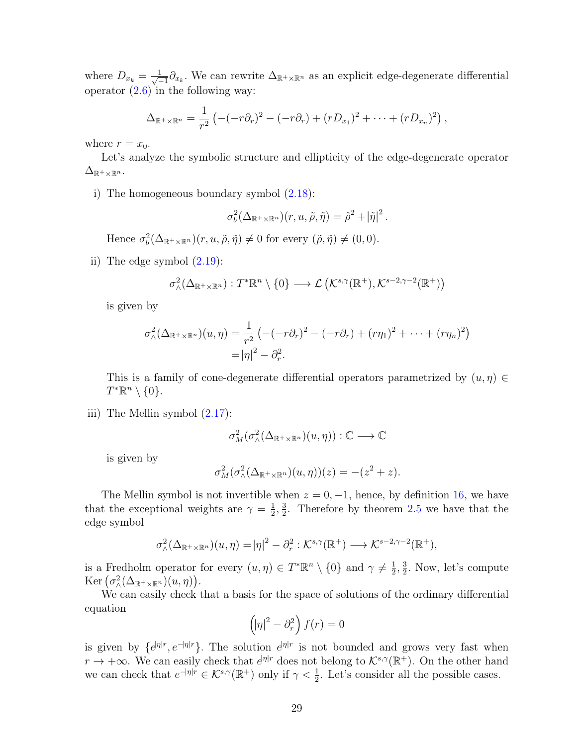where  $D_{x_k} = \frac{1}{\sqrt{2}}$  $\frac{1}{-1}\partial_{x_k}$ . We can rewrite  $\Delta_{\mathbb{R}^+\times\mathbb{R}^n}$  as an explicit edge-degenerate differential operator  $(2.6)$  in the following way:

$$
\Delta_{\mathbb{R}^+\times\mathbb{R}^n}=\frac{1}{r^2}\left(-(-r\partial_r)^2-(-r\partial_r)+(rD_{x_1})^2+\cdots+(rD_{x_n})^2\right),
$$

where  $r = x_0$ .

Let's analyze the symbolic structure and ellipticity of the edge-degenerate operator  $\Delta_{\mathbb{R}^+\times\mathbb{R}^n}$ .

i) The homogeneous boundary symbol [\(2.18\)](#page-30-0):

$$
\sigma_b^2(\Delta_{\mathbb{R}^+\times\mathbb{R}^n})(r,u,\tilde{\rho},\tilde{\eta})=\tilde{\rho}^2+|\tilde{\eta}|^2.
$$

Hence  $\sigma_b^2(\Delta_{\mathbb{R}^+\times\mathbb{R}^n})(r, u, \tilde{\rho}, \tilde{\eta}) \neq 0$  for every  $(\tilde{\rho}, \tilde{\eta}) \neq (0, 0)$ .

ii) The edge symbol  $(2.19)$ :

$$
\sigma_{\wedge}^{2}(\Delta_{\mathbb{R}^{+}\times\mathbb{R}^{n}}):T^{*}\mathbb{R}^{n}\setminus\{0\}\longrightarrow\mathcal{L}\left(\mathcal{K}^{s,\gamma}(\mathbb{R}^{+}),\mathcal{K}^{s-2,\gamma-2}(\mathbb{R}^{+})\right)
$$

is given by

$$
\sigma_{\wedge}^{2}(\Delta_{\mathbb{R}^{+}\times\mathbb{R}^{n}})(u,\eta) = \frac{1}{r^{2}}\left(-(-r\partial_{r})^{2} - (-r\partial_{r}) + (r\eta_{1})^{2} + \cdots + (r\eta_{n})^{2}\right)
$$

$$
= |\eta|^{2} - \partial_{r}^{2}.
$$

This is a family of cone-degenerate differential operators parametrized by  $(u, \eta) \in$  $T^*\mathbb{R}^n\setminus\{0\}.$ 

iii) The Mellin symbol [\(2.17\)](#page-30-2):

$$
\sigma^2_M(\sigma^2_\wedge(\Delta_{\mathbb R^+\times \mathbb R^n})(u,\eta)):\mathbb C\longrightarrow \mathbb C
$$

is given by

$$
\sigma_M^2(\sigma_\wedge^2(\Delta_{\mathbb{R}^+\times\mathbb{R}^n})(u,\eta))(z) = -(z^2+z).
$$

The Mellin symbol is not invertible when  $z = 0, -1$ , hence, by definition [16,](#page-33-0) we have that the exceptional weights are  $\gamma = \frac{1}{2}$  $\frac{1}{2}$ ,  $\frac{3}{2}$  $\frac{3}{2}$ . Therefore by theorem [2.5](#page-34-0) we have that the edge symbol

$$
\sigma_{\wedge}^2(\Delta_{\mathbb{R}^+\times\mathbb{R}^n})(u,\eta)=|\eta|^2-\partial_r^2:\mathcal{K}^{s,\gamma}(\mathbb{R}^+)\longrightarrow\mathcal{K}^{s-2,\gamma-2}(\mathbb{R}^+),
$$

is a Fredholm operator for every  $(u, \eta) \in T^*\mathbb{R}^n \setminus \{0\}$  and  $\gamma \neq \frac{1}{2}$  $\frac{1}{2}, \frac{3}{2}$  $\frac{3}{2}$ . Now, let's compute Ker  $(\sigma^2_{\wedge}(\Delta_{\mathbb{R}^+\times\mathbb{R}^n})(u,\eta)).$ 

We can easily check that a basis for the space of solutions of the ordinary differential equation

$$
\left(\left|\eta\right|^2 - \partial_r^2\right) f(r) = 0
$$

is given by  $\{e^{i\eta|r}, e^{-i\eta|r}\}\$ . The solution  $e^{i\eta|r}$  is not bounded and grows very fast when  $r \to +\infty$ . We can easily check that  $e^{i\eta/r}$  does not belong to  $\mathcal{K}^{s,\gamma}(\mathbb{R}^+)$ . On the other hand we can check that  $e^{-|\eta|r} \in \mathcal{K}^{s,\gamma}(\mathbb{R}^+)$  only if  $\gamma < \frac{1}{2}$ . Let's consider all the possible cases.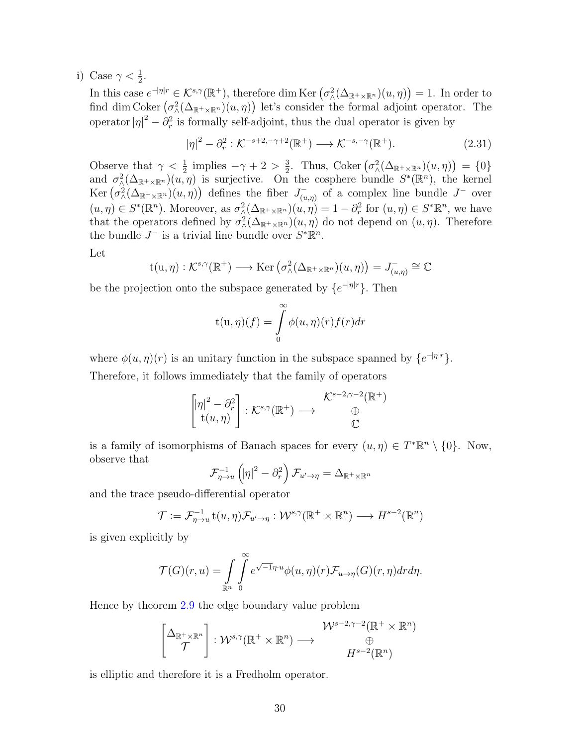i) Case  $\gamma < \frac{1}{2}$ .

In this case  $e^{-|\eta|r} \in \mathcal{K}^{s,\gamma}(\mathbb{R}^+),$  therefore dim Ker  $(\sigma_\wedge^2(\Delta_{\mathbb{R}^+\times\mathbb{R}^n})(u,\eta)) = 1.$  In order to find dim Coker  $(\sigma^2_{\lambda}(\Delta_{\mathbb{R}^+\times\mathbb{R}^n})(u,\eta))$  let's consider the formal adjoint operator. The operator  $|\eta|^2 - \partial_r^2$  is formally self-adjoint, thus the dual operator is given by

<span id="page-38-0"></span>
$$
|\eta|^2 - \partial_r^2 : \mathcal{K}^{-s+2,-\gamma+2}(\mathbb{R}^+) \longrightarrow \mathcal{K}^{-s,-\gamma}(\mathbb{R}^+). \tag{2.31}
$$

Observe that  $\gamma < \frac{1}{2}$  implies  $-\gamma + 2 > \frac{3}{2}$  $\frac{3}{2}$ . Thus, Coker  $(\sigma_{\wedge}^2(\Delta_{\mathbb{R}^+\times\mathbb{R}^n})(u,\eta)) = \{0\}$ and  $\sigma_{\lambda}^2(\Delta_{\mathbb{R}^+\times\mathbb{R}^n})(u,\eta)$  is surjective. On the cosphere bundle  $S^*(\mathbb{R}^n)$ , the kernel Ker  $(\sigma^2_{\lambda}(\Delta_{\mathbb{R}^+\times\mathbb{R}^n})(u,\eta))$  defines the fiber  $J_{(u)}^ \overline{u}_{(u,\eta)}$  of a complex line bundle  $J^-$  over  $(u, \eta) \in S^*(\mathbb{R}^n)$ . Moreover, as  $\sigma^2_{\Lambda}(\Delta_{\mathbb{R}^+\times\mathbb{R}^n})(u, \eta) = 1 - \partial_r^2$  for  $(u, \eta) \in S^*\mathbb{R}^n$ , we have that the operators defined by  $\sigma_{\wedge}^2(\Delta_{\mathbb{R}^+\times\mathbb{R}^n})(u,\eta)$  do not depend on  $(u,\eta)$ . Therefore the bundle  $J^-$  is a trivial line bundle over  $S^*\mathbb{R}^n$ .

Let

$$
t(u,\eta): \mathcal{K}^{s,\gamma}(\mathbb{R}^+) \longrightarrow \text{Ker} \left( \sigma_\wedge^2(\Delta_{\mathbb{R}^+\times\mathbb{R}^n})(u,\eta) \right) = J^-_{(u,\eta)} \cong \mathbb{C}
$$

be the projection onto the subspace generated by  $\{e^{-|\eta|r}\}\$ . Then

$$
t(u, \eta)(f) = \int_{0}^{\infty} \phi(u, \eta)(r) f(r) dr
$$

where  $\phi(u,\eta)(r)$  is an unitary function in the subspace spanned by  $\{e^{-|\eta|r}\}.$ Therefore, it follows immediately that the family of operators

$$
\begin{bmatrix} |\eta|^2 - \partial_r^2 \\ t(u, \eta) \end{bmatrix} : \mathcal{K}^{s, \gamma}(\mathbb{R}^+) \longrightarrow \begin{array}{c} \mathcal{K}^{s-2, \gamma-2}(\mathbb{R}^+) \\ \oplus \\ \mathbb{C} \end{array}
$$

is a family of isomorphisms of Banach spaces for every  $(u, \eta) \in T^* \mathbb{R}^n \setminus \{0\}$ . Now, observe that

$$
\mathcal{F}_{\eta \to u}^{-1} \left( |\eta|^2 - \partial_r^2 \right) \mathcal{F}_{u' \to \eta} = \Delta_{\mathbb{R}^+ \times \mathbb{R}^n}
$$

and the trace pseudo-differential operator

$$
\mathcal{T} := \mathcal{F}_{\eta \to u}^{-1} \mathsf{t}(u, \eta) \mathcal{F}_{u' \to \eta} : \mathcal{W}^{s, \gamma}(\mathbb{R}^+ \times \mathbb{R}^n) \longrightarrow H^{s-2}(\mathbb{R}^n)
$$

is given explicitly by

$$
\mathcal{T}(G)(r,u) = \int_{\mathbb{R}^n} \int_{0}^{\infty} e^{\sqrt{-1}\eta \cdot u} \phi(u,\eta)(r) \mathcal{F}_{u \to \eta}(G)(r,\eta) dr d\eta.
$$

Hence by theorem [2.9](#page-35-1) the edge boundary value problem

$$
\begin{bmatrix} \Delta_{\mathbb{R}^+ \times \mathbb{R}^n} \\ \mathcal{T} \end{bmatrix} : \mathcal{W}^{s,\gamma}(\mathbb{R}^+ \times \mathbb{R}^n) \longrightarrow \begin{array}{c} \mathcal{W}^{s-2,\gamma-2}(\mathbb{R}^+ \times \mathbb{R}^n) \\ \oplus \\ H^{s-2}(\mathbb{R}^n) \end{array}
$$

is elliptic and therefore it is a Fredholm operator.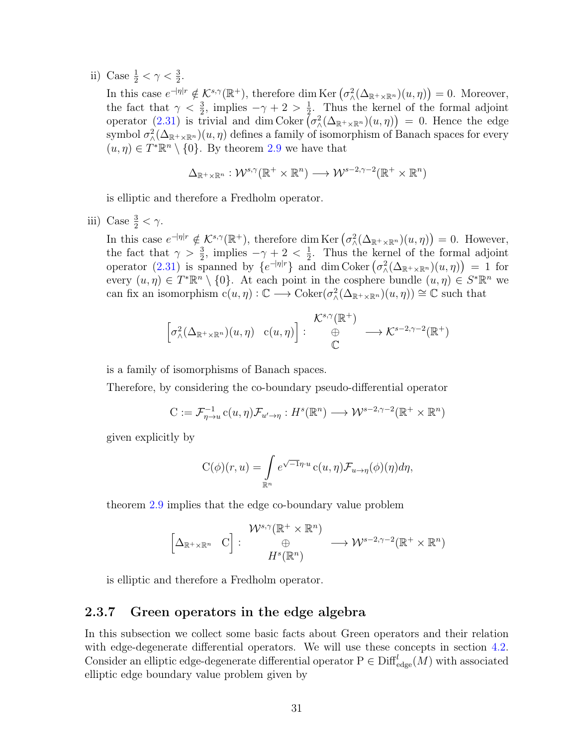ii) Case  $\frac{1}{2} < \gamma < \frac{3}{2}$ .

In this case  $e^{-|\eta|r} \notin \mathcal{K}^{s,\gamma}(\mathbb{R}^+),$  therefore dim Ker  $(\sigma^2_{\lambda}(\Delta_{\mathbb{R}^+\times\mathbb{R}^n})(u,\eta))=0.$  Moreover, the fact that  $\gamma < \frac{3}{2}$ , implies  $-\gamma + 2 > \frac{1}{2}$  $\frac{1}{2}$ . Thus the kernel of the formal adjoint operator [\(2.31\)](#page-38-0) is trivial and dim Coker  $\big(\sigma^2_{\lambda}(\Delta_{\mathbb{R}^+\times\mathbb{R}^n})(u,\eta)\big) = 0$ . Hence the edge symbol  $\sigma_\wedge^2(\Delta_{\mathbb{R}^+\times\mathbb{R}^n})(u,\eta)$  defines a family of isomorphism of Banach spaces for every  $(u, \eta) \in T^*\mathbb{R}^n \setminus \{0\}$ . By theorem [2.9](#page-35-1) we have that

$$
\Delta_{\mathbb{R}^+\times\mathbb{R}^n}: \mathcal{W}^{s,\gamma}(\mathbb{R}^+\times\mathbb{R}^n)\longrightarrow \mathcal{W}^{s-2,\gamma-2}(\mathbb{R}^+\times\mathbb{R}^n)
$$

is elliptic and therefore a Fredholm operator.

iii) Case  $\frac{3}{2} < \gamma$ .

In this case  $e^{-|\eta|r} \notin \mathcal{K}^{s,\gamma}(\mathbb{R}^+),$  therefore dim Ker  $(\sigma^2_{\Lambda}(\Delta_{\mathbb{R}^+\times\mathbb{R}^n})(u,\eta))=0.$  However, the fact that  $\gamma > \frac{3}{2}$ , implies  $-\gamma + 2 < \frac{1}{2}$  $\frac{1}{2}$ . Thus the kernel of the formal adjoint operator [\(2.31\)](#page-38-0) is spanned by  $\{e^{-|\eta|r}\}\$ and dim Coker  $(\sigma^2_{\lambda}(\Delta_{\mathbb{R}^+\times\mathbb{R}^n})(u,\eta))=1$  for every  $(u, \eta) \in T^* \mathbb{R}^n \setminus \{0\}$ . At each point in the cosphere bundle  $(u, \eta) \in S^* \mathbb{R}^n$  we can fix an isomorphism  $c(u, \eta) : \mathbb{C} \longrightarrow \text{Coker}(\sigma_{\Lambda}^2(\Delta_{\mathbb{R}^+\times\mathbb{R}^n})(u, \eta)) \cong \mathbb{C}$  such that

$$
\left[\sigma^2(\Delta_{\mathbb{R}^+\times\mathbb{R}^n})(u,\eta) \quad c(u,\eta)\right]: \begin{array}{c} \mathcal{K}^{s,\gamma}(\mathbb{R}^+) \\ \oplus \\ \mathbb{C} \end{array} \longrightarrow \mathcal{K}^{s-2,\gamma-2}(\mathbb{R}^+) \end{array}
$$

is a family of isomorphisms of Banach spaces.

Therefore, by considering the co-boundary pseudo-differential operator

$$
C := \mathcal{F}_{\eta \to u}^{-1} c(u, \eta) \mathcal{F}_{u' \to \eta} : H^s(\mathbb{R}^n) \longrightarrow \mathcal{W}^{s-2, \gamma-2}(\mathbb{R}^+ \times \mathbb{R}^n)
$$

given explicitly by

$$
C(\phi)(r, u) = \int_{\mathbb{R}^n} e^{\sqrt{-1}\eta \cdot u} c(u, \eta) \mathcal{F}_{u \to \eta}(\phi)(\eta) d\eta,
$$

theorem [2.9](#page-35-1) implies that the edge co-boundary value problem

$$
\begin{bmatrix} \Delta_{\mathbb{R}^+\times\mathbb{R}^n} & \mathrm{C} \end{bmatrix} : \begin{array}{c} \mathcal{W}^{s,\gamma}(\mathbb{R}^+\times\mathbb{R}^n) \\ \oplus \\ H^s(\mathbb{R}^n) \end{array} \longrightarrow \mathcal{W}^{s-2,\gamma-2}(\mathbb{R}^+\times\mathbb{R}^n)
$$

is elliptic and therefore a Fredholm operator.

#### <span id="page-39-0"></span>2.3.7 Green operators in the edge algebra

In this subsection we collect some basic facts about Green operators and their relation with edge-degenerate differential operators. We will use these concepts in section [4.2.](#page-68-0) Consider an elliptic edge-degenerate differential operator  $P \in \text{Diff}_{\text{edge}}^l(M)$  with associated elliptic edge boundary value problem given by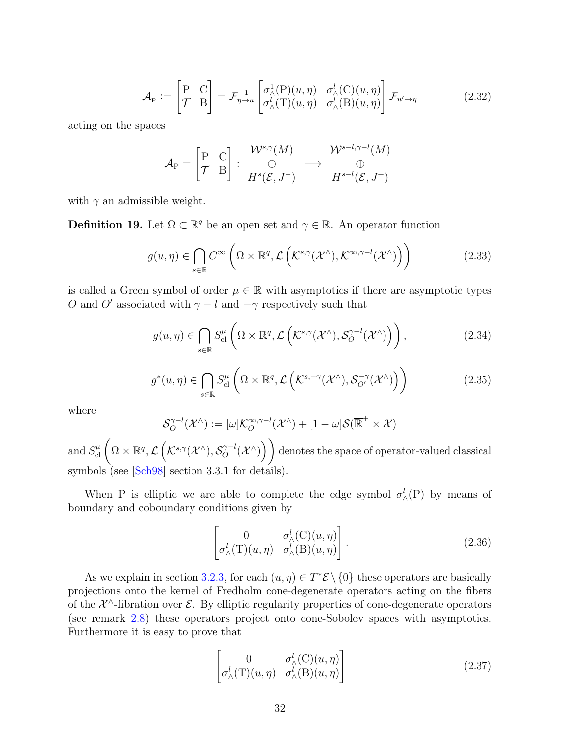$$
\mathcal{A}_{P} := \begin{bmatrix} P & C \\ \mathcal{T} & B \end{bmatrix} = \mathcal{F}_{\eta \to u}^{-1} \begin{bmatrix} \sigma_{\lambda}^{1}(P)(u, \eta) & \sigma_{\lambda}^{l}(C)(u, \eta) \\ \sigma_{\lambda}^{l}(T)(u, \eta) & \sigma_{\lambda}^{l}(B)(u, \eta) \end{bmatrix} \mathcal{F}_{u' \to \eta}
$$
(2.32)

acting on the spaces

$$
\mathcal{A}_{\mathrm{P}} = \begin{bmatrix} \mathrm{P} & \mathrm{C} \\ \mathcal{T} & \mathrm{B} \end{bmatrix} : \begin{array}{ccc} \mathcal{W}^{s,\gamma}(M) & \mathcal{W}^{s-l,\gamma-l}(M) \\ \oplus & \to & \oplus \\ H^s(\mathcal{E},J^-) & H^{s-l}(\mathcal{E},J^+) \end{array}
$$

with  $\gamma$  an admissible weight.

<span id="page-40-0"></span>**Definition 19.** Let  $\Omega \subset \mathbb{R}^q$  be an open set and  $\gamma \in \mathbb{R}$ . An operator function

$$
g(u,\eta) \in \bigcap_{s \in \mathbb{R}} C^{\infty} \left( \Omega \times \mathbb{R}^q, \mathcal{L} \left( \mathcal{K}^{s,\gamma}(\mathcal{X}^\wedge), \mathcal{K}^{\infty,\gamma-l}(\mathcal{X}^\wedge) \right) \right) \tag{2.33}
$$

is called a Green symbol of order  $\mu \in \mathbb{R}$  with asymptotics if there are asymptotic types O and O' associated with  $\gamma - l$  and  $-\gamma$  respectively such that

$$
g(u,\eta) \in \bigcap_{s \in \mathbb{R}} S_{\text{cl}}^{\mu} \left( \Omega \times \mathbb{R}^q, \mathcal{L} \left( \mathcal{K}^{s,\gamma}(\mathcal{X}^\wedge), \mathcal{S}_O^{\gamma-l}(\mathcal{X}^\wedge) \right) \right), \tag{2.34}
$$

$$
g^*(u,\eta) \in \bigcap_{s \in \mathbb{R}} S_{\text{cl}}^{\mu} \left( \Omega \times \mathbb{R}^q, \mathcal{L} \left( \mathcal{K}^{s,-\gamma}(\mathcal{X}^\wedge), \mathcal{S}_{\mathcal{O}'}^{-\gamma}(\mathcal{X}^\wedge) \right) \right) \tag{2.35}
$$

where

$$
\mathcal{S}_O^{\gamma-l}(\mathcal{X}^\wedge):=[\omega]\mathcal{K}_O^{\infty,\gamma-l}(\mathcal{X}^\wedge)+[1-\omega]\mathcal{S}(\overline{\mathbb{R}}^+\times\mathcal{X})
$$

and  $S^{\mu}_{\rm cl}\left(\Omega\times\mathbb{R}^{q},\mathcal{L}\left(\mathcal{K}^{s,\gamma}(\mathcal{X}^{\wedge}),\mathcal{S}_{O}^{\gamma-l}\right.\right)$  $\mathcal{O}_{O}^{\gamma-l}(\mathcal{X}^{\wedge})\Big)\Big)$  denotes the space of operator-valued classical symbols (see [[Sch98](#page-82-1)] section 3.3.1 for details).

When P is elliptic we are able to complete the edge symbol  $\sigma_{\wedge}^l(P)$  by means of boundary and coboundary conditions given by

$$
\begin{bmatrix} 0 & \sigma_{\wedge}^{l}(\mathcal{C})(u,\eta) \\ \sigma_{\wedge}^{l}(\mathcal{T})(u,\eta) & \sigma_{\wedge}^{l}(\mathcal{B})(u,\eta) \end{bmatrix}.
$$
 (2.36)

As we explain in section [3.2.3,](#page-61-0) for each  $(u, \eta) \in T^* \mathcal{E} \setminus \{0\}$  these operators are basically projections onto the kernel of Fredholm cone-degenerate operators acting on the fibers of the  $\mathcal{X}^{\wedge}$ -fibration over  $\mathcal{E}$ . By elliptic regularity properties of cone-degenerate operators (see remark [2.8\)](#page-35-0) these operators project onto cone-Sobolev spaces with asymptotics. Furthermore it is easy to prove that

$$
\begin{bmatrix}\n0 & \sigma_{\wedge}^{l}(\mathcal{C})(u,\eta) \\
\sigma_{\wedge}^{l}(\mathcal{T})(u,\eta) & \sigma_{\wedge}^{l}(\mathcal{B})(u,\eta)\n\end{bmatrix}
$$
\n(2.37)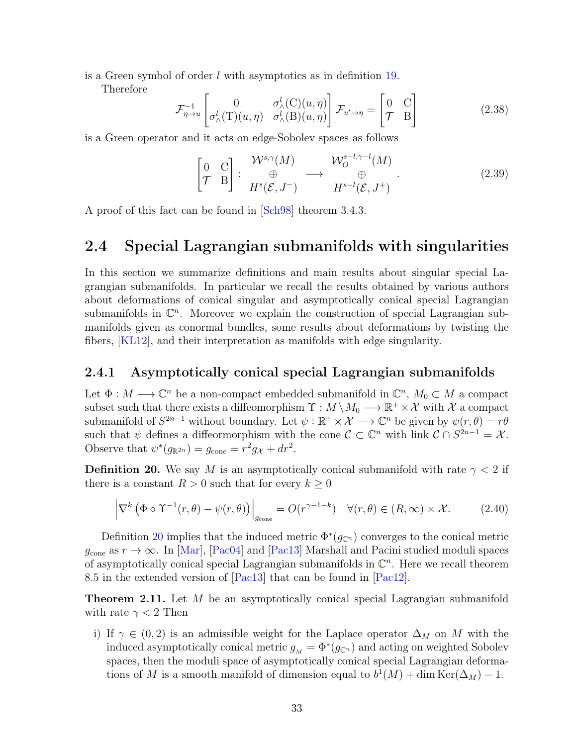is a Green symbol of order l with asymptotics as in definition [19.](#page-40-0)

Therefore

$$
\mathcal{F}_{\eta \to u}^{-1} \begin{bmatrix} 0 & \sigma_{\wedge}^{l}(C)(u, \eta) \\ \sigma_{\wedge}^{l}(T)(u, \eta) & \sigma_{\wedge}^{l}(B)(u, \eta) \end{bmatrix} \mathcal{F}_{u' \to \eta} = \begin{bmatrix} 0 & C \\ \mathcal{T} & B \end{bmatrix}
$$
(2.38)

is a Green operator and it acts on edge-Sobolev spaces as follows

<span id="page-41-1"></span>
$$
\begin{bmatrix}\n0 & C \\
\mathcal{T} & B\n\end{bmatrix} : \begin{array}{ccc}\n\mathcal{W}^{s,\gamma}(M) & \mathcal{W}^{s-l,\gamma-l}_{O}(M) \\
\oplus & \oplus & \oplus \\
H^{s}(\mathcal{E}, J^{-}) & H^{s-l}(\mathcal{E}, J^{+})\n\end{array} \tag{2.39}
$$

A proof of this fact can be found in [[Sch98](#page-82-1)] theorem 3.4.3.

## 2.4 Special Lagrangian submanifolds with singularities

In this section we summarize definitions and main results about singular special Lagrangian submanifolds. In particular we recall the results obtained by various authors about deformations of conical singular and asymptotically conical special Lagrangian submanifolds in  $\mathbb{C}^n$ . Moreover we explain the construction of special Lagrangian submanifolds given as conormal bundles, some results about deformations by twisting the fibers, [[KL12](#page-80-0)], and their interpretation as manifolds with edge singularity.

#### 2.4.1 Asymptotically conical special Lagrangian submanifolds

Let  $\Phi: M \longrightarrow \mathbb{C}^n$  be a non-compact embedded submanifold in  $\mathbb{C}^n$ ,  $M_0 \subset M$  a compact subset such that there exists a diffeomorphism  $\Upsilon : M \setminus M_0 \longrightarrow \mathbb{R}^+ \times \mathcal{X}$  with  $\mathcal X$  a compact submanifold of  $S^{2n-1}$  without boundary. Let  $\psi : \mathbb{R}^+ \times \mathcal{X} \longrightarrow \mathbb{C}^n$  be given by  $\psi(r, \theta) = r\theta$ such that  $\psi$  defines a diffeormorphism with the cone  $\mathcal{C} \subset \mathbb{C}^n$  with link  $\mathcal{C} \cap S^{2n-1} = \mathcal{X}$ . Observe that  $\psi^*(g_{\mathbb{R}^{2n}}) = g_{\text{cone}} = r^2 g_{\mathcal{X}} + dr^2$ .

<span id="page-41-0"></span>**Definition 20.** We say M is an asymptotically conical submanifold with rate  $\gamma < 2$  if there is a constant  $R > 0$  such that for every  $k \geq 0$ 

$$
\left| \nabla^k \left( \Phi \circ \Upsilon^{-1}(r, \theta) - \psi(r, \theta) \right) \right|_{g_{\text{cone}}} = O(r^{\gamma - 1 - k}) \quad \forall (r, \theta) \in (R, \infty) \times \mathcal{X}.
$$
 (2.40)

Definition [20](#page-41-0) implies that the induced metric  $\Phi^*(g_{\mathbb{C}^n})$  converges to the conical metric  $g_{\text{cone}}$  as  $r \to \infty$ . In [[Mar](#page-81-0)], [[Pac04](#page-82-2)] and [[Pac13](#page-82-3)] Marshall and Pacini studied moduli spaces of asymptotically conical special Lagrangian submanifolds in  $\mathbb{C}^n$ . Here we recall theorem 8.5 in the extended version of [[Pac13](#page-82-3)] that can be found in [[Pac12](#page-82-4)].

**Theorem 2.11.** Let M be an asymptotically conical special Lagrangian submanifold with rate  $\gamma < 2$  Then

i) If  $\gamma \in (0, 2)$  is an admissible weight for the Laplace operator  $\Delta_M$  on M with the induced asymptotically conical metric  $g_M = \Phi^*(g_{\mathbb{C}^n})$  and acting on weighted Sobolev spaces, then the moduli space of asymptotically conical special Lagrangian deformations of M is a smooth manifold of dimension equal to  $b^1(M) + \dim \text{Ker}(\Delta_M) - 1$ .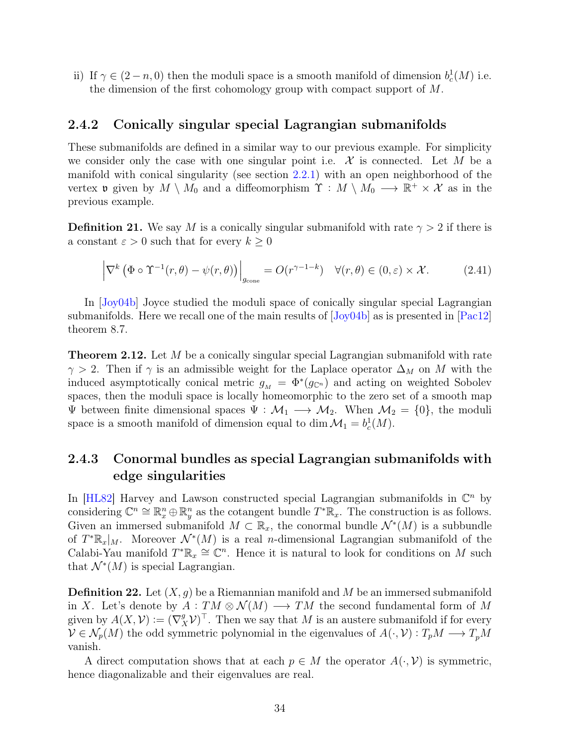ii) If  $\gamma \in (2-n,0)$  then the moduli space is a smooth manifold of dimension  $b_c^1(M)$  i.e. the dimension of the first cohomology group with compact support of M.

#### 2.4.2 Conically singular special Lagrangian submanifolds

These submanifolds are defined in a similar way to our previous example. For simplicity we consider only the case with one singular point i.e.  $\mathcal X$  is connected. Let M be a manifold with conical singularity (see section [2.2.1\)](#page-21-0) with an open neighborhood of the vertex **v** given by  $M \setminus M_0$  and a diffeomorphism  $\Upsilon : M \setminus M_0 \longrightarrow \mathbb{R}^+ \times \mathcal{X}$  as in the previous example.

**Definition 21.** We say M is a conically singular submanifold with rate  $\gamma > 2$  if there is a constant  $\varepsilon > 0$  such that for every  $k \geq 0$ 

$$
\left| \nabla^k \left( \Phi \circ \Upsilon^{-1}(r, \theta) - \psi(r, \theta) \right) \right|_{g_{\text{cone}}} = O(r^{\gamma - 1 - k}) \quad \forall (r, \theta) \in (0, \varepsilon) \times \mathcal{X}.
$$
 (2.41)

In [[Joy04b](#page-80-1)] Joyce studied the moduli space of conically singular special Lagrangian submanifolds. Here we recall one of the main results of [[Joy04b](#page-80-1)] as is presented in [[Pac12](#page-82-4)] theorem 8.7.

**Theorem 2.12.** Let M be a conically singular special Lagrangian submanifold with rate  $\gamma > 2$ . Then if  $\gamma$  is an admissible weight for the Laplace operator  $\Delta_M$  on M with the induced asymptotically conical metric  $g_M = \Phi^*(g_{\mathbb{C}^n})$  and acting on weighted Sobolev spaces, then the moduli space is locally homeomorphic to the zero set of a smooth map  $\Psi$  between finite dimensional spaces  $\Psi : \mathcal{M}_1 \longrightarrow \mathcal{M}_2$ . When  $\mathcal{M}_2 = \{0\}$ , the moduli space is a smooth manifold of dimension equal to dim  $\mathcal{M}_1 = b_c^1(M)$ .

### 2.4.3 Conormal bundles as special Lagrangian submanifolds with edge singularities

In [\[HL82\]](#page-80-2) Harvey and Lawson constructed special Lagrangian submanifolds in  $\mathbb{C}^n$  by considering  $\mathbb{C}^n \cong \mathbb{R}^n_x \oplus \mathbb{R}^n_y$  as the cotangent bundle  $T^*\mathbb{R}_x$ . The construction is as follows. Given an immersed submanifold  $M \subset \mathbb{R}_x$ , the conormal bundle  $\mathcal{N}^*(M)$  is a subbundle of  $T^*\mathbb{R}_x|_M$ . Moreover  $\mathcal{N}^*(M)$  is a real *n*-dimensional Lagrangian submanifold of the Calabi-Yau manifold  $T^*\mathbb{R}_x \cong \mathbb{C}^n$ . Hence it is natural to look for conditions on M such that  $\mathcal{N}^*(M)$  is special Lagrangian.

**Definition 22.** Let  $(X, g)$  be a Riemannian manifold and M be an immersed submanifold in X. Let's denote by  $A: TM \otimes \mathcal{N}(M) \longrightarrow TM$  the second fundamental form of M given by  $A(X, V) := (\nabla_X^g V)^{\top}$ . Then we say that M is an austere submanifold if for every  $V \in \mathcal{N}_p(M)$  the odd symmetric polynomial in the eigenvalues of  $A(\cdot, \mathcal{V}): T_pM \longrightarrow T_pM$ vanish.

A direct computation shows that at each  $p \in M$  the operator  $A(\cdot, \mathcal{V})$  is symmetric, hence diagonalizable and their eigenvalues are real.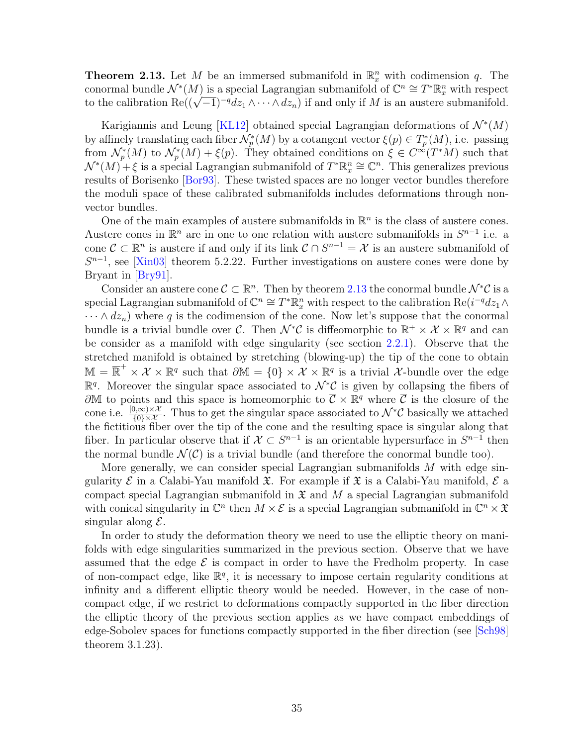<span id="page-43-0"></span>**Theorem 2.13.** Let M be an immersed submanifold in  $\mathbb{R}_x^n$  with codimension q. The conormal bundle  $\mathcal{N}^*(M)$  is a special Lagrangian submanifold of  $\mathbb{C}^n \cong T^*\mathbb{R}^n_x$  with respect to the calibration  $\text{Re}((\sqrt{-1})^{-q}dz_1 \wedge \cdots \wedge dz_n)$  if and only if M is an austere submanifold.

Karigiannis and Leung [[KL12](#page-80-0)] obtained special Lagrangian deformations of  $\mathcal{N}^*(M)$ by affinely translating each fiber  $\mathcal{N}_p^*(M)$  by a cotangent vector  $\xi(p) \in T_p^*(M)$ , i.e. passing from  $\mathcal{N}_p^*(M)$  to  $\mathcal{N}_p^*(M) + \xi(p)$ . They obtained conditions on  $\xi \in C^{\infty}(T^*M)$  such that  $\mathcal{N}^*(M) + \xi$  is a special Lagrangian submanifold of  $T^*\mathbb{R}^n_x \cong \mathbb{C}^n$ . This generalizes previous results of Borisenko [[Bor93](#page-79-0)]. These twisted spaces are no longer vector bundles therefore the moduli space of these calibrated submanifolds includes deformations through nonvector bundles.

One of the main examples of austere submanifolds in  $\mathbb{R}^n$  is the class of austere cones. Austere cones in  $\mathbb{R}^n$  are in one to one relation with austere submanifolds in  $S^{n-1}$  i.e. a cone  $\mathcal{C} \subset \mathbb{R}^n$  is austere if and only if its link  $\mathcal{C} \cap S^{n-1} = \mathcal{X}$  is an austere submanifold of  $S^{n-1}$ , see [[Xin03](#page-82-5)] theorem 5.2.22. Further investigations on austere cones were done by Bryant in [[Bry91](#page-79-1)].

Consider an austere cone  $\mathcal{C} \subset \mathbb{R}^n$ . Then by theorem [2.13](#page-43-0) the conormal bundle  $\mathcal{N}^*\mathcal{C}$  is a special Lagrangian submanifold of  $\mathbb{C}^n \cong T^*\mathbb{R}^n_x$  with respect to the calibration  $\text{Re}(i^{-q}dz_1 \wedge$  $\cdots \wedge dz_n$ ) where q is the codimension of the cone. Now let's suppose that the conormal bundle is a trivial bundle over C. Then  $\mathcal{N}^*\mathcal{C}$  is diffeomorphic to  $\mathbb{R}^+ \times \mathcal{X} \times \mathbb{R}^q$  and can be consider as a manifold with edge singularity (see section [2.2.1\)](#page-21-0). Observe that the stretched manifold is obtained by stretching (blowing-up) the tip of the cone to obtain  $\mathbb{M} = \overline{\mathbb{R}}^+ \times \mathcal{X} \times \mathbb{R}^q$  such that  $\partial \mathbb{M} = \{0\} \times \mathcal{X} \times \mathbb{R}^q$  is a trivial X-bundle over the edge  $\mathbb{R}^q$ . Moreover the singular space associated to  $\mathcal{N}^*\mathcal{C}$  is given by collapsing the fibers of  $\partial M$  to points and this space is homeomorphic to  $\overline{C} \times \mathbb{R}^q$  where  $\overline{C}$  is the closure of the cone i.e.  $\frac{[0,\infty)\times\mathcal{X}}{\{0\}\times\mathcal{X}}$ . Thus to get the singular space associated to  $\mathcal{N}^*\mathcal{C}$  basically we attached the fictitious fiber over the tip of the cone and the resulting space is singular along that fiber. In particular observe that if  $\mathcal{X} \subset S^{n-1}$  is an orientable hypersurface in  $S^{n-1}$  then the normal bundle  $\mathcal{N}(\mathcal{C})$  is a trivial bundle (and therefore the conormal bundle too).

More generally, we can consider special Lagrangian submanifolds  $M$  with edge singularity  $\mathcal E$  in a Calabi-Yau manifold  $\mathfrak X$ . For example if  $\mathfrak X$  is a Calabi-Yau manifold,  $\mathcal E$  a compact special Lagrangian submanifold in  $\mathfrak X$  and M a special Lagrangian submanifold with conical singularity in  $\mathbb{C}^n$  then  $M \times \mathcal{E}$  is a special Lagrangian submanifold in  $\mathbb{C}^n \times \mathfrak{X}$ singular along  $\mathcal{E}$ .

In order to study the deformation theory we need to use the elliptic theory on manifolds with edge singularities summarized in the previous section. Observe that we have assumed that the edge  $\mathcal E$  is compact in order to have the Fredholm property. In case of non-compact edge, like  $\mathbb{R}^q$ , it is necessary to impose certain regularity conditions at infinity and a different elliptic theory would be needed. However, in the case of noncompact edge, if we restrict to deformations compactly supported in the fiber direction the elliptic theory of the previous section applies as we have compact embeddings of edge-Sobolev spaces for functions compactly supported in the fiber direction (see [[Sch98](#page-82-1)] theorem 3.1.23).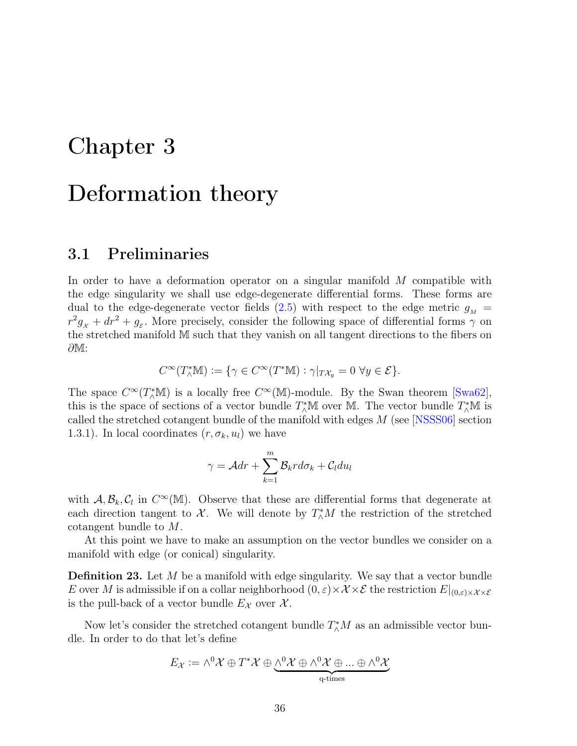## Chapter 3

# Deformation theory

### 3.1 Preliminaries

In order to have a deformation operator on a singular manifold M compatible with the edge singularity we shall use edge-degenerate differential forms. These forms are dual to the edge-degenerate vector fields [\(2.5\)](#page-23-1) with respect to the edge metric  $g_M$  =  $r^2g_x + dr^2 + g_\varepsilon$ . More precisely, consider the following space of differential forms  $\gamma$  on the stretched manifold M such that they vanish on all tangent directions to the fibers on ∂M:

$$
C^{\infty}(T_{\wedge}^*\mathbb{M}) := \{ \gamma \in C^{\infty}(T^*\mathbb{M}) : \gamma|_{T\mathcal{X}_y} = 0 \ \forall y \in \mathcal{E} \}.
$$

The space  $C^{\infty}(T^*_{\wedge}\mathbb{M})$  is a locally free  $C^{\infty}(\mathbb{M})$ -module. By the Swan theorem [[Swa62](#page-82-6)], this is the space of sections of a vector bundle  $T^*_{\wedge} \mathbb{M}$  over  $\mathbb{M}$ . The vector bundle  $T^*_{\wedge} \mathbb{M}$  is called the stretched cotangent bundle of the manifold with edges M (see [[NSSS06](#page-82-0)] section 1.3.1). In local coordinates  $(r, \sigma_k, u_l)$  we have

$$
\gamma = \mathcal{A}dr + \sum_{k=1}^{m} \mathcal{B}_{k}r d\sigma_{k} + \mathcal{C}_{l} du_{l}
$$

with  $\mathcal{A}, \mathcal{B}_k, \mathcal{C}_l$  in  $C^{\infty}(\mathbb{M})$ . Observe that these are differential forms that degenerate at each direction tangent to  $\mathcal{X}$ . We will denote by  $T^*_{\wedge}M$  the restriction of the stretched cotangent bundle to M.

At this point we have to make an assumption on the vector bundles we consider on a manifold with edge (or conical) singularity.

**Definition 23.** Let M be a manifold with edge singularity. We say that a vector bundle E over M is admissible if on a collar neighborhood  $(0, \varepsilon) \times \mathcal{X} \times \mathcal{E}$  the restriction  $E|_{(0, \varepsilon) \times \mathcal{X} \times \mathcal{E}}$ is the pull-back of a vector bundle  $E_{\mathcal{X}}$  over  $\mathcal{X}$ .

Now let's consider the stretched cotangent bundle  $T^*_{\wedge}M$  as an admissible vector bundle. In order to do that let's define

$$
E_{\mathcal{X}} := \wedge^0 \mathcal{X} \oplus T^* \mathcal{X} \oplus \underbrace{\wedge^0 \mathcal{X} \oplus \wedge^0 \mathcal{X} \oplus ... \oplus \wedge^0 \mathcal{X}}_{q\text{-times}}
$$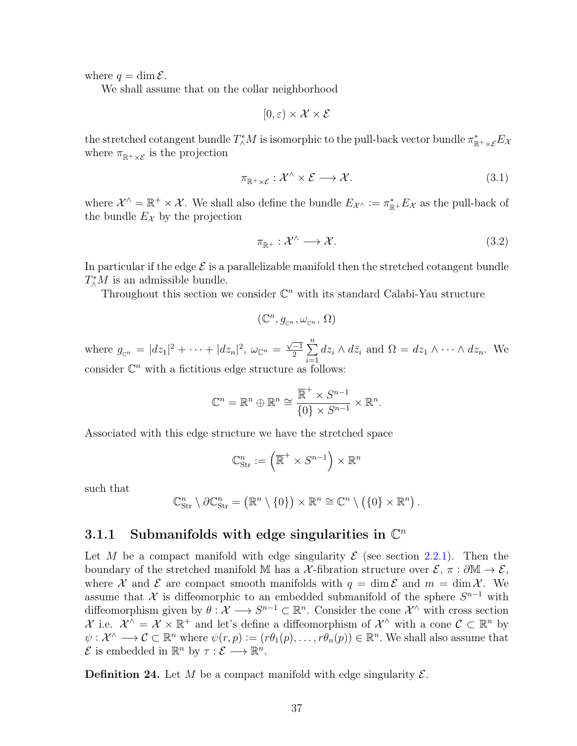where  $q = \dim \mathcal{E}$ .

We shall assume that on the collar neighborhood

$$
[0,\varepsilon)\times\mathcal{X}\times\mathcal{E}
$$

the stretched cotangent bundle  $T^*_\wedge M$  is isomorphic to the pull-back vector bundle  $\pi^*_{\mathbb R^+\times\mathcal E}E_\mathcal A$ where  $\pi_{\mathbb{R}^+\times\mathcal{E}}$  is the projection

$$
\pi_{\mathbb{R}^+\times\mathcal{E}}:\mathcal{X}^\wedge\times\mathcal{E}\longrightarrow\mathcal{X}.\tag{3.1}
$$

where  $\mathcal{X}^{\wedge} = \mathbb{R}^+ \times \mathcal{X}$ . We shall also define the bundle  $E_{\mathcal{X}^{\wedge}} := \pi_{\mathbb{R}^+}^* E_{\mathcal{X}}$  as the pull-back of the bundle  $E_{\mathcal{X}}$  by the projection

$$
\pi_{\mathbb{R}^+} : \mathcal{X}^\wedge \longrightarrow \mathcal{X}.\tag{3.2}
$$

In particular if the edge  $\mathcal E$  is a parallelizable manifold then the stretched cotangent bundle  $T^*_{\wedge}M$  is an admissible bundle.

Throughout this section we consider  $\mathbb{C}^n$  with its standard Calabi-Yau structure

$$
(\mathbb{C}^n,g_{\scriptscriptstyle \mathbb{C}^n},\omega_{\scriptscriptstyle \mathbb{C}^n},\,\Omega)
$$

where  $g_{\mathbb{C}^n} = |dz_1|^2 + \cdots + |dz_n|^2$ ,  $\omega_{\mathbb{C}^n} =$  $\sqrt{-1}$  $\frac{-1}{2}$  $\sum_{n=1}^{n}$  $i=1$  $dz_i \wedge d\bar{z}_i$  and  $\Omega = dz_1 \wedge \cdots \wedge dz_n$ . We consider  $\mathbb{C}^n$  with a fictitious edge structure as follows:

$$
\mathbb{C}^n = \mathbb{R}^n \oplus \mathbb{R}^n \cong \frac{\overline{\mathbb{R}}^+ \times S^{n-1}}{\{0\} \times S^{n-1}} \times \mathbb{R}^n.
$$

Associated with this edge structure we have the stretched space

$$
\mathbb{C}_{\rm Str}^n := \left(\overline{\mathbb{R}}^+ \times S^{n-1}\right) \times \mathbb{R}^n
$$

such that

$$
\mathbb{C}_{\rm Str}^n \setminus \partial \mathbb{C}_{\rm Str}^n = (\mathbb{R}^n \setminus \{0\}) \times \mathbb{R}^n \cong \mathbb{C}^n \setminus (\{0\} \times \mathbb{R}^n).
$$

## 3.1.1 Submanifolds with edge singularities in  $\mathbb{C}^n$

Let M be a compact manifold with edge singularity  $\mathcal E$  (see section [2.2.1\)](#page-21-0). Then the boundary of the stretched manifold M has a X-fibration structure over  $\mathcal{E}, \pi : \partial M \to \mathcal{E}$ , where X and E are compact smooth manifolds with  $q = \dim \mathcal{E}$  and  $m = \dim \mathcal{X}$ . We assume that X is diffeomorphic to an embedded submanifold of the sphere  $S^{n-1}$  with diffeomorphism given by  $\theta: \mathcal{X} \longrightarrow S^{n-1} \subset \mathbb{R}^n$ . Consider the cone  $\mathcal{X}^{\wedge}$  with cross section X i.e.  $\mathcal{X}^{\wedge} = \mathcal{X} \times \mathbb{R}^+$  and let's define a diffeomorphism of  $\mathcal{X}^{\wedge}$  with a cone  $\mathcal{C} \subset \mathbb{R}^n$  by  $\psi: \mathcal{X} \longrightarrow \mathcal{C} \subset \mathbb{R}^n$  where  $\psi(r, p) := (r \theta_1(p), \dots, r \theta_n(p)) \in \mathbb{R}^n$ . We shall also assume that  $\mathcal{E}$  is embedded in  $\mathbb{R}^n$  by  $\tau : \mathcal{E} \longrightarrow \mathbb{R}^n$ .

<span id="page-45-0"></span>**Definition 24.** Let M be a compact manifold with edge singularity  $\mathcal{E}$ .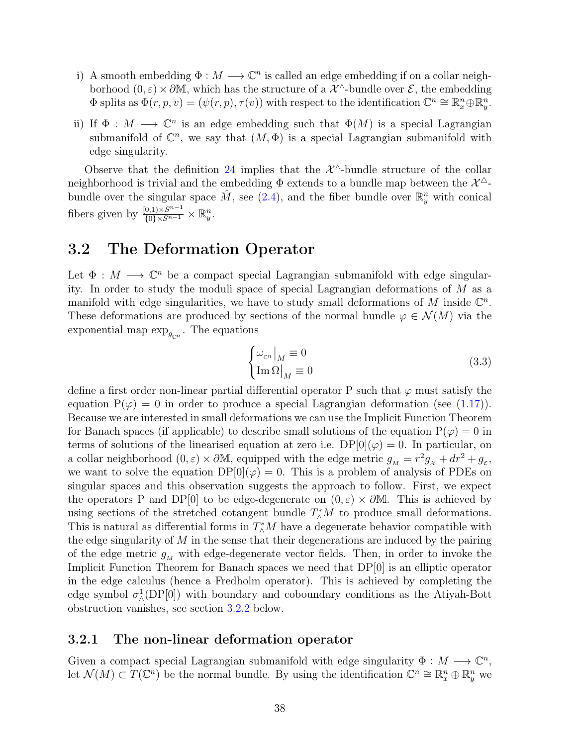- i) A smooth embedding  $\Phi : M \longrightarrow \mathbb{C}^n$  is called an edge embedding if on a collar neighborhood  $(0, \varepsilon) \times \partial M$ , which has the structure of a  $\mathcal{X}^{\wedge}$ -bundle over  $\mathcal{E}$ , the embedding  $\Phi$  splits as  $\Phi(r, p, v) = (\psi(r, p), \tau(v))$  with respect to the identification  $\mathbb{C}^n \cong \mathbb{R}^n_x \oplus \mathbb{R}^n_y$ .
- ii) If  $\Phi : M \longrightarrow \mathbb{C}^n$  is an edge embedding such that  $\Phi(M)$  is a special Lagrangian submanifold of  $\mathbb{C}^n$ , we say that  $(M, \Phi)$  is a special Lagrangian submanifold with edge singularity.

Observe that the definition [24](#page-45-0) implies that the  $\mathcal{X}^{\wedge}$ -bundle structure of the collar neighborhood is trivial and the embedding  $\Phi$  extends to a bundle map between the  $\mathcal{X}^{\triangle}$ bundle over the singular space  $\hat{M}$ , see [\(2.4\)](#page-23-2), and the fiber bundle over  $\mathbb{R}_{y}^{n}$  with conical fibers given by  $\frac{[0,1)\times S^{n-1}}{\{0\}\times S^{n-1}} \times \mathbb{R}_y^n$ .

## 3.2 The Deformation Operator

Let  $\Phi : M \longrightarrow \mathbb{C}^n$  be a compact special Lagrangian submanifold with edge singularity. In order to study the moduli space of special Lagrangian deformations of M as a manifold with edge singularities, we have to study small deformations of M inside  $\mathbb{C}^n$ . These deformations are produced by sections of the normal bundle  $\varphi \in \mathcal{N}(M)$  via the exponential map  $\exp_{g_{\mathbb{C}^n}}$ . The equations

$$
\begin{cases} \omega_{\mathbb{C}^n}|_M \equiv 0\\ \text{Im}\,\Omega|_M \equiv 0 \end{cases} \tag{3.3}
$$

define a first order non-linear partial differential operator P such that  $\varphi$  must satisfy the equation  $P(\varphi) = 0$  in order to produce a special Lagrangian deformation (see [\(1.17\)](#page-18-0)). Because we are interested in small deformations we can use the Implicit Function Theorem for Banach spaces (if applicable) to describe small solutions of the equation  $P(\varphi) = 0$  in terms of solutions of the linearised equation at zero i.e.  $DP[0](\varphi) = 0$ . In particular, on a collar neighborhood  $(0, \varepsilon) \times \partial M$ , equipped with the edge metric  $g_M = r^2 g_X + dr^2 + g_{\varepsilon}$ , we want to solve the equation  $DP[0](\varphi) = 0$ . This is a problem of analysis of PDEs on singular spaces and this observation suggests the approach to follow. First, we expect the operators P and DP[0] to be edge-degenerate on  $(0, \varepsilon) \times \partial M$ . This is achieved by using sections of the stretched cotangent bundle  $T^*_{\wedge}M$  to produce small deformations. This is natural as differential forms in  $T^*_{\wedge}M$  have a degenerate behavior compatible with the edge singularity of  $M$  in the sense that their degenerations are induced by the pairing of the edge metric  $g_M$  with edge-degenerate vector fields. Then, in order to invoke the Implicit Function Theorem for Banach spaces we need that DP[0] is an elliptic operator in the edge calculus (hence a Fredholm operator). This is achieved by completing the edge symbol  $\sigma_{\wedge}^1(\text{DP}[0])$  with boundary and coboundary conditions as the Atiyah-Bott obstruction vanishes, see section [3.2.2](#page-57-0) below.

#### 3.2.1 The non-linear deformation operator

Given a compact special Lagrangian submanifold with edge singularity  $\Phi: M \longrightarrow \mathbb{C}^n$ , let  $\mathcal{N}(M) \subset T(\mathbb{C}^n)$  be the normal bundle. By using the identification  $\mathbb{C}^n \cong \mathbb{R}^n_x \oplus \mathbb{R}^n_y$  we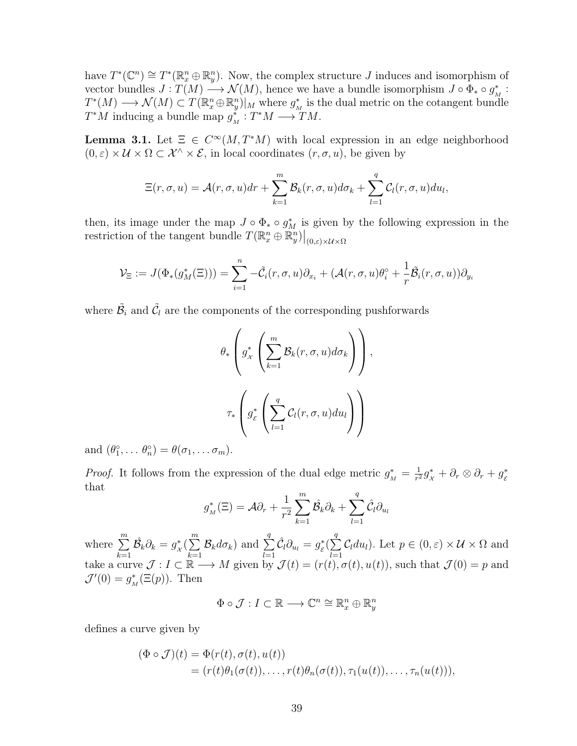have  $T^*(\mathbb{C}^n) \cong T^*(\mathbb{R}^n_x \oplus \mathbb{R}^n_y)$ . Now, the complex structure J induces and isomorphism of vector bundles  $J: T(M) \longrightarrow \mathcal{N}(M)$ , hence we have a bundle isomorphism  $J \circ \Phi_* \circ g^*_h$  $\frac{*}{M}$ :  $T^*(M) \longrightarrow \mathcal{N}(M) \subset T(\mathbb{R}^n_x \oplus \mathbb{R}^n_y)|_M$  where  $g^*_\lambda$  $_{M}^*$  is the dual metric on the cotangent bundle  $T^*M$  inducing a bundle map  $g_i^*$  $\sum_{M}^* : T^*M \longrightarrow TM.$ 

<span id="page-47-0"></span>**Lemma 3.1.** Let  $\Xi \in C^{\infty}(M, T^*M)$  with local expression in an edge neighborhood  $(0, \varepsilon) \times U \times \Omega \subset \mathcal{X}^{\wedge} \times \mathcal{E}$ , in local coordinates  $(r, \sigma, u)$ , be given by

$$
\Xi(r,\sigma,u)=\mathcal{A}(r,\sigma,u)dr+\sum_{k=1}^m\mathcal{B}_k(r,\sigma,u)d\sigma_k+\sum_{l=1}^q\mathcal{C}_l(r,\sigma,u)du_l,
$$

then, its image under the map  $J \circ \Phi_* \circ g_M^*$  is given by the following expression in the restriction of the tangent bundle  $T(\mathbb{R}^n_x \oplus \mathbb{R}^n_y)|_{(0,\varepsilon)\times \mathcal{U}\times \Omega}$ 

$$
\mathcal{V}_{\Xi} := J(\Phi_*(g_M^*(\Xi))) = \sum_{i=1}^n -\tilde{C}_i(r,\sigma,u)\partial_{x_i} + (\mathcal{A}(r,\sigma,u)\theta_i^{\circ} + \frac{1}{r}\tilde{\mathcal{B}}_i(r,\sigma,u))\partial_{y_i}
$$

where  $\tilde{\mathcal{B}}_i$  and  $\tilde{\mathcal{C}}_l$  are the components of the corresponding pushforwards

$$
\theta_*\left(g_{\chi}^*\left(\sum_{k=1}^m \mathcal{B}_k(r,\sigma,u)d\sigma_k\right)\right),\,
$$

$$
\tau_*\left(g_{\varepsilon}^*\left(\sum_{l=1}^q \mathcal{C}_l(r,\sigma,u)du_l\right)\right)
$$

and  $(\theta_1^{\circ}, \ldots \theta_n^{\circ}) = \theta(\sigma_1, \ldots \sigma_m)$ .

*Proof.* It follows from the expression of the dual edge metric  $g_M^* = \frac{1}{r^2}$  $\frac{1}{r^2}g_{\chi}^* + \partial_r \otimes \partial_r + g_{\varepsilon}^*$ E that

$$
g_M^*(\Xi) = \mathcal{A}\partial_r + \frac{1}{r^2} \sum_{k=1}^m \hat{\mathcal{B}_k} \partial_k + \sum_{l=1}^q \hat{\mathcal{C}_l} \partial_{u_l}
$$

where  $\sum_{n=1}^{\infty}$  $_{k=1}$  $\hat{\mathcal{B}_k}\partial_k=g_{\star}^*$  $\chi^*(\sum^m$  $k=1$  $\mathcal{B}_k d\sigma_k$ ) and  $\sum$ q  $_{l=1}$  $\hat{\mathcal{C}}_l\partial_{u_l}=g^*_{\varepsilon}$  $\frac{\partial}{\partial \mathcal{E}} \bigl( \sum_{i=1}^n \mathcal{E}_i \bigr)^2$ q  $_{l=1}$  $C_l du_l$ ). Let  $p \in (0, \varepsilon) \times U \times \Omega$  and take a curve  $\mathcal{J}: I \subset \mathbb{R} \longrightarrow M$  given by  $\mathcal{J}(t) = (r(t), \sigma(t), u(t))$ , such that  $\mathcal{J}(0) = p$  and  $\mathcal{J}'(0) = g_{\lambda}^*$  $_{M}^{*}(\Xi(p)).$  Then

 $\Phi \circ \mathcal{J}: I \subset \mathbb{R} \longrightarrow \mathbb{C}^n \cong \mathbb{R}^n_x \oplus \mathbb{R}^n_y$ 

defines a curve given by

$$
(\Phi \circ \mathcal{J})(t) = \Phi(r(t), \sigma(t), u(t))
$$
  
=  $(r(t)\theta_1(\sigma(t)), \dots, r(t)\theta_n(\sigma(t)), \tau_1(u(t)), \dots, \tau_n(u(t))),$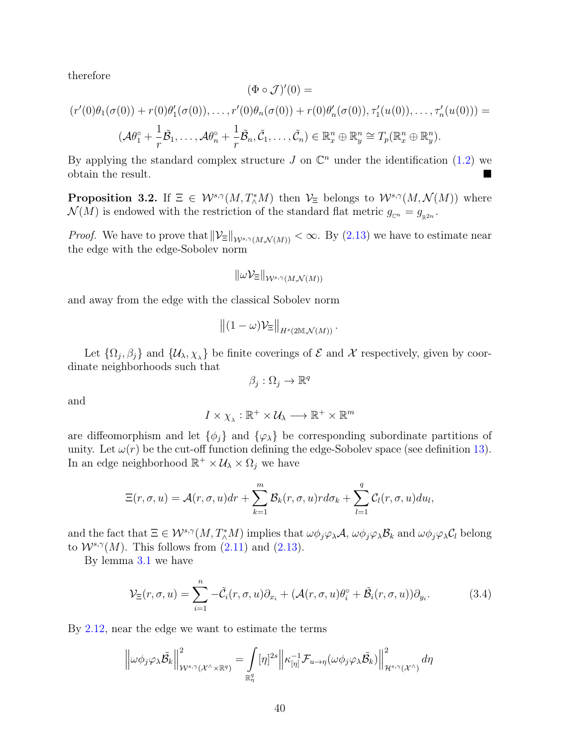therefore

$$
(\Phi \circ \mathcal{J})'(0) =
$$
  

$$
(r'(0)\theta_1(\sigma(0)) + r(0)\theta'_1(\sigma(0)), \dots, r'(0)\theta_n(\sigma(0)) + r(0)\theta'_n(\sigma(0)), \tau'_1(u(0)), \dots, \tau'_n(u(0))) =
$$
  

$$
(\mathcal{A}\theta_1^\circ + \frac{1}{r}\tilde{\mathcal{B}}_1, \dots, \mathcal{A}\theta_n^\circ + \frac{1}{r}\tilde{\mathcal{B}}_n, \tilde{\mathcal{C}}_1, \dots, \tilde{\mathcal{C}}_n) \in \mathbb{R}_x^n \oplus \mathbb{R}_y^n \cong T_p(\mathbb{R}_x^n \oplus \mathbb{R}_y^n).
$$

By applying the standard complex structure  $J$  on  $\mathbb{C}^n$  under the identification [\(1.2\)](#page-13-0) we obtain the result.

**Proposition 3.2.** If  $\Xi \in \mathcal{W}^{s,\gamma}(M,T^*_\Lambda M)$  then  $\mathcal{V}_\Xi$  belongs to  $\mathcal{W}^{s,\gamma}(M,\mathcal{N}(M))$  where  $\mathcal{N}(M)$  is endowed with the restriction of the standard flat metric  $g_{\mathbb{C}^n} = g_{\mathbb{R}^{2n}}$ .

*Proof.* We have to prove that  $\|\mathcal{V}_{\Xi}\|_{W^{s,\gamma}(M,\mathcal{N}(M))} < \infty$ . By [\(2.13\)](#page-28-0) we have to estimate near the edge with the edge-Sobolev norm

$$
\|\omega \mathcal{V}_{\Xi}\|_{\mathcal{W}^{s,\gamma}(M,\mathcal{N}(M))}
$$

and away from the edge with the classical Sobolev norm

$$
\left\|(1-\omega)\mathcal{V}_{\Xi}\right\|_{H^s(2\mathbb{M},\mathcal{N}(M))}.
$$

Let  $\{\Omega_j, \beta_j\}$  and  $\{\mathcal{U}_\lambda, \chi_{\lambda}\}\$ be finite coverings of  $\mathcal E$  and  $\mathcal X$  respectively, given by coordinate neighborhoods such that

$$
\beta_j : \Omega_j \to \mathbb{R}^q
$$

and

$$
I \times \chi_{\lambda} : \mathbb{R}^+ \times \mathcal{U}_{\lambda} \longrightarrow \mathbb{R}^+ \times \mathbb{R}^m
$$

are diffeomorphism and let  $\{\phi_i\}$  and  $\{\varphi_\lambda\}$  be corresponding subordinate partitions of unity. Let  $\omega(r)$  be the cut-off function defining the edge-Sobolev space (see definition [13\)](#page-26-0). In an edge neighborhood  $\mathbb{R}^+ \times \mathcal{U}_\lambda \times \Omega_j$  we have

$$
\Xi(r,\sigma,u)=\mathcal{A}(r,\sigma,u)dr+\sum_{k=1}^m\mathcal{B}_k(r,\sigma,u)rd\sigma_k+\sum_{l=1}^q\mathcal{C}_l(r,\sigma,u)du_l,
$$

and the fact that  $\Xi \in \mathcal{W}^{s,\gamma}(M,T^*_\Lambda M)$  implies that  $\omega \phi_j \varphi_\lambda \mathcal{A}, \omega \phi_j \varphi_\lambda \mathcal{B}_k$  and  $\omega \phi_j \varphi_\lambda \mathcal{C}_l$  belong to  $W^{s,\gamma}(M)$ . This follows from  $(2.11)$  and  $(2.13)$ .

By lemma [3.1](#page-47-0) we have

<span id="page-48-0"></span>
$$
\mathcal{V}_{\Xi}(r,\sigma,u) = \sum_{i=1}^{n} -\tilde{\mathcal{C}}_{i}(r,\sigma,u)\partial_{x_{i}} + (\mathcal{A}(r,\sigma,u)\theta_{i}^{\circ} + \tilde{\mathcal{B}}_{i}(r,\sigma,u))\partial_{y_{i}}.
$$
(3.4)

By [2.12,](#page-28-1) near the edge we want to estimate the terms

$$
\left\|\omega\phi_j\varphi_\lambda\tilde{\mathcal{B}}_k\right\|_{\mathcal{W}^{s,\gamma}(\mathcal{X}^\wedge\times\mathbb{R}^q)}^2=\int\limits_{\mathbb{R}^q_\eta}[\eta]^{2s}\left\|\kappa_{[\eta]}^{-1}\mathcal{F}_{u\to\eta}(\omega\phi_j\varphi_\lambda\tilde{\mathcal{B}}_k)\right\|_{\mathcal{H}^{s,\gamma}(\mathcal{X}^\wedge)}^2d\eta
$$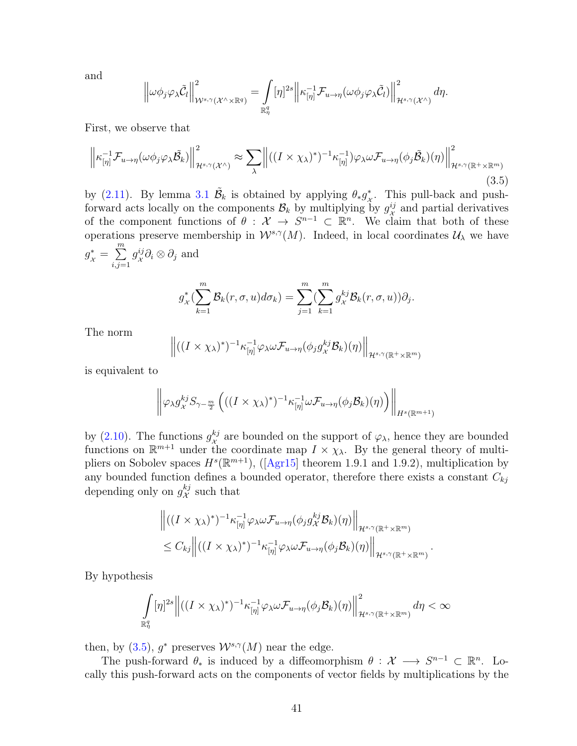and

$$
\left\|\omega\phi_j\varphi_\lambda\tilde{\mathcal{C}}_l\right\|_{\mathcal{W}^{s,\gamma}(\mathcal{X}^\wedge\times\mathbb{R}^q)}^2=\int\limits_{\mathbb{R}^q_\eta}[\eta]^{2s}\left\|\kappa_{[\eta]}^{-1}\mathcal{F}_{u\to\eta}(\omega\phi_j\varphi_\lambda\tilde{\mathcal{C}}_l)\right\|_{\mathcal{H}^{s,\gamma}(\mathcal{X}^\wedge)}^2d\eta.
$$

First, we observe that

<span id="page-49-0"></span>
$$
\left\| \kappa_{[\eta]}^{-1} \mathcal{F}_{u \to \eta}(\omega \phi_j \varphi_\lambda \tilde{\mathcal{B}}_k) \right\|_{\mathcal{H}^{s,\gamma}(\mathcal{X}^\wedge)}^2 \approx \sum_{\lambda} \left\| ((I \times \chi_\lambda)^*)^{-1} \kappa_{[\eta]}^{-1}) \varphi_\lambda \omega \mathcal{F}_{u \to \eta}(\phi_j \tilde{\mathcal{B}}_k)(\eta) \right\|_{\mathcal{H}^{s,\gamma}(\mathbb{R}^+ \times \mathbb{R}^m)}^2
$$
\n(3.5)

by [\(2.11\)](#page-26-1). By lemma [3.1](#page-47-0)  $\tilde{\mathcal{B}}_k$  is obtained by applying  $\theta_* g^*_k$  $\stackrel{*}{\mathcal{X}}$ . This pull-back and pushforward acts locally on the components  $\mathcal{B}_k$  by multiplying by  $g_{\chi}^{ij}$  $\frac{ij}{x}$  and partial derivatives of the component functions of  $\theta : \mathcal{X} \to S^{n-1} \subset \mathbb{R}^n$ . We claim that both of these operations preserve membership in  $W^{s,\gamma}(M)$ . Indeed, in local coordinates  $\mathcal{U}_{\lambda}$  we have  $g_{\mathcal{X}}^* = \sum^m$  $i,j=1$  $g^{ij}_{\nu}$  $_{\mathcal{X}}^{ij}\partial_{i}\otimes\partial_{j}$  and

$$
g_{\mathcal{X}}^*(\sum_{k=1}^m \mathcal{B}_k(r,\sigma,u)d\sigma_k) = \sum_{j=1}^m (\sum_{k=1}^m g_{\mathcal{X}}^{kj} \mathcal{B}_k(r,\sigma,u))\partial_j.
$$

The norm

$$
\left\|((I\times\chi_{\lambda})^*)^{-1}\kappa_{[\eta]}^{-1}\varphi_{\lambda}\omega\mathcal{F}_{u\to\eta}(\phi_j g_{\lambda}^{kj}\mathcal{B}_k)(\eta)\right\|_{\mathcal{H}^{s,\gamma}(\mathbb{R}^+\times\mathbb{R}^m)}
$$

is equivalent to

$$
\left\|\varphi_{\lambda}g_{\chi}^{kj}S_{\gamma-\frac{m}{2}}\left(((I\times\chi_{\lambda})^{*})^{-1}\kappa_{[\eta]}^{-1}\omega\mathcal{F}_{u\to\eta}(\phi_{j}\mathcal{B}_{k})(\eta)\right)\right\|_{H^{s}(\mathbb{R}^{m+1})}
$$

by  $(2.10)$ . The functions  $g_{\nu}^{kj}$  $\frac{k}{\chi}$  are bounded on the support of  $\varphi_{\lambda}$ , hence they are bounded functions on  $\mathbb{R}^{m+1}$  under the coordinate map  $I \times \chi_{\lambda}$ . By the general theory of multipliers on Sobolev spaces  $H^s(\mathbb{R}^{m+1})$ , ([[Agr15](#page-79-2)] theorem 1.9.1 and 1.9.2), multiplication by any bounded function defines a bounded operator, therefore there exists a constant  $C_{kj}$ depending only on  $g_{\chi}^{kj}$  $\chi^{kj}_{\chi}$  such that

$$
\left\| ((I \times \chi_{\lambda})^*)^{-1} \kappa_{[\eta]}^{-1} \varphi_{\lambda} \omega \mathcal{F}_{u \to \eta}(\phi_j g_{\lambda}^{kj} \mathcal{B}_k)(\eta) \right\|_{\mathcal{H}^{s,\gamma}(\mathbb{R}^+ \times \mathbb{R}^m)}
$$
  

$$
\leq C_{kj} \left\| ((I \times \chi_{\lambda})^*)^{-1} \kappa_{[\eta]}^{-1} \varphi_{\lambda} \omega \mathcal{F}_{u \to \eta}(\phi_j \mathcal{B}_k)(\eta) \right\|_{\mathcal{H}^{s,\gamma}(\mathbb{R}^+ \times \mathbb{R}^m)}
$$

.

By hypothesis

$$
\int_{\mathbb{R}^q_\eta} [\eta]^{2s} \left\| \left( (I \times \chi_\lambda)^* \right)^{-1} \kappa_{[\eta]}^{-1} \varphi_\lambda \omega \mathcal{F}_{u \to \eta}(\phi_j \mathcal{B}_k)(\eta) \right\|_{\mathcal{H}^{s,\gamma}(\mathbb{R}^+ \times \mathbb{R}^m)}^2 d\eta < \infty
$$

then, by [\(3.5\)](#page-49-0),  $g^*$  preserves  $\mathcal{W}^{s,\gamma}(M)$  near the edge.

The push-forward  $\theta_*$  is induced by a diffeomorphism  $\theta : \mathcal{X} \longrightarrow S^{n-1} \subset \mathbb{R}^n$ . Locally this push-forward acts on the components of vector fields by multiplications by the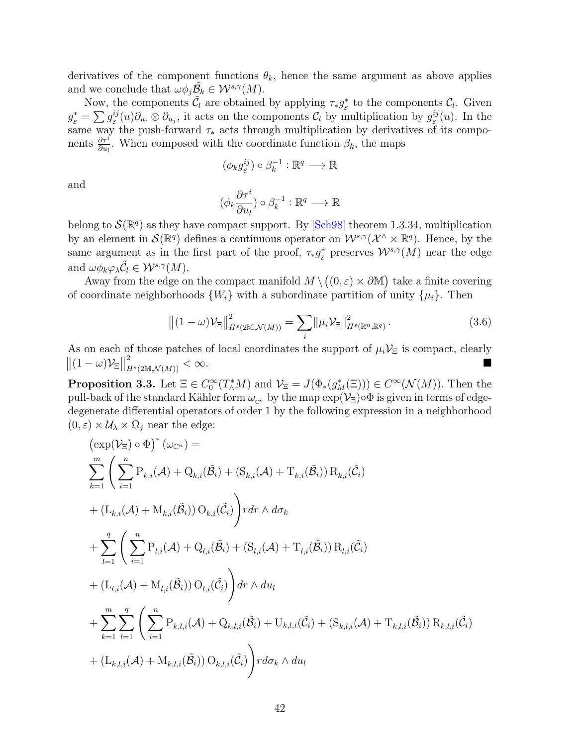derivatives of the component functions  $\theta_k$ , hence the same argument as above applies and we conclude that  $\omega \phi_j \tilde{\mathcal{B}_k} \in \mathcal{W}^{s,\gamma}(M)$ .

Now, the components  $\tilde{C}_l$  are obtained by applying  $\tau_* g^*_s$  $\zeta$ <sup>\*</sup> to the components  $\mathcal{C}_l$ . Given  $g_{\varepsilon}^* = \sum g_{\varepsilon}^{ij}(u)\partial_{u_i}\otimes \partial_{u_j}$ , it acts on the components  $\mathcal{C}_l$  by multiplication by  $g_{\varepsilon}^{ij}(u)$ . In the  $\sum_{i} S_{\varepsilon}$  ( $\sum_{i} S_{\varepsilon}$  ( $\sum_{i} S_{u_i}$ ) is not to the component  $\sum_{i} S_{\varepsilon}$  and  $\sum_{i} S_{\varepsilon}$  ( $\sum_{i} S_{u_i}$ ). The components  $\frac{\partial \tau^i}{\partial u_l}$ . When composed with the coordinate function  $\beta_k$ , the maps

$$
(\phi_k g^{ij}_{\varepsilon}) \circ \beta_k^{-1} : \mathbb{R}^q \longrightarrow \mathbb{R}
$$

and

$$
(\phi_k \frac{\partial \tau^i}{\partial u_l}) \circ \beta_k^{-1} : \mathbb{R}^q \longrightarrow \mathbb{R}
$$

belong to  $\mathcal{S}(\mathbb{R}^q)$  as they have compact support. By [[Sch98](#page-82-1)] theorem 1.3.34, multiplication by an element in  $\mathcal{S}(\mathbb{R}^q)$  defines a continuous operator on  $\mathcal{W}^{s,\gamma}(\mathcal{X}^{\wedge}\times\mathbb{R}^q)$ . Hence, by the same argument as in the first part of the proof,  $\tau_* g^*_\varepsilon$  $\underset{\varepsilon}{*}$  preserves  $\mathcal{W}^{s,\gamma}(M)$  near the edge and  $\omega \phi_k \varphi_\lambda \tilde{C}_l \in \mathcal{W}^{s,\gamma}(M)$ .

Away from the edge on the compact manifold  $M \setminus ((0, \varepsilon) \times \partial M)$  take a finite covering of coordinate neighborhoods  $\{W_i\}$  with a subordinate partition of unity  $\{\mu_i\}$ . Then

$$
\left\| (1 - \omega) \mathcal{V}_{\Xi} \right\|_{H^s(2\mathbb{M}, \mathcal{N}(M))}^2 = \sum_i \left\| \mu_i \mathcal{V}_{\Xi} \right\|_{H^s(\mathbb{R}^n, \mathbb{R}^q)}^2.
$$
 (3.6)

As on each of those patches of local coordinates the support of  $\mu_i \mathcal{V}_\Xi$  is compact, clearly  $||(1 - \omega)\mathcal{V}_{\Xi}||$  $\frac{2}{H^s(2\mathbb{M},\mathcal{N}(M))}<\infty.$ 

<span id="page-50-0"></span>**Proposition 3.3.** Let  $\Xi \in C_0^{\infty}(T_A^*M)$  and  $\mathcal{V}_{\Xi} = J(\Phi_*(g_M^*(\Xi))) \in C^{\infty}(\mathcal{N}(M))$ . Then the pull-back of the standard Kähler form  $\omega_{cn}$  by the map  $\exp(\mathcal{V}_{\Xi}) \circ \Phi$  is given in terms of edgedegenerate differential operators of order 1 by the following expression in a neighborhood  $(0, \varepsilon) \times \mathcal{U}_{\lambda} \times \Omega_i$  near the edge:

$$
\begin{split}\n&\left(\exp(\mathcal{V}_{\Xi}) \circ \Phi\right)^{*}(\omega_{\mathbb{C}^{n}}) = \\
&\sum_{k=1}^{m} \left(\sum_{i=1}^{n} P_{k,i}(\mathcal{A}) + Q_{k,i}(\tilde{\mathcal{B}}_{i}) + (S_{k,i}(\mathcal{A}) + T_{k,i}(\tilde{\mathcal{B}}_{i})) R_{k,i}(\tilde{\mathcal{C}}_{i})\right. \\
&+ (L_{k,i}(\mathcal{A}) + M_{k,i}(\tilde{\mathcal{B}}_{i})) O_{k,i}(\tilde{\mathcal{C}}_{i})\right) r dr \wedge d\sigma_{k} \\
&+ \sum_{l=1}^{q} \left(\sum_{i=1}^{n} P_{l,i}(\mathcal{A}) + Q_{l,i}(\tilde{\mathcal{B}}_{i}) + (S_{l,i}(\mathcal{A}) + T_{l,i}(\tilde{\mathcal{B}}_{i})) R_{l,i}(\tilde{\mathcal{C}}_{i})\right. \\
&+ (L_{l,i}(\mathcal{A}) + M_{l,i}(\tilde{\mathcal{B}}_{i})) O_{l,i}(\tilde{\mathcal{C}}_{i})\right) dr \wedge du_{l} \\
&+ \sum_{k=1}^{m} \sum_{l=1}^{q} \left(\sum_{i=1}^{n} P_{k,l,i}(\mathcal{A}) + Q_{k,l,i}(\tilde{\mathcal{B}}_{i}) + U_{k,l,i}(\tilde{\mathcal{C}}_{i}) + (S_{k,l,i}(\mathcal{A}) + T_{k,l,i}(\tilde{\mathcal{B}}_{i})) R_{k,l,i}(\tilde{\mathcal{C}}_{i})\right. \\
&+ (L_{k,l,i}(\mathcal{A}) + M_{k,l,i}(\tilde{\mathcal{B}}_{i})) O_{k,l,i}(\tilde{\mathcal{C}}_{i})\right) r d\sigma_{k} \wedge du_{l}\n\end{split}
$$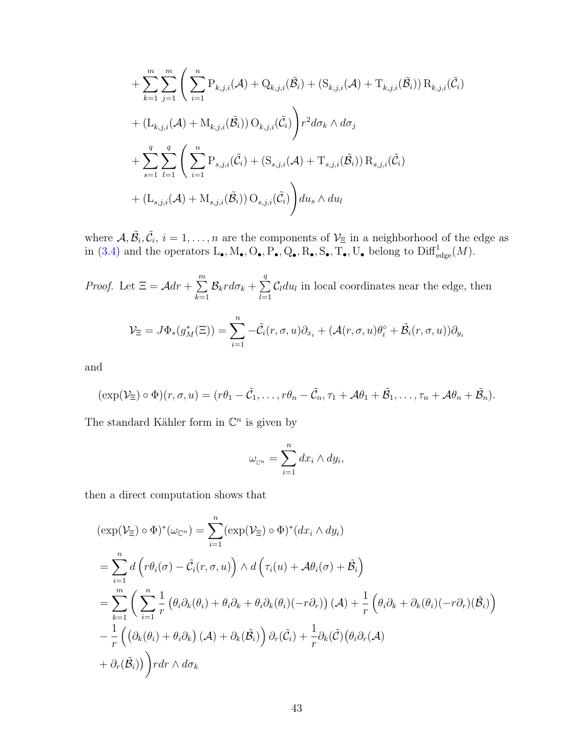$$
+ \sum_{k=1}^{m} \sum_{j=1}^{m} \left( \sum_{i=1}^{n} P_{k,j,i}(\mathcal{A}) + Q_{k,j,i}(\tilde{\mathcal{B}}_{i}) + (S_{k,j,i}(\mathcal{A}) + T_{k,j,i}(\tilde{\mathcal{B}}_{i})) R_{k,j,i}(\tilde{\mathcal{C}}_{i}) + (L_{k,j,i}(\mathcal{A}) + M_{k,j,i}(\tilde{\mathcal{B}}_{i})) O_{k,j,i}(\tilde{\mathcal{C}}_{i}) \right) r^{2} d\sigma_{k} \wedge d\sigma_{j}
$$
  
+ 
$$
\sum_{s=1}^{q} \sum_{l=1}^{q} \left( \sum_{i=1}^{n} P_{s,j,i}(\tilde{\mathcal{C}}_{i}) + (S_{s,j,i}(\mathcal{A}) + T_{s,j,i}(\tilde{\mathcal{B}}_{i})) R_{s,j,i}(\tilde{\mathcal{C}}_{i}) + (L_{s,j,i}(\mathcal{A}) + M_{s,j,i}(\tilde{\mathcal{B}}_{i})) O_{s,j,i}(\tilde{\mathcal{C}}_{i}) \right) du_{s} \wedge du_{l}
$$

where  $A, \tilde{B}_i, \tilde{C}_i, i = 1, \ldots, n$  are the components of  $\mathcal{V}_{\Xi}$  in a neighborhood of the edge as in [\(3.4\)](#page-48-0) and the operators  $L_{\bullet}$ ,  $M_{\bullet}$ ,  $O_{\bullet}$ ,  $P_{\bullet}$ ,  $Q_{\bullet}$ ,  $R_{\bullet}$ ,  $S_{\bullet}$ ,  $T_{\bullet}$ ,  $U_{\bullet}$  belong to  $\text{Diff}^1_{\text{edge}}(M)$ .

*Proof.* Let 
$$
\Xi = \mathcal{A}dr + \sum_{k=1}^{m} \mathcal{B}_k r d\sigma_k + \sum_{l=1}^{q} \mathcal{C}_l du_l
$$
 in local coordinates near the edge, then  

$$
\mathcal{V}_{\Xi} = J\Phi_*(g_M^*(\Xi)) = \sum_{i=1}^{n} -\tilde{\mathcal{C}}_i(r, \sigma, u)\partial_{x_i} + (\mathcal{A}(r, \sigma, u)\theta_i^{\circ} + \tilde{\mathcal{B}}_i(r, \sigma, u))\partial_{y_i}
$$

and

$$
(\exp(\mathcal{V}_{\Xi}) \circ \Phi)(r, \sigma, u) = (r\theta_1 - \tilde{C}_1, \ldots, r\theta_n - \tilde{C}_n, \tau_1 + \mathcal{A}\theta_1 + \tilde{\mathcal{B}}_1, \ldots, \tau_n + \mathcal{A}\theta_n + \tilde{\mathcal{B}}_n).
$$

The standard Kähler form in  $\mathbb{C}^n$  is given by

$$
\omega_{\mathbb{C}^n} = \sum_{i=1}^n dx_i \wedge dy_i,
$$

then a direct computation shows that

$$
\begin{aligned}\n(\exp(\mathcal{V}_{\Xi}) \circ \Phi)^{*}(\omega_{\mathbb{C}^{n}}) &= \sum_{i=1}^{n} (\exp(\mathcal{V}_{\Xi}) \circ \Phi)^{*}(\mathrm{d}x_{i} \wedge \mathrm{d}y_{i}) \\
&= \sum_{i=1}^{n} d\left(r\theta_{i}(\sigma) - \tilde{C}_{i}(r,\sigma,u)\right) \wedge d\left(\tau_{i}(u) + \mathcal{A}\theta_{i}(\sigma) + \tilde{\mathcal{B}}_{i}\right) \\
&= \sum_{k=1}^{m} \left(\sum_{i=1}^{n} \frac{1}{r} \left(\theta_{i}\partial_{k}(\theta_{i}) + \theta_{i}\partial_{k} + \theta_{i}\partial_{k}(\theta_{i})(-r\partial_{r})\right)(\mathcal{A}) + \frac{1}{r} \left(\theta_{i}\partial_{k} + \partial_{k}(\theta_{i})(-r\partial_{r})(\tilde{\mathcal{B}}_{i})\right) \\
&- \frac{1}{r} \left(\left(\partial_{k}(\theta_{i}) + \theta_{i}\partial_{k}\right)(\mathcal{A}) + \partial_{k}(\tilde{\mathcal{B}}_{i})\right)\partial_{r}(\tilde{C}_{i}) + \frac{1}{r}\partial_{k}(\tilde{C})\left(\theta_{i}\partial_{r}(\mathcal{A})\right) \\
&+ \partial_{r}(\tilde{\mathcal{B}}_{i})\right) r dr \wedge d\sigma_{k}\n\end{aligned}
$$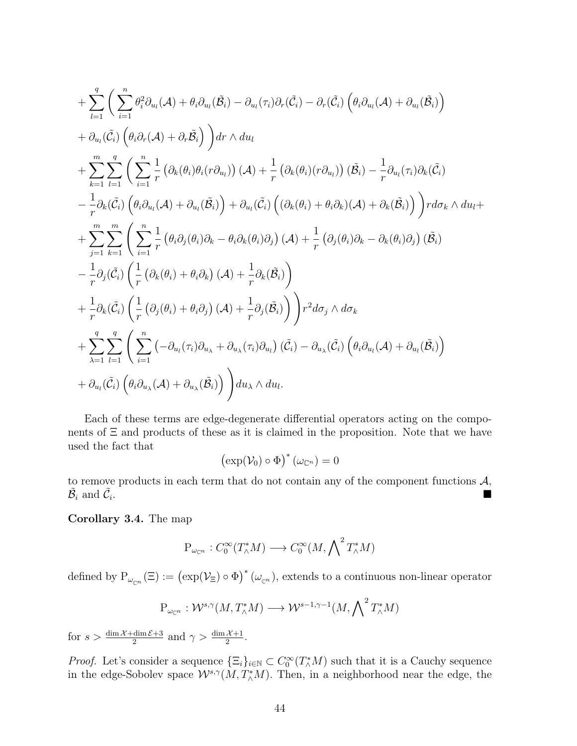$$
+\sum_{l=1}^{q} \Big( \sum_{i=1}^{n} \theta_{i}^{2} \partial_{u_{l}}(\mathcal{A}) + \theta_{i} \partial_{u_{l}}(\tilde{\mathcal{B}}_{i}) - \partial_{u_{l}}(\tau_{i}) \partial_{r}(\tilde{\mathcal{C}}_{i}) - \partial_{r}(\tilde{\mathcal{C}}_{i}) \left( \theta_{i} \partial_{u_{l}}(\mathcal{A}) + \partial_{u_{l}}(\tilde{\mathcal{B}}_{i}) \right) + \partial_{u_{l}}(\tilde{\mathcal{C}}_{i}) \left( \theta_{i} \partial_{r}(\mathcal{A}) + \partial_{r} \tilde{\mathcal{B}}_{i} \right) \Big) dr \wedge du_{l} + \sum_{k=1}^{m} \sum_{l=1}^{q} \Big( \sum_{i=1}^{n} \frac{1}{r} \left( \partial_{k}(\theta_{i}) \theta_{i} (r \partial_{u_{l}}) \right) (\mathcal{A}) + \frac{1}{r} \left( \partial_{k}(\theta_{i}) (r \partial_{u_{l}}) \right) (\tilde{\mathcal{B}}_{i}) - \frac{1}{r} \partial_{u_{l}}(\tau_{i}) \partial_{k}(\tilde{\mathcal{C}}_{i}) - \frac{1}{r} \partial_{k}(\tilde{\mathcal{C}}_{i}) \left( \theta_{i} \partial_{u_{l}}(\mathcal{A}) + \partial_{u_{l}}(\tilde{\mathcal{B}}_{i}) \right) + \partial_{u_{l}}(\tilde{\mathcal{C}}_{i}) \left( (\partial_{k}(\theta_{i}) + \theta_{i} \partial_{k}) (\mathcal{A}) + \partial_{k}(\tilde{\mathcal{B}}_{i}) \right) \Big) r d\sigma_{k} \wedge du_{l} + + \sum_{j=1}^{m} \sum_{k=1}^{m} \Big( \sum_{i=1}^{n} \frac{1}{r} \left( \theta_{i} \partial_{j}(\theta_{i}) \partial_{k} - \theta_{i} \partial_{k}(\theta_{i}) \partial_{j} \right) (\mathcal{A}) + \frac{1}{r} \left( \partial_{j}(\theta_{i}) \partial_{k} - \partial_{k}(\theta_{i}) \partial_{j} \right) (\tilde{\mathcal{B}}_{i}) - \frac{1}{r} \partial_{j}(\tilde{\mathcal{C}}_{i}) \left( \frac{1}{r} \left( \partial_{k}(\theta_{i
$$

Each of these terms are edge-degenerate differential operators acting on the components of  $\Xi$  and products of these as it is claimed in the proposition. Note that we have used the fact that

$$
\left(\exp(\mathcal{V}_0)\circ\Phi\right)^*(\omega_{\mathbb{C}^n})=0
$$

to remove products in each term that do not contain any of the component functions  $A$ ,  $\tilde{\mathcal{B}_i}$  and  $\tilde{\mathcal{C}_i}$ . In the contract of the contract of the contract of the contract of the contract of the contract of the contra<br>The contract of the contract of the contract of the contract of the contract of the contract of the contract o

<span id="page-52-0"></span>Corollary 3.4. The map

$$
P_{\omega_{\mathbb{C}^n}} : C_0^{\infty}(T_{\wedge}^*M) \longrightarrow C_0^{\infty}(M, \bigwedge^2 T_{\wedge}^*M)
$$

defined by  $P_{\omega_{\mathbb{C}^n}}(\Xi) := (\exp(\mathcal{V}_{\Xi}) \circ \Phi)^* (\omega_{\mathbb{C}^n})$ , extends to a continuous non-linear operator

$$
P_{\omega_{\mathbb{C}^n}} : \mathcal{W}^{s,\gamma}(M, T^*_\wedge M) \longrightarrow \mathcal{W}^{s-1,\gamma-1}(M, \bigwedge\nolimits^2 T^*_\wedge M)
$$

for  $s > \frac{\dim \mathcal{X} + \dim \mathcal{E} + 3}{2}$  and  $\gamma > \frac{\dim \mathcal{X} + 1}{2}$ .

*Proof.* Let's consider a sequence  $\{\Xi_i\}_{i\in\mathbb{N}} \subset C_0^{\infty}(T_A^*M)$  such that it is a Cauchy sequence in the edge-Sobolev space  $\mathcal{W}^{s,\gamma}(M,T^*_\wedge M)$ . Then, in a neighborhood near the edge, the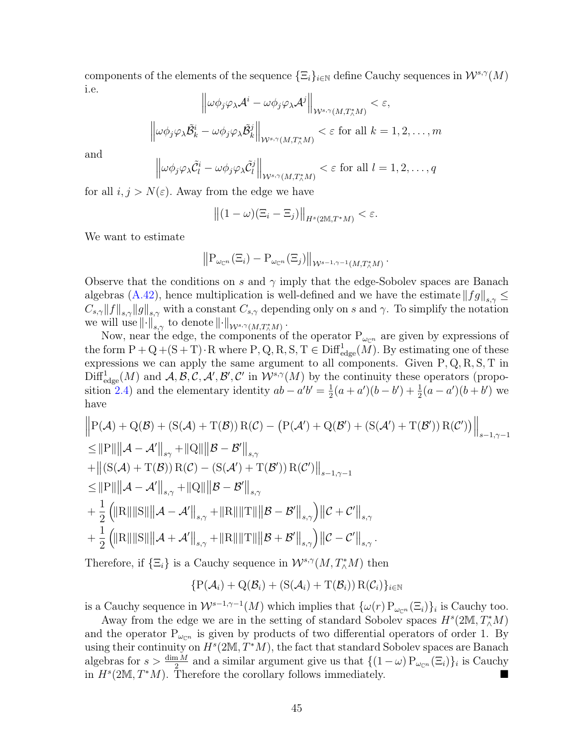components of the elements of the sequence  $\{\Xi_i\}_{i\in\mathbb{N}}$  define Cauchy sequences in  $\mathcal{W}^{s,\gamma}(M)$ i.e.  $\overline{11}$ 

$$
\left\|\omega\phi_j\varphi_\lambda \mathcal{A}^i - \omega\phi_j\varphi_\lambda \mathcal{A}^j\right\|_{\mathcal{W}^{s,\gamma}(M,T_\wedge^*M)} < \varepsilon,
$$
  

$$
\left\|\omega\phi_j\varphi_\lambda \tilde{\mathcal{B}}_k^i - \omega\phi_j\varphi_\lambda \tilde{\mathcal{B}}_k^j\right\|_{\mathcal{W}^{s,\gamma}(M,T_\wedge^*M)} < \varepsilon \text{ for all } k = 1,2,\ldots,m
$$

and

$$
\left\|\omega\phi_j\varphi_\lambda\tilde{\mathcal{C}}_l^i-\omega\phi_j\varphi_\lambda\tilde{\mathcal{C}}_l^j\right\|_{\mathcal{W}^{s,\gamma}(M,T_\Lambda^*M)} < \varepsilon \text{ for all } l=1,2,\ldots,q
$$

for all  $i, j > N(\varepsilon)$ . Away from the edge we have

$$
\left\| (1 - \omega) (\Xi_i - \Xi_j) \right\|_{H^s(2M, T^*M)} < \varepsilon.
$$

We want to estimate

$$
\left\|P_{\omega_{\mathbb{C}^n}}(\Xi_i)-P_{\omega_{\mathbb{C}^n}}(\Xi_j)\right\|_{\mathcal{W}^{s-1,\gamma-1}(M,T^*_\wedge M)}.
$$

Observe that the conditions on s and  $\gamma$  imply that the edge-Sobolev spaces are Banach algebras [\(A.42\)](#page-88-0), hence multiplication is well-defined and we have the estimate  $||fg||_{s,\gamma} \leq$  $C_{s,\gamma}||f||_{s,\gamma}||g||_{s,\gamma}$  with a constant  $C_{s,\gamma}$  depending only on s and  $\gamma$ . To simplify the notation we will use  $\left\Vert \cdot\right\Vert _{s,\gamma}$  to denote  $\left\Vert \cdot\right\Vert _{\mathcal{W}^{s,\gamma}(M,T_{\wedge}^{\ast}M)}$ .

Now, near the edge, the components of the operator  $P_{\omega_{\mathbb{C}^n}}$  are given by expressions of the form  $P + Q + (S + T) \cdot R$  where  $P, Q, R, S, T \in \text{Diff}^1_{\text{edge}}(M)$ . By estimating one of these expressions we can apply the same argument to all components. Given  $P, Q, R, S, T$  in  $\mathrm{Diff}^1_{\text{edge}}(M)$  and  $\mathcal{A}, \mathcal{B}, \mathcal{C}, \mathcal{A}', \mathcal{B}', \mathcal{C}'$  in  $\mathcal{W}^{s,\gamma}(M)$  by the continuity these operators (propo-sition [2.4\)](#page-28-2) and the elementary identity  $ab - a'b' = \frac{1}{2}$  $\frac{1}{2}(a+a')(b-b')+\frac{1}{2}(a-a')(b+b')$  we have

$$
\|P(A) + Q(B) + (S(A) + T(B)) R(C) - (P(A') + Q(B') + (S(A') + T(B')) R(C'))\|_{s-1,\gamma-1}
$$
  
\n
$$
\leq \|P\| \|A - A'\|_{s\gamma} + \|Q\| \|B - B'\|_{s,\gamma}
$$
  
\n
$$
+ \|(S(A) + T(B)) R(C) - (S(A') + T(B')) R(C')\|_{s-1,\gamma-1}
$$
  
\n
$$
\leq \|P\| \|A - A'\|_{s,\gamma} + \|Q\| \|B - B'\|_{s,\gamma}
$$
  
\n
$$
+ \frac{1}{2} (||R|| ||S|| ||A - A'||_{s,\gamma} + ||R|| ||T|| ||B - B'||_{s,\gamma}) ||C + C'||_{s,\gamma}
$$
  
\n
$$
+ \frac{1}{2} (||R|| ||S|| ||A + A'||_{s,\gamma} + ||R|| ||T|| ||B + B'||_{s,\gamma}) ||C - C'||_{s,\gamma}.
$$

Therefore, if  $\{\Xi_i\}$  is a Cauchy sequence in  $\mathcal{W}^{s,\gamma}(M,T^*_\wedge M)$  then

$$
\{P(\mathcal{A}_i) + Q(\mathcal{B}_i) + (S(\mathcal{A}_i) + T(\mathcal{B}_i)) R(\mathcal{C}_i)\}_{i \in \mathbb{N}}
$$

is a Cauchy sequence in  $W^{s-1,\gamma-1}(M)$  which implies that  $\{\omega(r) P_{\omega_{\mathbb{C}^n}}(\Xi_i)\}_i$  is Cauchy too.

Away from the edge we are in the setting of standard Sobolev spaces  $H^s(2M, T^*_\wedge M)$ and the operator  $P_{\omega_{\mathbb{C}^n}}$  is given by products of two differential operators of order 1. By using their continuity on  $H^s(2M, T^*M)$ , the fact that standard Sobolev spaces are Banach algebras for  $s > \frac{\dim M}{2}$  and a similar argument give us that  $\{(1 - \omega)P_{\omega_{\mathbb{C}^n}}(\Xi_i)\}_i$  is Cauchy in  $H^s(2M, T^*M)$ . Therefore the corollary follows immediately. ■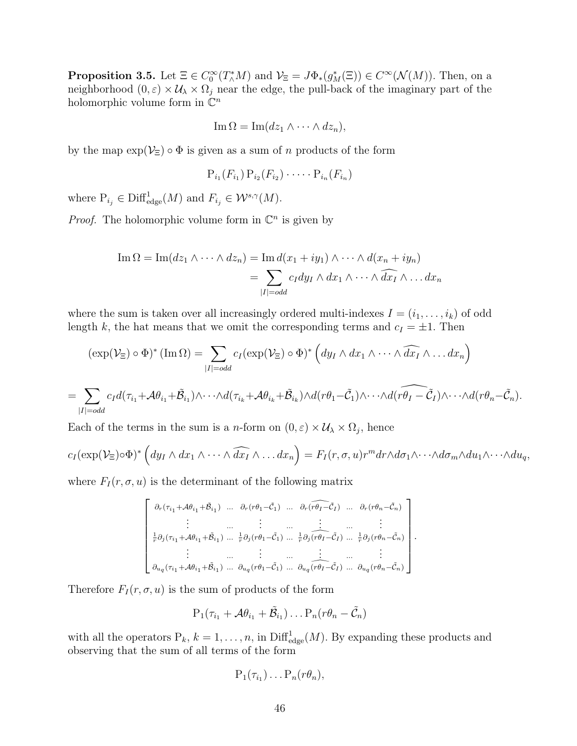**Proposition 3.5.** Let  $\Xi \in C_0^{\infty}(T_A^*M)$  and  $\mathcal{V}_{\Xi} = J\Phi_*(g_M^*(\Xi)) \in C^{\infty}(\mathcal{N}(M))$ . Then, on a neighborhood  $(0,\varepsilon)\times\mathcal{U}_\lambda\times\Omega_j$  near the edge, the pull-back of the imaginary part of the holomorphic volume form in  $\mathbb{C}^n$ 

$$
\operatorname{Im}\Omega=\operatorname{Im}(dz_1\wedge\cdots\wedge dz_n),
$$

by the map  $\exp(\mathcal{V}_{\Xi}) \circ \Phi$  is given as a sum of n products of the form

$$
P_{i_1}(F_{i_1}) P_{i_2}(F_{i_2}) \cdots P_{i_n}(F_{i_n})
$$

where  $P_{i_j} \in \text{Diff}^1_{\text{edge}}(M)$  and  $F_{i_j} \in \mathcal{W}^{s,\gamma}(M)$ .

*Proof.* The holomorphic volume form in  $\mathbb{C}^n$  is given by

Im 
$$
\Omega
$$
 = Im $(dz_1 \wedge \cdots \wedge dz_n)$  = Im  $d(x_1 + iy_1) \wedge \cdots \wedge d(x_n + iy_n)$   
= 
$$
\sum_{|I| = odd} c_I dy_I \wedge dx_1 \wedge \cdots \wedge \widehat{dx_I} \wedge \cdots dx_n
$$

where the sum is taken over all increasingly ordered multi-indexes  $I = (i_1, \ldots, i_k)$  of odd length k, the hat means that we omit the corresponding terms and  $c_I = \pm 1$ . Then

$$
(\exp(\mathcal{V}_{\Xi}) \circ \Phi)^* (\text{Im}\,\Omega) = \sum_{|I| = odd} c_I (\exp(\mathcal{V}_{\Xi}) \circ \Phi)^* \left( dy_I \wedge dx_1 \wedge \cdots \wedge \widehat{dx_I} \wedge \cdots dx_n \right)
$$
  

$$
\sum c_I d(\tau_{i_1} + \mathcal{A}\theta_{i_1} + \widetilde{\mathcal{B}}_{i_1}) \wedge \cdots \wedge d(\tau_{i_k} + \mathcal{A}\theta_{i_k} + \widetilde{\mathcal{B}}_{i_k}) \wedge d(r\theta_1 - \widetilde{\mathcal{C}}_1) \wedge \cdots \wedge d(r\theta_I - \widetilde{\mathcal{C}}_I) \wedge \cdots \wedge d(r\theta_n - \theta_{i_k} + \widetilde{\mathcal{B}}_{i_k}) \wedge d(r\theta_1 - \widetilde{\mathcal{C}}_1) \wedge \cdots \wedge d(r\theta_n - \theta_{i_k} + \widetilde{\mathcal{C}}_{i_k}) \wedge d(r\theta_1 - \widetilde{\mathcal{C}}_1) \wedge \cdots \wedge d(r\theta_n - \theta_{i_k} + \widetilde{\mathcal{C}}_{i_k} + \widetilde{\mathcal{C}}_{i_k} + \widetilde{\mathcal{C}}_{i_k} + \widetilde{\mathcal{C}}_{i_k} + \widetilde{\mathcal{C}}_{i_k} + \widetilde{\mathcal{C}}_{i_k} + \widetilde{\mathcal{C}}_{i_k} + \widetilde{\mathcal{C}}_{i_k} + \widetilde{\mathcal{C}}_{i_k} + \widetilde{\mathcal{C}}_{i_k} + \widetilde{\mathcal{C}}_{i_k} + \widetilde{\mathcal{C}}_{i_k} + \widetilde{\mathcal{C}}_{i_k} + \widetilde{\mathcal{C}}_{i_k} + \widetilde{\mathcal{C}}_{i_k} + \widetilde{\mathcal{C}}_{i_k} + \widetilde{\mathcal{C}}_{i_k} + \widetilde{\mathcal{C}}_{i_k} + \widetilde{\mathcal{C}}_{i_k} + \widetilde{\mathcal{C}}_{i_k} + \widetilde{\mathcal{C}}_{i_k} + \widetilde{\mathcal{C}}_{i_k} + \widetilde{\mathcal{C}}_{i_k} + \widetilde{\mathcal{C}}_{i_k} + \widetilde{\mathcal{C}}_{i_k} + \widetilde{\mathcal{C
$$

$$
=\sum_{|I|=\text{odd}}c_{I}d(\tau_{i_{1}}+\mathcal{A}\theta_{i_{1}}+\tilde{\mathcal{B}}_{i_{1}})\wedge\cdots\wedge d(\tau_{i_{k}}+\mathcal{A}\theta_{i_{k}}+\tilde{\mathcal{B}}_{i_{k}})\wedge d(r\theta_{1}-\tilde{\mathcal{C}}_{1})\wedge\cdots\wedge d(r\theta_{I}-\tilde{\mathcal{C}}_{I})\wedge\cdots\wedge d(r\theta_{n}-\tilde{\mathcal{C}}_{n}).
$$

Each of the terms in the sum is a *n*-form on  $(0, \varepsilon) \times U_\lambda \times \Omega_j$ , hence

$$
c_I(\exp(\mathcal{V}_{\Xi})\circ\Phi)^*\left(dy_I\wedge dx_1\wedge\cdots\wedge\widehat{dx_I}\wedge\ldots dx_n\right)=F_I(r,\sigma,u)r^mdr\wedge d\sigma_1\wedge\cdots\wedge d\sigma_m\wedge du_1\wedge\cdots\wedge du_q,
$$

where  $F_I(r, \sigma, u)$  is the determinant of the following matrix

$$
\begin{bmatrix}\n\partial_r(\tau_{i_1} + A\theta_{i_1} + \tilde{\beta}_{i_1}) & \dots & \partial_r(r\theta_1 - \tilde{\mathcal{C}}_1) & \dots & \partial_r(\widehat{r\theta_1} - \tilde{\mathcal{C}}_I) & \dots & \partial_r(r\theta_n - \tilde{\mathcal{C}}_n) \\
\vdots & \dots & \vdots & \dots & \vdots & \vdots \\
\frac{1}{r}\partial_j(\tau_{i_1} + A\theta_{i_1} + \tilde{\beta}_{i_1}) & \dots & \frac{1}{r}\partial_j(r\theta_1 - \tilde{\mathcal{C}}_1) & \dots & \frac{1}{r}\partial_j(\widehat{r\theta_1} - \tilde{\mathcal{C}}_I) & \dots & \frac{1}{r}\partial_j(r\theta_n - \tilde{\mathcal{C}}_n) \\
\vdots & \dots & \dots & \dots & \dots & \vdots \\
\frac{\partial_{u_q}(\tau_{i_1} + A\theta_{i_1} + \tilde{\beta}_{i_1}) & \dots & \partial_{u_q}(r\theta_1 - \tilde{\mathcal{C}}_1) & \dots & \partial_{u_q}(r\theta_n - \tilde{\mathcal{C}}_n)\n\end{bmatrix}.
$$

Therefore  $F_I(r, \sigma, u)$  is the sum of products of the form

$$
\mathrm{P}_1(\tau_{i_1} + \mathcal{A}\theta_{i_1} + \tilde{\mathcal{B}}_{i_1}) \ldots \mathrm{P}_n(r\theta_n - \tilde{\mathcal{C}}_n)
$$

with all the operators  $P_k$ ,  $k = 1, ..., n$ , in  $\text{Diff}^1_{\text{edge}}(M)$ . By expanding these products and observing that the sum of all terms of the form

$$
P_1(\tau_{i_1})\ldots P_n(r\theta_n),
$$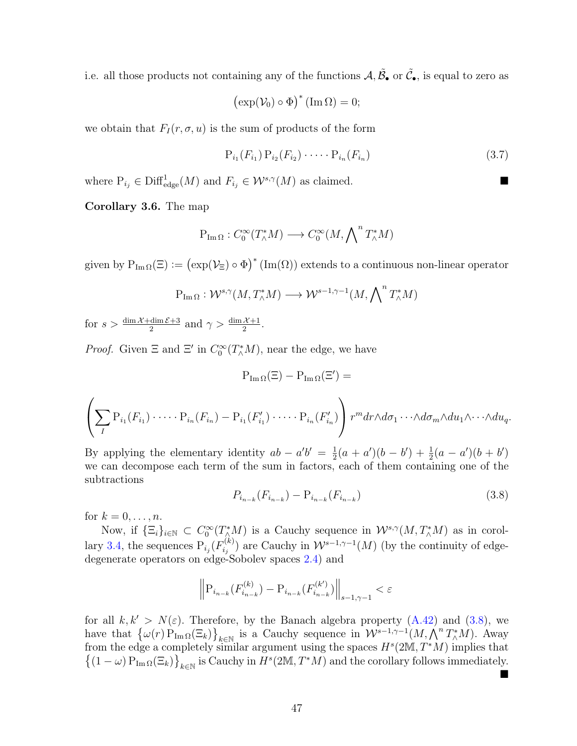i.e. all those products not containing any of the functions  $\mathcal{A}, \tilde{\mathcal{B}}_{\bullet}$  or  $\tilde{\mathcal{C}}_{\bullet}$ , is equal to zero as

$$
\left(\exp(\mathcal{V}_0)\circ\Phi\right)^*(\operatorname{Im}\Omega)=0;
$$

we obtain that  $F_I(r, \sigma, u)$  is the sum of products of the form

<span id="page-55-2"></span>
$$
P_{i_1}(F_{i_1}) P_{i_2}(F_{i_2}) \cdots \cdots P_{i_n}(F_{i_n})
$$
\n(3.7)

where  $P_{i_j} \in \text{Diff}^1_{\text{edge}}(M)$  and  $F_{i_j} \in \mathcal{W}^{s,\gamma}(M)$  as claimed.

<span id="page-55-1"></span>Corollary 3.6. The map

$$
P_{\operatorname{Im}\Omega}:C_0^{\infty}(T_{\wedge}^*M)\longrightarrow C_0^{\infty}(M,\bigwedge\nolimits^n T_{\wedge}^*M)
$$

given by  $P_{Im\Omega}(\Xi) := (\exp(\mathcal{V}_{\Xi}) \circ \Phi)^* (Im(\Omega))$  extends to a continuous non-linear operator

$$
P_{\text{Im}\,\Omega}: \mathcal{W}^{s,\gamma}(M,T^*_\wedge M) \longrightarrow \mathcal{W}^{s-1,\gamma-1}(M,\bigwedge\nolimits^n T^*_\wedge M)
$$

for  $s > \frac{\dim \mathcal{X} + \dim \mathcal{E} + 3}{2}$  and  $\gamma > \frac{\dim \mathcal{X} + 1}{2}$ .

*Proof.* Given  $\Xi$  and  $\Xi'$  in  $C_0^{\infty}(T_\wedge^*M)$ , near the edge, we have

$$
P_{\text{Im}\,\Omega}(\Xi) - P_{\text{Im}\,\Omega}(\Xi') =
$$
\n
$$
\left(\sum_{I} P_{i_1}(F_{i_1}) \cdots P_{i_n}(F_{i_n}) - P_{i_1}(F_{i_1}') \cdots P_{i_n}(F_{i_n}')\right) r^m dr \wedge d\sigma_1 \cdots \wedge d\sigma_m \wedge du_1 \wedge \cdots \wedge du_q.
$$

By applying the elementary identity  $ab - a'b' = \frac{1}{2}$  $\frac{1}{2}(a + a')(b - b') + \frac{1}{2}(a - a')(b + b')$ we can decompose each term of the sum in factors, each of them containing one of the subtractions

<span id="page-55-0"></span>
$$
P_{i_{n-k}}(F_{i_{n-k}}) - P_{i_{n-k}}(F_{i_{n-k}})
$$
\n(3.8)

for  $k = 0, \ldots, n$ .

Now, if  $\{\Xi_i\}_{i\in\mathbb{N}}\subset C_0^{\infty}(T_\wedge^*M)$  is a Cauchy sequence in  $\mathcal{W}^{s,\gamma}(M,T_\wedge^*M)$  as in corol-lary [3.4,](#page-52-0) the sequences  $P_{i_j}(F_{i_j}^{(k)})$  $j_{ij}^{(k)}$ ) are Cauchy in  $\mathcal{W}^{s-1,\gamma-1}(M)$  (by the continuity of edgedegenerate operators on edge-Sobolev spaces [2.4\)](#page-28-2) and

$$
\left\| P_{i_{n-k}} (F_{i_{n-k}}^{(k)}) - P_{i_{n-k}} (F_{i_{n-k}}^{(k')}) \right\|_{s-1,\gamma-1} < \varepsilon
$$

for all  $k, k' > N(\varepsilon)$ . Therefore, by the Banach algebra property [\(A.42\)](#page-88-0) and [\(3.8\)](#page-55-0), we have that  $\{\omega(r) P_{\text{Im}\Omega}(\Xi_k)\}_{k\in\mathbb{N}}$  is a Cauchy sequence in  $\mathcal{W}^{s-1,\gamma-1}(M,\bigwedge^n T^*_\wedge M)$ . Away from the edge a completely similar argument using the spaces  $H^s(2M, T^*M)$  implies that  $\{(1 - \omega) P_{\text{Im}\Omega}(\Xi_k)\}_{k \in \mathbb{N}}$  is Cauchy in  $H^s(2M, T^*M)$  and the corollary follows immediately.  $\blacksquare$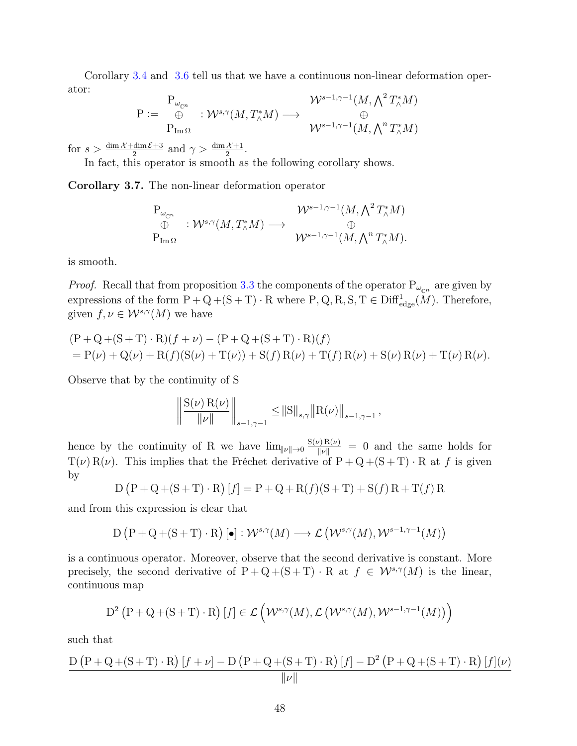Corollary [3.4](#page-52-0) and [3.6](#page-55-1) tell us that we have a continuous non-linear deformation operator:

$$
\mathrm{P} := \begin{array}{c} \mathrm{P}_{\omega_{\mathbb{C}^n}} \\ \oplus \\ \mathrm{P}_{\mathrm{Im}\,\Omega} \end{array} : \mathcal{W}^{s,\gamma}(M,T^*_\wedge M) \longrightarrow \begin{array}{c} \mathcal{W}^{s-1,\gamma-1}(M,\bigwedge^2 T^*_\wedge M) \\ \oplus \\ \mathcal{W}^{s-1,\gamma-1}(M,\bigwedge^n T^*_\wedge M) \end{array}
$$

for  $s > \frac{\dim \mathcal{X} + \dim \mathcal{E} + 3}{2}$  and  $\gamma > \frac{\dim \mathcal{X} + 1}{2}$ .

In fact, this operator is smooth as the following corollary shows.

Corollary 3.7. The non-linear deformation operator

$$
\begin{array}{ccc}\n\mathbf{P}_{\omega_{\mathbb{C}^n}} & & \mathcal{W}^{s-1,\gamma-1}(M,\bigwedge^2 T^*_\wedge M) \\
\oplus & : \mathcal{W}^{s,\gamma}(M,T^*_\wedge M) \longrightarrow & \oplus \\
\mathbf{P}_{\text{Im}\,\Omega} & & \mathcal{W}^{s-1,\gamma-1}(M,\bigwedge^n T^*_\wedge M).\n\end{array}
$$

is smooth.

*Proof.* Recall that from proposition [3.3](#page-50-0) the components of the operator  $P_{\omega_{\mathbb{C}^n}}$  are given by expressions of the form  $P + Q + (S + T) \cdot R$  where  $P, Q, R, S, T \in \text{Diff}^{1}_{\text{edge}}(\tilde{M})$ . Therefore, given  $f, \nu \in \mathcal{W}^{s,\gamma}(M)$  we have

$$
(P + Q + (S + T) \cdot R)(f + \nu) - (P + Q + (S + T) \cdot R)(f)
$$
  
=  $P(\nu) + Q(\nu) + R(f)(S(\nu) + T(\nu)) + S(f)R(\nu) + T(f)R(\nu) + S(\nu)R(\nu) + T(\nu)R(\nu).$ 

Observe that by the continuity of S

$$
\left\| \frac{\mathcal{S}(\nu) \, \mathcal{R}(\nu)}{\|\nu\|} \right\|_{s-1,\gamma-1} \leq \|\mathcal{S}\|_{s,\gamma} \|\mathcal{R}(\nu)\|_{s-1,\gamma-1} \,,
$$

hence by the continuity of R we have  $\lim_{\|\nu\|\to 0} \frac{S(\nu)R(\nu)}{\|\nu\|} = 0$  and the same holds for  $T(\nu) R(\nu)$ . This implies that the Fréchet derivative of  $P + Q + (S + T) \cdot R$  at f is given by

$$
D (P + Q + (S + T) \cdot R) [f] = P + Q + R(f)(S + T) + S(f) R + T(f) R
$$

and from this expression is clear that

$$
D(P + Q + (S + T) \cdot R) [\bullet] : \mathcal{W}^{s,\gamma}(M) \longrightarrow \mathcal{L}(\mathcal{W}^{s,\gamma}(M), \mathcal{W}^{s-1,\gamma-1}(M))
$$

is a continuous operator. Moreover, observe that the second derivative is constant. More precisely, the second derivative of  $P + Q + (S + T) \cdot R$  at  $f \in \mathcal{W}^{s,\gamma}(M)$  is the linear, continuous map

$$
D^{2}\left(P+Q+(S+T)\cdot R\right)[f] \in \mathcal{L}\left(\mathcal{W}^{s,\gamma}(M),\mathcal{L}\left(\mathcal{W}^{s,\gamma}(M),\mathcal{W}^{s-1,\gamma-1}(M)\right)\right)
$$

such that

$$
\frac{D (P + Q + (S + T) \cdot R) [f + \nu] - D (P + Q + (S + T) \cdot R) [f] - D^2 (P + Q + (S + T) \cdot R) [f](\nu)}{\|\nu\|}
$$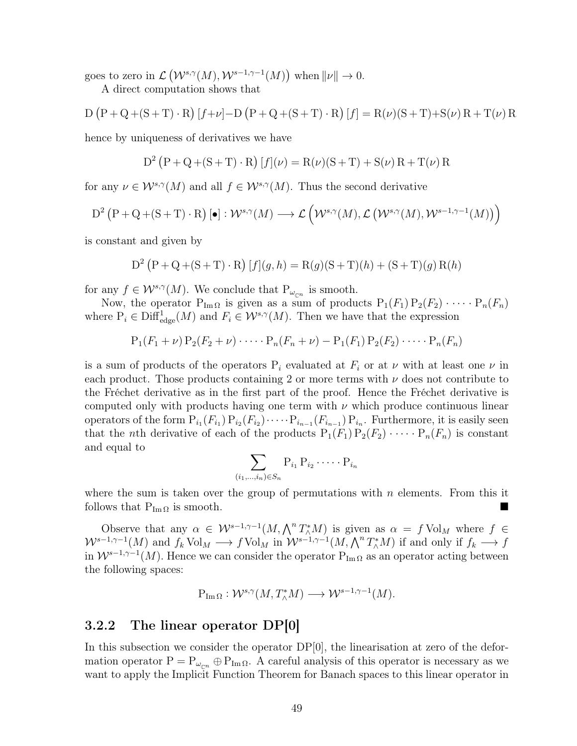goes to zero in  $\mathcal{L}(\mathcal{W}^{s,\gamma}(M),\mathcal{W}^{s-1,\gamma-1}(M))$  when  $\|\nu\|\to 0$ .

A direct computation shows that

D (P + Q + (S + T) · R) [f + 
$$
\nu
$$
] – D (P + Q + (S + T) · R) [f] = R( $\nu$ )(S + T) + S( $\nu$ ) R + T( $\nu$ ) R

hence by uniqueness of derivatives we have

$$
D^{2} (P + Q + (S + T) \cdot R) [f](\nu) = R(\nu)(S + T) + S(\nu) R + T(\nu) R
$$

for any  $\nu \in \mathcal{W}^{s,\gamma}(M)$  and all  $f \in \mathcal{W}^{s,\gamma}(M)$ . Thus the second derivative

$$
D^{2}\left(P+Q+(S+T)\cdot R\right)\left[\bullet\right]:\mathcal{W}^{s,\gamma}(M)\longrightarrow\mathcal{L}\left(\mathcal{W}^{s,\gamma}(M),\mathcal{L}\left(\mathcal{W}^{s,\gamma}(M),\mathcal{W}^{s-1,\gamma-1}(M)\right)\right)
$$

is constant and given by

$$
D^{2} (P + Q + (S + T) \cdot R) [f](g, h) = R(g)(S + T)(h) + (S + T)(g) R(h)
$$

for any  $f \in \mathcal{W}^{s,\gamma}(M)$ . We conclude that  $P_{\omega_{\mathbb{C}^n}}$  is smooth.

Now, the operator  $P_{Im\Omega}$  is given as a sum of products  $P_1(F_1) P_2(F_2) \cdots P_n(F_n)$ where  $P_i \in \text{Diff}^1_{\text{edge}}(M)$  and  $F_i \in \mathcal{W}^{s,\gamma}(M)$ . Then we have that the expression

$$
P_1(F_1 + \nu) P_2(F_2 + \nu) \cdots P_n(F_n + \nu) - P_1(F_1) P_2(F_2) \cdots P_n(F_n)
$$

is a sum of products of the operators  $P_i$  evaluated at  $F_i$  or at  $\nu$  with at least one  $\nu$  in each product. Those products containing 2 or more terms with  $\nu$  does not contribute to the Fréchet derivative as in the first part of the proof. Hence the Fréchet derivative is computed only with products having one term with  $\nu$  which produce continuous linear operators of the form  $P_{i_1}(F_{i_1}) P_{i_2}(F_{i_2}) \cdots P_{i_{n-1}}(F_{i_{n-1}}) P_{i_n}$ . Furthermore, it is easily seen that the *n*th derivative of each of the products  $P_1(F_1) P_2(F_2) \cdots P_n(F_n)$  is constant and equal to

$$
\sum_{(i_1,\ldots,i_n)\in S_n} P_{i_1} P_{i_2} \cdots \cdots P_{i_n}
$$

where the sum is taken over the group of permutations with  $n$  elements. From this it follows that  $P_{Im \Omega}$  is smooth.

Observe that any  $\alpha \in \mathcal{W}^{s-1,\gamma-1}(M,\bigwedge^n T^*_\wedge M)$  is given as  $\alpha = f \text{Vol}_M$  where  $f \in$  $W^{s-1,\gamma-1}(M)$  and  $f_k \text{Vol}_M \longrightarrow f \text{Vol}_M$  in  $W^{s-1,\gamma-1}(M,\bigwedge^n T_\wedge^*M)$  if and only if  $f_k \longrightarrow f$ in  $W^{s-1,\gamma-1}(M)$ . Hence we can consider the operator  $P_{\text{Im}\Omega}$  as an operator acting between the following spaces:

$$
P_{\text{Im}\,\Omega}: \mathcal{W}^{s,\gamma}(M,T^*_\wedge M) \longrightarrow \mathcal{W}^{s-1,\gamma-1}(M).
$$

#### <span id="page-57-0"></span>3.2.2 The linear operator DP[0]

In this subsection we consider the operator  $DP[0]$ , the linearisation at zero of the deformation operator  $P = P_{\omega_{cn}} \oplus P_{\text{Im}\Omega}$ . A careful analysis of this operator is necessary as we want to apply the Implicit Function Theorem for Banach spaces to this linear operator in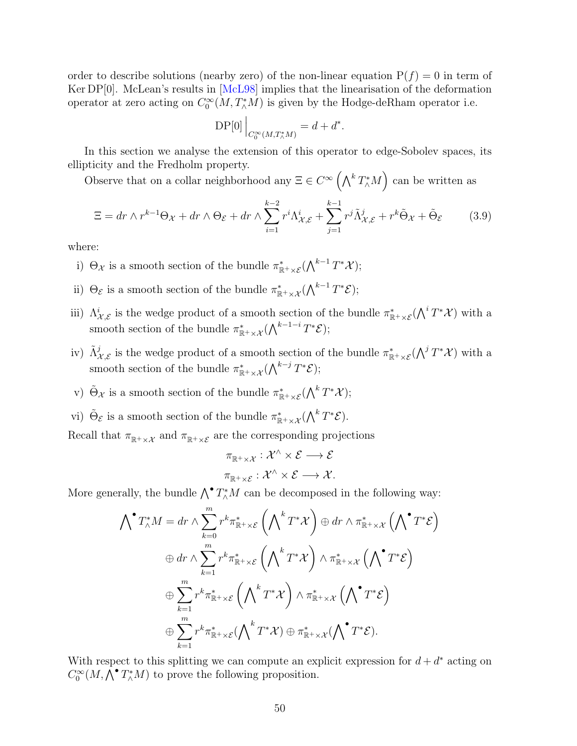order to describe solutions (nearby zero) of the non-linear equation  $P(f) = 0$  in term of Ker DP[0]. McLean's results in [[McL98](#page-81-1)] implies that the linearisation of the deformation operator at zero acting on  $C_0^{\infty}(M, T_\wedge^*M)$  is given by the Hodge-deRham operator i.e.

$$
\mathrm{DP}[0] \Big|_{C_0^{\infty}(M,T^*_\wedge M)} = d + d^*.
$$

In this section we analyse the extension of this operator to edge-Sobolev spaces, its ellipticity and the Fredholm property.

Observe that on a collar neighborhood any  $\Xi \in C^{\infty}(\bigwedge^k T^*_\wedge M)$  can be written as

<span id="page-58-0"></span>
$$
\Xi = dr \wedge r^{k-1}\Theta_{\mathcal{X}} + dr \wedge \Theta_{\mathcal{E}} + dr \wedge \sum_{i=1}^{k-2} r^i \Lambda_{\mathcal{X},\mathcal{E}}^i + \sum_{j=1}^{k-1} r^j \tilde{\Lambda}_{\mathcal{X},\mathcal{E}}^j + r^k \tilde{\Theta}_{\mathcal{X}} + \tilde{\Theta}_{\mathcal{E}} \tag{3.9}
$$

where:

- i)  $\Theta_{\mathcal{X}}$  is a smooth section of the bundle  $\pi^*_{\mathbb{R}^+\times\mathcal{E}}(\bigwedge^{k-1}T^*\mathcal{X});$
- ii)  $\Theta_{\mathcal{E}}$  is a smooth section of the bundle  $\pi^*_{\mathbb{R}^+\times\mathcal{X}}(\bigwedge^{k-1}T^*\mathcal{E});$
- iii)  $\Lambda^i_{\mathcal{X},\mathcal{E}}$  is the wedge product of a smooth section of the bundle  $\pi^*_{\mathbb{R}^+\times\mathcal{E}}(\bigwedge^i T^*\mathcal{X})$  with a smooth section of the bundle  $\pi^*_{\mathbb{R}^+\times\mathcal{X}}(\bigwedge^{k-1-i}T^*\mathcal{E});$
- iv)  $\tilde{\Lambda}_{\mathcal{X},\mathcal{E}}^j$  is the wedge product of a smooth section of the bundle  $\pi^*_{\mathbb{R}^+\times\mathcal{E}}(\bigwedge^j T^*\mathcal{X})$  with a smooth section of the bundle  $\pi^*_{\mathbb{R}^+\times\mathcal{X}}(\bigwedge^{k-j}T^*\mathcal{E});$
- v)  $\tilde{\Theta}_{\mathcal{X}}$  is a smooth section of the bundle  $\pi^*_{\mathbb{R}^+\times\mathcal{E}}(\bigwedge^k T^*\mathcal{X});$
- vi)  $\tilde{\Theta}_{\mathcal{E}}$  is a smooth section of the bundle  $\pi^*_{\mathbb{R}^+\times\mathcal{X}}(\bigwedge^k T^*\mathcal{E})$ .

Recall that  $\pi_{\mathbb{R}^+\times\mathcal{X}}$  and  $\pi_{\mathbb{R}^+\times\mathcal{E}}$  are the corresponding projections

$$
\pi_{\mathbb{R}^+\times\mathcal{X}}:\mathcal{X}^{\wedge}\times\mathcal{E}\longrightarrow\mathcal{E}
$$

$$
\pi_{\mathbb{R}^+\times\mathcal{E}}:\mathcal{X}^{\wedge}\times\mathcal{E}\longrightarrow\mathcal{X}.
$$

More generally, the bundle  $\bigwedge^{\bullet} T_{\wedge}^* M$  can be decomposed in the following way:

$$
\begin{split}\n\bigwedge^{\bullet} T_{\wedge}^{*} M &= dr \wedge \sum_{k=0}^{m} r^{k} \pi_{\mathbb{R}^{+} \times \mathcal{E}}^{*} \left( \bigwedge^{k} T^{*} \mathcal{X} \right) \oplus dr \wedge \pi_{\mathbb{R}^{+} \times \mathcal{X}}^{*} \left( \bigwedge^{\bullet} T^{*} \mathcal{E} \right) \\
&\quad \oplus dr \wedge \sum_{k=1}^{m} r^{k} \pi_{\mathbb{R}^{+} \times \mathcal{E}}^{*} \left( \bigwedge^{k} T^{*} \mathcal{X} \right) \wedge \pi_{\mathbb{R}^{+} \times \mathcal{X}}^{*} \left( \bigwedge^{\bullet} T^{*} \mathcal{E} \right) \\
&\quad \oplus \sum_{k=1}^{m} r^{k} \pi_{\mathbb{R}^{+} \times \mathcal{E}}^{*} \left( \bigwedge^{k} T^{*} \mathcal{X} \right) \wedge \pi_{\mathbb{R}^{+} \times \mathcal{X}}^{*} \left( \bigwedge^{\bullet} T^{*} \mathcal{E} \right) \\
&\quad \oplus \sum_{k=1}^{m} r^{k} \pi_{\mathbb{R}^{+} \times \mathcal{E}}^{*} (\bigwedge^{k} T^{*} \mathcal{X}) \oplus \pi_{\mathbb{R}^{+} \times \mathcal{X}}^{*} (\bigwedge^{\bullet} T^{*} \mathcal{E}).\n\end{split}
$$

With respect to this splitting we can compute an explicit expression for  $d + d^*$  acting on  $C_0^{\infty}(M, \overline{\bigwedge}^{\bullet} T_{\wedge}^{*}M)$  to prove the following proposition.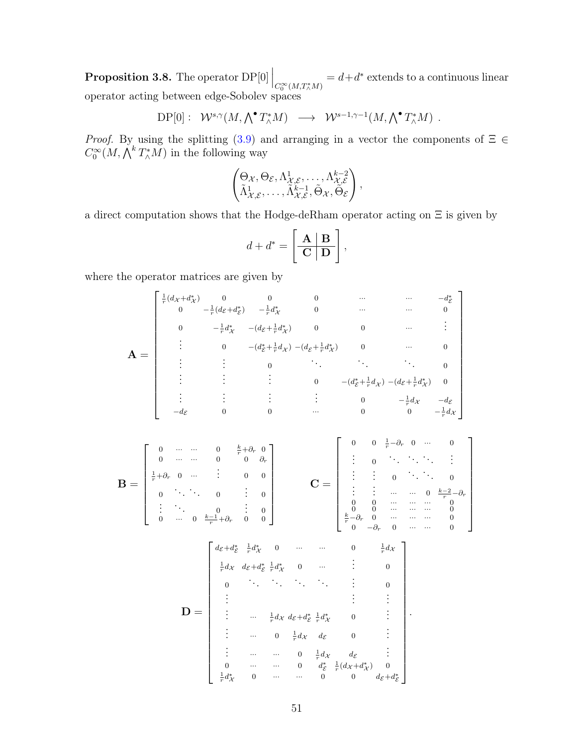<span id="page-59-0"></span>**Proposition 3.8.** The operator  $\text{DP}[0]\Big|_{C_0^\infty(M, T_\wedge^*M)}$  $= d+d^*$  extends to a continuous linear operator acting between edge-Sobolev spaces

$$
\mathrm{DP}[0]: \ \mathcal{W}^{s,\gamma}(M,\bigwedge^{\bullet} T_{\wedge}^{*}M) \longrightarrow \mathcal{W}^{s-1,\gamma-1}(M,\bigwedge^{\bullet} T_{\wedge}^{*}M) \ .
$$

*Proof.* By using the splitting  $(3.9)$  and arranging in a vector the components of  $\Xi \in$  $C_0^{\infty}(M, \bigwedge^k T_{\wedge}^* M)$  in the following way

$$
\begin{pmatrix} \Theta_{\mathcal{X}}, \Theta_{\mathcal{E}}, \Lambda^1_{\mathcal{X}, \mathcal{E}}, \ldots, \Lambda^{k-2}_{\mathcal{X}, \mathcal{E}} \\ \tilde{\Lambda}^1_{\mathcal{X}, \mathcal{E}}, \ldots, \tilde{\Lambda}^{k-1}_{\mathcal{X}, \mathcal{E}}, \tilde{\Theta}_{\mathcal{X}}, \tilde{\Theta}_{\mathcal{E}} \end{pmatrix},
$$

a direct computation shows that the Hodge-deRham operator acting on Ξ is given by

$$
d + d^* = \left[\begin{array}{c|c}\n\mathbf{A} & \mathbf{B} \\
\hline\n\mathbf{C} & \mathbf{D}\n\end{array}\right],
$$

where the operator matrices are given by

$$
\mathbf{A} = \begin{bmatrix}\n\frac{1}{r}(d_{x}+d_{x}^{*}) & 0 & 0 & 0 & \cdots & \cdots & -d_{z}^{*} \\
0 & -\frac{1}{r}d_{x}^{*} & -(d_{z}+\frac{1}{r}d_{x}^{*}) & 0 & \cdots & \cdots & 0 \\
\vdots & 0 & -(d_{z}^{*}+\frac{1}{r}d_{x}) & -(d_{z}+\frac{1}{r}d_{x}^{*}) & 0 & \cdots & 0 \\
\vdots & \vdots & \vdots & 0 & \ddots & \ddots & \ddots & 0 \\
\vdots & \vdots & \vdots & \vdots & 0 & -(d_{z}^{*}+\frac{1}{r}d_{x}) & -(d_{z}+\frac{1}{r}d_{x}^{*}) & 0 \\
\vdots & \vdots & \vdots & \vdots & 0 & -(d_{z}^{*}+\frac{1}{r}d_{x}) & -(d_{z}+\frac{1}{r}d_{x}^{*}) & 0 \\
\vdots & \vdots & \vdots & \vdots & \vdots & 0 & -\frac{1}{r}d_{x} & -d_{z} \\
-d_{z} & 0 & 0 & \cdots & 0 & 0 & -\frac{1}{r}d_{x} & -d_{z} \\
0 & \cdots & 0 & 0 & 0 & 0 & \cdots & 0 & 0 \\
\vdots & \vdots & \vdots & \vdots & 0 & \ddots & \vdots & \vdots \\
0 & \cdots & 0 & \frac{k}{r}+\partial_{r} & 0 & 0 & 0 & \vdots \\
\vdots & \vdots & \vdots & 0 & \ddots & \ddots & \vdots & \vdots \\
0 & \cdots & 0 & \frac{k-1}{r}+\partial_{r} & 0 & 0 & 0 & \frac{k-3}{r}d_{x} & 0 & \cdots & \cdots & 0 \\
\vdots & \vdots & \vdots & \vdots & \vdots & \vdots & \vdots & \vdots & \vdots \\
0 & \cdots & \vdots & \vdots & \vdots & \vdots & \vdots & \vdots \\
0 & \cdots & \cdots & \cdots & 0 & \frac{1}{r}d_{x} & d_{z} & 0 & \vdots \\
\vdots & \cdots & 0 & \frac{1}{r}d_{x} & d_{z} & 0 & \cdots & \cdots & 0 & \frac{1}{r}d_{x} & d_{z} & \vdots \\
0 &
$$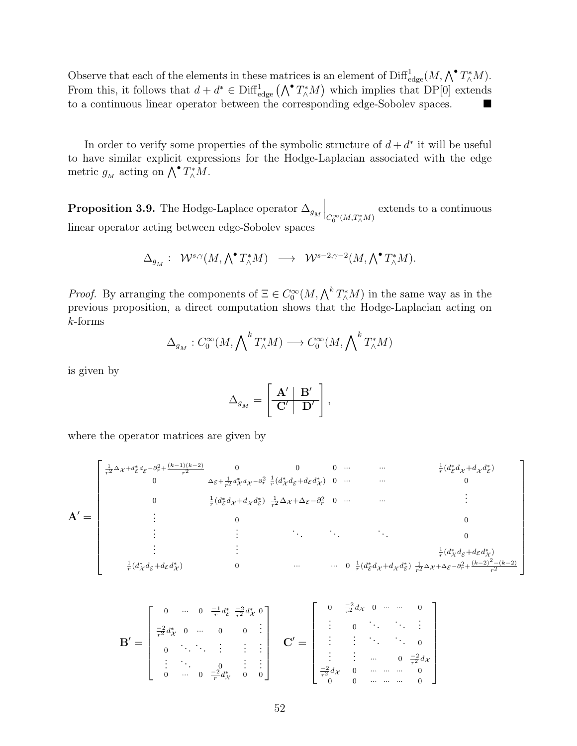Observe that each of the elements in these matrices is an element of  $\text{Diff}^1_{\text{edge}}(M, \bigwedge^{\bullet} T_{\wedge}^* M)$ . From this, it follows that  $d + d^* \in \text{Diff}^1_{\text{edge}}(\bigwedge^{\bullet} T^*_{\wedge}M)$  which implies that DP[0] extends to a continuous linear operator between the corresponding edge-Sobolev spaces.

In order to verify some properties of the symbolic structure of  $d + d^*$  it will be useful to have similar explicit expressions for the Hodge-Laplacian associated with the edge metric  $g_M$  acting on  $\bigwedge^{\bullet} T^*_\wedge M$ .

<span id="page-60-0"></span>**Proposition 3.9.** The Hodge-Laplace operator  $\Delta_{g_M}\Big|_{C_0^\infty(M,T^*_\wedge M)}$ extends to a continuous linear operator acting between edge-Sobolev spaces

$$
\Delta_{g_M}:\ \ \mathcal{W}^{s,\gamma}(M,\textstyle\bigwedge^\bullet T_\wedge^*M)\ \ \longrightarrow\ \ \mathcal{W}^{s-2,\gamma-2}(M,\textstyle\bigwedge^\bullet T_\wedge^*M).
$$

*Proof.* By arranging the components of  $\Xi \in C_0^{\infty}(M, \Lambda^k T^*_{\Lambda}M)$  in the same way as in the previous proposition, a direct computation shows that the Hodge-Laplacian acting on k-forms

$$
\Delta_{g_M}: C_0^{\infty}(M, \bigwedge^k T_{\wedge}^* M) \longrightarrow C_0^{\infty}(M, \bigwedge^k T_{\wedge}^* M)
$$

is given by

$$
\Delta_{g^{}_M} = \left[ \begin{array}{c|c} \mathbf{A}' & \mathbf{B}' \\ \hline \mathbf{C}' & \mathbf{D}' \end{array} \right],
$$

where the operator matrices are given by

A <sup>0</sup> = 1 <sup>r</sup><sup>2</sup> <sup>∆</sup><sup>X</sup> <sup>+</sup><sup>d</sup> ∗ E <sup>d</sup><sup>E</sup> <sup>−</sup><sup>∂</sup> 2 r + (k−1)(k−2) r2 0 0 0 ··· ··· 1 r (d ∗ E d<sup>X</sup> +d<sup>X</sup> d ∗ E ) 0 <sup>∆</sup><sup>E</sup> <sup>+</sup> <sup>1</sup> r2 d ∗ X <sup>d</sup><sup>X</sup> <sup>−</sup><sup>∂</sup> 2 r 1 r (d ∗ X dE+dEd ∗ X ) 0 ··· ··· 0 0 1 r (d ∗ E d<sup>X</sup> +d<sup>X</sup> d ∗ E ) 1 <sup>r</sup><sup>2</sup> <sup>∆</sup><sup>X</sup> +∆E−<sup>∂</sup> 2 <sup>r</sup> 0 ··· ··· . . . . . . 0 0 . . . . . . . . . . . . . . . <sup>0</sup> . . . . . . 1 r (d ∗ X dE+dEd ∗ X ) 1 r (d ∗ X dE+dEd ∗ X ) 0 ··· ··· 0 1 r (d ∗ E d<sup>X</sup> +d<sup>X</sup> d ∗ E ) 1 <sup>r</sup><sup>2</sup> <sup>∆</sup><sup>X</sup> +∆<sup>E</sup> <sup>−</sup><sup>∂</sup> 2 r + (k−2)2−(k−2) r2 

1

 $\overline{1}$  $\overline{1}$  $\overline{1}$  $\overline{1}$  $\overline{1}$  $\mathbf{I}$  $\frac{1}{2}$ 

$$
\mathbf{B'} = \begin{bmatrix} 0 & \cdots & 0 & \frac{-1}{r}d_{\mathcal{E}}^* & \frac{-2}{r^2}d_{\mathcal{X}}^* & 0 \\ \frac{-2}{r^2}d_{\mathcal{X}}^* & 0 & \cdots & 0 & 0 & \vdots \\ 0 & \cdots & \cdots & \vdots & \vdots & \vdots \\ \vdots & \ddots & 0 & \vdots & \vdots \\ 0 & \cdots & 0 & \frac{-2}{r}d_{\mathcal{X}}^* & 0 & 0 \end{bmatrix} \qquad \mathbf{C'} = \begin{bmatrix} 0 & \frac{-2}{r^2}d_{\mathcal{X}} & 0 & \cdots & \cdots & 0 \\ \vdots & 0 & \ddots & \ddots & \vdots \\ \vdots & \vdots & \ddots & \ddots & 0 \\ \vdots & \vdots & \cdots & 0 & \frac{-2}{r^2}d_{\mathcal{X}} \\ \frac{-2}{r^2}d_{\mathcal{X}} & 0 & \cdots & \cdots & 0 \\ 0 & 0 & \cdots & \cdots & \cdots & 0 \end{bmatrix}
$$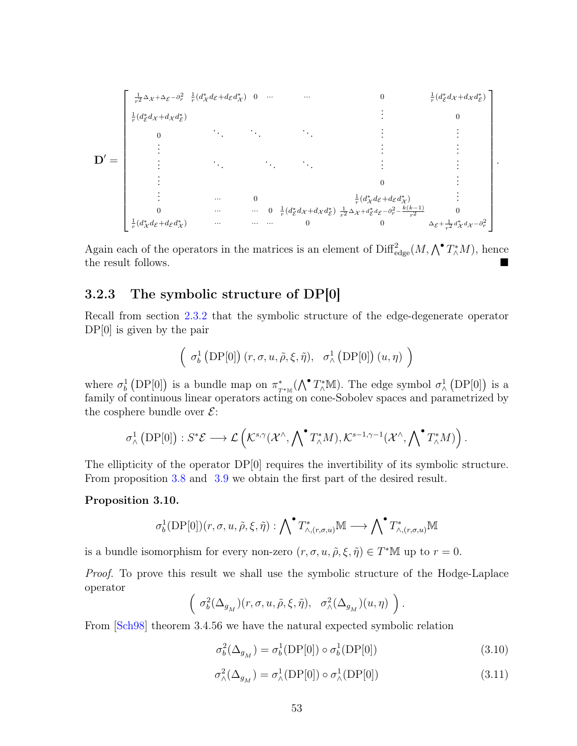$$
\mathbf{D}' = \begin{bmatrix}\n\frac{1}{r^2} \Delta \chi + \Delta \varepsilon - \partial_r^2 & \frac{1}{r} (d_{\chi}^* d_{\mathcal{E}} + d_{\mathcal{E}} d_{\chi}^*) & 0 & \cdots & \cdots & 0 & \frac{1}{r} (d_{\mathcal{E}}^* d_{\mathcal{X}} + d_{\mathcal{X}} d_{\mathcal{E}}^*) \\
\frac{1}{r} (d_{\mathcal{E}}^* d_{\mathcal{X}} + d_{\mathcal{X}} d_{\mathcal{E}}^*) & & & & & \\
0 & & & & & & \\
0 & & & & & & \\
\vdots & & & & & & \\
\vdots & & & & & & \\
\vdots & & & & & & \\
\vdots & & & & & & \\
\vdots & & & & & & \\
0 & & & & & & \frac{1}{r} (d_{\chi}^* d_{\mathcal{E}} + d_{\mathcal{E}} d_{\chi}^*) & & \\
\vdots & & & & & & \\
0 & & & & & & \frac{1}{r} (d_{\chi}^* d_{\mathcal{E}} + d_{\mathcal{E}} d_{\chi}^*) & & \\
\vdots & & & & & & \\
\frac{1}{r} (d_{\chi}^* d_{\mathcal{E}} + d_{\mathcal{E}} d_{\chi}^*) & & & & & \\
\vdots & & & & & & & \\
\frac{1}{r} (d_{\chi}^* d_{\mathcal{E}} + d_{\mathcal{E}} d_{\chi}^*) & & & & & \\
\frac{1}{r} (d_{\chi}^* d_{\mathcal{E}} + d_{\mathcal{E}} d_{\chi}^*) & & & & & \\
\frac{1}{r} (d_{\chi}^* d_{\mathcal{E}} + d_{\mathcal{E}} d_{\chi}^*) & & & & & \\
\frac{1}{r} (d_{\chi}^* d_{\mathcal{E}} + d_{\mathcal{E}} d_{\chi}^*) & & & & & \\
\frac{1}{r} (d_{\chi}^* d_{\mathcal{E}} + d_{\mathcal{E}} d_{\chi}^*) & & & & & \\
\frac{1}{r} (d_{\chi}^* d_{\mathcal{E}} + d_{\mathcal{E}} d_{\chi}^*) & & & & & \\
\frac{1}{r} (d_{\chi}^* d_{\mathcal{E}} + d_{\mathcal{E}} d_{\chi}^*) & & & & & \\
\frac{1}{r} (d_{\chi}
$$

Again each of the operators in the matrices is an element of  $\text{Diff}^2_{\text{edge}}(M, \bigwedge^{\bullet} T_{\wedge}^* M)$ , hence the result follows.

#### <span id="page-61-0"></span>3.2.3 The symbolic structure of DP[0]

Recall from section [2.3.2](#page-29-0) that the symbolic structure of the edge-degenerate operator DP[0] is given by the pair

$$
\left( \sigma_b^1 \left( \text{DP}[0] \right) (r, \sigma, u, \tilde{\rho}, \xi, \tilde{\eta}), \sigma_\wedge^1 \left( \text{DP}[0] \right) (u, \eta) \right)
$$

where  $\sigma_b^1$  (DP[0]) is a bundle map on  $\pi^*_T$  $_{T^{*}\mathbb{M}}^{*}(\bigwedge^{\bullet} T_{\wedge}^{*}\mathbb{M})$ . The edge symbol  $\sigma_{\wedge}^{1}$  (DP[0]) is a family of continuous linear operators acting on cone-Sobolev spaces and parametrized by the cosphere bundle over  $\mathcal{E}$ :

$$
\sigma_\wedge^1\left(\mathrm{DP}[0]\right):S^*\mathcal{E}\longrightarrow \mathcal{L}\left(\mathcal{K}^{s,\gamma}(\mathcal{X}^\wedge,\bigwedge^\bullet T_\wedge^*M),\mathcal{K}^{s-1,\gamma-1}(\mathcal{X}^\wedge,\bigwedge^\bullet T_\wedge^*M)\right).
$$

The ellipticity of the operator DP[0] requires the invertibility of its symbolic structure. From proposition [3.8](#page-59-0) and [3.9](#page-60-0) we obtain the first part of the desired result.

#### <span id="page-61-2"></span>Proposition 3.10.

$$
\sigma_b^1(\operatorname{DP}[0])(r,\sigma,u,\tilde{\rho},\xi,\tilde{\eta}):{\bigwedge}^\bullet T^*_{\wedge,(r,\sigma,u)}\mathbb{M}\longrightarrow {\bigwedge}^\bullet T^*_{\wedge,(r,\sigma,u)}\mathbb{M}
$$

is a bundle isomorphism for every non-zero  $(r, \sigma, u, \tilde{\rho}, \xi, \tilde{\eta}) \in T^*M$  up to  $r = 0$ .

Proof. To prove this result we shall use the symbolic structure of the Hodge-Laplace operator

$$
\left( \sigma_b^2(\Delta_{g_M})(r, \sigma, u, \tilde{\rho}, \xi, \tilde{\eta}), \sigma_\wedge^2(\Delta_{g_M})(u, \eta) \right).
$$

From [[Sch98](#page-82-1)] theorem 3.4.56 we have the natural expected symbolic relation

<span id="page-61-1"></span>
$$
\sigma_b^2(\Delta_{g_M}) = \sigma_b^1(\text{DP}[0]) \circ \sigma_b^1(\text{DP}[0]) \tag{3.10}
$$

$$
\sigma_{\wedge}^2(\Delta_{g_M}) = \sigma_{\wedge}^1(\text{DP}[0]) \circ \sigma_{\wedge}^1(\text{DP}[0]) \tag{3.11}
$$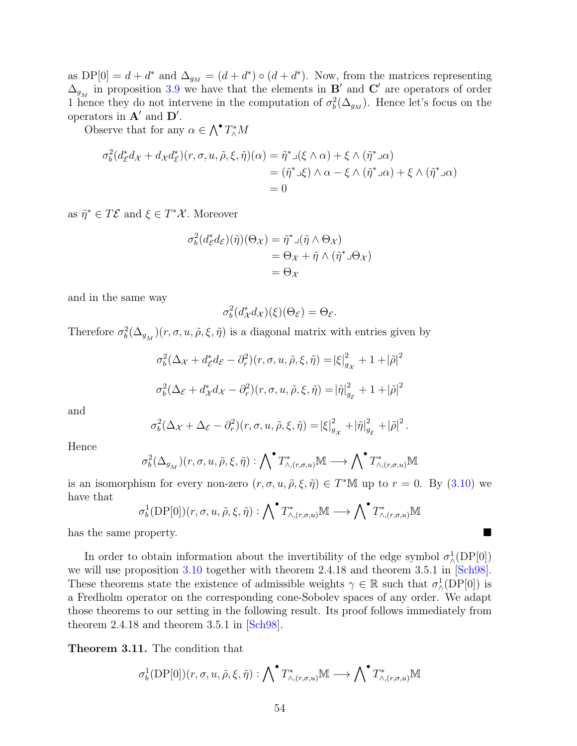as  $DP[0] = d + d^*$  and  $\Delta_{g_M} = (d + d^*) \circ (d + d^*)$ . Now, from the matrices representing  $\Delta_{g_M}$  in proposition [3.9](#page-60-0) we have that the elements in  $\mathbf{B}'$  and  $\mathbf{C}'$  are operators of order 1 hence they do not intervene in the computation of  $\sigma_b^2(\Delta_{g_M})$ . Hence let's focus on the operators in  $\mathbf{A}'$  and  $\mathbf{D}'$ .

Observe that for any  $\alpha \in \bigwedge^{\bullet} T_{\wedge}^* M$ 

$$
\sigma_b^2(d_{\mathcal{E}}^*d_{\mathcal{X}} + d_{\mathcal{X}}d_{\mathcal{E}}^*\big)(r, \sigma, u, \tilde{\rho}, \xi, \tilde{\eta})(\alpha) = \tilde{\eta}^* \Box(\xi \wedge \alpha) + \xi \wedge (\tilde{\eta}^* \Box \alpha)
$$
  
=  $(\tilde{\eta}^* \Box \xi) \wedge \alpha - \xi \wedge (\tilde{\eta}^* \Box \alpha) + \xi \wedge (\tilde{\eta}^* \Box \alpha)$   
= 0

as  $\tilde{\eta}^* \in T\mathcal{E}$  and  $\xi \in T^*\mathcal{X}$ . Moreover

$$
\sigma_b^2(d_{\mathcal{E}}^*d_{\mathcal{E}})(\tilde{\eta})(\Theta_{\mathcal{X}}) = \tilde{\eta}^* \mathbf{1}(\tilde{\eta} \wedge \Theta_{\mathcal{X}})
$$
  
=  $\Theta_{\mathcal{X}} + \tilde{\eta} \wedge (\tilde{\eta}^* \mathbf{1} \Theta_{\mathcal{X}})$   
=  $\Theta_{\mathcal{X}}$ 

and in the same way

$$
\sigma_b^2(d^*_\mathcal{X}d_\mathcal{X})(\xi)(\Theta_\mathcal{E}) = \Theta_\mathcal{E}.
$$

Therefore  $\sigma_b^2(\Delta_{g_M})(r, \sigma, u, \tilde{\rho}, \xi, \tilde{\eta})$  is a diagonal matrix with entries given by

$$
\sigma_b^2(\Delta_{\mathcal{X}} + d_{\mathcal{E}}^* d_{\mathcal{E}} - \partial_r^2)(r, \sigma, u, \tilde{\rho}, \xi, \tilde{\eta}) = |\xi|_{g_{\mathcal{X}}}^2 + 1 + |\tilde{\rho}|^2
$$
  

$$
\sigma_b^2(\Delta_{\mathcal{E}} + d_{\mathcal{X}}^* d_{\mathcal{X}} - \partial_r^2)(r, \sigma, u, \tilde{\rho}, \xi, \tilde{\eta}) = |\tilde{\eta}|_{g_{\mathcal{E}}}^2 + 1 + |\tilde{\rho}|^2
$$

and

$$
\sigma_b^2(\Delta_{\mathcal{X}}+\Delta_{\mathcal{E}}-\partial_r^2)(r,\sigma,u,\tilde{\rho},\xi,\tilde{\eta})=|\xi|^2_{g_{\mathcal{X}}}+|\tilde{\eta}|^2_{g_{\mathcal{E}}}+|\tilde{\rho}|^2.
$$

Hence

$$
\sigma_b^2(\Delta_{g_M})(r, \sigma, u, \tilde{\rho}, \xi, \tilde{\eta}): \bigwedge {}^{\bullet}T^*_{\wedge, (r, \sigma, u)}\mathbb{M} \longrightarrow \bigwedge {}^{\bullet}T^*_{\wedge, (r, \sigma, u)}\mathbb{M}
$$

is an isomorphism for every non-zero  $(r, \sigma, u, \tilde{\rho}, \xi, \tilde{\eta}) \in T^*M$  up to  $r = 0$ . By  $(3.10)$  we have that

$$
\sigma_b^1(\text{DP}[0])(r,\sigma,u,\tilde{\rho},\xi,\tilde{\eta}): \bigwedge {}^{\bullet}T^*_{\wedge,(r,\sigma,u)}\mathbb{M} \longrightarrow \bigwedge {}^{\bullet}T^*_{\wedge,(r,\sigma,u)}\mathbb{M}
$$

has the same property.

In order to obtain information about the invertibility of the edge symbol  $\sigma_{\wedge}^1(\text{DP}[0])$ we will use proposition [3.10](#page-61-2) together with theorem 2.4.18 and theorem 3.5.1 in [[Sch98](#page-82-1)]. These theorems state the existence of admissible weights  $\gamma \in \mathbb{R}$  such that  $\sigma_{\lambda}^1(DP[0])$  is a Fredholm operator on the corresponding cone-Sobolev spaces of any order. We adapt those theorems to our setting in the following result. Its proof follows immediately from theorem 2.4.18 and theorem 3.5.1 in [[Sch98](#page-82-1)].

<span id="page-62-0"></span>Theorem 3.11. The condition that

$$
\sigma_b^1(\text{DP}[0])(r,\sigma,u,\tilde{\rho},\xi,\tilde{\eta}): \bigwedge \nolimits^{\bullet} T^*_{\wedge,(r,\sigma,u)} \mathbb{M} \longrightarrow \bigwedge \nolimits^{\bullet} T^*_{\wedge,(r,\sigma,u)} \mathbb{M}
$$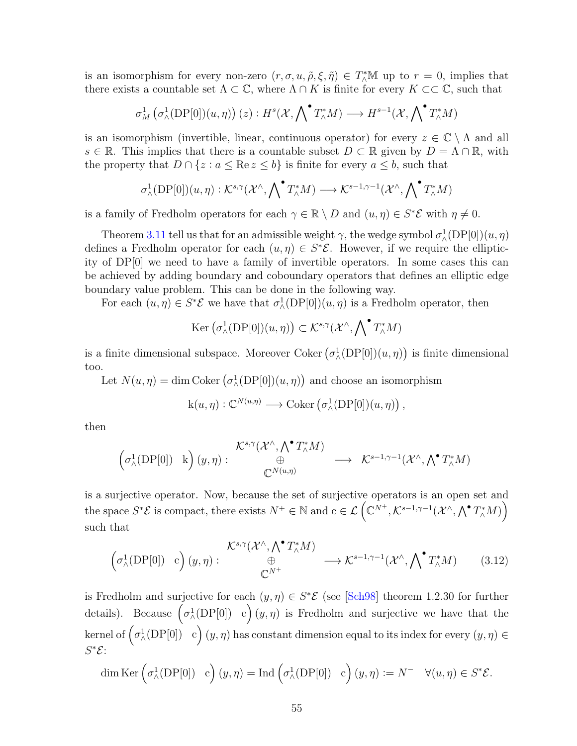is an isomorphism for every non-zero  $(r, \sigma, u, \tilde{\rho}, \xi, \tilde{\eta}) \in T^*_{\Lambda} \mathbb{M}$  up to  $r = 0$ , implies that there exists a countable set  $\Lambda \subset \mathbb{C}$ , where  $\Lambda \cap K$  is finite for every  $K \subset \mathbb{C}$ , such that

$$
\sigma_M^1\left(\sigma_\wedge^1(\mathrm{DP}[0])(u,\eta)\right)(z):H^s(\mathcal{X},\bigwedge{}^\bullet T_\wedge^*M)\longrightarrow H^{s-1}(\mathcal{X},\bigwedge{}^\bullet T_\wedge^*M)
$$

is an isomorphism (invertible, linear, continuous operator) for every  $z \in \mathbb{C} \setminus \Lambda$  and all  $s \in \mathbb{R}$ . This implies that there is a countable subset  $D \subset \mathbb{R}$  given by  $D = \Lambda \cap \mathbb{R}$ , with the property that  $D \cap \{z : a \leq \text{Re } z \leq b\}$  is finite for every  $a \leq b$ , such that

$$
\sigma^1_\wedge(\mathrm{DP}[0])(u,\eta):\mathcal{K}^{s,\gamma}(\mathcal{X}^\wedge,\bigwedge{}^\bullet T^*_\wedge M)\longrightarrow\mathcal{K}^{s-1,\gamma-1}(\mathcal{X}^\wedge,\bigwedge{}^\bullet T^*_\wedge M)
$$

is a family of Fredholm operators for each  $\gamma \in \mathbb{R} \setminus D$  and  $(u, \eta) \in S^* \mathcal{E}$  with  $\eta \neq 0$ .

Theorem [3.11](#page-62-0) tell us that for an admissible weight  $\gamma$ , the wedge symbol  $\sigma_{\Lambda}^1(DP[0])(u, \eta)$ defines a Fredholm operator for each  $(u, \eta) \in S^*{\mathcal{E}}$ . However, if we require the ellipticity of DP[0] we need to have a family of invertible operators. In some cases this can be achieved by adding boundary and coboundary operators that defines an elliptic edge boundary value problem. This can be done in the following way.

For each  $(u, \eta) \in S^*{\mathcal{E}}$  we have that  $\sigma^1(\text{DP}[0])(u, \eta)$  is a Fredholm operator, then

$$
\mathrm{Ker}\left(\sigma_{\wedge}^{1}(\mathrm{DP}[0])(u,\eta)\right)\subset\mathcal{K}^{s,\gamma}(\mathcal{X}^{\wedge},\bigwedge{}^{\bullet}T_{\wedge}^{*}M)
$$

is a finite dimensional subspace. Moreover Coker  $(\sigma_\wedge^1(DP[0])(u,\eta))$  is finite dimensional too.

Let  $N(u, \eta) = \dim \text{Coker} \left( \sigma_\wedge^1(\text{DP}[0])(u, \eta) \right)$  and choose an isomorphism

$$
k(u, \eta) : \mathbb{C}^{N(u, \eta)} \longrightarrow \mathrm{Coker} \left( \sigma_{\wedge}^1 (\mathrm{DP}[0])(u, \eta) \right),
$$

then

$$
\begin{pmatrix} \mathcal{K}^{s,\gamma}(\mathcal{X}^{\wedge},\bigwedge^{\bullet}T_{\wedge}^{*}M) & \oplus \\ \left(\sigma_{\wedge}^{1}(\text{DP}[0]) \quad k\right)(y,\eta) : & \oplus \\ \mathbb{C}^{N(u,\eta)} & \end{pmatrix} \longrightarrow \ \mathcal{K}^{s-1,\gamma-1}(\mathcal{X}^{\wedge},\bigwedge^{\bullet}T_{\wedge}^{*}M)
$$

is a surjective operator. Now, because the set of surjective operators is an open set and the space  $S^*\mathcal{E}$  is compact, there exists  $N^+ \in \mathbb{N}$  and  $c \in \mathcal{L}(\mathbb{C}^{N^+}, \mathcal{K}^{s-1,\gamma-1}(\mathcal{X}^{\wedge}, \bigwedge^{\bullet} T^*_{\wedge}M))$ such that

$$
\begin{pmatrix} \mathcal{K}^{s,\gamma}(\mathcal{X}^{\wedge},\bigwedge^{\bullet}T_{\wedge}^{*}M) \\ \oplus \\ \mathbb{C}^{N^{+}} \end{pmatrix} \longrightarrow \mathcal{K}^{s-1,\gamma-1}(\mathcal{X}^{\wedge},\bigwedge^{\bullet}T_{\wedge}^{*}M) \qquad (3.12)
$$

is Fredholm and surjective for each  $(y, \eta) \in S^*{\mathcal{E}}$  (see [[Sch98](#page-82-1)] theorem 1.2.30 for further details). Because  $(\sigma_{\lambda}^1(DP[0]) \ c)(y,\eta)$  is Fredholm and surjective we have that the kernel of  $\Big(\sigma^1_\wedge(\mathrm{DP}[0])\mid c\Big)\, (y,\eta)$  has constant dimension equal to its index for every  $(y,\eta)\in$  $S^*\mathcal{E}$ :

$$
\dim \mathrm{Ker}\left(\sigma_\wedge^1(\mathrm{DP}[0]) \quad \mathrm{c}\right)(y,\eta) = \mathrm{Ind}\left(\sigma_\wedge^1(\mathrm{DP}[0]) \quad \mathrm{c}\right)(y,\eta) := N^- \quad \forall (u,\eta) \in S^* \mathcal{E}.
$$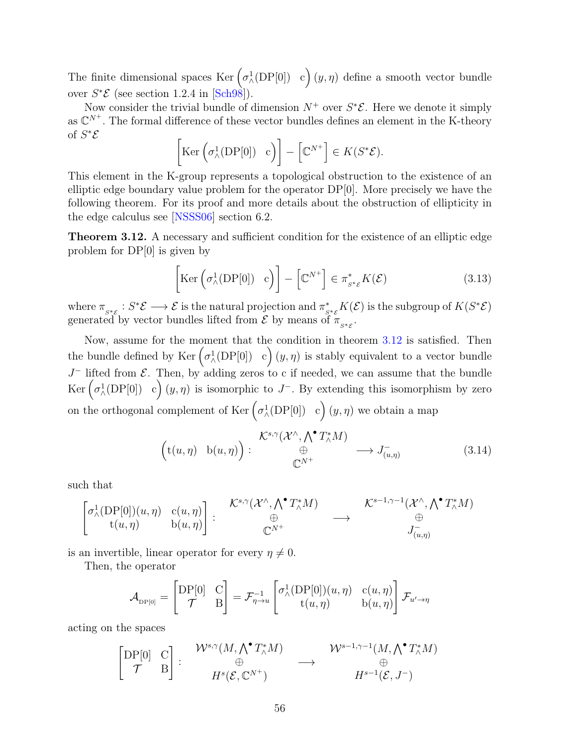The finite dimensional spaces  $\text{Ker} \left( \sigma_\wedge^1(\text{DP}[0]) \mid c \right) (y, \eta)$  define a smooth vector bundle over  $S^*{\mathcal{E}}$  (see section 1.2.4 in [[Sch98](#page-82-1)]).

Now consider the trivial bundle of dimension  $N^+$  over  $S^*\mathcal{E}$ . Here we denote it simply as  $\mathbb{C}^{N^+}$ . The formal difference of these vector bundles defines an element in the K-theory of  $S^*\mathcal{E}$ 

$$
\left[\text{Ker}\left(\sigma_{\wedge}^1(\text{DP}[0]) \quad c\right)\right] - \left[\mathbb{C}^{N^+}\right] \in K(S^*\mathcal{E}).
$$

This element in the K-group represents a topological obstruction to the existence of an elliptic edge boundary value problem for the operator  $DP[0]$ . More precisely we have the following theorem. For its proof and more details about the obstruction of ellipticity in the edge calculus see [[NSSS06](#page-82-0)] section 6.2.

<span id="page-64-0"></span>Theorem 3.12. A necessary and sufficient condition for the existence of an elliptic edge problem for DP[0] is given by

<span id="page-64-1"></span>
$$
\left[\text{Ker}\left(\sigma_{\wedge}^{1}(\text{DP}[0]) \quad c\right)\right] - \left[\mathbb{C}^{N^{+}}\right] \in \pi_{s \ast \varepsilon}^{*} K(\mathcal{E})\tag{3.13}
$$

where  $\pi_{s^*\mathcal{E}}: S^*\mathcal{E} \longrightarrow \mathcal{E}$  is the natural projection and  $\pi^*_{s^*\mathcal{E}}K(\mathcal{E})$  is the subgroup of  $K(S^*\mathcal{E})$ generated by vector bundles lifted from  $\mathcal E$  by means of  $\pi_{s^*\varepsilon}$ .

Now, assume for the moment that the condition in theorem [3.12](#page-64-0) is satisfied. Then the bundle defined by Ker  $(\sigma_{\wedge}^1(DP[0]) \cdot c)(y, \eta)$  is stably equivalent to a vector bundle  $J^-$  lifted from  $\mathcal{E}$ . Then, by adding zeros to c if needed, we can assume that the bundle Ker  $(\sigma_\wedge^1(\text{DP}[0]) \mid c)(y, \eta)$  is isomorphic to J<sup>-</sup>. By extending this isomorphism by zero on the orthogonal complement of  $\text{Ker}\left(\sigma_\wedge^1(\text{DP}[0]) \mid c\right)(y,\eta)$  we obtain a map

$$
\left(\mathbf{t}(u,\eta) \quad \mathbf{b}(u,\eta)\right) : \begin{array}{c} \mathcal{K}^{s,\gamma}(\mathcal{X}^{\wedge},\bigwedge^{\bullet}T_{\wedge}^{*}M) \\ \oplus \\ \mathbb{C}^{N^{+}} \end{array} \longrightarrow J_{(u,\eta)}^{-} \tag{3.14}
$$

such that

$$
\begin{bmatrix} \sigma^1_{\land}(\operatorname{DP}[0])(u,\eta) & c(u,\eta) \\ t(u,\eta) & b(u,\eta) \end{bmatrix} : \begin{array}{c} \mathcal{K}^{s,\gamma}(\mathcal{X}^{\land},\bigwedge^\bullet T^*_\land M) \\ \oplus \\ \mathbb{C}^{N^+} \end{array} \longrightarrow \begin{array}{c} \mathcal{K}^{s-1,\gamma-1}(\mathcal{X}^{\land},\bigwedge^\bullet T^*_\land M) \\ \oplus \\ J^-_{(u,\eta)} \end{array}
$$

is an invertible, linear operator for every  $\eta \neq 0$ .

Then, the operator

$$
\mathcal{A}_{\text{DP}[0]} = \begin{bmatrix} \text{DP}[0] & \text{C} \\ \mathcal{T} & \text{B} \end{bmatrix} = \mathcal{F}_{\eta \to u}^{-1} \begin{bmatrix} \sigma_{\wedge}^1(\text{DP}[0])(u, \eta) & \text{c}(u, \eta) \\ \text{t}(u, \eta) & \text{b}(u, \eta) \end{bmatrix} \mathcal{F}_{u' \to \eta}
$$

acting on the spaces

$$
\begin{bmatrix} \text{DP}[0] & C \\ \mathcal{T} & B \end{bmatrix} : \begin{array}{c} \mathcal{W}^{s,\gamma}(M,\bigwedge^{\bullet}T_{\wedge}^{*}M) & \mathcal{W}^{s-1,\gamma-1}(M,\bigwedge^{\bullet}T_{\wedge}^{*}M) \\ \oplus \\ H^{s}(\mathcal{E},\mathbb{C}^{N^{+}}) & H^{s-1}(\mathcal{E},J^{-}) \end{array}
$$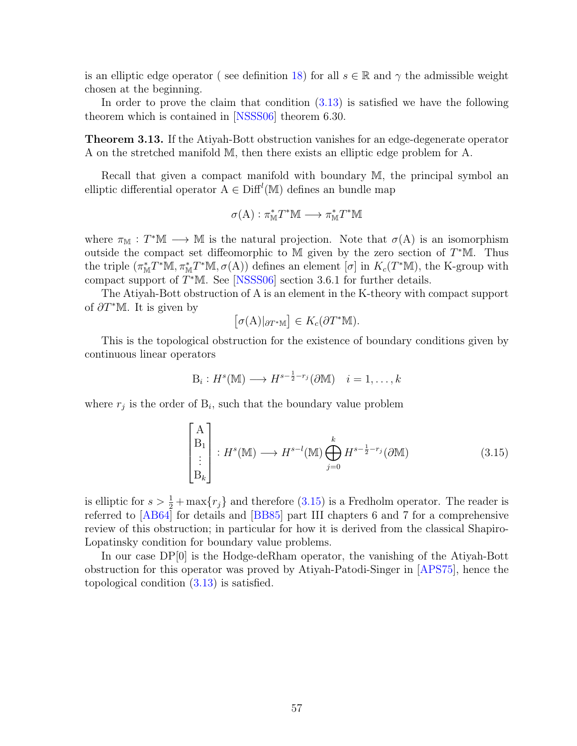is an elliptic edge operator (see definition [18\)](#page-35-2) for all  $s \in \mathbb{R}$  and  $\gamma$  the admissible weight chosen at the beginning.

In order to prove the claim that condition  $(3.13)$  is satisfied we have the following theorem which is contained in [[NSSS06](#page-82-0)] theorem 6.30.

<span id="page-65-1"></span>Theorem 3.13. If the Atiyah-Bott obstruction vanishes for an edge-degenerate operator A on the stretched manifold M, then there exists an elliptic edge problem for A.

Recall that given a compact manifold with boundary M, the principal symbol an elliptic differential operator  $A \in \text{Diff}^l(M)$  defines an bundle map

$$
\sigma(A) : \pi^*_{\mathbb{M}} T^* \mathbb{M} \longrightarrow \pi^*_{\mathbb{M}} T^* \mathbb{M}
$$

where  $\pi_{\mathbb{M}} : T^*\mathbb{M} \longrightarrow \mathbb{M}$  is the natural projection. Note that  $\sigma(A)$  is an isomorphism outside the compact set diffeomorphic to M given by the zero section of  $T^*\mathbb{M}$ . Thus the triple  $(\pi_M^* T^* M, \pi_M^* T^* M, \sigma(A))$  defines an element  $[\sigma]$  in  $K_c(T^* M)$ , the K-group with compact support of  $T^*M$ . See [[NSSS06](#page-82-0)] section 3.6.1 for further details.

The Atiyah-Bott obstruction of A is an element in the K-theory with compact support of  $\partial T^*\mathbb{M}$ . It is given by

$$
[\sigma(A)|_{\partial T^*\mathbb{M}}] \in K_c(\partial T^*\mathbb{M}).
$$

This is the topological obstruction for the existence of boundary conditions given by continuous linear operators

$$
B_i: H^s(\mathbb{M}) \longrightarrow H^{s-\frac{1}{2}-r_j}(\partial \mathbb{M}) \quad i=1,\ldots,k
$$

where  $r_j$  is the order of  $B_i$ , such that the boundary value problem

<span id="page-65-0"></span>
$$
\begin{bmatrix}\nA \\
B_1 \\
\vdots \\
B_k\n\end{bmatrix} : H^s(\mathbb{M}) \longrightarrow H^{s-l}(\mathbb{M}) \bigoplus_{j=0}^k H^{s-\frac{1}{2}-r_j}(\partial \mathbb{M})
$$
\n(3.15)

is elliptic for  $s > \frac{1}{2} + \max\{r_j\}$  and therefore  $(3.15)$  is a Fredholm operator. The reader is referred to [[AB64](#page-79-3)] for details and [[BB85](#page-79-4)] part III chapters 6 and 7 for a comprehensive review of this obstruction; in particular for how it is derived from the classical Shapiro-Lopatinsky condition for boundary value problems.

In our case DP[0] is the Hodge-deRham operator, the vanishing of the Atiyah-Bott obstruction for this operator was proved by Atiyah-Patodi-Singer in [[APS75](#page-79-5)], hence the topological condition [\(3.13\)](#page-64-1) is satisfied.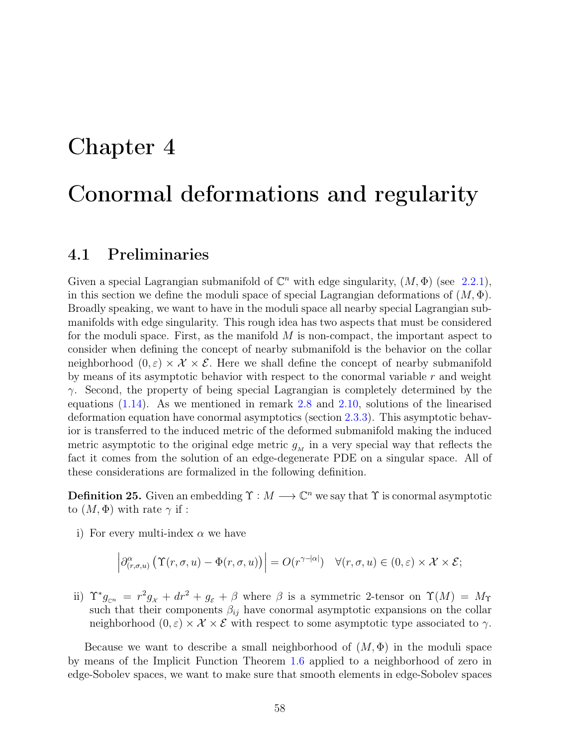## Chapter 4

# Conormal deformations and regularity

## 4.1 Preliminaries

Given a special Lagrangian submanifold of  $\mathbb{C}^n$  with edge singularity,  $(M, \Phi)$  (see [2.2.1\)](#page-21-0), in this section we define the moduli space of special Lagrangian deformations of  $(M, \Phi)$ . Broadly speaking, we want to have in the moduli space all nearby special Lagrangian submanifolds with edge singularity. This rough idea has two aspects that must be considered for the moduli space. First, as the manifold  $M$  is non-compact, the important aspect to consider when defining the concept of nearby submanifold is the behavior on the collar neighborhood  $(0, \varepsilon) \times \mathcal{X} \times \mathcal{E}$ . Here we shall define the concept of nearby submanifold by means of its asymptotic behavior with respect to the conormal variable  $r$  and weight  $\gamma$ . Second, the property of being special Lagrangian is completely determined by the equations [\(1.14\)](#page-16-0). As we mentioned in remark [2.8](#page-35-0) and [2.10,](#page-36-0) solutions of the linearised deformation equation have conormal asymptotics (section [2.3.3\)](#page-31-0). This asymptotic behavior is transferred to the induced metric of the deformed submanifold making the induced metric asymptotic to the original edge metric  $g<sub>M</sub>$  in a very special way that reflects the fact it comes from the solution of an edge-degenerate PDE on a singular space. All of these considerations are formalized in the following definition.

**Definition 25.** Given an embedding  $\Upsilon : M \longrightarrow \mathbb{C}^n$  we say that  $\Upsilon$  is conormal asymptotic to  $(M, \Phi)$  with rate  $\gamma$  if :

i) For every multi-index  $\alpha$  we have

$$
\left|\partial_{(r,\sigma,u)}^{\alpha}\left(\Upsilon(r,\sigma,u)-\Phi(r,\sigma,u)\right)\right|=O(r^{\gamma-|\alpha|})\quad\forall(r,\sigma,u)\in(0,\varepsilon)\times\mathcal{X}\times\mathcal{E};
$$

ii)  $\Upsilon^* g_{\mathbb{C}^n} = r^2 g_{\chi} + dr^2 + g_{\varepsilon} + \beta$  where  $\beta$  is a symmetric 2-tensor on  $\Upsilon(M) = M_{\Upsilon}$ such that their components  $\beta_{ij}$  have conormal asymptotic expansions on the collar neighborhood  $(0, \varepsilon) \times \mathcal{X} \times \mathcal{E}$  with respect to some asymptotic type associated to  $\gamma$ .

Because we want to describe a small neighborhood of  $(M, \Phi)$  in the moduli space by means of the Implicit Function Theorem [1.6](#page-18-1) applied to a neighborhood of zero in edge-Sobolev spaces, we want to make sure that smooth elements in edge-Sobolev spaces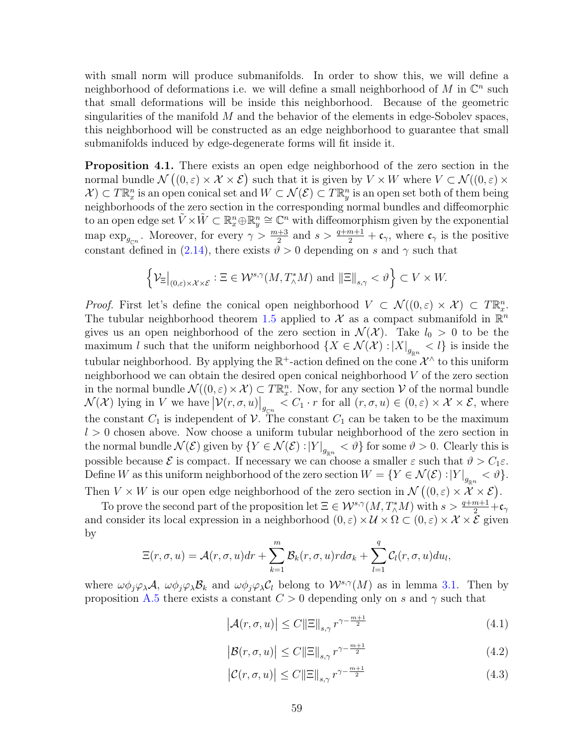with small norm will produce submanifolds. In order to show this, we will define a neighborhood of deformations i.e. we will define a small neighborhood of M in  $\mathbb{C}^n$  such that small deformations will be inside this neighborhood. Because of the geometric singularities of the manifold  $M$  and the behavior of the elements in edge-Sobolev spaces, this neighborhood will be constructed as an edge neighborhood to guarantee that small submanifolds induced by edge-degenerate forms will fit inside it.

**Proposition 4.1.** There exists an open edge neighborhood of the zero section in the normal bundle  $\mathcal{N}((0,\varepsilon) \times \mathcal{X} \times \mathcal{E})$  such that it is given by  $V \times W$  where  $V \subset \mathcal{N}((0,\varepsilon) \times$  $\mathcal{X} \subset T\mathbb{R}^n_x$  is an open conical set and  $W \subset \mathcal{N}(\mathcal{E}) \subset T\mathbb{R}^n_y$  is an open set both of them being neighborhoods of the zero section in the corresponding normal bundles and diffeomorphic to an open edge set  $\tilde{V} \times \tilde{W} \subset \mathbb{R}_x^n \oplus \mathbb{R}_y^n \cong \mathbb{C}^n$  with diffeomorphism given by the exponential map  $\exp_{g_{\mathbb{C}^n}}$ . Moreover, for every  $\gamma > \frac{m+3}{2}$  and  $s > \frac{q+m+1}{2} + \mathfrak{c}_{\gamma}$ , where  $\mathfrak{c}_{\gamma}$  is the positive constant defined in [\(2.14\)](#page-29-1), there exists  $\vartheta > 0$  depending on s and  $\gamma$  such that

$$
\left\{\mathcal{V}_{\Xi}\big|_{(0,\varepsilon)\times\mathcal{X}\times\mathcal{E}}:\Xi\in\mathcal{W}^{s,\gamma}(M,T^*_\wedge M)\text{ and }\|\Xi\|_{s,\gamma}<\vartheta\right\}\subset V\times W.
$$

*Proof.* First let's define the conical open neighborhood  $V \subset \mathcal{N}((0,\varepsilon) \times \mathcal{X}) \subset T\mathbb{R}_{x}^{n}$ . The tubular neighborhood theorem [1.5](#page-17-0) applied to X as a compact submanifold in  $\mathbb{R}^n$ gives us an open neighborhood of the zero section in  $\mathcal{N}(\mathcal{X})$ . Take  $l_0 > 0$  to be the maximum l such that the uniform neighborhood  $\{X \in \mathcal{N}(\mathcal{X}) : |X|_{g_{\mathbb{R}^n}} < l\}$  is inside the tubular neighborhood. By applying the  $\mathbb{R}^+$ -action defined on the cone  $\mathcal{X}^{\wedge}$  to this uniform neighborhood we can obtain the desired open conical neighborhood V of the zero section in the normal bundle  $\mathcal{N}((0,\varepsilon) \times \mathcal{X}) \subset T\mathbb{R}_{x}^{n}$ . Now, for any section  $\mathcal{V}$  of the normal bundle  $\mathcal{N}(\mathcal{X})$  lying in V we have  $|\mathcal{V}(r,\sigma,u)|_{g_{\mathbb{C}^n}} < C_1 \cdot r$  for all  $(r,\sigma,u) \in (0,\varepsilon) \times \mathcal{X} \times \mathcal{E}$ , where the constant  $C_1$  is independent of V. The constant  $C_1$  can be taken to be the maximum  $l > 0$  chosen above. Now choose a uniform tubular neighborhood of the zero section in the normal bundle  $\mathcal{N}(\mathcal{E})$  given by  $\{Y \in \mathcal{N}(\mathcal{E}) : |Y|_{g_{\mathbb{R}^n}} < \vartheta\}$  for some  $\vartheta > 0$ . Clearly this is possible because  $\mathcal E$  is compact. If necessary we can choose a smaller  $\varepsilon$  such that  $\vartheta > C_1 \varepsilon$ . Define W as this uniform neighborhood of the zero section  $W = \{Y \in \mathcal{N}(\mathcal{E}) : |Y|_{g_{\mathbb{R}^n}} < \vartheta\}.$ Then  $V \times W$  is our open edge neighborhood of the zero section in  $\mathcal{N}((0,\varepsilon) \times \mathcal{X} \times \mathcal{E})$ .

To prove the second part of the proposition let  $\Xi \in \mathcal{W}^{s,\gamma}(M,T^*_\wedge M)$  with  $s > \frac{q+m+1}{2} + c_\gamma$ and consider its local expression in a neighborhood  $(0, \varepsilon) \times U \times \Omega \subset (0, \varepsilon) \times U \times \overline{\mathcal{E}}$  given by

$$
\Xi(r,\sigma,u)=\mathcal{A}(r,\sigma,u)dr+\sum_{k=1}^m\mathcal{B}_k(r,\sigma,u)rd\sigma_k+\sum_{l=1}^q\mathcal{C}_l(r,\sigma,u)du_l,
$$

where  $\omega\phi_i\varphi_\lambda\mathcal{A}, \ \omega\phi_i\varphi_\lambda\mathcal{B}_k$  and  $\omega\phi_i\varphi_\lambda\mathcal{C}_l$  belong to  $\mathcal{W}^{s,\gamma}(M)$  as in lemma [3.1.](#page-47-0) Then by proposition [A.5](#page-85-0) there exists a constant  $C > 0$  depending only on s and  $\gamma$  such that

$$
\left| \mathcal{A}(r, \sigma, u) \right| \le C \|\Xi\|_{s, \gamma} r^{\gamma - \frac{m+1}{2}} \tag{4.1}
$$

$$
\left| \mathcal{B}(r, \sigma, u) \right| \le C \|\Xi\|_{s, \gamma} r^{\gamma - \frac{m+1}{2}} \tag{4.2}
$$

$$
\left| \mathcal{C}(r, \sigma, u) \right| \le C \|\Xi\|_{s,\gamma} r^{\gamma - \frac{m+1}{2}} \tag{4.3}
$$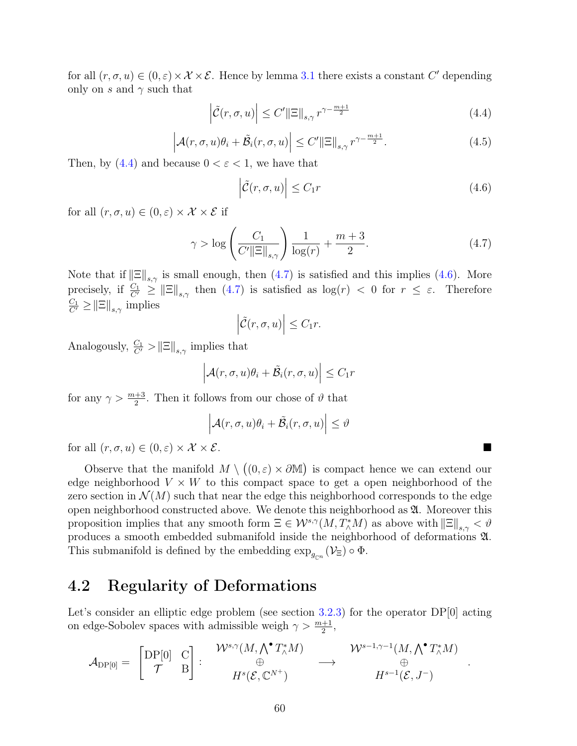for all  $(r, \sigma, u) \in (0, \varepsilon) \times \mathcal{X} \times \mathcal{E}$ . Hence by lemma [3.1](#page-47-0) there exists a constant C' depending only on s and  $\gamma$  such that

<span id="page-68-1"></span>
$$
\left| \tilde{\mathcal{C}}(r, \sigma, u) \right| \le C' \|\Xi\|_{s, \gamma} r^{\gamma - \frac{m+1}{2}} \tag{4.4}
$$

$$
\left| \mathcal{A}(r, \sigma, u)\theta_i + \tilde{\mathcal{B}}_i(r, \sigma, u) \right| \le C' \|\Xi\|_{s, \gamma} r^{\gamma - \frac{m+1}{2}}.
$$
\n(4.5)

Then, by  $(4.4)$  and because  $0 < \varepsilon < 1$ , we have that

<span id="page-68-3"></span>
$$
\left| \tilde{\mathcal{C}}(r, \sigma, u) \right| \le C_1 r \tag{4.6}
$$

for all  $(r, \sigma, u) \in (0, \varepsilon) \times \mathcal{X} \times \mathcal{E}$  if

<span id="page-68-2"></span>
$$
\gamma > \log \left( \frac{C_1}{C' \|\Xi\|_{s,\gamma}} \right) \frac{1}{\log(r)} + \frac{m+3}{2}.
$$
\n(4.7)

Note that if  $\|\Xi\|_{s,\gamma}$  is small enough, then  $(4.7)$  is satisfied and this implies  $(4.6)$ . More precisely, if  $\frac{C_1}{C'} \ge ||\Xi||_{s,\gamma}$  then  $(4.7)$  is satisfied as  $\log(r) < 0$  for  $r \le \varepsilon$ . Therefore  $\frac{C_1}{C'} \geq ||\Xi||_{s,\gamma}$  implies

$$
\left|\tilde{\mathcal{C}}(r,\sigma,u)\right| \leq C_1 r.
$$

Analogously,  $\frac{C_1}{C'} > ||\Xi||_{s,\gamma}$  implies that

$$
\left| \mathcal{A}(r, \sigma, u)\theta_i + \tilde{\mathcal{B}}_i(r, \sigma, u) \right| \leq C_1 r
$$

for any  $\gamma > \frac{m+3}{2}$ . Then it follows from our chose of  $\vartheta$  that

$$
\left| \mathcal{A}(r, \sigma, u)\theta_i + \tilde{\mathcal{B}}_i(r, \sigma, u) \right| \leq \vartheta
$$

for all  $(r, \sigma, u) \in (0, \varepsilon) \times \mathcal{X} \times \mathcal{E}$ .

Observe that the manifold  $M \setminus ((0,\varepsilon) \times \partial M)$  is compact hence we can extend our edge neighborhood  $V \times W$  to this compact space to get a open neighborhood of the zero section in  $\mathcal{N}(M)$  such that near the edge this neighborhood corresponds to the edge open neighborhood constructed above. We denote this neighborhood as  $\mathfrak A$ . Moreover this proposition implies that any smooth form  $\Xi \in \mathcal{W}^{s,\gamma}(M,T^*_\wedge M)$  as above with  $\|\Xi\|_{s,\gamma} < \vartheta$ produces a smooth embedded submanifold inside the neighborhood of deformations A. This submanifold is defined by the embedding  $\exp_{g_{\mathbb{C}^n}}(\mathcal{V}_{\Xi}) \circ \Phi$ .

## <span id="page-68-0"></span>4.2 Regularity of Deformations

Let's consider an elliptic edge problem (see section [3.2.3\)](#page-61-0) for the operator DP[0] acting on edge-Sobolev spaces with admissible weigh  $\gamma > \frac{m+1}{2}$ ,

$$
\mathcal{A}_{\mathrm{DP}[0]} = \begin{bmatrix} \mathrm{DP}[0] & \mathrm{C} \\ \mathcal{T} & \mathrm{B} \end{bmatrix} : \begin{array}{c} \mathcal{W}^{s,\gamma}(M,\bigwedge^{\bullet} T_{\wedge}^{*}M) \\ \oplus \\ H^{s}(\mathcal{E},\mathbb{C}^{N^{+}}) \end{array} \longrightarrow \begin{array}{c} \mathcal{W}^{s-1,\gamma-1}(M,\bigwedge^{\bullet} T_{\wedge}^{*}M) \\ \oplus \\ H^{s-1}(\mathcal{E},J^{-}) \end{array}
$$

.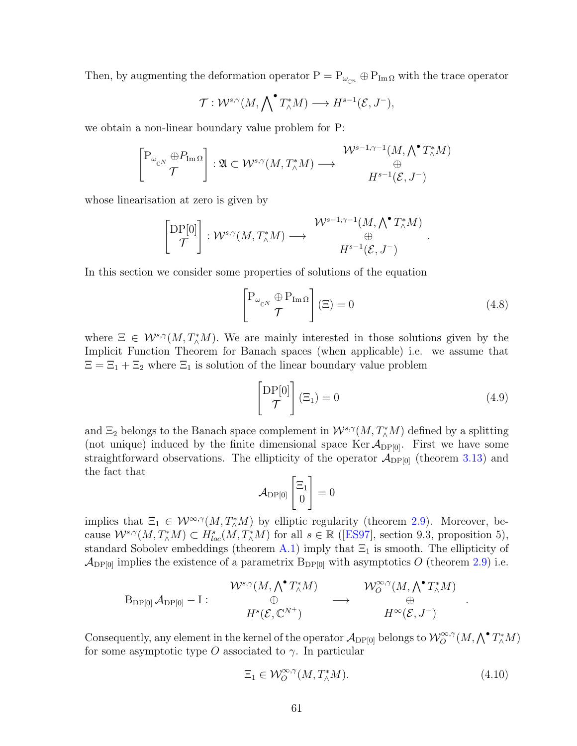Then, by augmenting the deformation operator  $P = P_{\omega_{cn}} \oplus P_{\text{Im}\,\Omega}$  with the trace operator

$$
\mathcal{T}: \mathcal{W}^{s,\gamma}(M, \bigwedge \nolimits^{\bullet} T_{\wedge}^*M) \longrightarrow H^{s-1}(\mathcal{E}, J^{-}),
$$

we obtain a non-linear boundary value problem for P:

$$
\begin{bmatrix} P_{\omega_{\mathbb{C}^N}} \oplus P_{\text{Im}\,\Omega} \\ \mathcal{T} \end{bmatrix} : \mathfrak{A} \subset \mathcal{W}^{s,\gamma}(M,T^*_\wedge M) \longrightarrow \begin{matrix} \mathcal{W}^{s-1,\gamma-1}(M,\bigwedge^\bullet T^*_\wedge M) \\ \oplus \\ H^{s-1}(\mathcal{E},J^-) \end{matrix}
$$

whose linearisation at zero is given by

$$
\begin{bmatrix} \mathrm{DP}[0] \\ \mathcal{T} \end{bmatrix} : \mathcal{W}^{s,\gamma}(M,T^*_\wedge M) \longrightarrow \begin{matrix} \mathcal{W}^{s-1,\gamma-1}(M,\bigwedge^\bullet T^*_\wedge M) \\ \oplus \\ H^{s-1}(\mathcal{E},J^-) \end{matrix}
$$

In this section we consider some properties of solutions of the equation

<span id="page-69-1"></span>
$$
\left[ \begin{matrix} P_{\omega_{\mathbb{C}^N}} \oplus P_{\text{Im}\,\Omega} \\ \mathcal{T} \end{matrix} \right] (\Xi) = 0 \tag{4.8}
$$

.

where  $\Xi \in \mathcal{W}^{s,\gamma}(M,T^*_\wedge M)$ . We are mainly interested in those solutions given by the Implicit Function Theorem for Banach spaces (when applicable) i.e. we assume that  $\Xi = \Xi_1 + \Xi_2$  where  $\Xi_1$  is solution of the linear boundary value problem

<span id="page-69-2"></span>
$$
\begin{bmatrix} \text{DP}[0] \\ \mathcal{T} \end{bmatrix} (\Xi_1) = 0 \tag{4.9}
$$

and  $\Xi_2$  belongs to the Banach space complement in  $\mathcal{W}^{s,\gamma}(M,T^*_\wedge M)$  defined by a splitting (not unique) induced by the finite dimensional space Ker  $\mathcal{A}_{DP[0]}$ . First we have some straightforward observations. The ellipticity of the operator  $\mathcal{A}_{DP[0]}$  (theorem [3.13\)](#page-65-1) and the fact that

$$
\mathcal{A}_{\mathrm{DP}[0]}\begin{bmatrix} \Xi_1\\0 \end{bmatrix} = 0
$$

implies that  $\Xi_1 \in \mathcal{W}^{\infty,\gamma}(M,T^*_\wedge M)$  by elliptic regularity (theorem [2.9\)](#page-35-1). Moreover, because  $\mathcal{W}^{s,\gamma}(M,T^*_\wedge M) \subset H^s_{loc}(M,T^*_\wedge M)$  for all  $s \in \mathbb{R}$  ([[ES97](#page-80-3)], section 9.3, proposition 5), standard Sobolev embeddings (theorem [A.1\)](#page-83-0) imply that  $\Xi_1$  is smooth. The ellipticity of  $\mathcal{A}_{DP[0]}$  implies the existence of a parametrix  $B_{DP[0]}$  with asymptotics O (theorem [2.9\)](#page-35-1) i.e.

$$
\begin{array}{ccc}\n&\mathcal{W}^{s,\gamma}(M,\bigwedge^{\bullet}T_{\wedge}^{*}M)\\
\oplus&&\oplus\\
&H^{s}(\mathcal{E},\mathbb{C}^{N^{+}})\end{array}\n\longrightarrow\n\begin{array}{ccc}\n&\mathcal{W}_{O}^{\infty,\gamma}(M,\bigwedge^{\bullet}T_{\wedge}^{*}M)\\
\oplus&&\oplus\\
&H^{\infty}(\mathcal{E},J^{-})\n\end{array}
$$

Consequently, any element in the kernel of the operator  $\mathcal{A}_{DP[0]}$  belongs to  $\mathcal{W}^{\infty,\gamma}_O(M,\bigwedge^\bullet T^*_\wedge M)$ for some asymptotic type O associated to  $\gamma$ . In particular

<span id="page-69-0"></span>
$$
\Xi_1 \in \mathcal{W}_O^{\infty,\gamma}(M, T_\wedge^* M). \tag{4.10}
$$

.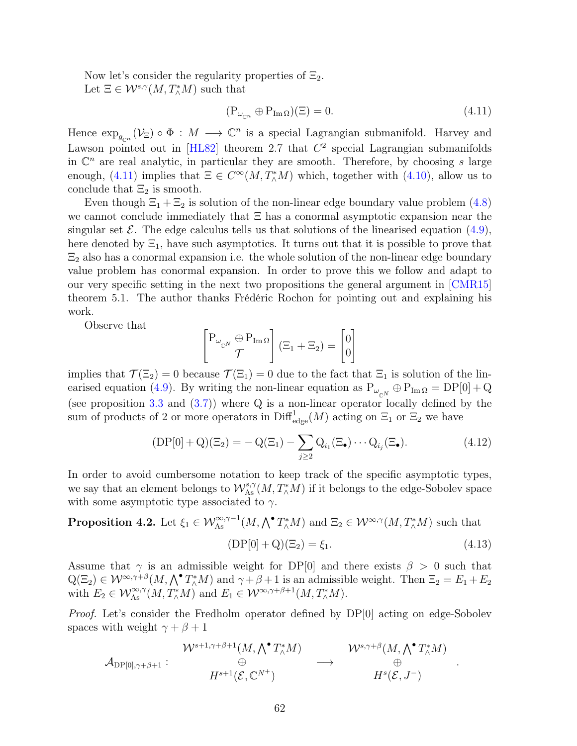Now let's consider the regularity properties of  $\Xi_2$ . Let  $\Xi \in \mathcal{W}^{s,\gamma}(M,T^*_\wedge M)$  such that

<span id="page-70-0"></span>
$$
(\mathcal{P}_{\omega_{\mathbb{C}^n}} \oplus \mathcal{P}_{\text{Im}\,\Omega})(\Xi) = 0. \tag{4.11}
$$

Hence  $\exp_{g_{\mathbb{C}^n}}(\mathcal{V}_{\Xi}) \circ \Phi : M \longrightarrow \mathbb{C}^n$  is a special Lagrangian submanifold. Harvey and Lawson pointed out in [[HL82](#page-80-2)] theorem 2.7 that  $C<sup>2</sup>$  special Lagrangian submanifolds in  $\mathbb{C}^n$  are real analytic, in particular they are smooth. Therefore, by choosing s large enough, [\(4.11\)](#page-70-0) implies that  $\Xi \in C^{\infty}(M, T^*_{\wedge}M)$  which, together with [\(4.10\)](#page-69-0), allow us to conclude that  $\Xi_2$  is smooth.

Even though  $\Xi_1 + \Xi_2$  is solution of the non-linear edge boundary value problem [\(4.8\)](#page-69-1) we cannot conclude immediately that Ξ has a conormal asymptotic expansion near the singular set  $\mathcal E$ . The edge calculus tells us that solutions of the linearised equation [\(4.9\)](#page-69-2), here denoted by  $\Xi_1$ , have such asymptotics. It turns out that it is possible to prove that  $\Xi_2$  also has a conormal expansion i.e. the whole solution of the non-linear edge boundary value problem has conormal expansion. In order to prove this we follow and adapt to our very specific setting in the next two propositions the general argument in [[CMR15](#page-79-6)] theorem 5.1. The author thanks Frédéric Rochon for pointing out and explaining his work.

Observe that

$$
\begin{bmatrix} P_{\omega_{\mathbb{C}^N}} \oplus P_{\text{Im}\,\Omega} \\ \mathcal{T} \end{bmatrix} (\Xi_1 + \Xi_2) = \begin{bmatrix} 0 \\ 0 \end{bmatrix}
$$

implies that  $\mathcal{T}(\Xi_2) = 0$  because  $\mathcal{T}(\Xi_1) = 0$  due to the fact that  $\Xi_1$  is solution of the lin-earised equation [\(4.9\)](#page-69-2). By writing the non-linear equation as  $P_{\omega_{\mathbb{C}^N}} \oplus P_{\text{Im}\,\Omega} = DP[0] + Q$ (see proposition [3.3](#page-50-0) and [\(3.7\)](#page-55-2)) where Q is a non-linear operator locally defined by the sum of products of 2 or more operators in  $\text{Diff}^1_{\text{edge}}(M)$  acting on  $\Xi_1$  or  $\Xi_2$  we have

$$
(DP[0] + Q)(\Xi_2) = -Q(\Xi_1) - \sum_{j \ge 2} Q_{i_1}(\Xi_{\bullet}) \cdots Q_{i_j}(\Xi_{\bullet}). \tag{4.12}
$$

In order to avoid cumbersome notation to keep track of the specific asymptotic types, we say that an element belongs to  $\mathcal{W}^{s,\gamma}_{\mathrm{As}}(M,T^*_\wedge M)$  if it belongs to the edge-Sobolev space with some asymptotic type associated to  $\gamma$ .

**Proposition 4.2.** Let  $\xi_1 \in \mathcal{W}_{As}^{\infty,\gamma-1}(M,\bigwedge^{\bullet} T_{\wedge}^{*}M)$  and  $\Xi_2 \in \mathcal{W}^{\infty,\gamma}(M,T_{\wedge}^{*}M)$  such that

<span id="page-70-1"></span>
$$
(DP[0] + Q)(\Xi_2) = \xi_1.
$$
\n(4.13)

.

Assume that  $\gamma$  is an admissible weight for DP[0] and there exists  $\beta > 0$  such that  $Q(\Xi_2) \in \mathcal{W}^{\infty,\gamma+\beta}(M,\bigwedge^{\bullet} T^*_\wedge M)$  and  $\gamma+\beta+1$  is an admissible weight. Then  $\Xi_2 = E_1 + E_2$ with  $E_2 \in \mathcal{W}_{\mathrm{As}}^{\infty,\gamma}(M,T^*_\wedge M)$  and  $E_1 \in \mathcal{W}^{\infty,\gamma+\beta+1}(M,T^*_\wedge M)$ .

Proof. Let's consider the Fredholm operator defined by DP[0] acting on edge-Sobolev spaces with weight  $\gamma + \beta + 1$ 

$$
\mathcal{W}^{s+1,\gamma+\beta+1}(M,\bigwedge^\bullet T_\wedge^*M) \qquad \qquad \mathcal{W}^{s,\gamma+\beta}(M,\bigwedge^\bullet T_\wedge^*M) \\ \oplus \qquad \qquad \longrightarrow \qquad \bigoplus_{H^s+1(\mathcal{E},\mathbb{C}^{N^+})} \qquad \qquad \longrightarrow \qquad \bigoplus_{H^s(\mathcal{E},J^-)}
$$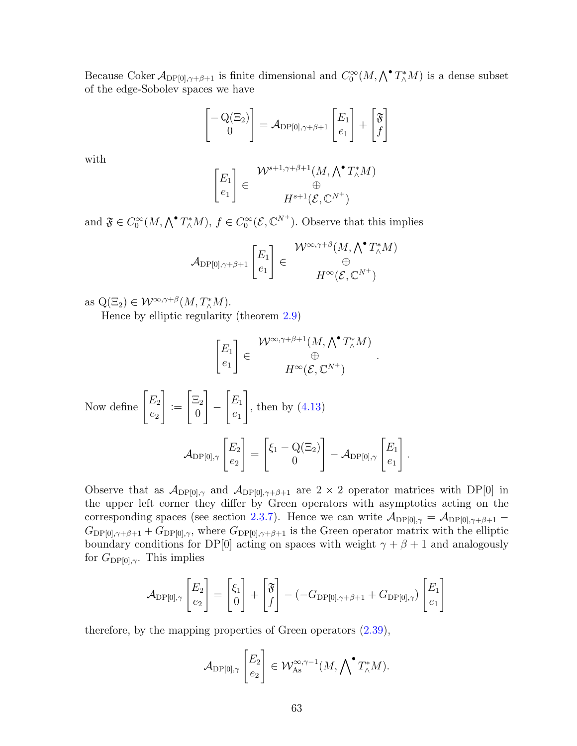Because Coker  $\mathcal{A}_{DP[0], \gamma+\beta+1}$  is finite dimensional and  $C_0^{\infty}(M, \bigwedge^{\bullet} T_{\wedge}^*M)$  is a dense subset of the edge-Sobolev spaces we have

$$
\begin{bmatrix} -\mathrm{Q}(\Xi_2) \\ 0 \end{bmatrix} = \mathcal{A}_{\mathrm{DP}[0], \gamma+\beta+1} \begin{bmatrix} E_1 \\ e_1 \end{bmatrix} + \begin{bmatrix} \mathfrak{F} \\ f \end{bmatrix}
$$

with

$$
\begin{bmatrix} E_1 \\ e_1 \end{bmatrix} \in \begin{array}{c} \mathcal{W}^{s+1,\gamma+\beta+1}(M,\bigwedge^{\bullet} T_{\wedge}^{*}M) \\ \oplus \\ H^{s+1}(\mathcal{E},\mathbb{C}^{N^{+}}) \end{array}
$$

and  $\mathfrak{F} \in C_0^{\infty}(M, \bigwedge^{\bullet} T_{\wedge}^* M), f \in C_0^{\infty}(\mathcal{E}, \mathbb{C}^{N^+})$ . Observe that this implies

$$
\mathcal{A}_{\mathrm{DP}[0], \gamma+\beta+1} \begin{bmatrix} E_1 \\ e_1 \end{bmatrix} \in \begin{matrix} \mathcal{W}^{\infty,\gamma+\beta}(M, \bigwedge^{\bullet} T_{\wedge}^* M) \\ \oplus \\ H^{\infty}(\mathcal{E}, \mathbb{C}^{N^+}) \end{matrix}
$$

as  $Q(\Xi_2) \in \mathcal{W}^{\infty,\gamma+\beta}(M,T^*_\wedge M).$ 

Hence by elliptic regularity (theorem [2.9\)](#page-35-1)

$$
\begin{bmatrix} E_1 \\ e_1 \end{bmatrix} \in \begin{array}{c} \mathcal{W}^{\infty,\gamma+\beta+1}(M,\bigwedge^{\bullet}T_{\wedge}^{*}M) \\ \oplus \\ H^{\infty}(\mathcal{E},\mathbb{C}^{N^{+}}) \end{array}
$$

.

 $e_1$ 

1 .

Now define 
$$
\begin{bmatrix} E_2 \\ e_2 \end{bmatrix} := \begin{bmatrix} \Xi_2 \\ 0 \end{bmatrix} - \begin{bmatrix} E_1 \\ e_1 \end{bmatrix}
$$
, then by (4.13)  

$$
\mathcal{A}_{\text{DP}[0], \gamma} \begin{bmatrix} E_2 \\ e_2 \end{bmatrix} = \begin{bmatrix} \xi_1 - \mathcal{Q}(\Xi_2) \\ 0 \end{bmatrix} - \mathcal{A}_{\text{DP}[0], \gamma} \begin{bmatrix} E_1 \\ e_1 \end{bmatrix}
$$

Observe that as  $\mathcal{A}_{DP[0],\gamma}$  and  $\mathcal{A}_{DP[0],\gamma+\beta+1}$  are  $2 \times 2$  operator matrices with DP[0] in the upper left corner they differ by Green operators with asymptotics acting on the corresponding spaces (see section [2.3.7\)](#page-39-0). Hence we can write  $\mathcal{A}_{DP[0],\gamma} = \mathcal{A}_{DP[0],\gamma+\beta+1}$  –  $G_{\text{DP[0],\gamma+\beta+1}}+G_{\text{DP[0],\gamma}}$ , where  $G_{\text{DP[0],\gamma+\beta+1}}$  is the Green operator matrix with the elliptic boundary conditions for DP[0] acting on spaces with weight  $\gamma + \beta + 1$  and analogously for  $G_{\text{DP[0]},\gamma}$ . This implies

$$
\mathcal{A}_{\mathrm{DP}[0],\gamma} \begin{bmatrix} E_2 \\ e_2 \end{bmatrix} = \begin{bmatrix} \xi_1 \\ 0 \end{bmatrix} + \begin{bmatrix} \mathfrak{F} \\ f \end{bmatrix} - (-G_{\mathrm{DP}[0],\gamma+\beta+1} + G_{\mathrm{DP}[0],\gamma}) \begin{bmatrix} E_1 \\ e_1 \end{bmatrix}
$$

therefore, by the mapping properties of Green operators [\(2.39\)](#page-41-1),

$$
\mathcal{A}_{\mathrm{DP}[0],\gamma} \begin{bmatrix} E_2 \\ e_2 \end{bmatrix} \in \mathcal{W}_{\mathrm{As}}^{\infty,\gamma-1}(M,\bigwedge {}^{\bullet}T_{\wedge}^*M).
$$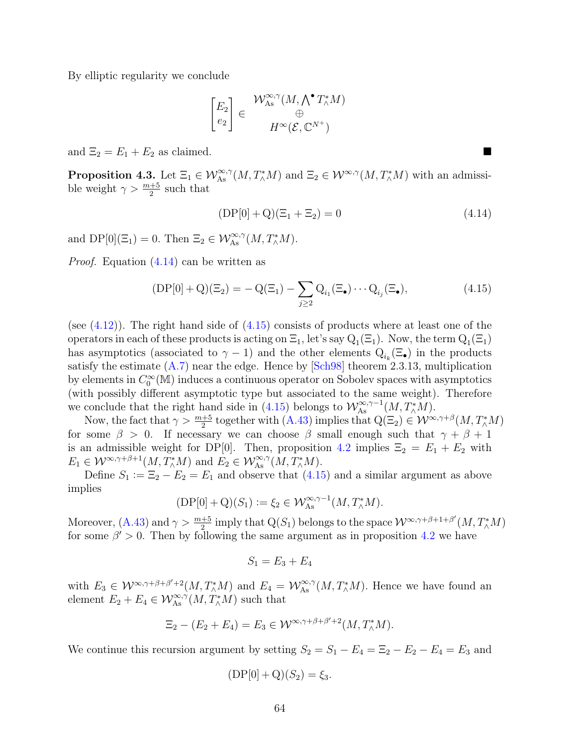By elliptic regularity we conclude

$$
\begin{bmatrix} E_2 \\ e_2 \end{bmatrix} \in \begin{array}{c} \mathcal{W}_{\mathrm{As}}^{\infty,\gamma}(M,\bigwedge^{\bullet} T_{\wedge}^* M) \\ \oplus \\ H^{\infty}(\mathcal{E},\mathbb{C}^{N^+}) \end{array}
$$

and  $\Xi_2 = E_1 + E_2$  as claimed.

**Proposition 4.3.** Let  $\Xi_1 \in \mathcal{W}_{\text{As}}^{\infty,\gamma}(M,T^*_\wedge M)$  and  $\Xi_2 \in \mathcal{W}^{\infty,\gamma}(M,T^*_\wedge M)$  with an admissible weight  $\gamma > \frac{m+5}{2}$  such that

<span id="page-72-0"></span>
$$
(DP[0] + Q)(\Xi_1 + \Xi_2) = 0 \tag{4.14}
$$

and  $DP[0](\Xi_1) = 0$ . Then  $\Xi_2 \in \mathcal{W}_{As}^{\infty,\gamma}(M,T^*_\wedge M)$ .

Proof. Equation [\(4.14\)](#page-72-0) can be written as

<span id="page-72-1"></span>
$$
(DP[0] + Q)(\Xi_2) = -Q(\Xi_1) - \sum_{j \ge 2} Q_{i_1}(\Xi_\bullet) \cdots Q_{i_j}(\Xi_\bullet), \tag{4.15}
$$

(see  $(4.12)$ ). The right hand side of  $(4.15)$  consists of products where at least one of the operators in each of these products is acting on  $\Xi_1$ , let's say  $Q_1(\Xi_1)$ . Now, the term  $Q_1(\Xi_1)$ has asymptotics (associated to  $\gamma - 1$ ) and the other elements  $Q_{i_k}(\Xi_{\bullet})$  in the products satisfy the estimate  $(A.7)$  near the edge. Hence by [[Sch98](#page-82-0)] theorem 2.3.13, multiplication by elements in  $C_0^{\infty}(\mathbb{M})$  induces a continuous operator on Sobolev spaces with asymptotics (with possibly different asymptotic type but associated to the same weight). Therefore we conclude that the right hand side in [\(4.15\)](#page-72-1) belongs to  $\mathcal{W}_{\mathrm{As}}^{\infty,\gamma-1}(M,T^*_\wedge M)$ .

Now, the fact that  $\gamma > \frac{m+5}{2}$  together with  $(A.43)$  implies that  $Q(\Xi_2) \in \mathcal{W}^{\infty,\gamma+\beta}(M,T^*_\wedge M)$ for some  $\beta > 0$ . If necessary we can choose  $\beta$  small enough such that  $\gamma + \beta + 1$ is an admissible weight for DP[0]. Then, proposition [4.2](#page-70-1) implies  $\Xi_2 = E_1 + E_2$  with  $E_1 \in \mathcal{W}^{\infty,\gamma+\beta+1}(M,T^*_\wedge M)$  and  $E_2 \in \mathcal{W}_{\mathrm{As}}^{\infty,\gamma}(M,T^*_\wedge M)$ .

Define  $S_1 := \Xi_2 - E_2 = E_1$  and observe that  $(4.15)$  and a similar argument as above implies

$$
(\mathrm{DP}[0] + \mathrm{Q})(S_1) \coloneqq \xi_2 \in \mathcal{W}_{\mathrm{As}}^{\infty, \gamma - 1}(M, T_{\wedge}^* M).
$$

Moreover,  $(A.43)$  and  $\gamma > \frac{m+5}{2}$  imply that  $Q(S_1)$  belongs to the space  $\mathcal{W}^{\infty,\gamma+\beta+1+\beta'}(M,T^*_\wedge M)$ for some  $\beta' > 0$ . Then by following the same argument as in proposition [4.2](#page-70-1) we have

$$
S_1 = E_3 + E_4
$$

with  $E_3 \in \mathcal{W}^{\infty,\gamma+\beta+\beta'+2}(M,T^*_\wedge M)$  and  $E_4 = \mathcal{W}^{\infty,\gamma}_{\mathrm{As}}(M,T^*_\wedge M)$ . Hence we have found an element  $E_2 + E_4 \in \mathcal{W}_{\mathrm{As}}^{\infty,\gamma}(M, T^*_{\wedge}M)$  such that

$$
\Xi_2 - (E_2 + E_4) = E_3 \in \mathcal{W}^{\infty, \gamma + \beta + \beta' + 2}(M, T_\wedge^* M).
$$

We continue this recursion argument by setting  $S_2 = S_1 - E_4 = \Xi_2 - E_2 - E_4 = E_3$  and

$$
(DP[0] + Q)(S_2) = \xi_3.
$$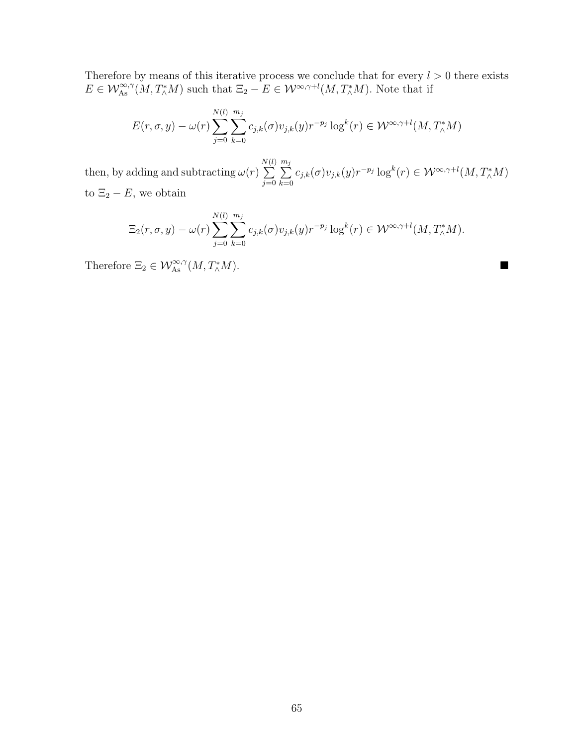Therefore by means of this iterative process we conclude that for every  $l > 0$  there exists  $E \in \mathcal{W}_{\mathrm{As}}^{\infty,\gamma}(M,T^*_\wedge M)$  such that  $\Xi_2 - E \in \mathcal{W}^{\infty,\gamma+l}(M,T^*_\wedge M)$ . Note that if

$$
E(r, \sigma, y) - \omega(r) \sum_{j=0}^{N(l)} \sum_{k=0}^{m_j} c_{j,k}(\sigma) v_{j,k}(y) r^{-p_j} \log^k(r) \in \mathcal{W}^{\infty, \gamma+l}(M, T^*_\wedge M)
$$

then, by adding and subtracting  $\omega(r)$ N  $\sum$ (l)  $j=0$  $\sum_{j=1}^{m_j}$  $_{k=0}$  $c_{j,k}(\sigma)v_{j,k}(y)r^{-p_j}\log^k(r) \in \mathcal{W}^{\infty,\gamma+l}(M,T^*_\wedge M)$ to  $\Xi_2 - E$ , we obtain

$$
\Xi_2(r,\sigma,y)-\omega(r)\sum_{j=0}^{N(l)}\sum_{k=0}^{m_j}c_{j,k}(\sigma)v_{j,k}(y)r^{-p_j}\log^k(r)\in \mathcal{W}^{\infty,\gamma+l}(M,T^*_\wedge M).
$$

Therefore  $\Xi_2 \in \mathcal{W}_{\mathrm{As}}^{\infty,\gamma}(M,T^*_{\wedge})$  $\mathbb{L}\times M$ ).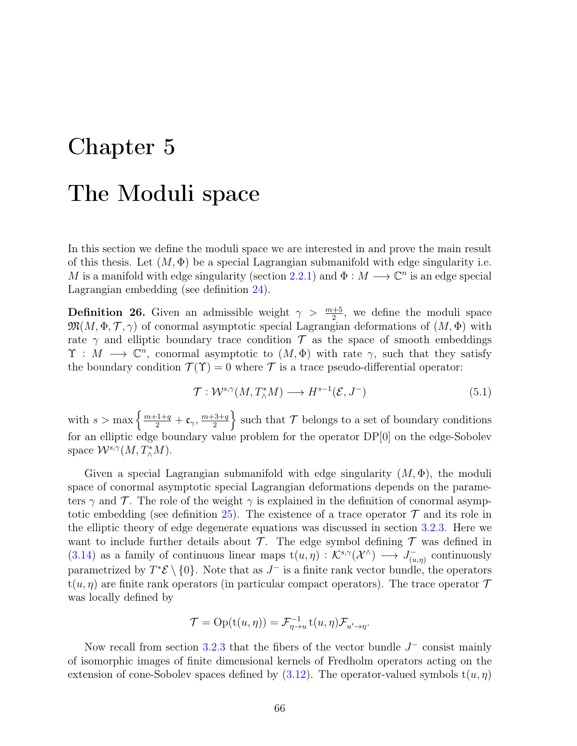# Chapter 5

# The Moduli space

In this section we define the moduli space we are interested in and prove the main result of this thesis. Let  $(M, \Phi)$  be a special Lagrangian submanifold with edge singularity i.e. M is a manifold with edge singularity (section [2.2.1\)](#page-21-0) and  $\Phi : M \longrightarrow \mathbb{C}^n$  is an edge special Lagrangian embedding (see definition [24\)](#page-45-0).

**Definition 26.** Given an admissible weight  $\gamma > \frac{m+5}{2}$ , we define the moduli space  $\mathfrak{M}(M, \Phi, \mathcal{T}, \gamma)$  of conormal asymptotic special Lagrangian deformations of  $(M, \Phi)$  with rate  $\gamma$  and elliptic boundary trace condition T as the space of smooth embeddings  $\Upsilon : M \longrightarrow \mathbb{C}^n$ , conormal asymptotic to  $(M, \Phi)$  with rate  $\gamma$ , such that they satisfy the boundary condition  $\mathcal{T}(\Upsilon) = 0$  where  $\mathcal T$  is a trace pseudo-differential operator:

<span id="page-74-0"></span>
$$
\mathcal{T}: \mathcal{W}^{s,\gamma}(M, T^*_\wedge M) \longrightarrow H^{s-1}(\mathcal{E}, J^-) \tag{5.1}
$$

with  $s > \max \left\{ \frac{m+1+q}{2} + \mathfrak{c}_{\gamma}, \frac{m+3+q}{2} \right\}$  $\left\{\frac{3+q}{2}\right\}$  such that  $\mathcal T$  belongs to a set of boundary conditions for an elliptic edge boundary value problem for the operator DP[0] on the edge-Sobolev space  $\mathcal{W}^{s,\gamma}(M,T^*_\wedge M)$ .

Given a special Lagrangian submanifold with edge singularity  $(M, \Phi)$ , the moduli space of conormal asymptotic special Lagrangian deformations depends on the parameters  $\gamma$  and  $\mathcal T$ . The role of the weight  $\gamma$  is explained in the definition of conormal asymp-totic embedding (see definition [25\)](#page-66-0). The existence of a trace operator  $\mathcal T$  and its role in the elliptic theory of edge degenerate equations was discussed in section [3.2.3.](#page-61-0) Here we want to include further details about  $\mathcal T$ . The edge symbol defining  $\mathcal T$  was defined in [\(3.14\)](#page-64-0) as a family of continuous linear maps  $t(u, \eta) : \mathcal{K}^{s,\gamma}(\mathcal{X}^{\wedge}) \longrightarrow J_{(u,\eta)}^{-}$  $\bar{u}_{(u,\eta)}$  continuously parametrized by  $T^*\mathcal{E} \setminus \{0\}$ . Note that as  $J^-$  is a finite rank vector bundle, the operators  $t(u, \eta)$  are finite rank operators (in particular compact operators). The trace operator  $\mathcal T$ was locally defined by

$$
\mathcal{T} = \text{Op}(t(u, \eta)) = \mathcal{F}_{\eta \to u}^{-1} t(u, \eta) \mathcal{F}_{u' \to \eta}.
$$

Now recall from section [3.2.3](#page-61-0) that the fibers of the vector bundle  $J^-$  consist mainly of isomorphic images of finite dimensional kernels of Fredholm operators acting on the extension of cone-Sobolev spaces defined by  $(3.12)$ . The operator-valued symbols  $t(u, \eta)$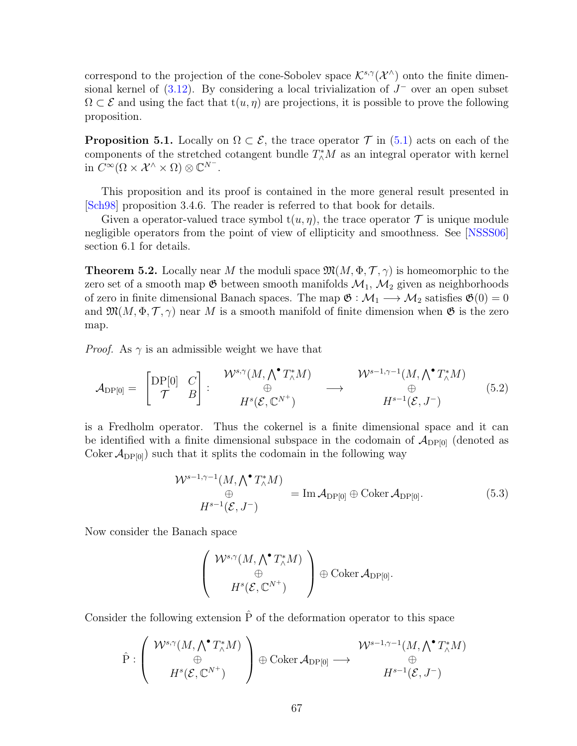correspond to the projection of the cone-Sobolev space  $\mathcal{K}^{s,\gamma}(\mathcal{X}^{\wedge})$  onto the finite dimensional kernel of  $(3.12)$ . By considering a local trivialization of  $J^-$  over an open subset  $\Omega \subset \mathcal{E}$  and using the fact that  $t(u, \eta)$  are projections, it is possible to prove the following proposition.

**Proposition 5.1.** Locally on  $\Omega \subset \mathcal{E}$ , the trace operator  $\mathcal{T}$  in [\(5.1\)](#page-74-0) acts on each of the components of the stretched cotangent bundle  $T^*_{\wedge}M$  as an integral operator with kernel in  $C^{\infty}(\Omega \times \mathcal{X}^{\wedge} \times \Omega) \otimes \mathbb{C}^{N^{-}}$ .

This proposition and its proof is contained in the more general result presented in [[Sch98](#page-82-0)] proposition 3.4.6. The reader is referred to that book for details.

Given a operator-valued trace symbol  $t(u, \eta)$ , the trace operator  $\mathcal T$  is unique module negligible operators from the point of view of ellipticity and smoothness. See [[NSSS06](#page-82-1)] section 6.1 for details.

<span id="page-75-0"></span>**Theorem 5.2.** Locally near M the moduli space  $\mathfrak{M}(M, \Phi, \mathcal{T}, \gamma)$  is homeomorphic to the zero set of a smooth map  $\mathfrak G$  between smooth manifolds  $\mathcal M_1, \mathcal M_2$  given as neighborhoods of zero in finite dimensional Banach spaces. The map  $\mathfrak{G} : \mathcal{M}_1 \longrightarrow \mathcal{M}_2$  satisfies  $\mathfrak{G}(0) = 0$ and  $\mathfrak{M}(M, \Phi, \mathcal{T}, \gamma)$  near M is a smooth manifold of finite dimension when  $\mathfrak{G}$  is the zero map.

*Proof.* As  $\gamma$  is an admissible weight we have that

$$
\mathcal{A}_{\mathrm{DP}[0]} = \begin{bmatrix} \mathrm{DP}[0] & C \\ \mathcal{T} & B \end{bmatrix} : \begin{array}{c} \mathcal{W}^{s,\gamma}(M,\bigwedge^{\bullet} T_{\wedge}^{*}M) & \mathcal{W}^{s-1,\gamma-1}(M,\bigwedge^{\bullet} T_{\wedge}^{*}M) \\ \oplus & \oplus \\ H^{s}(\mathcal{E},\mathbb{C}^{N^{+}}) & H^{s-1}(\mathcal{E},J^{-}) \end{array} \tag{5.2}
$$

is a Fredholm operator. Thus the cokernel is a finite dimensional space and it can be identified with a finite dimensional subspace in the codomain of  $\mathcal{A}_{DP[0]}$  (denoted as Coker  $\mathcal{A}_{DP[0]}$  such that it splits the codomain in the following way

$$
\mathcal{W}^{s-1,\gamma-1}(M,\bigwedge^{\bullet}T_{\wedge}^{*}M) = \text{Im}\,\mathcal{A}_{\text{DP}[0]} \oplus \text{Coker}\,\mathcal{A}_{\text{DP}[0]}.
$$
\n
$$
H^{s-1}(\mathcal{E},J^{-})
$$
\n(5.3)

Now consider the Banach space

$$
\left(\begin{array}{c}\mathcal{W}^{s,\gamma}(M,\bigwedge^\bullet T_\wedge^*M)\\ \oplus\\ H^s(\mathcal{E},\mathbb{C}^{N^+})\end{array}\right)\oplus\text{Coker}\,\mathcal{A}_{\mathrm{DP}[0]}.
$$

Consider the following extension  $\hat{P}$  of the deformation operator to this space

$$
\hat{P}: \left(\begin{array}{c} \mathcal{W}^{s,\gamma}(M,\bigwedge^{\bullet}T_{\wedge}^{*}M)\\ \oplus\\ H^{s}(\mathcal{E},\mathbb{C}^{N^{+}}) \end{array}\right) \oplus \operatorname{Coker} \mathcal{A}_{\textnormal{DP[0]}} \longrightarrow \begin{array}{c} \mathcal{W}^{s-1,\gamma-1}(M,\bigwedge^{\bullet}T_{\wedge}^{*}M)\\ \oplus\\ H^{s-1}(\mathcal{E},J^{-}) \end{array}
$$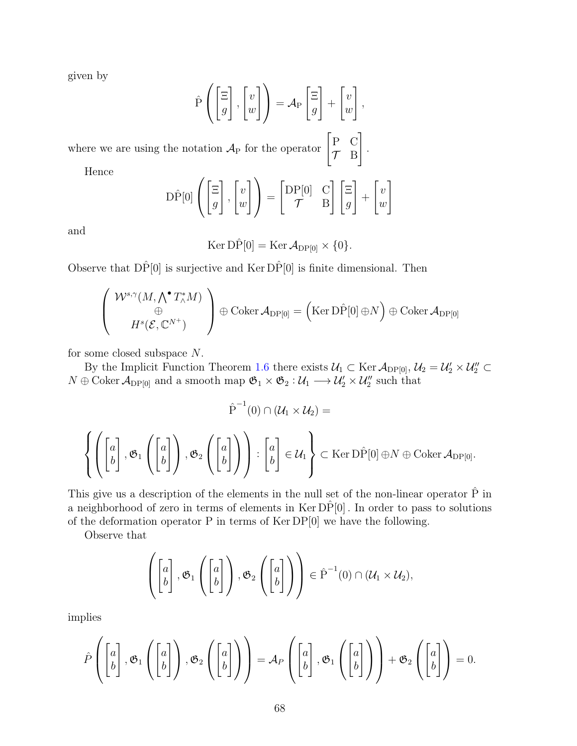given by

$$
\hat{P}\left(\begin{bmatrix} \Xi \\ g \end{bmatrix}, \begin{bmatrix} v \\ w \end{bmatrix}\right) = A_P \begin{bmatrix} \Xi \\ g \end{bmatrix} + \begin{bmatrix} v \\ w \end{bmatrix},
$$

.

where we are using the notation  $\mathcal{A}_{P}$  for the operator  $\begin{bmatrix} P & C \\ T & R \end{bmatrix}$  $\mathcal{T}$  B 1

Hence

$$
\hat{\mathcal{D}P}[0]\left(\begin{bmatrix} \Xi \\ g \end{bmatrix}, \begin{bmatrix} v \\ w \end{bmatrix}\right) = \begin{bmatrix} \mathcal{D}P[0] & \mathcal{C} \\ \mathcal{T} & \mathcal{B} \end{bmatrix} \begin{bmatrix} \Xi \\ g \end{bmatrix} + \begin{bmatrix} v \\ w \end{bmatrix}
$$

and

$$
\operatorname{Ker} D\hat{P}[0] = \operatorname{Ker} \mathcal{A}_{DP[0]} \times \{0\}.
$$

Observe that  $D\hat{P}[0]$  is surjective and Ker  $D\hat{P}[0]$  is finite dimensional. Then

$$
\begin{pmatrix}\n\mathcal{W}^{s,\gamma}(M,\bigwedge^{\bullet}T_{\wedge}^{*}M) \\
\oplus \\
H^{s}(\mathcal{E},\mathbb{C}^{N^{+}})\n\end{pmatrix} \oplus \text{Coker }\mathcal{A}_{\text{DP}[0]} = (\text{Ker D}\hat{P}[0] \oplus N) \oplus \text{Coker }\mathcal{A}_{\text{DP}[0]}
$$

for some closed subspace N.

By the Implicit Function Theorem [1.6](#page-18-0) there exists  $U_1 \subset \text{Ker } \mathcal{A}_{DP[0]}, U_2 = U_2' \times U_2'' \subset$  $N \oplus \text{Coker } \mathcal{A}_{\text{DP[0]}}$  and a smooth map  $\mathfrak{G}_1 \times \mathfrak{G}_2 : \mathcal{U}_1 \longrightarrow \mathcal{U}_2' \times \mathcal{U}_2''$  such that

$$
\hat{P}^{-1}(0) \cap (\mathcal{U}_1 \times \mathcal{U}_2) =
$$
\n
$$
\left\{ \left( \begin{bmatrix} a \\ b \end{bmatrix}, \mathfrak{G}_1 \left( \begin{bmatrix} a \\ b \end{bmatrix} \right), \mathfrak{G}_2 \left( \begin{bmatrix} a \\ b \end{bmatrix} \right) \right) : \begin{bmatrix} a \\ b \end{bmatrix} \in \mathcal{U}_1 \right\} \subset \text{Ker } D\hat{P}[0] \oplus N \oplus \text{Coker } \mathcal{A}_{DP[0]}.
$$

This give us a description of the elements in the null set of the non-linear operator  $\hat{P}$  in a neighborhood of zero in terms of elements in  $\text{Ker DP}[0]$ . In order to pass to solutions of the deformation operator P in terms of Ker DP[0] we have the following.

Observe that

$$
\left(\begin{bmatrix}a\\b\end{bmatrix},\mathfrak{G}_1\left(\begin{bmatrix}a\\b\end{bmatrix}\right),\mathfrak{G}_2\left(\begin{bmatrix}a\\b\end{bmatrix}\right)\right)\in\hat{P}^{-1}(0)\cap(\mathcal{U}_1\times\mathcal{U}_2),
$$

implies

$$
\hat{P}\left(\begin{bmatrix}a\\b\end{bmatrix},\mathfrak{G}_1\left(\begin{bmatrix}a\\b\end{bmatrix}\right),\mathfrak{G}_2\left(\begin{bmatrix}a\\b\end{bmatrix}\right)\right)=\mathcal{A}_P\left(\begin{bmatrix}a\\b\end{bmatrix},\mathfrak{G}_1\left(\begin{bmatrix}a\\b\end{bmatrix}\right)\right)+\mathfrak{G}_2\left(\begin{bmatrix}a\\b\end{bmatrix}\right)=0.
$$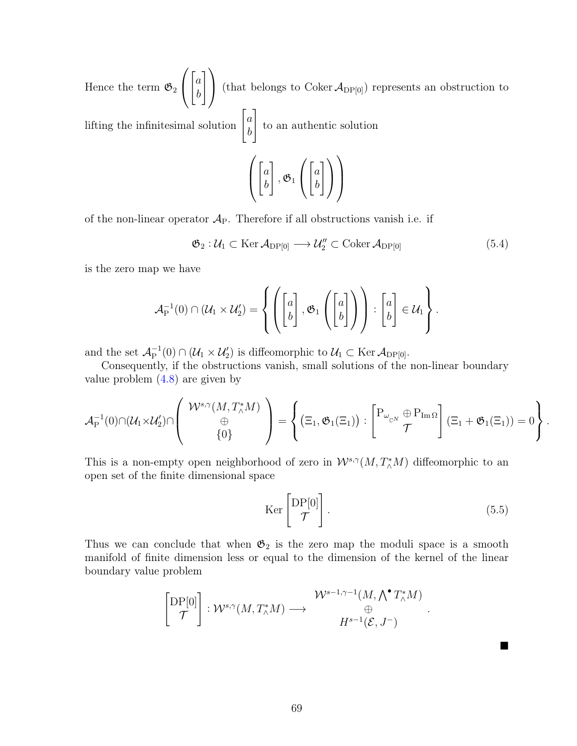Hence the term  $\mathfrak{G}_2$  $\sqrt{ }$  $\overline{1}$  $\lceil a \rceil$ b  $\bigwedge$ (that belongs to Coker  $\mathcal{A}_{DP[0]}$ ) represents an obstruction to lifting the infinitesimal solution  $\begin{bmatrix} a \\ b \end{bmatrix}$ b 1 to an authentic solution  $\sqrt{ }$  $\left\lfloor \right\rfloor$  $\lceil a \rceil$ b 1  $, \mathfrak{G}_1$  $\sqrt{ }$  $\overline{1}$  $\lceil a \rceil$ b  $\bigwedge$  $\overline{1}$  $\setminus$  $\overline{\phantom{a}}$ 

of the non-linear operator  $A_P$ . Therefore if all obstructions vanish i.e. if

<span id="page-77-0"></span>
$$
\mathfrak{G}_2: \mathcal{U}_1 \subset \text{Ker } \mathcal{A}_{\text{DP}[0]} \longrightarrow \mathcal{U}_2'' \subset \text{Coker } \mathcal{A}_{\text{DP}[0]}
$$
(5.4)

is the zero map we have

$$
\mathcal{A}_P^{-1}(0) \cap (\mathcal{U}_1 \times \mathcal{U}'_2) = \left\{ \left( \begin{bmatrix} a \\ b \end{bmatrix}, \mathfrak{G}_1 \left( \begin{bmatrix} a \\ b \end{bmatrix} \right) \right) : \begin{bmatrix} a \\ b \end{bmatrix} \in \mathcal{U}_1 \right\}.
$$

and the set  $\mathcal{A}_{\mathrm{P}}^{-1}$  $\mathcal{C}_{\mathbf{P}}^{-1}(0) \cap (\mathcal{U}_1 \times \mathcal{U}_2')$  is diffeomorphic to  $\mathcal{U}_1 \subset \text{Ker } \mathcal{A}_{\mathbf{DP}[0]}$ .

Consequently, if the obstructions vanish, small solutions of the non-linear boundary value problem  $(4.8)$  are given by

$$
\mathcal{A}_P^{-1}(0)\cap(\mathcal{U}_1\times \mathcal{U}_2')\cap\left(\begin{array}{c}\mathcal{W}^{s,\gamma}(M,T_\wedge^*M)\\ \oplus\\ \{0\}\end{array}\right)=\left\{\left(\Xi_1,\mathfrak{G}_1(\Xi_1)\right):\begin{bmatrix}\mathrm{P}_{\omega_{_\mathbb{C} N}}\oplus\mathrm{P}_{\operatorname{Im}\Omega}\\ \mathcal{T}\end{bmatrix}(\Xi_1+\mathfrak{G}_1(\Xi_1))=0\right\}.
$$

This is a non-empty open neighborhood of zero in  $\mathcal{W}^{s,\gamma}(M,T^*_\wedge M)$  diffeomorphic to an open set of the finite dimensional space

$$
\text{Ker}\begin{bmatrix} \text{DP}[0] \\ \mathcal{T} \end{bmatrix}.
$$
 (5.5)

.

 $\blacksquare$ 

Thus we can conclude that when  $\mathfrak{G}_2$  is the zero map the moduli space is a smooth manifold of finite dimension less or equal to the dimension of the kernel of the linear boundary value problem

$$
\begin{bmatrix} \mathrm{DP}[0] \\ \mathcal{T} \end{bmatrix} : \mathcal{W}^{s,\gamma}(M,T^*_\wedge M) \longrightarrow \begin{matrix} \mathcal{W}^{s-1,\gamma-1}(M,\bigwedge^\bullet T^*_\wedge M) \\ \oplus \\ H^{s-1}(\mathcal{E},J^-) \end{matrix}
$$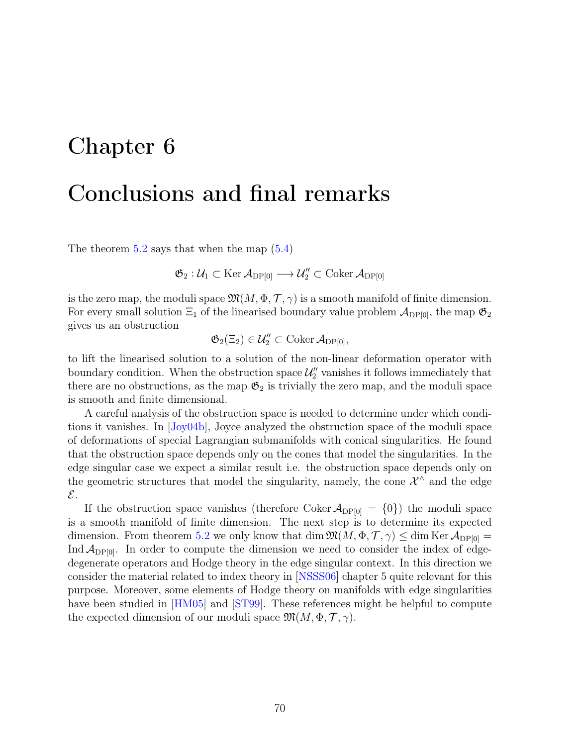## Chapter 6

## Conclusions and final remarks

The theorem  $5.2$  says that when the map  $(5.4)$ 

 $\mathfrak{G}_2: \mathcal{U}_1 \subset \operatorname{Ker} \mathcal{A}_{\mathrm{DP}[0]} \longrightarrow \mathcal{U}_2'' \subset \operatorname{Coker} \mathcal{A}_{\mathrm{DP}[0]}$ 

is the zero map, the moduli space  $\mathfrak{M}(M, \Phi, \mathcal{T}, \gamma)$  is a smooth manifold of finite dimension. For every small solution  $\Xi_1$  of the linearised boundary value problem  $\mathcal{A}_{DP[0]}$ , the map  $\mathfrak{G}_2$ gives us an obstruction

$$
\mathfrak{G}_2(\Xi_2)\in \mathcal{U}_2''\subset \mathrm{Coker}\, \mathcal{A}_{\mathrm{DP}[0]},
$$

to lift the linearised solution to a solution of the non-linear deformation operator with boundary condition. When the obstruction space  $\mathcal{U}''_2$  vanishes it follows immediately that there are no obstructions, as the map  $\mathfrak{G}_2$  is trivially the zero map, and the moduli space is smooth and finite dimensional.

A careful analysis of the obstruction space is needed to determine under which conditions it vanishes. In [[Joy04b](#page-80-0)], Joyce analyzed the obstruction space of the moduli space of deformations of special Lagrangian submanifolds with conical singularities. He found that the obstruction space depends only on the cones that model the singularities. In the edge singular case we expect a similar result i.e. the obstruction space depends only on the geometric structures that model the singularity, namely, the cone  $\mathcal{X}^{\wedge}$  and the edge  $\mathcal{E}.$ 

If the obstruction space vanishes (therefore Coker  $\mathcal{A}_{DP[0]} = \{0\}$ ) the moduli space is a smooth manifold of finite dimension. The next step is to determine its expected dimension. From theorem [5.2](#page-75-0) we only know that dim  $\mathfrak{M}(M, \Phi, \mathcal{T}, \gamma) \leq \dim \text{Ker } \mathcal{A}_{\text{DP[0]}} =$ Ind  $\mathcal{A}_{DP[0]}$ . In order to compute the dimension we need to consider the index of edgedegenerate operators and Hodge theory in the edge singular context. In this direction we consider the material related to index theory in [[NSSS06](#page-82-1)] chapter 5 quite relevant for this purpose. Moreover, some elements of Hodge theory on manifolds with edge singularities have been studied in [[HM05](#page-80-1)] and [[ST99](#page-82-2)]. These references might be helpful to compute the expected dimension of our moduli space  $\mathfrak{M}(M, \Phi, \mathcal{T}, \gamma)$ .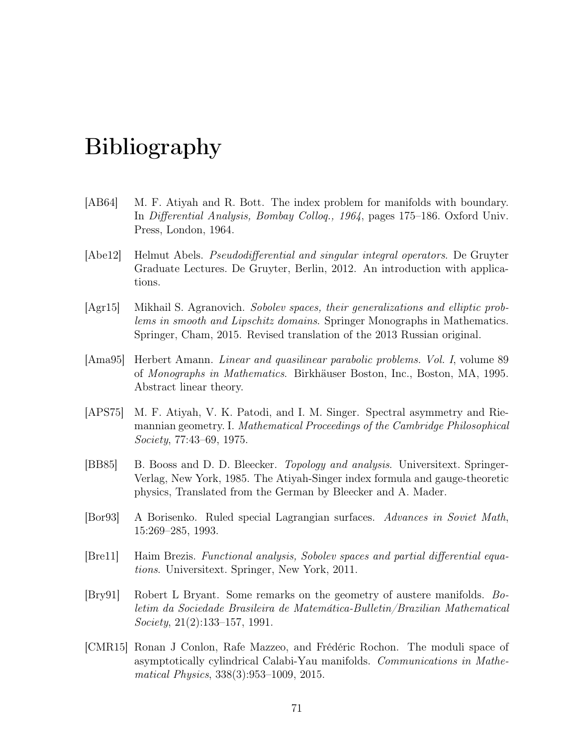# Bibliography

- [AB64] M. F. Atiyah and R. Bott. The index problem for manifolds with boundary. In Differential Analysis, Bombay Colloq., 1964, pages 175–186. Oxford Univ. Press, London, 1964.
- <span id="page-79-2"></span>[Abe12] Helmut Abels. Pseudodifferential and singular integral operators. De Gruyter Graduate Lectures. De Gruyter, Berlin, 2012. An introduction with applications.
- [Agr15] Mikhail S. Agranovich. Sobolev spaces, their generalizations and elliptic problems in smooth and Lipschitz domains. Springer Monographs in Mathematics. Springer, Cham, 2015. Revised translation of the 2013 Russian original.
- <span id="page-79-1"></span>[Ama95] Herbert Amann. Linear and quasilinear parabolic problems. Vol. I, volume 89 of Monographs in Mathematics. Birkhäuser Boston, Inc., Boston, MA, 1995. Abstract linear theory.
- [APS75] M. F. Atiyah, V. K. Patodi, and I. M. Singer. Spectral asymmetry and Riemannian geometry. I. Mathematical Proceedings of the Cambridge Philosophical Society, 77:43–69, 1975.
- [BB85] B. Booss and D. D. Bleecker. Topology and analysis. Universitext. Springer-Verlag, New York, 1985. The Atiyah-Singer index formula and gauge-theoretic physics, Translated from the German by Bleecker and A. Mader.
- [Bor93] A Borisenko. Ruled special Lagrangian surfaces. Advances in Soviet Math, 15:269–285, 1993.
- <span id="page-79-0"></span>[Bre11] Haim Brezis. Functional analysis, Sobolev spaces and partial differential equations. Universitext. Springer, New York, 2011.
- [Bry91] Robert L Bryant. Some remarks on the geometry of austere manifolds. Boletim da Sociedade Brasileira de Matemática-Bulletin/Brazilian Mathematical Society, 21(2):133–157, 1991.
- [CMR15] Ronan J Conlon, Rafe Mazzeo, and Frédéric Rochon. The moduli space of asymptotically cylindrical Calabi-Yau manifolds. Communications in Mathematical Physics, 338(3):953–1009, 2015.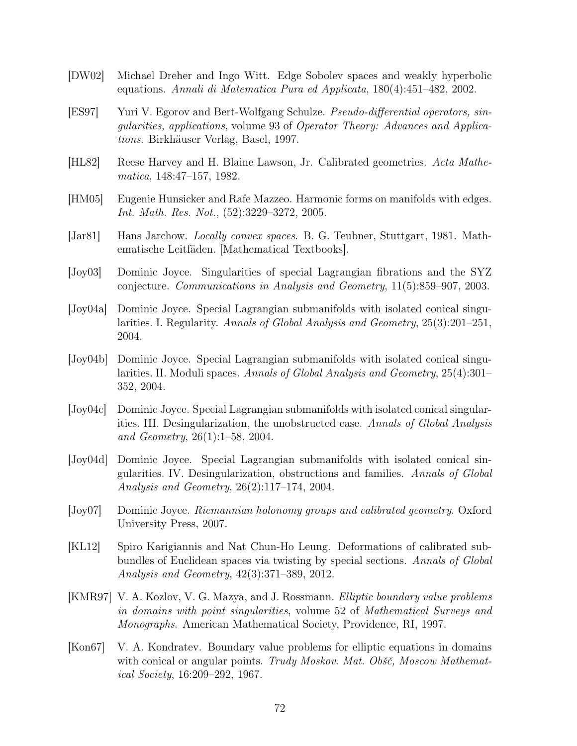- <span id="page-80-2"></span>[DW02] Michael Dreher and Ingo Witt. Edge Sobolev spaces and weakly hyperbolic equations. Annali di Matematica Pura ed Applicata, 180(4):451–482, 2002.
- [ES97] Yuri V. Egorov and Bert-Wolfgang Schulze. Pseudo-differential operators, singularities, applications, volume 93 of Operator Theory: Advances and Applications. Birkhäuser Verlag, Basel, 1997.
- [HL82] Reese Harvey and H. Blaine Lawson, Jr. Calibrated geometries. Acta Mathematica, 148:47–157, 1982.
- <span id="page-80-1"></span>[HM05] Eugenie Hunsicker and Rafe Mazzeo. Harmonic forms on manifolds with edges. Int. Math. Res. Not., (52):3229–3272, 2005.
- <span id="page-80-3"></span>[Jar81] Hans Jarchow. Locally convex spaces. B. G. Teubner, Stuttgart, 1981. Mathematische Leitfäden. [Mathematical Textbooks].
- [Joy03] Dominic Joyce. Singularities of special Lagrangian fibrations and the SYZ conjecture. Communications in Analysis and Geometry, 11(5):859–907, 2003.
- [Joy04a] Dominic Joyce. Special Lagrangian submanifolds with isolated conical singularities. I. Regularity. Annals of Global Analysis and Geometry, 25(3):201–251, 2004.
- <span id="page-80-0"></span>[Joy04b] Dominic Joyce. Special Lagrangian submanifolds with isolated conical singularities. II. Moduli spaces. Annals of Global Analysis and Geometry, 25(4):301– 352, 2004.
- [Joy04c] Dominic Joyce. Special Lagrangian submanifolds with isolated conical singularities. III. Desingularization, the unobstructed case. Annals of Global Analysis and Geometry, 26(1):1–58, 2004.
- [Joy04d] Dominic Joyce. Special Lagrangian submanifolds with isolated conical singularities. IV. Desingularization, obstructions and families. Annals of Global Analysis and Geometry, 26(2):117–174, 2004.
- [Joy07] Dominic Joyce. Riemannian holonomy groups and calibrated geometry. Oxford University Press, 2007.
- [KL12] Spiro Karigiannis and Nat Chun-Ho Leung. Deformations of calibrated subbundles of Euclidean spaces via twisting by special sections. Annals of Global Analysis and Geometry, 42(3):371–389, 2012.
- [KMR97] V. A. Kozlov, V. G. Mazya, and J. Rossmann. Elliptic boundary value problems in domains with point singularities, volume 52 of Mathematical Surveys and Monographs. American Mathematical Society, Providence, RI, 1997.
- [Kon67] V. A. Kondratev. Boundary value problems for elliptic equations in domains with conical or angular points. Trudy Moskov. Mat. Obšč, Moscow Mathematical Society, 16:209–292, 1967.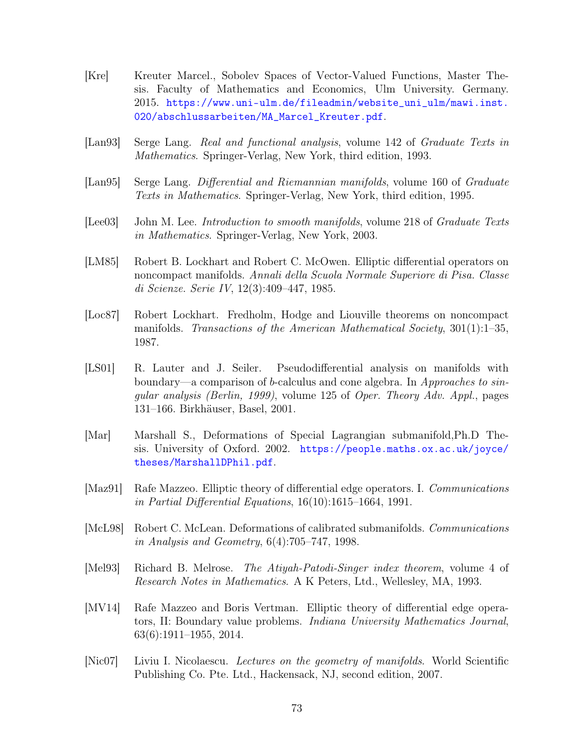- <span id="page-81-0"></span>[Kre] Kreuter Marcel., Sobolev Spaces of Vector-Valued Functions, Master Thesis. Faculty of Mathematics and Economics, Ulm University. Germany. 2015. [https://www.uni-ulm.de/fileadmin/website\\_uni\\_ulm/mawi.inst.](https://www.uni-ulm.de/fileadmin/website_uni_ulm/mawi.inst.020/abschlussarbeiten/MA_Marcel_Kreuter.pdf) [020/abschlussarbeiten/MA\\_Marcel\\_Kreuter.pdf](https://www.uni-ulm.de/fileadmin/website_uni_ulm/mawi.inst.020/abschlussarbeiten/MA_Marcel_Kreuter.pdf).
- [Lan93] Serge Lang. Real and functional analysis, volume 142 of Graduate Texts in Mathematics. Springer-Verlag, New York, third edition, 1993.
- [Lan95] Serge Lang. Differential and Riemannian manifolds, volume 160 of Graduate Texts in Mathematics. Springer-Verlag, New York, third edition, 1995.
- [Lee03] John M. Lee. *Introduction to smooth manifolds*, volume 218 of *Graduate Texts* in Mathematics. Springer-Verlag, New York, 2003.
- [LM85] Robert B. Lockhart and Robert C. McOwen. Elliptic differential operators on noncompact manifolds. Annali della Scuola Normale Superiore di Pisa. Classe di Scienze. Serie IV, 12(3):409–447, 1985.
- [Loc87] Robert Lockhart. Fredholm, Hodge and Liouville theorems on noncompact manifolds. Transactions of the American Mathematical Society,  $301(1):1-35$ , 1987.
- [LS01] R. Lauter and J. Seiler. Pseudodifferential analysis on manifolds with boundary—a comparison of b-calculus and cone algebra. In Approaches to singular analysis (Berlin, 1999), volume 125 of Oper. Theory Adv. Appl., pages 131–166. Birkhäuser, Basel, 2001.
- [Mar] Marshall S., Deformations of Special Lagrangian submanifold,Ph.D Thesis. University of Oxford. 2002. [https://people.maths.ox.ac.uk/joyce/](https://people.maths.ox.ac.uk/joyce/theses/MarshallDPhil.pdf) [theses/MarshallDPhil.pdf](https://people.maths.ox.ac.uk/joyce/theses/MarshallDPhil.pdf).
- [Maz91] Rafe Mazzeo. Elliptic theory of differential edge operators. I. Communications in Partial Differential Equations, 16(10):1615–1664, 1991.
- [McL98] Robert C. McLean. Deformations of calibrated submanifolds. Communications in Analysis and Geometry, 6(4):705–747, 1998.
- [Mel93] Richard B. Melrose. The Atiyah-Patodi-Singer index theorem, volume 4 of Research Notes in Mathematics. A K Peters, Ltd., Wellesley, MA, 1993.
- [MV14] Rafe Mazzeo and Boris Vertman. Elliptic theory of differential edge operators, II: Boundary value problems. Indiana University Mathematics Journal, 63(6):1911–1955, 2014.
- [Nic07] Liviu I. Nicolaescu. Lectures on the geometry of manifolds. World Scientific Publishing Co. Pte. Ltd., Hackensack, NJ, second edition, 2007.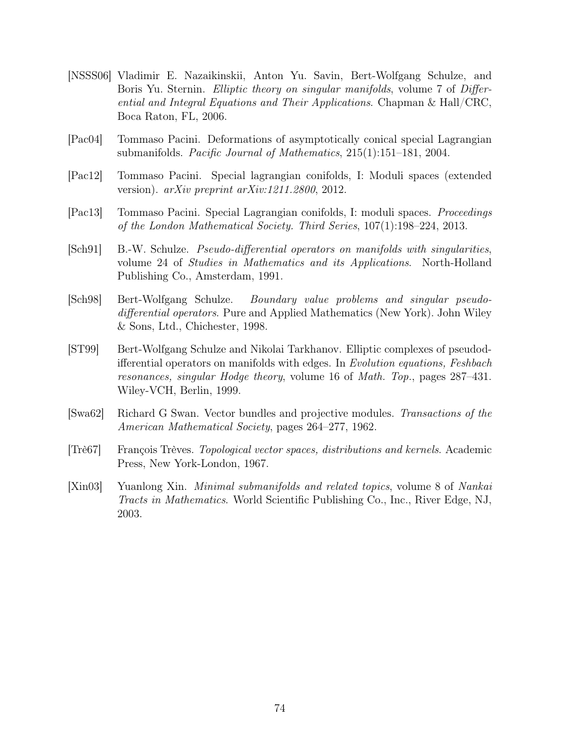- <span id="page-82-1"></span>[NSSS06] Vladimir E. Nazaikinskii, Anton Yu. Savin, Bert-Wolfgang Schulze, and Boris Yu. Sternin. *Elliptic theory on singular manifolds*, volume 7 of *Differ*ential and Integral Equations and Their Applications. Chapman & Hall/CRC, Boca Raton, FL, 2006.
- [Pac04] Tommaso Pacini. Deformations of asymptotically conical special Lagrangian submanifolds. Pacific Journal of Mathematics,  $215(1):151-181$ ,  $2004$ .
- [Pac12] Tommaso Pacini. Special lagrangian conifolds, I: Moduli spaces (extended version). arXiv preprint arXiv:1211.2800, 2012.
- [Pac13] Tommaso Pacini. Special Lagrangian conifolds, I: moduli spaces. Proceedings of the London Mathematical Society. Third Series, 107(1):198–224, 2013.
- [Sch91] B.-W. Schulze. Pseudo-differential operators on manifolds with singularities, volume 24 of Studies in Mathematics and its Applications. North-Holland Publishing Co., Amsterdam, 1991.
- <span id="page-82-0"></span>[Sch98] Bert-Wolfgang Schulze. Boundary value problems and singular pseudodifferential operators. Pure and Applied Mathematics (New York). John Wiley & Sons, Ltd., Chichester, 1998.
- <span id="page-82-2"></span>[ST99] Bert-Wolfgang Schulze and Nikolai Tarkhanov. Elliptic complexes of pseudodifferential operators on manifolds with edges. In Evolution equations, Feshbach resonances, singular Hodge theory, volume 16 of Math. Top., pages 287–431. Wiley-VCH, Berlin, 1999.
- [Swa62] Richard G Swan. Vector bundles and projective modules. Transactions of the American Mathematical Society, pages 264–277, 1962.
- <span id="page-82-3"></span>[Trè67] François Trèves. Topological vector spaces, distributions and kernels. Academic Press, New York-London, 1967.
- [Xin03] Yuanlong Xin. Minimal submanifolds and related topics, volume 8 of Nankai Tracts in Mathematics. World Scientific Publishing Co., Inc., River Edge, NJ, 2003.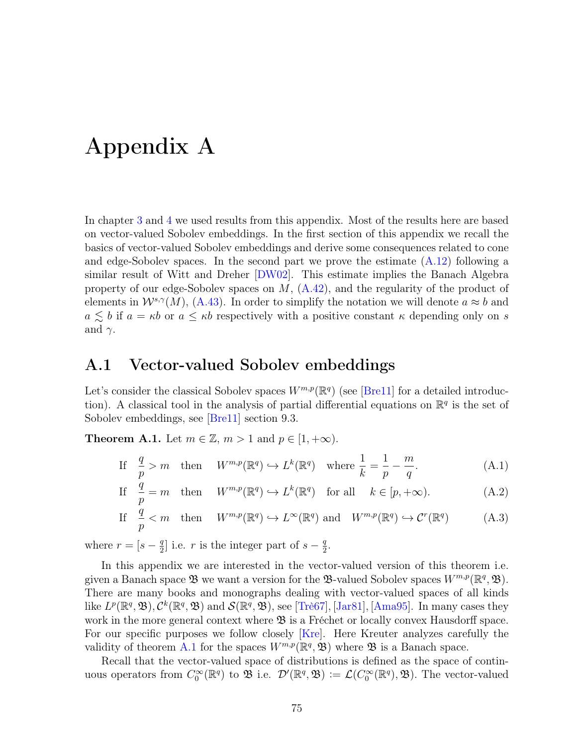# Appendix A

In chapter [3](#page-44-0) and [4](#page-66-1) we used results from this appendix. Most of the results here are based on vector-valued Sobolev embeddings. In the first section of this appendix we recall the basics of vector-valued Sobolev embeddings and derive some consequences related to cone and edge-Sobolev spaces. In the second part we prove the estimate  $(A.12)$  following a similar result of Witt and Dreher [[DW02](#page-80-2)]. This estimate implies the Banach Algebra property of our edge-Sobolev spaces on  $M$ ,  $(A.42)$ , and the regularity of the product of elements in  $W^{s,\gamma}(M)$ , [\(A.43\)](#page-89-0). In order to simplify the notation we will denote  $a \approx b$  and  $a \leq b$  if  $a = \kappa b$  or  $a \leq \kappa b$  respectively with a positive constant  $\kappa$  depending only on s and  $\gamma$ .

### <span id="page-83-2"></span>A.1 Vector-valued Sobolev embeddings

Let's consider the classical Sobolev spaces  $W^{m,p}(\mathbb{R}^q)$  (see [[Bre11](#page-79-0)] for a detailed introduction). A classical tool in the analysis of partial differential equations on  $\mathbb{R}^q$  is the set of Sobolev embeddings, see [[Bre11](#page-79-0)] section 9.3.

<span id="page-83-0"></span>**Theorem A.1.** Let  $m \in \mathbb{Z}$ ,  $m > 1$  and  $p \in [1, +\infty)$ .

If 
$$
\frac{q}{p} > m
$$
 then  $W^{m,p}(\mathbb{R}^q) \hookrightarrow L^k(\mathbb{R}^q)$  where  $\frac{1}{k} = \frac{1}{p} - \frac{m}{q}$ . (A.1)

<span id="page-83-1"></span>If 
$$
\frac{q}{p} = m
$$
 then  $W^{m,p}(\mathbb{R}^q) \hookrightarrow L^k(\mathbb{R}^q)$  for all  $k \in [p, +\infty)$ . (A.2)

If 
$$
\frac{q}{p} < m
$$
 then  $W^{m,p}(\mathbb{R}^q) \hookrightarrow L^{\infty}(\mathbb{R}^q)$  and  $W^{m,p}(\mathbb{R}^q) \hookrightarrow C^r(\mathbb{R}^q)$  (A.3)

where  $r = [s - \frac{q}{2}]$  $\frac{q}{2}$  i.e. r is the integer part of  $s-\frac{q}{2}$  $\frac{q}{2}$ .

In this appendix we are interested in the vector-valued version of this theorem i.e. given a Banach space  $\mathfrak{B}$  we want a version for the  $\mathfrak{B}\text{-valued Sobolev spaces } W^{m,p}(\mathbb{R}^q, \mathfrak{B}).$ There are many books and monographs dealing with vector-valued spaces of all kinds like  $L^p(\mathbb{R}^q, \mathfrak{B}), \mathcal{C}^k(\mathbb{R}^q, \mathfrak{B})$  and  $\mathcal{S}(\mathbb{R}^q, \mathfrak{B}),$  see [[Trè67](#page-82-3)], [[Jar81](#page-80-3)], [[Ama95](#page-79-1)]. In many cases they work in the more general context where  $\mathfrak{B}$  is a Fréchet or locally convex Hausdorff space. For our specific purposes we follow closely [[Kre](#page-81-0)]. Here Kreuter analyzes carefully the validity of theorem [A.1](#page-83-0) for the spaces  $W^{m,p}(\mathbb{R}^q, \mathfrak{B})$  where  $\mathfrak{B}$  is a Banach space.

Recall that the vector-valued space of distributions is defined as the space of continuous operators from  $C_0^{\infty}(\mathbb{R}^q)$  to  $\mathfrak{B}$  i.e.  $\mathcal{D}'(\mathbb{R}^q, \mathfrak{B}) := \mathcal{L}(C_0^{\infty}(\mathbb{R}^q), \mathfrak{B})$ . The vector-valued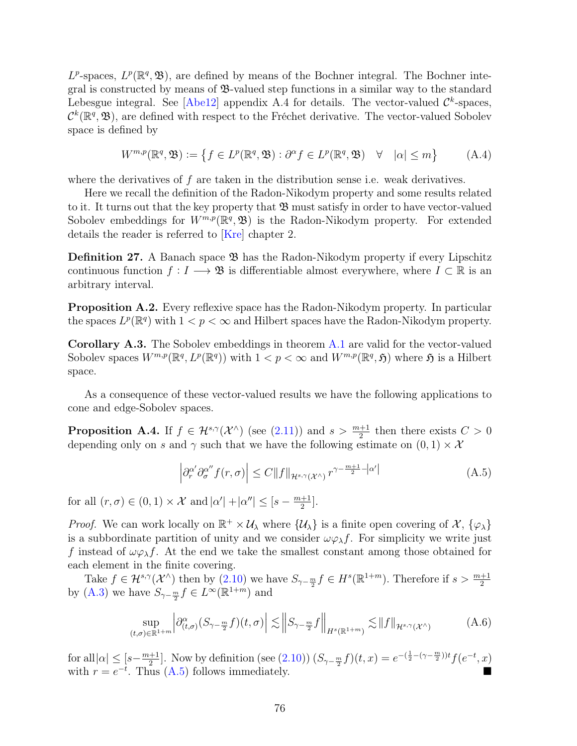$L^p$ -spaces,  $L^p(\mathbb{R}^q, \mathfrak{B})$ , are defined by means of the Bochner integral. The Bochner integral is constructed by means of  $\mathfrak{B}\text{-}$  valued step functions in a similar way to the standard Lebesgue integral. See [[Abe12](#page-79-2)] appendix A.4 for details. The vector-valued  $\mathcal{C}^k$ -spaces,  $\mathcal{C}^k(\mathbb{R}^q, \mathfrak{B})$ , are defined with respect to the Fréchet derivative. The vector-valued Sobolev space is defined by

$$
W^{m,p}(\mathbb{R}^q, \mathfrak{B}) := \left\{ f \in L^p(\mathbb{R}^q, \mathfrak{B}) : \partial^{\alpha} f \in L^p(\mathbb{R}^q, \mathfrak{B}) \quad \forall \quad |\alpha| \le m \right\} \tag{A.4}
$$

where the derivatives of f are taken in the distribution sense i.e. weak derivatives.

Here we recall the definition of the Radon-Nikodym property and some results related to it. It turns out that the key property that  $\mathfrak{B}$  must satisfy in order to have vector-valued Sobolev embeddings for  $W^{m,p}(\mathbb{R}^q, \mathfrak{B})$  is the Radon-Nikodym property. For extended details the reader is referred to [[Kre](#page-81-0)] chapter 2.

**Definition 27.** A Banach space  $\mathfrak{B}$  has the Radon-Nikodym property if every Lipschitz continuous function  $f: I \longrightarrow \mathfrak{B}$  is differentiable almost everywhere, where  $I \subset \mathbb{R}$  is an arbitrary interval.

Proposition A.2. Every reflexive space has the Radon-Nikodym property. In particular the spaces  $L^p(\mathbb{R}^q)$  with  $1 < p < \infty$  and Hilbert spaces have the Radon-Nikodym property.

<span id="page-84-1"></span>Corollary A.3. The Sobolev embeddings in theorem [A.1](#page-83-0) are valid for the vector-valued Sobolev spaces  $W^{m,p}(\mathbb{R}^q, L^p(\mathbb{R}^q))$  with  $1 < p < \infty$  and  $W^{m,p}(\mathbb{R}^q, \mathfrak{H})$  where  $\mathfrak{H}$  is a Hilbert space.

As a consequence of these vector-valued results we have the following applications to cone and edge-Sobolev spaces.

<span id="page-84-2"></span>**Proposition A.4.** If  $f \in \mathcal{H}^{s,\gamma}(\mathcal{X}^{\wedge})$  (see [\(2.11\)](#page-26-0)) and  $s > \frac{m+1}{2}$  then there exists  $C > 0$ depending only on s and  $\gamma$  such that we have the following estimate on  $(0, 1) \times \mathcal{X}$ 

<span id="page-84-0"></span>
$$
\left| \partial_r^{\alpha'} \partial_\sigma^{\alpha''} f(r, \sigma) \right| \le C \|f\|_{\mathcal{H}^{s, \gamma}(\mathcal{X}^\wedge)} r^{\gamma - \frac{m+1}{2} - |\alpha'|} \tag{A.5}
$$

for all  $(r, \sigma) \in (0, 1) \times \mathcal{X}$  and  $|\alpha'| + |\alpha''| \leq [s - \frac{m+1}{2}]$  $\frac{+1}{2}$ .

*Proof.* We can work locally on  $\mathbb{R}^+ \times \mathcal{U}_\lambda$  where  $\{\mathcal{U}_\lambda\}$  is a finite open covering of X,  $\{\varphi_\lambda\}$ is a subbordinate partition of unity and we consider  $\omega \varphi_{\lambda} f$ . For simplicity we write just f instead of  $\omega \varphi_{\lambda} f$ . At the end we take the smallest constant among those obtained for each element in the finite covering.

Take  $f \in \mathcal{H}^{s,\gamma}(\mathcal{X}^{\wedge})$  then by  $(2.10)$  we have  $S_{\gamma-\frac{m}{2}}f \in H^s(\mathbb{R}^{1+m})$ . Therefore if  $s > \frac{m+1}{2}$ by [\(A.3\)](#page-83-1) we have  $S_{\gamma - \frac{m}{2}} f \in L^{\infty}(\mathbb{R}^{1+m})$  and

$$
\sup_{(t,\sigma)\in\mathbb{R}^{1+m}} \left| \partial_{(t,\sigma)}^{\alpha}(S_{\gamma-\frac{m}{2}}f)(t,\sigma) \right| \lesssim \left\| S_{\gamma-\frac{m}{2}}f \right\|_{H^{s}(\mathbb{R}^{1+m})} \lesssim \|f\|_{\mathcal{H}^{s,\gamma}(\mathcal{X}^{\wedge})}
$$
(A.6)

for all $|\alpha| \leq [s - \frac{m+1}{2}]$ <sup>+1</sup>/<sub>2</sub>. Now by definition (see [\(2.10\)](#page-26-1))  $(S_{\gamma - \frac{m}{2}}f)(t, x) = e^{-(\frac{1}{2} - (\gamma - \frac{m}{2}))t} f(e^{-t}, x)$ with  $r = e^{-t}$ . Thus [\(A.5\)](#page-84-0) follows immediately.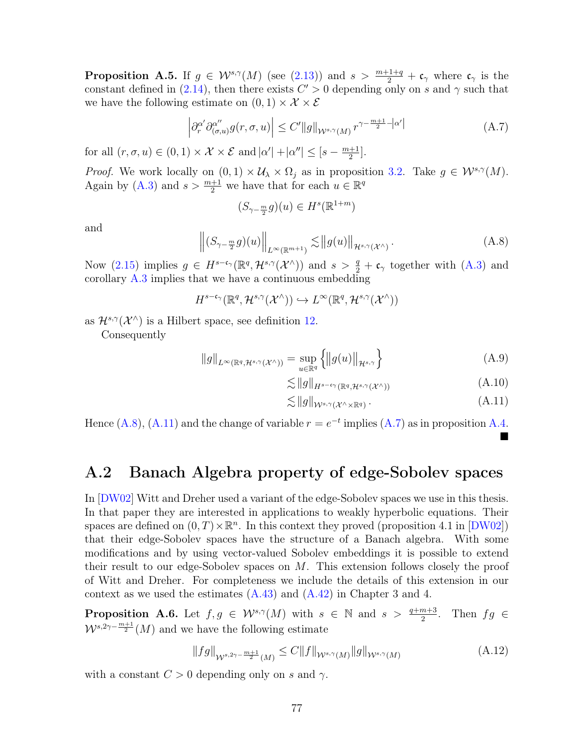**Proposition A.5.** If  $g \in \mathcal{W}^{s,\gamma}(M)$  (see [\(2.13\)](#page-28-0)) and  $s > \frac{m+1+q}{2} + c_{\gamma}$  where  $c_{\gamma}$  is the constant defined in [\(2.14\)](#page-29-0), then there exists  $C' > 0$  depending only on s and  $\gamma$  such that we have the following estimate on  $(0, 1) \times \mathcal{X} \times \mathcal{E}$ 

<span id="page-85-0"></span>
$$
\left| \partial_r^{\alpha'} \partial_{(\sigma,u)}^{\alpha''} g(r,\sigma,u) \right| \le C' \|g\|_{\mathcal{W}^{s,\gamma}(M)} r^{\gamma - \frac{m+1}{2} - |\alpha'|}
$$
 (A.7)

for all  $(r, \sigma, u) \in (0, 1) \times \mathcal{X} \times \mathcal{E}$  and  $|\alpha'| + |\alpha''| \leq [s - \frac{m+1}{2}]$  $\frac{+1}{2}$ .

*Proof.* We work locally on  $(0, 1) \times U_\lambda \times \Omega_j$  as in proposition [3.2.](#page-48-0) Take  $g \in \mathcal{W}^{s, \gamma}(M)$ . Again by [\(A.3\)](#page-83-1) and  $s > \frac{m+1}{2}$  we have that for each  $u \in \mathbb{R}^q$ 

$$
(S_{\gamma-\frac{m}{2}}g)(u)\in H^s(\mathbb{R}^{1+m})
$$

and

<span id="page-85-2"></span>
$$
\left\| (S_{\gamma - \frac{m}{2}} g)(u) \right\|_{L^{\infty}(\mathbb{R}^{m+1})} \lesssim \left\| g(u) \right\|_{\mathcal{H}^{s,\gamma}(\mathcal{X}^{\wedge})}.
$$
 (A.8)

Now [\(2.15\)](#page-29-1) implies  $g \in H^{s-\mathfrak{c}_{\gamma}}(\mathbb{R}^q, \mathcal{H}^{s,\gamma}(\mathcal{X}^{\wedge}))$  and  $s > \frac{q}{2} + \mathfrak{c}_{\gamma}$  together with [\(A.3\)](#page-83-1) and corollary [A.3](#page-84-1) implies that we have a continuous embedding

 $H^{s-c_{\gamma}}(\mathbb{R}^q, \mathcal{H}^{s,\gamma}(\mathcal{X}^\wedge)) \hookrightarrow L^\infty(\mathbb{R}^q, \mathcal{H}^{s,\gamma}(\mathcal{X}^\wedge))$ 

as  $\mathcal{H}^{s,\gamma}(\mathcal{X}^{\wedge})$  is a Hilbert space, see definition [12.](#page-25-0)

Consequently

$$
||g||_{L^{\infty}(\mathbb{R}^q, \mathcal{H}^{s,\gamma}(\mathcal{X}^{\wedge}))} = \sup_{u \in \mathbb{R}^q} \left\{ ||g(u)||_{\mathcal{H}^{s,\gamma}} \right\}
$$
(A.9)

$$
\lesssim \|g\|_{H^{s-c_{\gamma}}(\mathbb{R}^q, \mathcal{H}^{s,\gamma}(\mathcal{X}^{\wedge}))} \tag{A.10}
$$

<span id="page-85-3"></span>
$$
\lesssim \|g\|_{\mathcal{W}^{s,\gamma}(\mathcal{X}^\wedge \times \mathbb{R}^q)}.
$$
\n(A.11)

Hence [\(A.8\)](#page-85-2), [\(A.11\)](#page-85-3) and the change of variable  $r = e^{-t}$  implies [\(A.7\)](#page-85-0) as in proposition [A.4.](#page-84-2)  $\blacksquare$ 

### A.2 Banach Algebra property of edge-Sobolev spaces

In [[DW02](#page-80-2)] Witt and Dreher used a variant of the edge-Sobolev spaces we use in this thesis. In that paper they are interested in applications to weakly hyperbolic equations. Their spaces are defined on  $(0, T) \times \mathbb{R}^n$ . In this context they proved (proposition 4.1 in [[DW02](#page-80-2)]) that their edge-Sobolev spaces have the structure of a Banach algebra. With some modifications and by using vector-valued Sobolev embeddings it is possible to extend their result to our edge-Sobolev spaces on M. This extension follows closely the proof of Witt and Dreher. For completeness we include the details of this extension in our context as we used the estimates  $(A.43)$  and  $(A.42)$  in Chapter 3 and 4.

**Proposition A.6.** Let  $f, g \in \mathcal{W}^{s,\gamma}(M)$  with  $s \in \mathbb{N}$  and  $s > \frac{q+m+3}{2}$ . Then  $fg \in$  $W^{s,2\gamma-\frac{m+1}{2}}(M)$  and we have the following estimate

<span id="page-85-1"></span>
$$
||fg||_{W^{s,2\gamma-\frac{m+1}{2}}(M)} \leq C||f||_{W^{s,\gamma}(M)}||g||_{W^{s,\gamma}(M)}
$$
(A.12)

with a constant  $C > 0$  depending only on s and  $\gamma$ .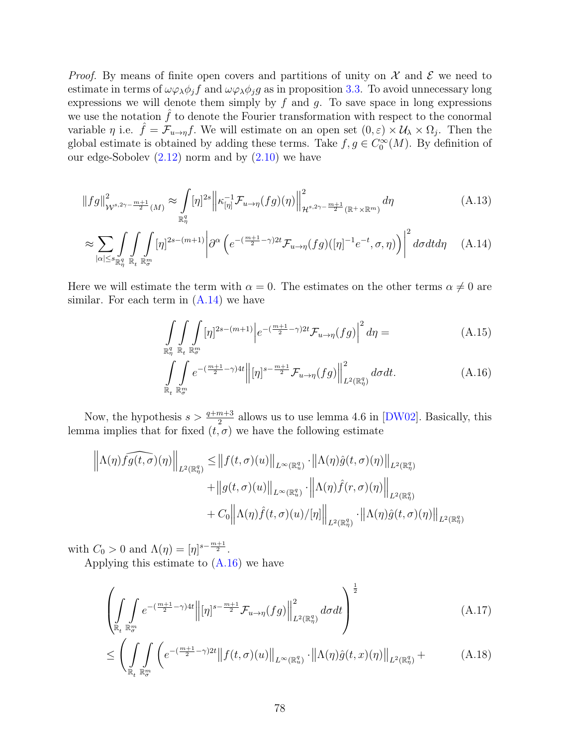*Proof.* By means of finite open covers and partitions of unity on  $\mathcal X$  and  $\mathcal E$  we need to estimate in terms of  $\omega\varphi_{\lambda}\phi_j f$  and  $\omega\varphi_{\lambda}\phi_j g$  as in proposition [3.3.](#page-50-0) To avoid unnecessary long expressions we will denote them simply by  $f$  and  $g$ . To save space in long expressions we use the notation  $\hat{f}$  to denote the Fourier transformation with respect to the conormal variable  $\eta$  i.e.  $\hat{f} = \mathcal{F}_{u \to \eta} f$ . We will estimate on an open set  $(0, \varepsilon) \times \mathcal{U}_{\lambda} \times \Omega_j$ . Then the global estimate is obtained by adding these terms. Take  $f, g \in C_0^{\infty}(M)$ . By definition of our edge-Sobolev  $(2.12)$  norm and by  $(2.10)$  we have

$$
||fg||_{\mathcal{W}^{s,2\gamma-\frac{m+1}{2}}(M)}^2 \approx \int\limits_{\mathbb{R}^q_\eta} [\eta]^{2s} \left\| \kappa_{[\eta]}^{-1} \mathcal{F}_{u \to \eta}(fg)(\eta) \right\|_{\mathcal{H}^{s,2\gamma-\frac{m+1}{2}}(\mathbb{R}^+\times \mathbb{R}^m)}^2 d\eta
$$
\n(A.13)

$$
\approx \sum_{|\alpha| \le s_{\mathbb{R}^q_\eta}} \int\limits_{\mathbb{R}_t} \int\limits_{\mathbb{R}^m_\sigma} [\eta]^{2s - (m+1)} \left| \partial^\alpha \left( e^{-(\frac{m+1}{2} - \gamma) 2t} \mathcal{F}_{u \to \eta}(fg) ([\eta]^{-1} e^{-t}, \sigma, \eta) \right) \right|^2 d\sigma dt d\eta \quad (A.14)
$$

Here we will estimate the term with  $\alpha = 0$ . The estimates on the other terms  $\alpha \neq 0$  are similar. For each term in  $(A.14)$  we have

<span id="page-86-0"></span>
$$
\int_{\mathbb{R}^q_\eta} \int_{\mathbb{R}_t} \int_{\mathbb{R}^m_\sigma} [\eta]^{2s - (m+1)} \left| e^{-(\frac{m+1}{2} - \gamma)2t} \mathcal{F}_{u \to \eta}(fg) \right|^2 d\eta = \tag{A.15}
$$

<span id="page-86-1"></span>
$$
\int_{\mathbb{R}_t} \int_{\mathbb{R}_\sigma^n} e^{-\left(\frac{m+1}{2} - \gamma\right)4t} \left\| [\eta]^{s - \frac{m+1}{2}} \mathcal{F}_{u \to \eta}(fg) \right\|_{L^2(\mathbb{R}_\eta^q)}^2 d\sigma dt.
$$
\n(A.16)

Now, the hypothesis  $s > \frac{q+m+3}{2}$  allows us to use lemma 4.6 in [[DW02](#page-80-2)]. Basically, this lemma implies that for fixed  $(t, \sigma)$  we have the following estimate

$$
\left\|\Lambda(\eta)\widehat{fg(t,\sigma)}(\eta)\right\|_{L^{2}(\mathbb{R}^{q}_{\eta})} \leq \left\|f(t,\sigma)(u)\right\|_{L^{\infty}(\mathbb{R}^{q}_{u})} \cdot \left\|\Lambda(\eta)\hat{g}(t,\sigma)(\eta)\right\|_{L^{2}(\mathbb{R}^{q}_{\eta})} + \left\|g(t,\sigma)(u)\right\|_{L^{\infty}(\mathbb{R}^{q}_{u})} \cdot \left\|\Lambda(\eta)\hat{f}(r,\sigma)(\eta)\right\|_{L^{2}(\mathbb{R}^{q}_{\eta})} + C_{0}\left\|\Lambda(\eta)\hat{f}(t,\sigma)(u)/[\eta]\right\|_{L^{2}(\mathbb{R}^{q}_{\eta})} \cdot \left\|\Lambda(\eta)\hat{g}(t,\sigma)(\eta)\right\|_{L^{2}(\mathbb{R}^{q}_{\eta})}
$$

with  $C_0 > 0$  and  $\Lambda(\eta) = [\eta]^{s - \frac{m+1}{2}}$ .

Applying this estimate to [\(A.16\)](#page-86-1) we have

<span id="page-86-2"></span>
$$
\left(\int\limits_{\mathbb{R}_t} \int\limits_{\mathbb{R}_v^m} e^{-(\frac{m+1}{2}-\gamma)4t} \left\| [\eta]^{s-\frac{m+1}{2}} \mathcal{F}_{u\to\eta}(fg) \right\|_{L^2(\mathbb{R}_\eta^q)}^2 d\sigma dt \right)^{\frac{1}{2}} \tag{A.17}
$$

$$
\leq \left( \iint\limits_{\mathbb{R}_t} \int\limits_{\mathbb{R}^m} \left( e^{-(\frac{m+1}{2}-\gamma)2t} \left\| f(t,\sigma)(u) \right\|_{L^\infty(\mathbb{R}^q_u)} \cdot \left\| \Lambda(\eta)\hat{g}(t,x)(\eta) \right\|_{L^2(\mathbb{R}^q_\eta)} + \right) \right) (A.18)
$$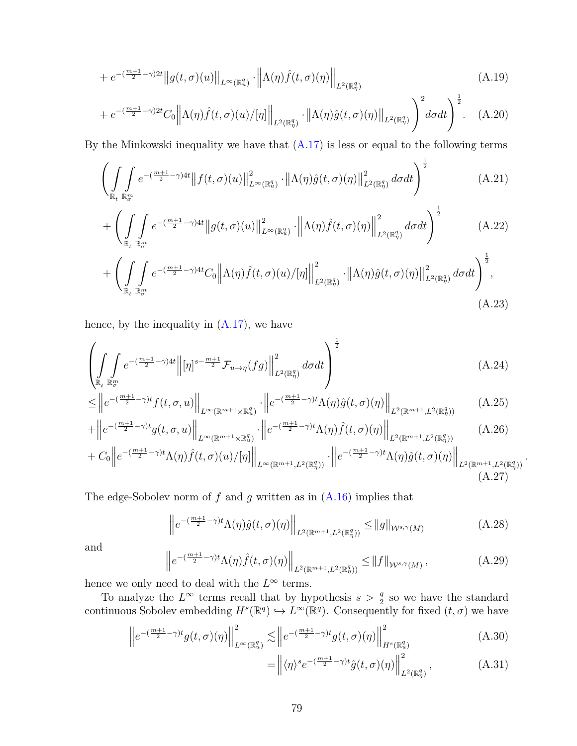$$
+ e^{-\left(\frac{m+1}{2} - \gamma\right)2t} \|g(t,\sigma)(u)\|_{L^{\infty}(\mathbb{R}^q_u)} \cdot \left\|\Lambda(\eta)\hat{f}(t,\sigma)(\eta)\right\|_{L^2(\mathbb{R}^q_\eta)}\tag{A.19}
$$

$$
+e^{-\left(\frac{m+1}{2}-\gamma\right)2t}C_{0}\left\|\Lambda(\eta)\hat{f}(t,\sigma)(u)/[\eta]\right\|_{L^{2}(\mathbb{R}_{\eta}^{q})}\cdot\left\|\Lambda(\eta)\hat{g}(t,\sigma)(\eta)\right\|_{L^{2}(\mathbb{R}_{\eta}^{q})}\bigg)^{2}d\sigma dt\bigg)^{\frac{1}{2}}.
$$
 (A.20)

By the Minkowski inequality we have that  $(A.17)$  is less or equal to the following terms

$$
\left(\iint\limits_{\mathbb{R}_t} \int\limits_{\mathbb{R}_v^m} e^{-(\frac{m+1}{2}-\gamma)4t} \left\|f(t,\sigma)(u)\right\|_{L^\infty(\mathbb{R}_u^q)}^2 \cdot \left\|\Lambda(\eta)\hat{g}(t,\sigma)(\eta)\right\|_{L^2(\mathbb{R}_\eta^q)}^2 d\sigma dt\right)^{\frac{1}{2}}\n\tag{A.21}
$$

$$
+\left(\int\limits_{\mathbb{R}_t}\int\limits_{\mathbb{R}_\theta^m} e^{-(\frac{m+1}{2}-\gamma)4t} \|g(t,\sigma)(u)\|_{L^\infty(\mathbb{R}_u^q)}^2 \cdot \left\|\Lambda(\eta)\widehat{f}(t,\sigma)(\eta)\right\|_{L^2(\mathbb{R}_\eta^q)}^2 d\sigma dt\right)^{\frac{1}{2}}\tag{A.22}
$$

$$
+\left(\iint\limits_{\mathbb{R}_t}\int\limits_{\mathbb{R}^m_{\sigma}}e^{-(\frac{m+1}{2}-\gamma)4t}C_0\left\|\Lambda(\eta)\widehat{f}(t,\sigma)(u)/[\eta]\right\|^2_{L^2(\mathbb{R}^q_{\eta})}\cdot\left\|\Lambda(\eta)\widehat{g}(t,\sigma)(\eta)\right\|^2_{L^2(\mathbb{R}^q_{\eta})}d\sigma dt\right)^{\frac{1}{2}},\tag{A.23}
$$

hence, by the inequality in [\(A.17\)](#page-86-2), we have

$$
\left(\iint\limits_{\mathbb{R}_t} \int\limits_{\mathbb{R}_m^m} e^{-(\frac{m+1}{2}-\gamma)4t} \left\| [\eta]^{s-\frac{m+1}{2}} \mathcal{F}_{u\to\eta}(fg) \right\|_{L^2(\mathbb{R}_\eta^q)}^2 d\sigma dt\right)^{\frac{1}{2}}\n\tag{A.24}
$$

$$
\leq \left\| e^{-(\frac{m+1}{2}-\gamma)t} f(t,\sigma,u) \right\|_{L^{\infty}(\mathbb{R}^{m+1}\times\mathbb{R}^q_u)} \cdot \left\| e^{-(\frac{m+1}{2}-\gamma)t} \Lambda(\eta) \hat{g}(t,\sigma)(\eta) \right\|_{L^2(\mathbb{R}^{m+1},L^2(\mathbb{R}^q_\eta))}
$$
(A.25)

$$
+\left\|e^{-(\frac{m+1}{2}-\gamma)t}g(t,\sigma,u)\right\|_{L^{\infty}(\mathbb{R}^{m+1}\times\mathbb{R}_{u}^{q})}\cdot\left\|e^{-(\frac{m+1}{2}-\gamma)t}\Lambda(\eta)\hat{f}(t,\sigma)(\eta)\right\|_{L^{2}(\mathbb{R}^{m+1},L^{2}(\mathbb{R}_{\eta}^{q}))}
$$
(A.26)

$$
+ C_0 \left\| e^{-(\frac{m+1}{2}-\gamma)t} \Lambda(\eta) \widehat{f}(t,\sigma)(u)/[\eta] \right\|_{L^\infty(\mathbb{R}^{m+1},L^2(\mathbb{R}^q_\eta))} \cdot \left\| e^{-(\frac{m+1}{2}-\gamma)t} \Lambda(\eta) \widehat{g}(t,\sigma)(\eta) \right\|_{L^2(\mathbb{R}^{m+1},L^2(\mathbb{R}^q_\eta))} \tag{A.27}
$$

The edge-Sobolev norm of  $f$  and  $g$  written as in  $(A.16)$  implies that

<span id="page-87-3"></span>
$$
\left\|e^{-(\frac{m+1}{2}-\gamma)t}\Lambda(\eta)\hat{g}(t,\sigma)(\eta)\right\|_{L^2(\mathbb{R}^{m+1},L^2(\mathbb{R}^q_\eta))} \le \|g\|_{\mathcal{W}^{s,\gamma}(M)}\tag{A.28}
$$

and

$$
\left\|e^{-(\frac{m+1}{2}-\gamma)t}\Lambda(\eta)\hat{f}(t,\sigma)(\eta)\right\|_{L^2(\mathbb{R}^{m+1},L^2(\mathbb{R}^q_\eta))} \le \|f\|_{\mathcal{W}^{s,\gamma}(M)},\tag{A.29}
$$

hence we only need to deal with the  $L^{\infty}$  terms.

To analyze the  $L^{\infty}$  terms recall that by hypothesis  $s > \frac{q}{2}$  so we have the standard continuous Sobolev embedding  $H^s(\mathbb{R}^q) \hookrightarrow L^\infty(\mathbb{R}^q)$ . Consequently for fixed  $(t, \sigma)$  we have

$$
\left\|e^{-(\frac{m+1}{2}-\gamma)t}g(t,\sigma)(\eta)\right\|_{L^{\infty}(\mathbb{R}^q_u)}^2 \lesssim \left\|e^{-(\frac{m+1}{2}-\gamma)t}g(t,\sigma)(\eta)\right\|_{H^s(\mathbb{R}^q_u)}^2\tag{A.30}
$$

$$
= \left\| \langle \eta \rangle^s e^{-\left(\frac{m+1}{2} - \gamma\right)t} \hat{g}(t, \sigma)(\eta) \right\|_{L^2(\mathbb{R}^q_\eta)}^2, \tag{A.31}
$$

<span id="page-87-2"></span><span id="page-87-1"></span><span id="page-87-0"></span>.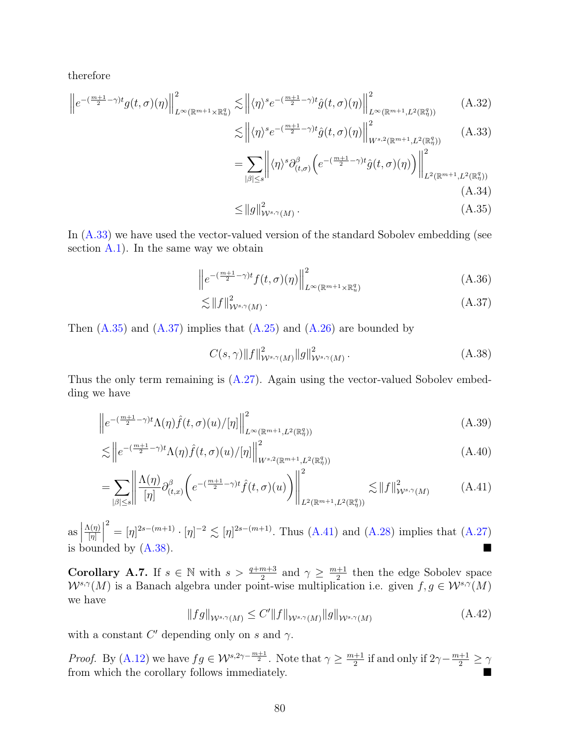therefore

$$
\left\|e^{-(\frac{m+1}{2}-\gamma)t}g(t,\sigma)(\eta)\right\|_{L^{\infty}(\mathbb{R}^{m+1}\times\mathbb{R}_{u}^{q})}^{2} \lesssim \left\|\langle\eta\rangle^{s}e^{-(\frac{m+1}{2}-\gamma)t}\hat{g}(t,\sigma)(\eta)\right\|_{L^{\infty}(\mathbb{R}^{m+1},L^{2}(\mathbb{R}_{\eta}^{q}))}^{2} \tag{A.32}
$$

<span id="page-88-1"></span>
$$
\lesssim \left\| \langle \eta \rangle^s e^{-\left(\frac{m+1}{2} - \gamma\right)t} \hat{g}(t, \sigma)(\eta) \right\|_{W^{s,2}(\mathbb{R}^{m+1}, L^2(\mathbb{R}^q_\eta))}^2 \tag{A.33}
$$

$$
=\sum_{|\beta|\leq s} \left\| \langle \eta \rangle^s \partial_{(t,\sigma)}^\beta \left( e^{-(\frac{m+1}{2}-\gamma)t} \hat{g}(t,\sigma)(\eta) \right) \right\|_{L^2(\mathbb{R}^{m+1}, L^2(\mathbb{R}^q_0))}^2
$$
\n(A.34)

<span id="page-88-3"></span><span id="page-88-2"></span>
$$
\leq \|g\|_{\mathcal{W}^{s,\gamma}(M)}^2.
$$
\n(A.35)

In  $(A.33)$  we have used the vector-valued version of the standard Sobolev embedding (see section  $A.1$ ). In the same way we obtain

$$
\left\| e^{-(\frac{m+1}{2}-\gamma)t} f(t,\sigma)(\eta) \right\|_{L^{\infty}(\mathbb{R}^{m+1}\times\mathbb{R}^q_u)}^2 \tag{A.36}
$$

$$
\lesssim \|f\|_{W^{s,\gamma}(M)}^2.
$$
\n(A.37)

Then  $(A.35)$  and  $(A.37)$  implies that  $(A.25)$  and  $(A.26)$  are bounded by

<span id="page-88-5"></span><span id="page-88-4"></span>
$$
C(s,\gamma)\|f\|_{\mathcal{W}^{s,\gamma}(M)}^2\|g\|_{\mathcal{W}^{s,\gamma}(M)}^2.
$$
\n(A.38)

Thus the only term remaining is [\(A.27\)](#page-87-2). Again using the vector-valued Sobolev embedding we have

$$
\left\|e^{-(\frac{m+1}{2}-\gamma)t}\Lambda(\eta)\hat{f}(t,\sigma)(u)/[\eta]\right\|_{L^{\infty}(\mathbb{R}^{m+1},L^{2}(\mathbb{R}^{q}_{\eta}))}^{2} \tag{A.39}
$$

$$
\lesssim \left\| e^{-(\frac{m+1}{2}-\gamma)t} \Lambda(\eta) \widehat{f}(t,\sigma)(u) / [\eta] \right\|_{W^{s,2}(\mathbb{R}^{m+1}, L^2(\mathbb{R}^q_\eta))}^2
$$
\n(A.40)

$$
=\sum_{|\beta|\leq s} \left\| \frac{\Lambda(\eta)}{[\eta]} \partial_{(t,x)}^{\beta} \left( e^{-(\frac{m+1}{2}-\gamma)t} \hat{f}(t,\sigma)(u) \right) \right\|_{L^{2}(\mathbb{R}^{m+1}, L^{2}(\mathbb{R}^{q}_{\eta}))}^{2} \lesssim \|f\|_{W^{s,\gamma}(M)}^{2} \tag{A.41}
$$

 $\operatorname{as}$  $\Lambda(\eta)$  $[\eta]$   $\int_{0}^{2} = [\eta]^{2s - (m+1)} \cdot [\eta]^{-2} \lesssim [\eta]^{2s - (m+1)}$ . Thus [\(A.41\)](#page-88-4) and [\(A.28\)](#page-87-3) implies that [\(A.27\)](#page-87-2) is bounded by  $(A.38)$ .

**Corollary A.7.** If  $s \in \mathbb{N}$  with  $s > \frac{q+m+3}{2}$  and  $\gamma \geq \frac{m+1}{2}$  $\frac{+1}{2}$  then the edge Sobolev space  $W^{s,\gamma}(M)$  is a Banach algebra under point-wise multiplication i.e. given  $f, g \in W^{s,\gamma}(M)$ we have

<span id="page-88-0"></span>
$$
||fg||_{\mathcal{W}^{s,\gamma}(M)} \le C'||f||_{\mathcal{W}^{s,\gamma}(M)}||g||_{\mathcal{W}^{s,\gamma}(M)}
$$
\n(A.42)

with a constant  $C'$  depending only on s and  $\gamma$ .

*Proof.* By [\(A.12\)](#page-85-1) we have  $fg \in \mathcal{W}^{s,2\gamma-\frac{m+1}{2}}$ . Note that  $\gamma \geq \frac{m+1}{2}$  $\frac{+1}{2}$  if and only if  $2\gamma - \frac{m+1}{2} \ge \gamma$ from which the corollary follows immediately.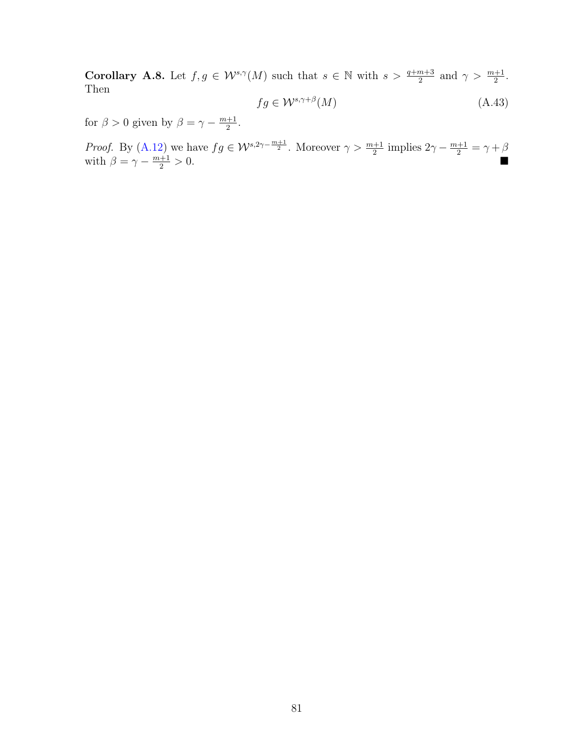**Corollary A.8.** Let  $f, g \in \mathcal{W}^{s,\gamma}(M)$  such that  $s \in \mathbb{N}$  with  $s > \frac{q+m+3}{2}$  and  $\gamma > \frac{m+1}{2}$ . Then

<span id="page-89-0"></span>
$$
fg \in \mathcal{W}^{s,\gamma+\beta}(M) \tag{A.43}
$$

for  $\beta > 0$  given by  $\beta = \gamma - \frac{m+1}{2}$  $\frac{+1}{2}$ .

*Proof.* By [\(A.12\)](#page-85-1) we have  $fg \in \mathcal{W}^{s,2\gamma-\frac{m+1}{2}}$ . Moreover  $\gamma > \frac{m+1}{2}$  implies  $2\gamma - \frac{m+1}{2} = \gamma + \beta$ with  $\beta = \gamma - \frac{m+1}{2} > 0$ .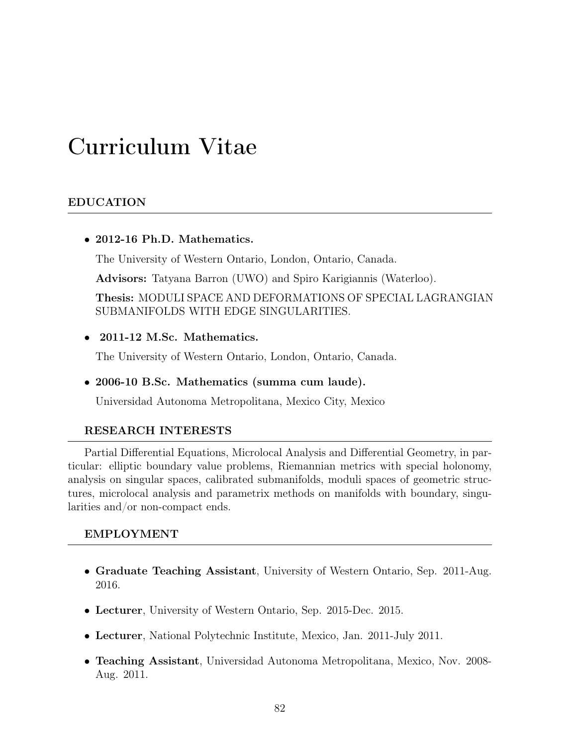# Curriculum Vitae

#### EDUCATION

• 2012-16 Ph.D. Mathematics.

The University of Western Ontario, London, Ontario, Canada.

Advisors: Tatyana Barron (UWO) and Spiro Karigiannis (Waterloo).

Thesis: MODULI SPACE AND DEFORMATIONS OF SPECIAL LAGRANGIAN SUBMANIFOLDS WITH EDGE SINGULARITIES.

• 2011-12 M.Sc. Mathematics.

The University of Western Ontario, London, Ontario, Canada.

• 2006-10 B.Sc. Mathematics (summa cum laude).

Universidad Autonoma Metropolitana, Mexico City, Mexico

#### RESEARCH INTERESTS

Partial Differential Equations, Microlocal Analysis and Differential Geometry, in particular: elliptic boundary value problems, Riemannian metrics with special holonomy, analysis on singular spaces, calibrated submanifolds, moduli spaces of geometric structures, microlocal analysis and parametrix methods on manifolds with boundary, singularities and/or non-compact ends.

#### EMPLOYMENT

- Graduate Teaching Assistant, University of Western Ontario, Sep. 2011-Aug. 2016.
- Lecturer, University of Western Ontario, Sep. 2015-Dec. 2015.
- Lecturer, National Polytechnic Institute, Mexico, Jan. 2011-July 2011.
- Teaching Assistant, Universidad Autonoma Metropolitana, Mexico, Nov. 2008- Aug. 2011.